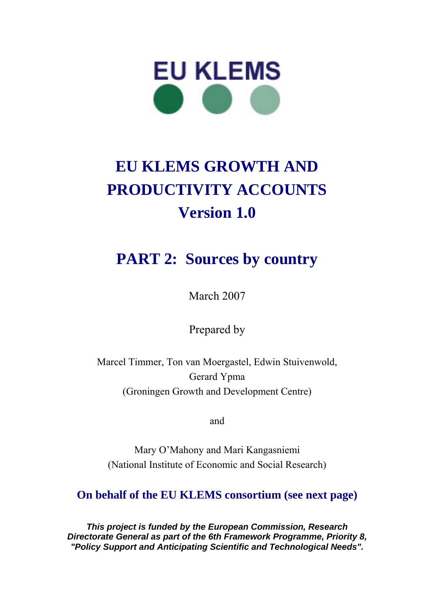

# **EU KLEMS GROWTH AND PRODUCTIVITY ACCOUNTS Version 1.0**

## **PART 2: Sources by country**

March 2007

Prepared by

Marcel Timmer, Ton van Moergastel, Edwin Stuivenwold, Gerard Ypma (Groningen Growth and Development Centre)

and

Mary O'Mahony and Mari Kangasniemi (National Institute of Economic and Social Research)

### **On behalf of the EU KLEMS consortium (see next page)**

*This project is funded by the European Commission, Research Directorate General as part of the 6th Framework Programme, Priority 8, "Policy Support and Anticipating Scientific and Technological Needs".*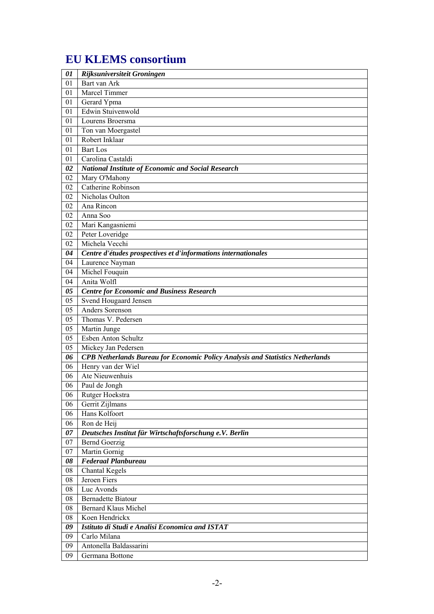### **EU KLEMS consortium**

| 01 | Rijksuniversiteit Groningen                                                           |  |  |
|----|---------------------------------------------------------------------------------------|--|--|
| 01 | Bart van Ark                                                                          |  |  |
| 01 | Marcel Timmer                                                                         |  |  |
| 01 | Gerard Ypma                                                                           |  |  |
| 01 | Edwin Stuivenwold                                                                     |  |  |
| 01 | Lourens Broersma                                                                      |  |  |
| 01 | Ton van Moergastel                                                                    |  |  |
| 01 | Robert Inklaar                                                                        |  |  |
| 01 | <b>Bart</b> Los                                                                       |  |  |
| 01 | Carolina Castaldi                                                                     |  |  |
| 02 | <b>National Institute of Economic and Social Research</b>                             |  |  |
| 02 | Mary O'Mahony                                                                         |  |  |
| 02 | Catherine Robinson                                                                    |  |  |
| 02 | Nicholas Oulton                                                                       |  |  |
| 02 | Ana Rincon                                                                            |  |  |
| 02 | Anna Soo                                                                              |  |  |
| 02 | Mari Kangasniemi                                                                      |  |  |
| 02 | Peter Loveridge                                                                       |  |  |
| 02 | Michela Vecchi                                                                        |  |  |
| 04 | Centre d'études prospectives et d'informations internationales                        |  |  |
| 04 | Laurence Nayman                                                                       |  |  |
| 04 | Michel Fouquin                                                                        |  |  |
| 04 | Anita Wolfl                                                                           |  |  |
| 05 | <b>Centre for Economic and Business Research</b>                                      |  |  |
| 05 | Svend Hougaard Jensen                                                                 |  |  |
| 05 | Anders Sorenson                                                                       |  |  |
| 05 | Thomas V. Pedersen                                                                    |  |  |
| 05 | Martin Junge                                                                          |  |  |
| 05 | Esben Anton Schultz                                                                   |  |  |
| 05 | Mickey Jan Pedersen                                                                   |  |  |
| 06 | <b>CPB Netherlands Bureau for Economic Policy Analysis and Statistics Netherlands</b> |  |  |
| 06 | Henry van der Wiel                                                                    |  |  |
| 06 | Ate Nieuwenhuis                                                                       |  |  |
| 06 | Paul de Jongh                                                                         |  |  |
| 06 | Rutger Hoekstra                                                                       |  |  |
| 06 | Gerrit Zijlmans                                                                       |  |  |
| 06 | Hans Kolfoort                                                                         |  |  |
| 06 | Ron de Heij                                                                           |  |  |
| 07 | Deutsches Institut für Wirtschaftsforschung e.V. Berlin                               |  |  |
| 07 | <b>Bernd Goerzig</b>                                                                  |  |  |
| 07 | Martin Gornig                                                                         |  |  |
| 08 | <b>Federaal Planbureau</b>                                                            |  |  |
| 08 | <b>Chantal Kegels</b>                                                                 |  |  |
| 08 | Jeroen Fiers                                                                          |  |  |
| 08 | Luc Avonds                                                                            |  |  |
| 08 | <b>Bernadette Biatour</b>                                                             |  |  |
| 08 | <b>Bernard Klaus Michel</b>                                                           |  |  |
| 08 | Koen Hendrickx                                                                        |  |  |
| 09 | Istituto di Studi e Analisi Economica and ISTAT                                       |  |  |
| 09 | Carlo Milana                                                                          |  |  |
| 09 | Antonella Baldassarini                                                                |  |  |
| 09 | Germana Bottone                                                                       |  |  |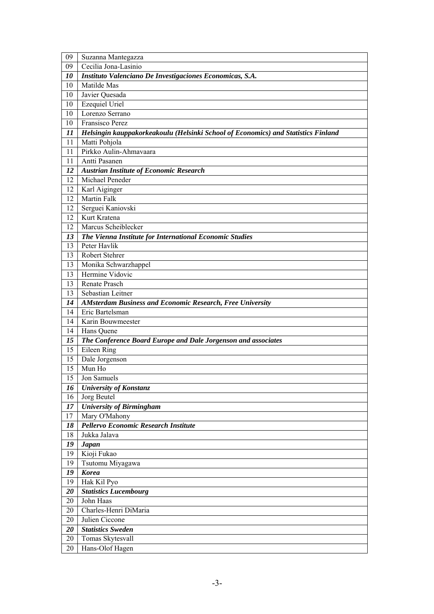| 09 | Suzanna Mantegazza                                                                |  |  |
|----|-----------------------------------------------------------------------------------|--|--|
| 09 | Cecilia Jona-Lasinio                                                              |  |  |
| 10 | Instituto Valenciano De Investigaciones Economicas, S.A.                          |  |  |
| 10 | Matilde Mas                                                                       |  |  |
| 10 | Javier Quesada                                                                    |  |  |
| 10 | <b>Ezequiel Uriel</b>                                                             |  |  |
| 10 | Lorenzo Serrano                                                                   |  |  |
| 10 | Fransisco Perez                                                                   |  |  |
| 11 | Helsingin kauppakorkeakoulu (Helsinki School of Economics) and Statistics Finland |  |  |
| 11 | Matti Pohjola                                                                     |  |  |
| 11 | Pirkko Aulin-Ahmavaara                                                            |  |  |
| 11 | Antti Pasanen                                                                     |  |  |
| 12 | <b>Austrian Institute of Economic Research</b>                                    |  |  |
| 12 | Michael Peneder                                                                   |  |  |
| 12 | Karl Aiginger                                                                     |  |  |
| 12 | <b>Martin Falk</b>                                                                |  |  |
| 12 | Serguei Kaniovski                                                                 |  |  |
| 12 | Kurt Kratena                                                                      |  |  |
| 12 | Marcus Scheiblecker                                                               |  |  |
| 13 | The Vienna Institute for International Economic Studies                           |  |  |
| 13 | Peter Havlik                                                                      |  |  |
| 13 | Robert Stehrer                                                                    |  |  |
| 13 | Monika Schwarzhappel                                                              |  |  |
| 13 | Hermine Vidovic                                                                   |  |  |
| 13 | Renate Prasch                                                                     |  |  |
| 13 | Sebastian Leitner                                                                 |  |  |
| 14 | <b>AMsterdam Business and Economic Research, Free University</b>                  |  |  |
| 14 | Eric Bartelsman                                                                   |  |  |
| 14 | Karin Bouwmeester                                                                 |  |  |
| 14 | Hans Quene                                                                        |  |  |
| 15 | The Conference Board Europe and Dale Jorgenson and associates                     |  |  |
| 15 | Eileen Ring                                                                       |  |  |
| 15 | Dale Jorgenson                                                                    |  |  |
| 15 | Mun Ho                                                                            |  |  |
| 15 | Jon Samuels                                                                       |  |  |
| 16 | <b>University of Konstanz</b>                                                     |  |  |
| 16 | Jorg Beutel                                                                       |  |  |
| 17 | <b>University of Birmingham</b>                                                   |  |  |
| 17 | Mary O'Mahony                                                                     |  |  |
| 18 | Pellervo Economic Research Institute                                              |  |  |
| 18 | Jukka Jalava                                                                      |  |  |
| 19 | <b>Japan</b>                                                                      |  |  |
| 19 | Kioji Fukao                                                                       |  |  |
| 19 | Tsutomu Miyagawa                                                                  |  |  |
| 19 | <b>Korea</b>                                                                      |  |  |
| 19 | Hak Kil Pyo                                                                       |  |  |
| 20 | <b>Statistics Lucembourg</b>                                                      |  |  |
| 20 | John Haas                                                                         |  |  |
| 20 | Charles-Henri DiMaria                                                             |  |  |
| 20 | Julien Ciccone                                                                    |  |  |
| 20 | <b>Statistics Sweden</b>                                                          |  |  |
| 20 | Tomas Skytesvall                                                                  |  |  |
| 20 | Hans-Olof Hagen                                                                   |  |  |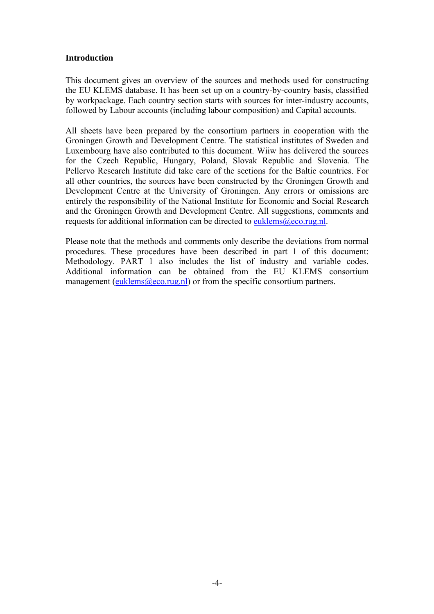### **Introduction**

This document gives an overview of the sources and methods used for constructing the EU KLEMS database. It has been set up on a country-by-country basis, classified by workpackage. Each country section starts with sources for inter-industry accounts, followed by Labour accounts (including labour composition) and Capital accounts.

All sheets have been prepared by the consortium partners in cooperation with the Groningen Growth and Development Centre. The statistical institutes of Sweden and Luxembourg have also contributed to this document. Wiiw has delivered the sources for the Czech Republic, Hungary, Poland, Slovak Republic and Slovenia. The Pellervo Research Institute did take care of the sections for the Baltic countries. For all other countries, the sources have been constructed by the Groningen Growth and Development Centre at the University of Groningen. Any errors or omissions are entirely the responsibility of the National Institute for Economic and Social Research and the Groningen Growth and Development Centre. All suggestions, comments and requests for additional information can be directed to euklems@eco.rug.nl.

Please note that the methods and comments only describe the deviations from normal procedures. These procedures have been described in part 1 of this document: Methodology. PART 1 also includes the list of industry and variable codes. Additional information can be obtained from the EU KLEMS consortium management (euklems@eco.rug.nl) or from the specific consortium partners.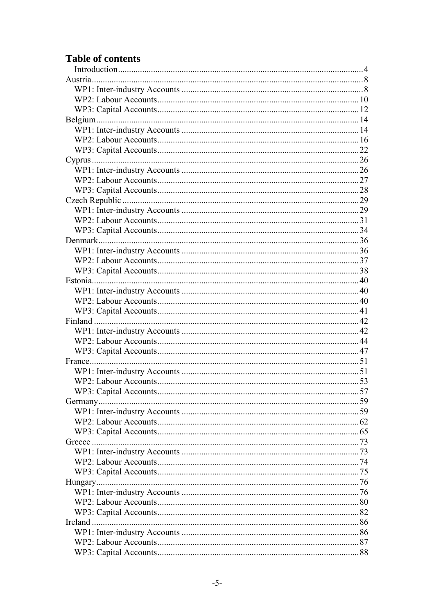### **Table of contents**

| Ireland |  |
|---------|--|
|         |  |
|         |  |
|         |  |
|         |  |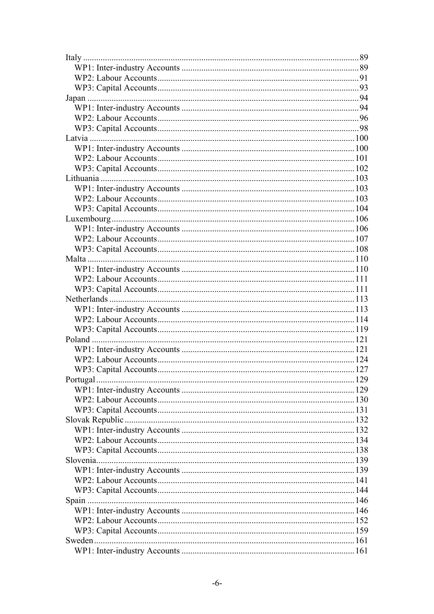| Portugal | .129 |
|----------|------|
|          |      |
|          |      |
|          |      |
|          |      |
|          |      |
|          |      |
|          |      |
|          |      |
|          |      |
|          |      |
|          |      |
|          |      |
|          |      |
|          |      |
|          |      |
|          |      |
|          |      |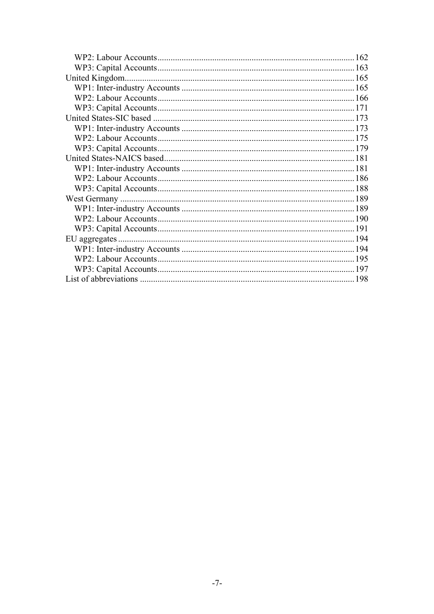|  | 162 |  |
|--|-----|--|
|  |     |  |
|  |     |  |
|  |     |  |
|  |     |  |
|  |     |  |
|  |     |  |
|  |     |  |
|  |     |  |
|  |     |  |
|  |     |  |
|  |     |  |
|  |     |  |
|  |     |  |
|  |     |  |
|  |     |  |
|  |     |  |
|  |     |  |
|  |     |  |
|  |     |  |
|  |     |  |
|  |     |  |
|  |     |  |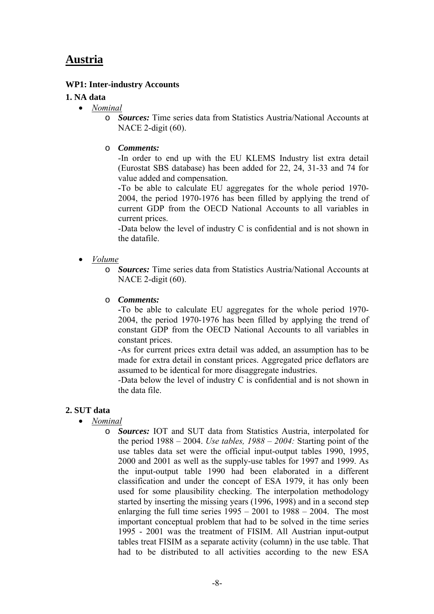### **Austria**

### **WP1: Inter-industry Accounts**

### **1. NA data**

- *Nominal*
	- o *Sources:* Time series data from Statistics Austria/National Accounts at NACE 2-digit (60).
	- o *Comments:*

-In order to end up with the EU KLEMS Industry list extra detail (Eurostat SBS database) has been added for 22, 24, 31-33 and 74 for value added and compensation.

**-**To be able to calculate EU aggregates for the whole period 1970- 2004, the period 1970-1976 has been filled by applying the trend of current GDP from the OECD National Accounts to all variables in current prices.

-Data below the level of industry C is confidential and is not shown in the datafile.

- *Volume*
	- o *Sources:* Time series data from Statistics Austria/National Accounts at NACE 2-digit (60).
	- o *Comments:*

**-**To be able to calculate EU aggregates for the whole period 1970- 2004, the period 1970-1976 has been filled by applying the trend of constant GDP from the OECD National Accounts to all variables in constant prices.

**-**As for current prices extra detail was added, an assumption has to be made for extra detail in constant prices. Aggregated price deflators are assumed to be identical for more disaggregate industries.

-Data below the level of industry C is confidential and is not shown in the data file.

### **2. SUT data**

- *Nominal*
	- o *Sources:* IOT and SUT data from Statistics Austria, interpolated for the period 1988 – 2004. *Use tables, 1988 – 2004:* Starting point of the use tables data set were the official input-output tables 1990, 1995, 2000 and 2001 as well as the supply-use tables for 1997 and 1999. As the input-output table 1990 had been elaborated in a different classification and under the concept of ESA 1979, it has only been used for some plausibility checking. The interpolation methodology started by inserting the missing years (1996, 1998) and in a second step enlarging the full time series  $1995 - 2001$  to  $1988 - 2004$ . The most important conceptual problem that had to be solved in the time series 1995 - 2001 was the treatment of FISIM. All Austrian input-output tables treat FISIM as a separate activity (column) in the use table. That had to be distributed to all activities according to the new ESA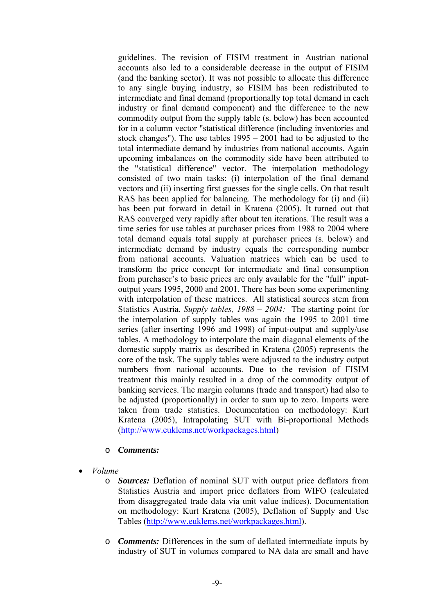guidelines. The revision of FISIM treatment in Austrian national accounts also led to a considerable decrease in the output of FISIM (and the banking sector). It was not possible to allocate this difference to any single buying industry, so FISIM has been redistributed to intermediate and final demand (proportionally top total demand in each industry or final demand component) and the difference to the new commodity output from the supply table (s. below) has been accounted for in a column vector "statistical difference (including inventories and stock changes"). The use tables 1995 – 2001 had to be adjusted to the total intermediate demand by industries from national accounts. Again upcoming imbalances on the commodity side have been attributed to the "statistical difference" vector. The interpolation methodology consisted of two main tasks: (i) interpolation of the final demand vectors and (ii) inserting first guesses for the single cells. On that result RAS has been applied for balancing. The methodology for (i) and (ii) has been put forward in detail in Kratena (2005). It turned out that RAS converged very rapidly after about ten iterations. The result was a time series for use tables at purchaser prices from 1988 to 2004 where total demand equals total supply at purchaser prices (s. below) and intermediate demand by industry equals the corresponding number from national accounts. Valuation matrices which can be used to transform the price concept for intermediate and final consumption from purchaser's to basic prices are only available for the "full" inputoutput years 1995, 2000 and 2001. There has been some experimenting with interpolation of these matrices. All statistical sources stem from Statistics Austria. *Supply tables, 1988 – 2004:* The starting point for the interpolation of supply tables was again the 1995 to 2001 time series (after inserting 1996 and 1998) of input-output and supply/use tables. A methodology to interpolate the main diagonal elements of the domestic supply matrix as described in Kratena (2005) represents the core of the task. The supply tables were adjusted to the industry output numbers from national accounts. Due to the revision of FISIM treatment this mainly resulted in a drop of the commodity output of banking services. The margin columns (trade and transport) had also to be adjusted (proportionally) in order to sum up to zero. Imports were taken from trade statistics. Documentation on methodology: Kurt Kratena (2005), Intrapolating SUT with Bi-proportional Methods (http://www.euklems.net/workpackages.html)

#### o *Comments:*

- *Volume*
	- o *Sources:* Deflation of nominal SUT with output price deflators from Statistics Austria and import price deflators from WIFO (calculated from disaggregated trade data via unit value indices). Documentation on methodology: Kurt Kratena (2005), Deflation of Supply and Use Tables (http://www.euklems.net/workpackages.html).
	- o *Comments:* Differences in the sum of deflated intermediate inputs by industry of SUT in volumes compared to NA data are small and have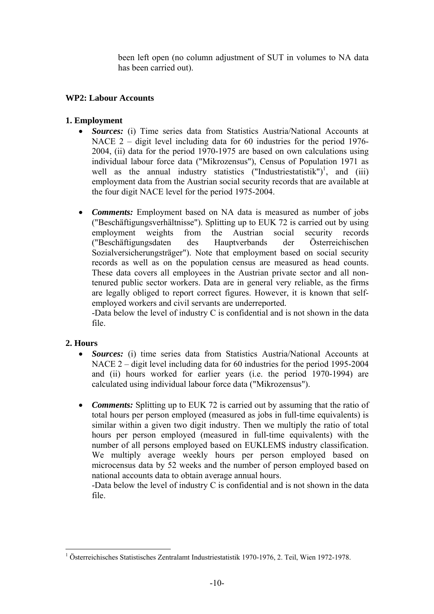been left open (no column adjustment of SUT in volumes to NA data has been carried out).

### **WP2: Labour Accounts**

### **1. Employment**

- *Sources:* (i) Time series data from Statistics Austria/National Accounts at NACE 2 – digit level including data for 60 industries for the period 1976- 2004, (ii) data for the period 1970-1975 are based on own calculations using individual labour force data ("Mikrozensus"), Census of Population 1971 as well as the annual industry statistics  $("Industriestatistik")<sup>1</sup>$ , and (iii) employment data from the Austrian social security records that are available at the four digit NACE level for the period 1975-2004.
- *Comments:* Employment based on NA data is measured as number of jobs ("Beschäftigungsverhältnisse"). Splitting up to EUK 72 is carried out by using employment weights from the Austrian social security records ("Beschäftigungsdaten des Hauptverbands der Österreichischen Sozialversicherungsträger"). Note that employment based on social security records as well as on the population census are measured as head counts. These data covers all employees in the Austrian private sector and all nontenured public sector workers. Data are in general very reliable, as the firms are legally obliged to report correct figures. However, it is known that selfemployed workers and civil servants are underreported.

-Data below the level of industry C is confidential and is not shown in the data file.

### **2. Hours**

- *Sources:* (i) time series data from Statistics Austria/National Accounts at NACE 2 – digit level including data for 60 industries for the period 1995-2004 and (ii) hours worked for earlier years (i.e. the period 1970-1994) are calculated using individual labour force data ("Mikrozensus").
- *Comments:* Splitting up to EUK 72 is carried out by assuming that the ratio of total hours per person employed (measured as jobs in full-time equivalents) is similar within a given two digit industry. Then we multiply the ratio of total hours per person employed (measured in full-time equivalents) with the number of all persons employed based on EUKLEMS industry classification. We multiply average weekly hours per person employed based on microcensus data by 52 weeks and the number of person employed based on national accounts data to obtain average annual hours.

-Data below the level of industry C is confidential and is not shown in the data file.

 $\overline{a}$ <sup>1</sup> Österreichisches Statistisches Zentralamt Industriestatistik 1970-1976, 2. Teil, Wien 1972-1978.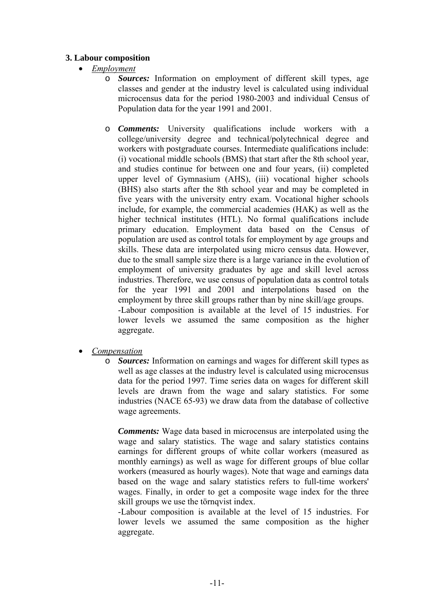### **3. Labour composition**

- *Employment*
	- o *Sources:* Information on employment of different skill types, age classes and gender at the industry level is calculated using individual microcensus data for the period 1980-2003 and individual Census of Population data for the year 1991 and 2001.
	- o *Comments:* University qualifications include workers with a college/university degree and technical/polytechnical degree and workers with postgraduate courses. Intermediate qualifications include: (i) vocational middle schools (BMS) that start after the 8th school year, and studies continue for between one and four years, (ii) completed upper level of Gymnasium (AHS), (iii) vocational higher schools (BHS) also starts after the 8th school year and may be completed in five years with the university entry exam. Vocational higher schools include, for example, the commercial academies (HAK) as well as the higher technical institutes (HTL). No formal qualifications include primary education. Employment data based on the Census of population are used as control totals for employment by age groups and skills. These data are interpolated using micro census data. However, due to the small sample size there is a large variance in the evolution of employment of university graduates by age and skill level across industries. Therefore, we use census of population data as control totals for the year 1991 and 2001 and interpolations based on the employment by three skill groups rather than by nine skill/age groups. -Labour composition is available at the level of 15 industries. For lower levels we assumed the same composition as the higher aggregate.
- *Compensation*
	- o *Sources:* Information on earnings and wages for different skill types as well as age classes at the industry level is calculated using microcensus data for the period 1997. Time series data on wages for different skill levels are drawn from the wage and salary statistics. For some industries (NACE 65-93) we draw data from the database of collective wage agreements.

*Comments:* Wage data based in microcensus are interpolated using the wage and salary statistics. The wage and salary statistics contains earnings for different groups of white collar workers (measured as monthly earnings) as well as wage for different groups of blue collar workers (measured as hourly wages). Note that wage and earnings data based on the wage and salary statistics refers to full-time workers' wages. Finally, in order to get a composite wage index for the three skill groups we use the törnqvist index.

-Labour composition is available at the level of 15 industries. For lower levels we assumed the same composition as the higher aggregate.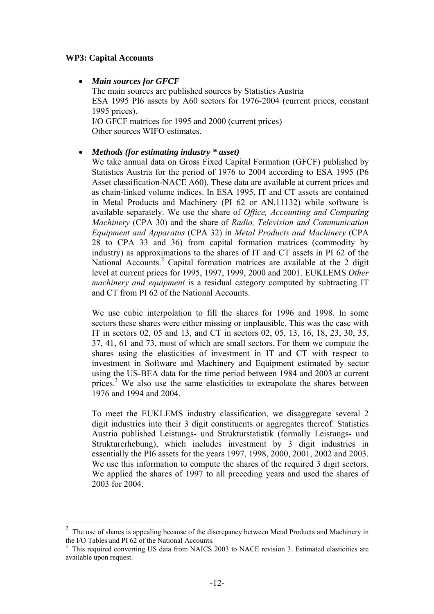### **WP3: Capital Accounts**

 $\overline{a}$ 

• *Main sources for GFCF* 

The main sources are published sources by Statistics Austria ESA 1995 PI6 assets by A60 sectors for 1976-2004 (current prices, constant 1995 prices). I/O GFCF matrices for 1995 and 2000 (current prices) Other sources WIFO estimates.

### • *Methods (for estimating industry \* asset)*

We take annual data on Gross Fixed Capital Formation (GFCF) published by Statistics Austria for the period of 1976 to 2004 according to ESA 1995 (P6 Asset classification-NACE A60). These data are available at current prices and as chain-linked volume indices. In ESA 1995, IT and CT assets are contained in Metal Products and Machinery (PI 62 or AN.11132) while software is available separately. We use the share of *Office, Accounting and Computing Machinery* (CPA 30) and the share of *Radio, Television and Communication Equipment and Apparatus* (CPA 32) in *Metal Products and Machinery* (CPA 28 to CPA 33 and 36) from capital formation matrices (commodity by industry) as approximations to the shares of IT and CT assets in PI 62 of the National Accounts.<sup>2</sup> Capital formation matrices are available at the 2 digit level at current prices for 1995, 1997, 1999, 2000 and 2001. EUKLEMS *Other machinery and equipment* is a residual category computed by subtracting IT and CT from PI 62 of the National Accounts.

We use cubic interpolation to fill the shares for 1996 and 1998. In some sectors these shares were either missing or implausible. This was the case with IT in sectors 02, 05 and 13, and CT in sectors 02, 05, 13, 16, 18, 23, 30, 35, 37, 41, 61 and 73, most of which are small sectors. For them we compute the shares using the elasticities of investment in IT and CT with respect to investment in Software and Machinery and Equipment estimated by sector using the US-BEA data for the time period between 1984 and 2003 at current prices.<sup>3</sup> We also use the same elasticities to extrapolate the shares between 1976 and 1994 and 2004.

To meet the EUKLEMS industry classification, we disaggregate several 2 digit industries into their 3 digit constituents or aggregates thereof. Statistics Austria published Leistungs- und Strukturstatistik (formally Leistungs- und Strukturerhebung), which includes investment by 3 digit industries in essentially the PI6 assets for the years 1997, 1998, 2000, 2001, 2002 and 2003. We use this information to compute the shares of the required 3 digit sectors. We applied the shares of 1997 to all preceding years and used the shares of 2003 for 2004.

<sup>2</sup> The use of shares is appealing because of the discrepancy between Metal Products and Machinery in the I/O Tables and PI 62 of the National Accounts.

<sup>&</sup>lt;sup>3</sup> This required converting US data from NAICS 2003 to NACE revision 3. Estimated elasticities are available upon request.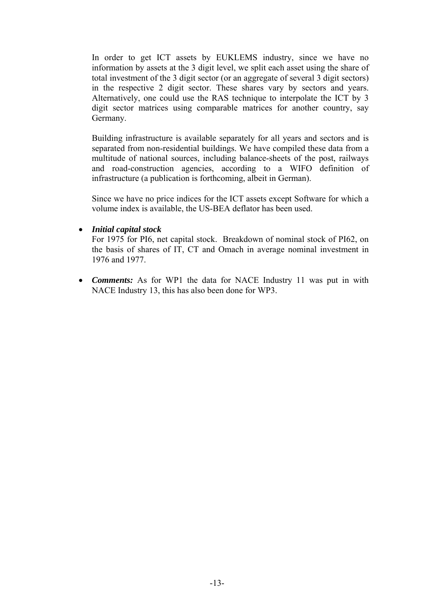In order to get ICT assets by EUKLEMS industry, since we have no information by assets at the 3 digit level, we split each asset using the share of total investment of the 3 digit sector (or an aggregate of several 3 digit sectors) in the respective 2 digit sector. These shares vary by sectors and years. Alternatively, one could use the RAS technique to interpolate the ICT by 3 digit sector matrices using comparable matrices for another country, say Germany.

Building infrastructure is available separately for all years and sectors and is separated from non-residential buildings. We have compiled these data from a multitude of national sources, including balance-sheets of the post, railways and road-construction agencies, according to a WIFO definition of infrastructure (a publication is forthcoming, albeit in German).

Since we have no price indices for the ICT assets except Software for which a volume index is available, the US-BEA deflator has been used.

### • *Initial capital stock*

For 1975 for PI6, net capital stock. Breakdown of nominal stock of PI62, on the basis of shares of IT, CT and Omach in average nominal investment in 1976 and 1977.

• *Comments:* As for WP1 the data for NACE Industry 11 was put in with NACE Industry 13, this has also been done for WP3.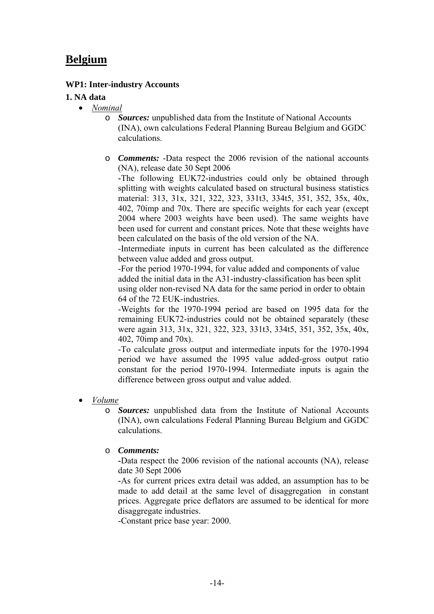### **Belgium**

### **WP1: Inter-industry Accounts**

### **1. NA data**

- *Nominal*
	- o *Sources:* unpublished data from the Institute of National Accounts (INA), own calculations Federal Planning Bureau Belgium and GGDC calculations.
	- o *Comments:* -Data respect the 2006 revision of the national accounts (NA), release date 30 Sept 2006

**-**The following EUK72-industries could only be obtained through splitting with weights calculated based on structural business statistics material: 313, 31x, 321, 322, 323, 331t3, 334t5, 351, 352, 35x, 40x, 402, 70imp and 70x. There are specific weights for each year (except 2004 where 2003 weights have been used). The same weights have been used for current and constant prices. Note that these weights have been calculated on the basis of the old version of the NA.

-Intermediate inputs in current has been calculated as the difference between value added and gross output.

-For the period 1970-1994, for value added and components of value added the initial data in the A31-industry-classification has been split using older non-revised NA data for the same period in order to obtain 64 of the 72 EUK-industries.

-Weights for the 1970-1994 period are based on 1995 data for the remaining EUK72-industries could not be obtained separately (these were again 313, 31x, 321, 322, 323, 331t3, 334t5, 351, 352, 35x, 40x, 402, 70imp and 70x).

-To calculate gross output and intermediate inputs for the 1970-1994 period we have assumed the 1995 value added-gross output ratio constant for the period 1970-1994. Intermediate inputs is again the difference between gross output and value added.

- *Volume*
	- o *Sources:* unpublished data from the Institute of National Accounts (INA), own calculations Federal Planning Bureau Belgium and GGDC calculations.

o *Comments:*

**-**Data respect the 2006 revision of the national accounts (NA), release date 30 Sept 2006

**-**As for current prices extra detail was added, an assumption has to be made to add detail at the same level of disaggregation in constant prices. Aggregate price deflators are assumed to be identical for more disaggregate industries.

-Constant price base year: 2000.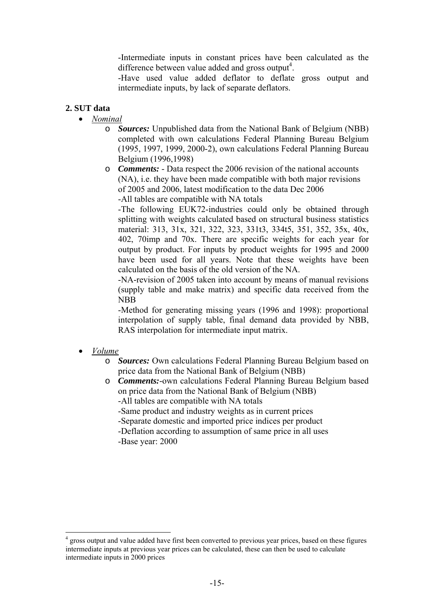-Intermediate inputs in constant prices have been calculated as the difference between value added and gross output<sup>4</sup>.

-Have used value added deflator to deflate gross output and intermediate inputs, by lack of separate deflators.

### **2. SUT data**

- *Nominal*
	- o *Sources:* Unpublished data from the National Bank of Belgium (NBB) completed with own calculations Federal Planning Bureau Belgium (1995, 1997, 1999, 2000-2), own calculations Federal Planning Bureau Belgium (1996,1998)
	- o *Comments:* Data respect the 2006 revision of the national accounts (NA), i.e. they have been made compatible with both major revisions of 2005 and 2006, latest modification to the data Dec 2006 -All tables are compatible with NA totals

-The following EUK72-industries could only be obtained through splitting with weights calculated based on structural business statistics material: 313, 31x, 321, 322, 323, 331t3, 334t5, 351, 352, 35x, 40x, 402, 70imp and 70x. There are specific weights for each year for output by product. For inputs by product weights for 1995 and 2000 have been used for all years. Note that these weights have been calculated on the basis of the old version of the NA.

-NA-revision of 2005 taken into account by means of manual revisions (supply table and make matrix) and specific data received from the NBB

-Method for generating missing years (1996 and 1998): proportional interpolation of supply table, final demand data provided by NBB, RAS interpolation for intermediate input matrix.

#### • *Volume*

 $\overline{a}$ 

- o *Sources:* Own calculations Federal Planning Bureau Belgium based on price data from the National Bank of Belgium (NBB)
- o *Comments:*-own calculations Federal Planning Bureau Belgium based on price data from the National Bank of Belgium (NBB)
	- -All tables are compatible with NA totals
	- -Same product and industry weights as in current prices
	- -Separate domestic and imported price indices per product
	- -Deflation according to assumption of same price in all uses -Base year: 2000

<sup>4</sup> gross output and value added have first been converted to previous year prices, based on these figures intermediate inputs at previous year prices can be calculated, these can then be used to calculate intermediate inputs in 2000 prices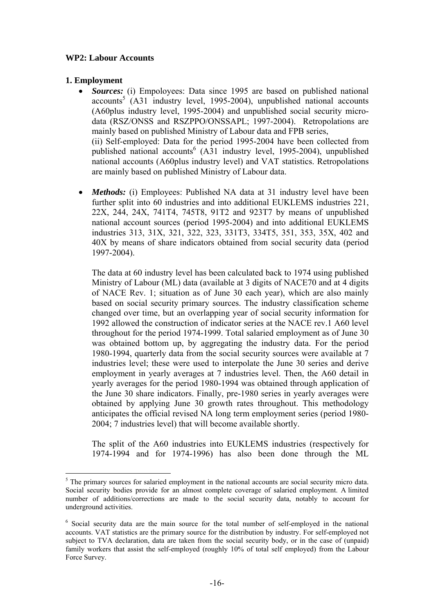### **WP2: Labour Accounts**

### **1. Employment**

 $\overline{a}$ 

- *Sources:* (i) Empoloyees: Data since 1995 are based on published national  $accounts<sup>5</sup>$  (A31 industry level, 1995-2004), unpublished national accounts (A60plus industry level, 1995-2004) and unpublished social security microdata (RSZ/ONSS and RSZPPO/ONSSAPL; 1997-2004). Retropolations are mainly based on published Ministry of Labour data and FPB series, (ii) Self-employed: Data for the period 1995-2004 have been collected from published national accounts<sup>6</sup> (A31 industry level, 1995-2004), unpublished national accounts (A60plus industry level) and VAT statistics. Retropolations are mainly based on published Ministry of Labour data.
- *Methods:* (i) Employees: Published NA data at 31 industry level have been further split into 60 industries and into additional EUKLEMS industries 221, 22X, 244, 24X, 741T4, 745T8, 91T2 and 923T7 by means of unpublished national account sources (period 1995-2004) and into additional EUKLEMS industries 313, 31X, 321, 322, 323, 331T3, 334T5, 351, 353, 35X, 402 and 40X by means of share indicators obtained from social security data (period 1997-2004).

The data at 60 industry level has been calculated back to 1974 using published Ministry of Labour (ML) data (available at 3 digits of NACE70 and at 4 digits of NACE Rev. 1; situation as of June 30 each year), which are also mainly based on social security primary sources. The industry classification scheme changed over time, but an overlapping year of social security information for 1992 allowed the construction of indicator series at the NACE rev.1 A60 level throughout for the period 1974-1999. Total salaried employment as of June 30 was obtained bottom up, by aggregating the industry data. For the period 1980-1994, quarterly data from the social security sources were available at 7 industries level; these were used to interpolate the June 30 series and derive employment in yearly averages at 7 industries level. Then, the A60 detail in yearly averages for the period 1980-1994 was obtained through application of the June 30 share indicators. Finally, pre-1980 series in yearly averages were obtained by applying June 30 growth rates throughout. This methodology anticipates the official revised NA long term employment series (period 1980- 2004; 7 industries level) that will become available shortly.

The split of the A60 industries into EUKLEMS industries (respectively for 1974-1994 and for 1974-1996) has also been done through the ML

<sup>&</sup>lt;sup>5</sup> The primary sources for salaried employment in the national accounts are social security micro data. Social security bodies provide for an almost complete coverage of salaried employment. A limited number of additions/corrections are made to the social security data, notably to account for underground activities.

<sup>&</sup>lt;sup>6</sup> Social security data are the main source for the total number of self-employed in the national accounts. VAT statistics are the primary source for the distribution by industry. For self-employed not subject to TVA declaration, data are taken from the social security body, or in the case of (unpaid) family workers that assist the self-employed (roughly 10% of total self employed) from the Labour Force Survey.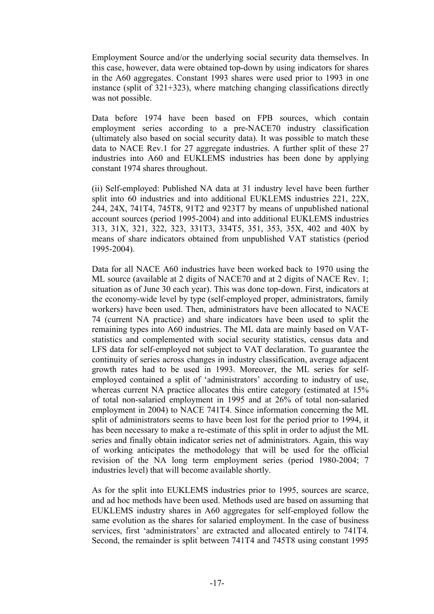Employment Source and/or the underlying social security data themselves. In this case, however, data were obtained top-down by using indicators for shares in the A60 aggregates. Constant 1993 shares were used prior to 1993 in one instance (split of 321+323), where matching changing classifications directly was not possible.

Data before 1974 have been based on FPB sources, which contain employment series according to a pre-NACE70 industry classification (ultimately also based on social security data). It was possible to match these data to NACE Rev.1 for 27 aggregate industries. A further split of these 27 industries into A60 and EUKLEMS industries has been done by applying constant 1974 shares throughout.

(ii) Self-employed: Published NA data at 31 industry level have been further split into 60 industries and into additional EUKLEMS industries 221, 22X, 244, 24X, 741T4, 745T8, 91T2 and 923T7 by means of unpublished national account sources (period 1995-2004) and into additional EUKLEMS industries 313, 31X, 321, 322, 323, 331T3, 334T5, 351, 353, 35X, 402 and 40X by means of share indicators obtained from unpublished VAT statistics (period 1995-2004).

Data for all NACE A60 industries have been worked back to 1970 using the ML source (available at 2 digits of NACE70 and at 2 digits of NACE Rev. 1; situation as of June 30 each year). This was done top-down. First, indicators at the economy-wide level by type (self-employed proper, administrators, family workers) have been used. Then, administrators have been allocated to NACE 74 (current NA practice) and share indicators have been used to split the remaining types into A60 industries. The ML data are mainly based on VATstatistics and complemented with social security statistics, census data and LFS data for self-employed not subject to VAT declaration. To guarantee the continuity of series across changes in industry classification, average adjacent growth rates had to be used in 1993. Moreover, the ML series for selfemployed contained a split of 'administrators' according to industry of use, whereas current NA practice allocates this entire category (estimated at  $15\%$ ) of total non-salaried employment in 1995 and at 26% of total non-salaried employment in 2004) to NACE 741T4. Since information concerning the ML split of administrators seems to have been lost for the period prior to 1994, it has been necessary to make a re-estimate of this split in order to adjust the ML series and finally obtain indicator series net of administrators. Again, this way of working anticipates the methodology that will be used for the official revision of the NA long term employment series (period 1980-2004; 7 industries level) that will become available shortly.

As for the split into EUKLEMS industries prior to 1995, sources are scarce, and ad hoc methods have been used. Methods used are based on assuming that EUKLEMS industry shares in A60 aggregates for self-employed follow the same evolution as the shares for salaried employment. In the case of business services, first 'administrators' are extracted and allocated entirely to 741T4. Second, the remainder is split between 741T4 and 745T8 using constant 1995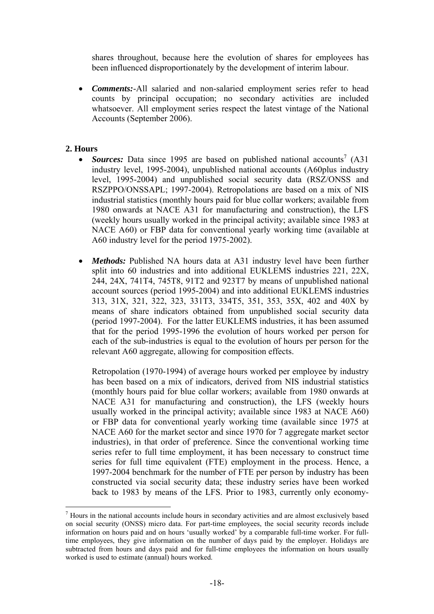shares throughout, because here the evolution of shares for employees has been influenced disproportionately by the development of interim labour.

• *Comments:*-All salaried and non-salaried employment series refer to head counts by principal occupation; no secondary activities are included whatsoever. All employment series respect the latest vintage of the National Accounts (September 2006).

### **2. Hours**

 $\overline{a}$ 

- *Sources:* Data since 1995 are based on published national accounts<sup>7</sup> (A31) industry level, 1995-2004), unpublished national accounts (A60plus industry level, 1995-2004) and unpublished social security data (RSZ/ONSS and RSZPPO/ONSSAPL; 1997-2004). Retropolations are based on a mix of NIS industrial statistics (monthly hours paid for blue collar workers; available from 1980 onwards at NACE A31 for manufacturing and construction), the LFS (weekly hours usually worked in the principal activity; available since 1983 at NACE A60) or FBP data for conventional yearly working time (available at A60 industry level for the period 1975-2002).
- *Methods:* Published NA hours data at A31 industry level have been further split into 60 industries and into additional EUKLEMS industries 221, 22X, 244, 24X, 741T4, 745T8, 91T2 and 923T7 by means of unpublished national account sources (period 1995-2004) and into additional EUKLEMS industries 313, 31X, 321, 322, 323, 331T3, 334T5, 351, 353, 35X, 402 and 40X by means of share indicators obtained from unpublished social security data (period 1997-2004). For the latter EUKLEMS industries, it has been assumed that for the period 1995-1996 the evolution of hours worked per person for each of the sub-industries is equal to the evolution of hours per person for the relevant A60 aggregate, allowing for composition effects.

Retropolation (1970-1994) of average hours worked per employee by industry has been based on a mix of indicators, derived from NIS industrial statistics (monthly hours paid for blue collar workers; available from 1980 onwards at NACE A31 for manufacturing and construction), the LFS (weekly hours usually worked in the principal activity; available since 1983 at NACE A60) or FBP data for conventional yearly working time (available since 1975 at NACE A60 for the market sector and since 1970 for 7 aggregate market sector industries), in that order of preference. Since the conventional working time series refer to full time employment, it has been necessary to construct time series for full time equivalent (FTE) employment in the process. Hence, a 1997-2004 benchmark for the number of FTE per person by industry has been constructed via social security data; these industry series have been worked back to 1983 by means of the LFS. Prior to 1983, currently only economy-

<sup>7</sup> Hours in the national accounts include hours in secondary activities and are almost exclusively based on social security (ONSS) micro data. For part-time employees, the social security records include information on hours paid and on hours 'usually worked' by a comparable full-time worker. For fulltime employees, they give information on the number of days paid by the employer. Holidays are subtracted from hours and days paid and for full-time employees the information on hours usually worked is used to estimate (annual) hours worked.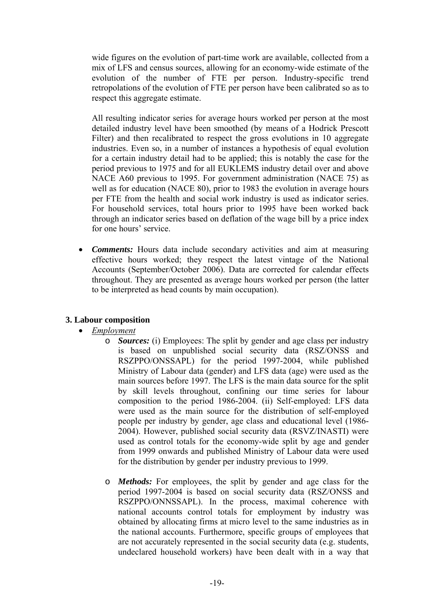wide figures on the evolution of part-time work are available, collected from a mix of LFS and census sources, allowing for an economy-wide estimate of the evolution of the number of FTE per person. Industry-specific trend retropolations of the evolution of FTE per person have been calibrated so as to respect this aggregate estimate.

All resulting indicator series for average hours worked per person at the most detailed industry level have been smoothed (by means of a Hodrick Prescott Filter) and then recalibrated to respect the gross evolutions in 10 aggregate industries. Even so, in a number of instances a hypothesis of equal evolution for a certain industry detail had to be applied; this is notably the case for the period previous to 1975 and for all EUKLEMS industry detail over and above NACE A60 previous to 1995. For government administration (NACE 75) as well as for education (NACE 80), prior to 1983 the evolution in average hours per FTE from the health and social work industry is used as indicator series. For household services, total hours prior to 1995 have been worked back through an indicator series based on deflation of the wage bill by a price index for one hours' service.

• *Comments:* Hours data include secondary activities and aim at measuring effective hours worked; they respect the latest vintage of the National Accounts (September/October 2006). Data are corrected for calendar effects throughout. They are presented as average hours worked per person (the latter to be interpreted as head counts by main occupation).

### **3. Labour composition**

- *Employment*
	- o *Sources:* (i) Employees: The split by gender and age class per industry is based on unpublished social security data (RSZ/ONSS and RSZPPO/ONSSAPL) for the period 1997-2004, while published Ministry of Labour data (gender) and LFS data (age) were used as the main sources before 1997. The LFS is the main data source for the split by skill levels throughout, confining our time series for labour composition to the period 1986-2004. (ii) Self-employed: LFS data were used as the main source for the distribution of self-employed people per industry by gender, age class and educational level (1986- 2004). However, published social security data (RSVZ/INASTI) were used as control totals for the economy-wide split by age and gender from 1999 onwards and published Ministry of Labour data were used for the distribution by gender per industry previous to 1999.
	- o *Methods:* For employees, the split by gender and age class for the period 1997-2004 is based on social security data (RSZ/ONSS and RSZPPO/ONNSSAPL). In the process, maximal coherence with national accounts control totals for employment by industry was obtained by allocating firms at micro level to the same industries as in the national accounts. Furthermore, specific groups of employees that are not accurately represented in the social security data (e.g. students, undeclared household workers) have been dealt with in a way that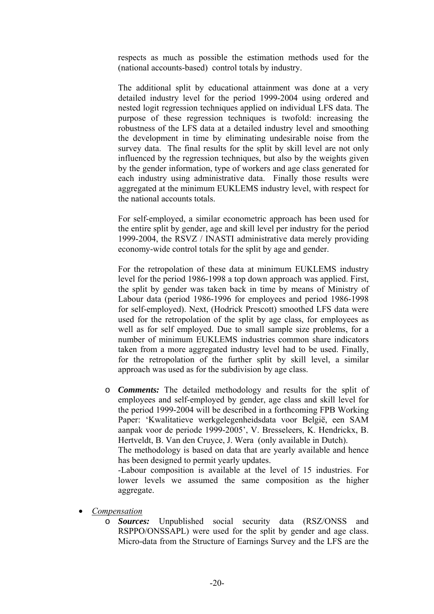respects as much as possible the estimation methods used for the (national accounts-based) control totals by industry.

The additional split by educational attainment was done at a very detailed industry level for the period 1999-2004 using ordered and nested logit regression techniques applied on individual LFS data. The purpose of these regression techniques is twofold: increasing the robustness of the LFS data at a detailed industry level and smoothing the development in time by eliminating undesirable noise from the survey data. The final results for the split by skill level are not only influenced by the regression techniques, but also by the weights given by the gender information, type of workers and age class generated for each industry using administrative data. Finally those results were aggregated at the minimum EUKLEMS industry level, with respect for the national accounts totals.

For self-employed, a similar econometric approach has been used for the entire split by gender, age and skill level per industry for the period 1999-2004, the RSVZ / INASTI administrative data merely providing economy-wide control totals for the split by age and gender.

For the retropolation of these data at minimum EUKLEMS industry level for the period 1986-1998 a top down approach was applied. First, the split by gender was taken back in time by means of Ministry of Labour data (period 1986-1996 for employees and period 1986-1998 for self-employed). Next, (Hodrick Prescott) smoothed LFS data were used for the retropolation of the split by age class, for employees as well as for self employed. Due to small sample size problems, for a number of minimum EUKLEMS industries common share indicators taken from a more aggregated industry level had to be used. Finally, for the retropolation of the further split by skill level, a similar approach was used as for the subdivision by age class.

o *Comments:* The detailed methodology and results for the split of employees and self-employed by gender, age class and skill level for the period 1999-2004 will be described in a forthcoming FPB Working Paper: 'Kwalitatieve werkgelegenheidsdata voor België, een SAM aanpak voor de periode 1999-2005', V. Bresseleers, K. Hendrickx, B. Hertveldt, B. Van den Cruyce, J. Wera (only available in Dutch). The methodology is based on data that are yearly available and hence

has been designed to permit yearly updates.

-Labour composition is available at the level of 15 industries. For lower levels we assumed the same composition as the higher aggregate.

- *Compensation*
	- o *Sources:* Unpublished social security data (RSZ/ONSS and RSPPO/ONSSAPL) were used for the split by gender and age class. Micro-data from the Structure of Earnings Survey and the LFS are the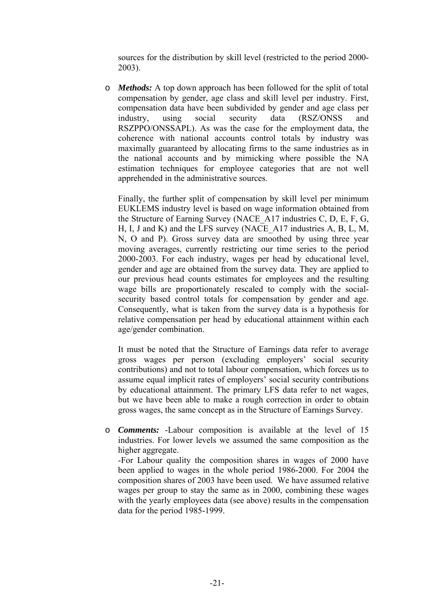sources for the distribution by skill level (restricted to the period 2000- 2003).

o *Methods:* A top down approach has been followed for the split of total compensation by gender, age class and skill level per industry. First, compensation data have been subdivided by gender and age class per industry, using social security data (RSZ/ONSS and RSZPPO/ONSSAPL). As was the case for the employment data, the coherence with national accounts control totals by industry was maximally guaranteed by allocating firms to the same industries as in the national accounts and by mimicking where possible the NA estimation techniques for employee categories that are not well apprehended in the administrative sources.

Finally, the further split of compensation by skill level per minimum EUKLEMS industry level is based on wage information obtained from the Structure of Earning Survey (NACE\_A17 industries C, D, E, F, G, H, I, J and K) and the LFS survey (NACE\_A17 industries A, B, L, M, N, O and P). Gross survey data are smoothed by using three year moving averages, currently restricting our time series to the period 2000-2003. For each industry, wages per head by educational level, gender and age are obtained from the survey data. They are applied to our previous head counts estimates for employees and the resulting wage bills are proportionately rescaled to comply with the socialsecurity based control totals for compensation by gender and age. Consequently, what is taken from the survey data is a hypothesis for relative compensation per head by educational attainment within each age/gender combination.

It must be noted that the Structure of Earnings data refer to average gross wages per person (excluding employers' social security contributions) and not to total labour compensation, which forces us to assume equal implicit rates of employers' social security contributions by educational attainment. The primary LFS data refer to net wages, but we have been able to make a rough correction in order to obtain gross wages, the same concept as in the Structure of Earnings Survey.

o *Comments:* -Labour composition is available at the level of 15 industries. For lower levels we assumed the same composition as the higher aggregate.

-For Labour quality the composition shares in wages of 2000 have been applied to wages in the whole period 1986-2000. For 2004 the composition shares of 2003 have been used. We have assumed relative wages per group to stay the same as in 2000, combining these wages with the yearly employees data (see above) results in the compensation data for the period 1985-1999.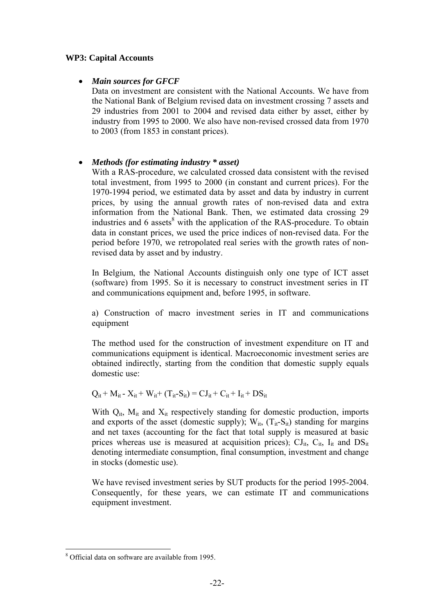### **WP3: Capital Accounts**

### • *Main sources for GFCF*

Data on investment are consistent with the National Accounts. We have from the National Bank of Belgium revised data on investment crossing 7 assets and 29 industries from 2001 to 2004 and revised data either by asset, either by industry from 1995 to 2000. We also have non-revised crossed data from 1970 to 2003 (from 1853 in constant prices).

### • *Methods (for estimating industry \* asset)*

With a RAS-procedure, we calculated crossed data consistent with the revised total investment, from 1995 to 2000 (in constant and current prices). For the 1970-1994 period, we estimated data by asset and data by industry in current prices, by using the annual growth rates of non-revised data and extra information from the National Bank. Then, we estimated data crossing 29 industries and 6 assets<sup>8</sup> with the application of the RAS-procedure. To obtain data in constant prices, we used the price indices of non-revised data. For the period before 1970, we retropolated real series with the growth rates of nonrevised data by asset and by industry.

In Belgium, the National Accounts distinguish only one type of ICT asset (software) from 1995. So it is necessary to construct investment series in IT and communications equipment and, before 1995, in software.

a) Construction of macro investment series in IT and communications equipment

The method used for the construction of investment expenditure on IT and communications equipment is identical. Macroeconomic investment series are obtained indirectly, starting from the condition that domestic supply equals domestic use:

 $Q_{it}$  + M<sub>it</sub> - X<sub>it</sub> + W<sub>it</sub> + (T<sub>it</sub>-S<sub>it</sub>) = CJ<sub>it</sub> + C<sub>it</sub> + I<sub>it</sub> + DS<sub>it</sub>

With  $Q_{it}$ ,  $M_{it}$  and  $X_{it}$  respectively standing for domestic production, imports and exports of the asset (domestic supply);  $W_{it}$ ,  $(T_{it} - S_{it})$  standing for margins and net taxes (accounting for the fact that total supply is measured at basic prices whereas use is measured at acquisition prices);  $CI_{it}$ ,  $C_{it}$ ,  $I_{it}$  and  $DS_{it}$ denoting intermediate consumption, final consumption, investment and change in stocks (domestic use).

We have revised investment series by SUT products for the period 1995-2004. Consequently, for these years, we can estimate IT and communications equipment investment.

 $\overline{a}$ 8 Official data on software are available from 1995.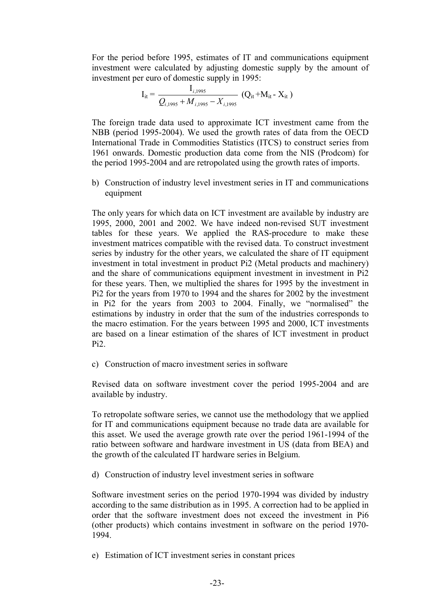For the period before 1995, estimates of IT and communications equipment investment were calculated by adjusting domestic supply by the amount of investment per euro of domestic supply in 1995:

$$
I_{it} = \frac{I_{i,1995}}{Q_{i,1995} + M_{i,1995} - X_{i,1995}}
$$
 (Q<sub>it</sub>+M<sub>it</sub> - X<sub>it</sub>)

The foreign trade data used to approximate ICT investment came from the NBB (period 1995-2004). We used the growth rates of data from the OECD International Trade in Commodities Statistics (ITCS) to construct series from 1961 onwards. Domestic production data come from the NIS (Prodcom) for the period 1995-2004 and are retropolated using the growth rates of imports.

b) Construction of industry level investment series in IT and communications equipment

The only years for which data on ICT investment are available by industry are 1995, 2000, 2001 and 2002. We have indeed non-revised SUT investment tables for these years. We applied the RAS-procedure to make these investment matrices compatible with the revised data. To construct investment series by industry for the other years, we calculated the share of IT equipment investment in total investment in product Pi2 (Metal products and machinery) and the share of communications equipment investment in investment in Pi2 for these years. Then, we multiplied the shares for 1995 by the investment in Pi2 for the years from 1970 to 1994 and the shares for 2002 by the investment in Pi2 for the years from 2003 to 2004. Finally, we "normalised" the estimations by industry in order that the sum of the industries corresponds to the macro estimation. For the years between 1995 and 2000, ICT investments are based on a linear estimation of the shares of ICT investment in product Pi2.

c) Construction of macro investment series in software

Revised data on software investment cover the period 1995-2004 and are available by industry.

To retropolate software series, we cannot use the methodology that we applied for IT and communications equipment because no trade data are available for this asset. We used the average growth rate over the period 1961-1994 of the ratio between software and hardware investment in US (data from BEA) and the growth of the calculated IT hardware series in Belgium.

d) Construction of industry level investment series in software

Software investment series on the period 1970-1994 was divided by industry according to the same distribution as in 1995. A correction had to be applied in order that the software investment does not exceed the investment in Pi6 (other products) which contains investment in software on the period 1970- 1994.

e) Estimation of ICT investment series in constant prices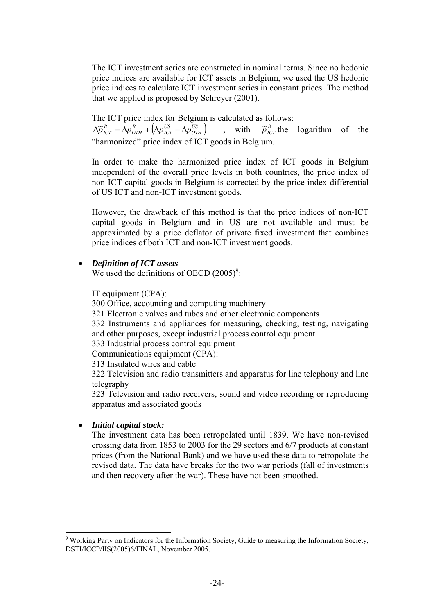The ICT investment series are constructed in nominal terms. Since no hedonic price indices are available for ICT assets in Belgium, we used the US hedonic price indices to calculate ICT investment series in constant prices. The method that we applied is proposed by Schreyer (2001).

The ICT price index for Belgium is calculated as follows:

 $\left( \Delta p_{\text{\textit{ICT}}}^{\text{\textit{US}}} - \Delta p_{\text{\textit{OTH}}}^{\text{\textit{US}}}\right)$ *US ICT B*  $\Delta \tilde{p}_{1CT}^B = \Delta p_{0TH}^B + (\Delta p_{1CT}^{US} - \Delta p_{0TH}^{US})$ , with  $\tilde{p}_{1CT}^B$  the logarithm of the "harmonized" price index of ICT goods in Belgium.

In order to make the harmonized price index of ICT goods in Belgium independent of the overall price levels in both countries, the price index of non-ICT capital goods in Belgium is corrected by the price index differential of US ICT and non-ICT investment goods.

However, the drawback of this method is that the price indices of non-ICT capital goods in Belgium and in US are not available and must be approximated by a price deflator of private fixed investment that combines price indices of both ICT and non-ICT investment goods.

### • *Definition of ICT assets*

We used the definitions of OECD  $(2005)^9$ :

#### IT equipment (CPA):

300 Office, accounting and computing machinery

321 Electronic valves and tubes and other electronic components

332 Instruments and appliances for measuring, checking, testing, navigating and other purposes, except industrial process control equipment

333 Industrial process control equipment

Communications equipment (CPA):

313 Insulated wires and cable

322 Television and radio transmitters and apparatus for line telephony and line telegraphy

323 Television and radio receivers, sound and video recording or reproducing apparatus and associated goods

#### • *Initial capital stock:*

 $\overline{a}$ 

The investment data has been retropolated until 1839. We have non-revised crossing data from 1853 to 2003 for the 29 sectors and 6/7 products at constant prices (from the National Bank) and we have used these data to retropolate the revised data. The data have breaks for the two war periods (fall of investments and then recovery after the war). These have not been smoothed.

<sup>&</sup>lt;sup>9</sup> Working Party on Indicators for the Information Society, Guide to measuring the Information Society, DSTI/ICCP/IIS(2005)6/FINAL, November 2005.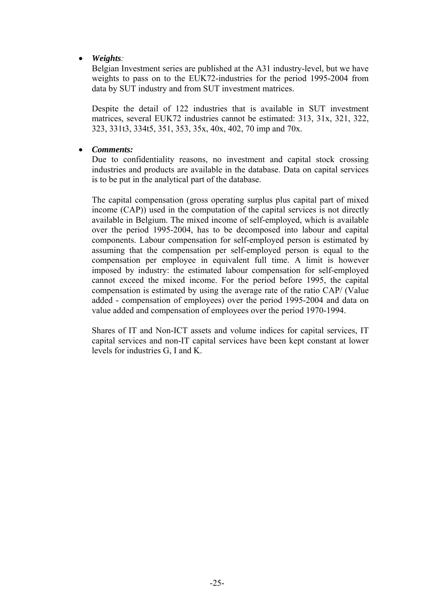• *Weights:*

Belgian Investment series are published at the A31 industry-level, but we have weights to pass on to the EUK72-industries for the period 1995-2004 from data by SUT industry and from SUT investment matrices.

Despite the detail of 122 industries that is available in SUT investment matrices, several EUK72 industries cannot be estimated: 313, 31x, 321, 322, 323, 331t3, 334t5, 351, 353, 35x, 40x, 402, 70 imp and 70x.

### • *Comments:*

Due to confidentiality reasons, no investment and capital stock crossing industries and products are available in the database. Data on capital services is to be put in the analytical part of the database.

The capital compensation (gross operating surplus plus capital part of mixed income (CAP)) used in the computation of the capital services is not directly available in Belgium. The mixed income of self-employed, which is available over the period 1995-2004, has to be decomposed into labour and capital components. Labour compensation for self-employed person is estimated by assuming that the compensation per self-employed person is equal to the compensation per employee in equivalent full time. A limit is however imposed by industry: the estimated labour compensation for self-employed cannot exceed the mixed income. For the period before 1995, the capital compensation is estimated by using the average rate of the ratio CAP/ (Value added - compensation of employees) over the period 1995-2004 and data on value added and compensation of employees over the period 1970-1994.

Shares of IT and Non-ICT assets and volume indices for capital services, IT capital services and non-IT capital services have been kept constant at lower levels for industries G, I and K.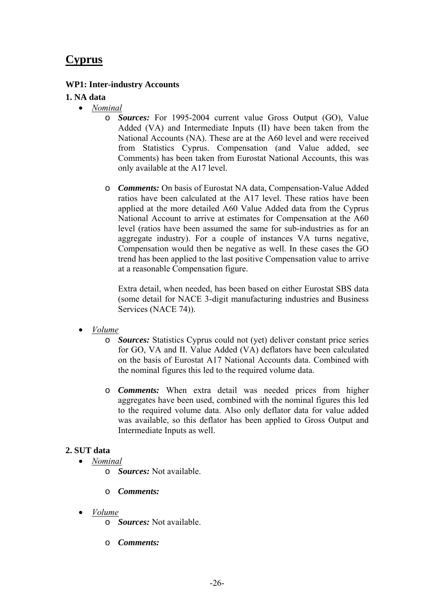### **Cyprus**

### **WP1: Inter-industry Accounts**

### **1. NA data**

- *Nominal*
	- o *Sources:* For 1995-2004 current value Gross Output (GO), Value Added (VA) and Intermediate Inputs (II) have been taken from the National Accounts (NA). These are at the A60 level and were received from Statistics Cyprus. Compensation (and Value added, see Comments) has been taken from Eurostat National Accounts, this was only available at the A17 level.
	- o *Comments:* On basis of Eurostat NA data, Compensation-Value Added ratios have been calculated at the A17 level. These ratios have been applied at the more detailed A60 Value Added data from the Cyprus National Account to arrive at estimates for Compensation at the A60 level (ratios have been assumed the same for sub-industries as for an aggregate industry). For a couple of instances VA turns negative, Compensation would then be negative as well. In these cases the GO trend has been applied to the last positive Compensation value to arrive at a reasonable Compensation figure.

Extra detail, when needed, has been based on either Eurostat SBS data (some detail for NACE 3-digit manufacturing industries and Business Services (NACE 74)).

- *Volume*
	- o *Sources:* Statistics Cyprus could not (yet) deliver constant price series for GO, VA and II. Value Added (VA) deflators have been calculated on the basis of Eurostat A17 National Accounts data. Combined with the nominal figures this led to the required volume data.
	- o *Comments:* When extra detail was needed prices from higher aggregates have been used, combined with the nominal figures this led to the required volume data. Also only deflator data for value added was available, so this deflator has been applied to Gross Output and Intermediate Inputs as well.

### **2. SUT data**

- *Nominal*
	- o *Sources:* Not available.
	- o *Comments:*
- *Volume*
	- o *Sources:* Not available.
	- o *Comments:*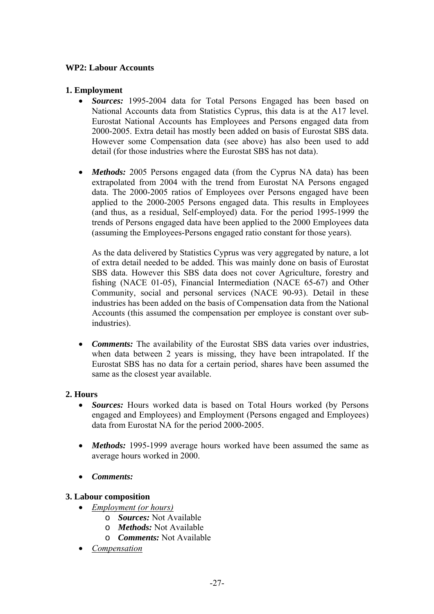### **WP2: Labour Accounts**

### **1. Employment**

- *Sources:* 1995-2004 data for Total Persons Engaged has been based on National Accounts data from Statistics Cyprus, this data is at the A17 level. Eurostat National Accounts has Employees and Persons engaged data from 2000-2005. Extra detail has mostly been added on basis of Eurostat SBS data. However some Compensation data (see above) has also been used to add detail (for those industries where the Eurostat SBS has not data).
- *Methods:* 2005 Persons engaged data (from the Cyprus NA data) has been extrapolated from 2004 with the trend from Eurostat NA Persons engaged data. The 2000-2005 ratios of Employees over Persons engaged have been applied to the 2000-2005 Persons engaged data. This results in Employees (and thus, as a residual, Self-employed) data. For the period 1995-1999 the trends of Persons engaged data have been applied to the 2000 Employees data (assuming the Employees-Persons engaged ratio constant for those years).

As the data delivered by Statistics Cyprus was very aggregated by nature, a lot of extra detail needed to be added. This was mainly done on basis of Eurostat SBS data. However this SBS data does not cover Agriculture, forestry and fishing (NACE 01-05), Financial Intermediation (NACE 65-67) and Other Community, social and personal services (NACE 90-93). Detail in these industries has been added on the basis of Compensation data from the National Accounts (this assumed the compensation per employee is constant over subindustries).

• *Comments:* The availability of the Eurostat SBS data varies over industries, when data between 2 years is missing, they have been intrapolated. If the Eurostat SBS has no data for a certain period, shares have been assumed the same as the closest year available.

### **2. Hours**

- *Sources:* Hours worked data is based on Total Hours worked (by Persons engaged and Employees) and Employment (Persons engaged and Employees) data from Eurostat NA for the period 2000-2005.
- *Methods:* 1995-1999 average hours worked have been assumed the same as average hours worked in 2000.
- *Comments:*

### **3. Labour composition**

- *Employment (or hours)*
	- o *Sources:* Not Available
	- o *Methods:* Not Available
	- o *Comments:* Not Available
- *Compensation*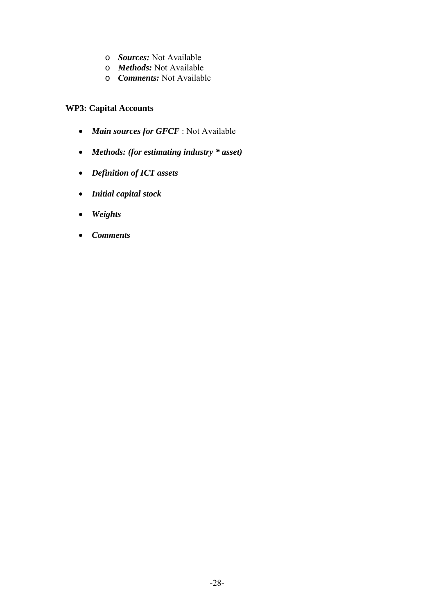- o *Sources:* Not Available
- o *Methods:* Not Available
- o *Comments:* Not Available

### **WP3: Capital Accounts**

- *Main sources for GFCF* : Not Available
- *Methods: (for estimating industry \* asset)*
- *Definition of ICT assets*
- *Initial capital stock*
- *Weights*
- *Comments*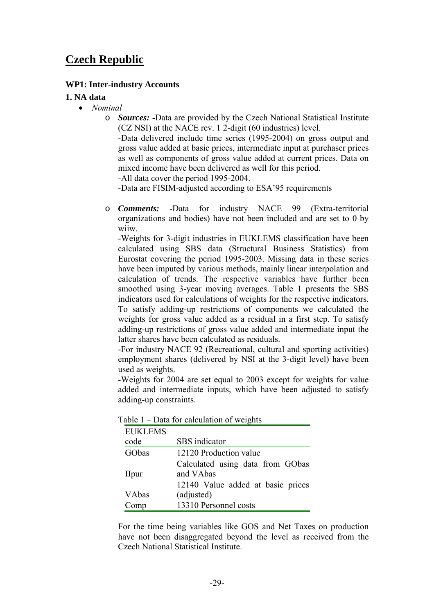### **Czech Republic**

### **WP1: Inter-industry Accounts**

#### **1. NA data**

- *Nominal*
	- o *Sources:* -Data are provided by the Czech National Statistical Institute (CZ NSI) at the NACE rev. 1 2-digit (60 industries) level.

-Data delivered include time series (1995-2004) on gross output and gross value added at basic prices, intermediate input at purchaser prices as well as components of gross value added at current prices. Data on mixed income have been delivered as well for this period.

-All data cover the period 1995-2004.

-Data are FISIM-adjusted according to ESA'95 requirements

o *Comments:* -Data for industry NACE 99 (Extra-territorial organizations and bodies) have not been included and are set to 0 by wiiw.

-Weights for 3-digit industries in EUKLEMS classification have been calculated using SBS data (Structural Business Statistics) from Eurostat covering the period 1995-2003. Missing data in these series have been imputed by various methods, mainly linear interpolation and calculation of trends. The respective variables have further been smoothed using 3-year moving averages. Table 1 presents the SBS indicators used for calculations of weights for the respective indicators. To satisfy adding-up restrictions of components we calculated the weights for gross value added as a residual in a first step. To satisfy adding-up restrictions of gross value added and intermediate input the latter shares have been calculated as residuals.

-For industry NACE 92 (Recreational, cultural and sporting activities) employment shares (delivered by NSI at the 3-digit level) have been used as weights.

-Weights for 2004 are set equal to 2003 except for weights for value added and intermediate inputs, which have been adjusted to satisfy adding-up constraints.

| <b>EUKLEMS</b> |                                   |
|----------------|-----------------------------------|
| code           | SBS indicator                     |
| GObas          | 12120 Production value            |
|                | Calculated using data from GObas  |
| <b>IIpur</b>   | and VAbas                         |
|                | 12140 Value added at basic prices |
| VAbas          | (adjusted)                        |
| omp            | 13310 Personnel costs             |

Table 1 – Data for calculation of weights

For the time being variables like GOS and Net Taxes on production have not been disaggregated beyond the level as received from the Czech National Statistical Institute.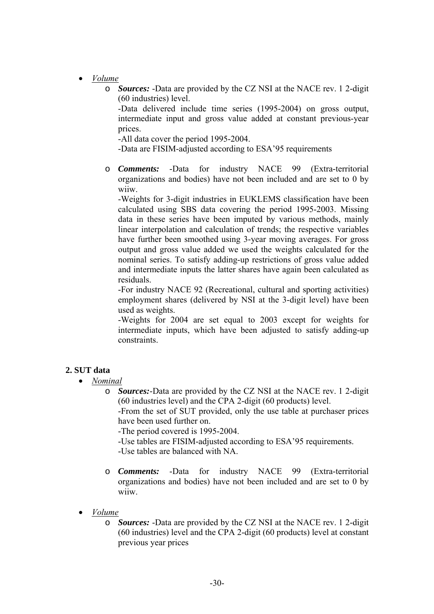- *Volume*
	- o *Sources:* -Data are provided by the CZ NSI at the NACE rev. 1 2-digit (60 industries) level.

-Data delivered include time series (1995-2004) on gross output, intermediate input and gross value added at constant previous-year prices.

-All data cover the period 1995-2004.

-Data are FISIM-adjusted according to ESA'95 requirements

o *Comments:* -Data for industry NACE 99 (Extra-territorial organizations and bodies) have not been included and are set to 0 by wiiw.

-Weights for 3-digit industries in EUKLEMS classification have been calculated using SBS data covering the period 1995-2003. Missing data in these series have been imputed by various methods, mainly linear interpolation and calculation of trends; the respective variables have further been smoothed using 3-year moving averages. For gross output and gross value added we used the weights calculated for the nominal series. To satisfy adding-up restrictions of gross value added and intermediate inputs the latter shares have again been calculated as residuals.

-For industry NACE 92 (Recreational, cultural and sporting activities) employment shares (delivered by NSI at the 3-digit level) have been used as weights.

-Weights for 2004 are set equal to 2003 except for weights for intermediate inputs, which have been adjusted to satisfy adding-up constraints.

### **2. SUT data**

- *Nominal*
	- o *Sources:*-Data are provided by the CZ NSI at the NACE rev. 1 2-digit (60 industries level) and the CPA 2-digit (60 products) level.

-From the set of SUT provided, only the use table at purchaser prices have been used further on.

-The period covered is 1995-2004.

-Use tables are FISIM-adjusted according to ESA'95 requirements. -Use tables are balanced with NA.

- o *Comments:* -Data for industry NACE 99 (Extra-territorial organizations and bodies) have not been included and are set to 0 by wiiw.
- *Volume*
	- o *Sources:* -Data are provided by the CZ NSI at the NACE rev. 1 2-digit (60 industries) level and the CPA 2-digit (60 products) level at constant previous year prices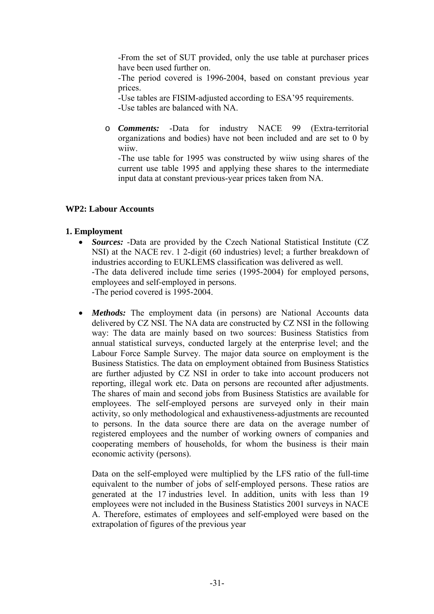-From the set of SUT provided, only the use table at purchaser prices have been used further on.

-The period covered is 1996-2004, based on constant previous year prices.

-Use tables are FISIM-adjusted according to ESA'95 requirements. -Use tables are balanced with NA.

o *Comments:* -Data for industry NACE 99 (Extra-territorial organizations and bodies) have not been included and are set to 0 by wiiw.

-The use table for 1995 was constructed by wiiw using shares of the current use table 1995 and applying these shares to the intermediate input data at constant previous-year prices taken from NA.

### **WP2: Labour Accounts**

### **1. Employment**

- *Sources:* -Data are provided by the Czech National Statistical Institute (CZ NSI) at the NACE rev. 1 2-digit (60 industries) level; a further breakdown of industries according to EUKLEMS classification was delivered as well. -The data delivered include time series (1995-2004) for employed persons, employees and self-employed in persons. -The period covered is 1995-2004.
- *Methods:* The employment data (in persons) are National Accounts data delivered by CZ NSI. The NA data are constructed by CZ NSI in the following way: The data are mainly based on two sources: Business Statistics from annual statistical surveys, conducted largely at the enterprise level; and the Labour Force Sample Survey. The major data source on employment is the Business Statistics. The data on employment obtained from Business Statistics are further adjusted by CZ NSI in order to take into account producers not reporting, illegal work etc. Data on persons are recounted after adjustments. The shares of main and second jobs from Business Statistics are available for employees. The self-employed persons are surveyed only in their main activity, so only methodological and exhaustiveness-adjustments are recounted to persons. In the data source there are data on the average number of registered employees and the number of working owners of companies and cooperating members of households, for whom the business is their main economic activity (persons).

Data on the self-employed were multiplied by the LFS ratio of the full-time equivalent to the number of jobs of self-employed persons. These ratios are generated at the 17 industries level. In addition, units with less than 19 employees were not included in the Business Statistics 2001 surveys in NACE A. Therefore, estimates of employees and self-employed were based on the extrapolation of figures of the previous year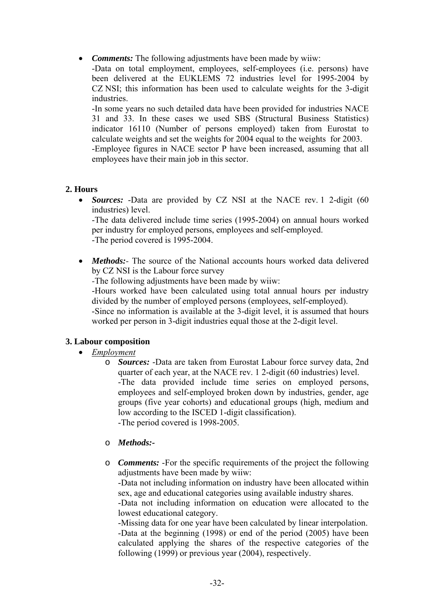• *Comments:* The following adjustments have been made by wiiw:

-Data on total employment, employees, self-employees (i.e. persons) have been delivered at the EUKLEMS 72 industries level for 1995-2004 by CZ NSI; this information has been used to calculate weights for the 3-digit industries.

-In some years no such detailed data have been provided for industries NACE 31 and 33. In these cases we used SBS (Structural Business Statistics) indicator 16110 (Number of persons employed) taken from Eurostat to calculate weights and set the weights for 2004 equal to the weights for 2003. -Employee figures in NACE sector P have been increased, assuming that all employees have their main job in this sector.

### **2. Hours**

• *Sources:* -Data are provided by CZ NSI at the NACE rev. 1 2-digit (60 industries) level.

-The data delivered include time series (1995-2004) on annual hours worked per industry for employed persons, employees and self-employed. -The period covered is 1995-2004.

• *Methods*: The source of the National accounts hours worked data delivered by CZ NSI is the Labour force survey

*-*The following adjustments have been made by wiiw:

-Hours worked have been calculated using total annual hours per industry divided by the number of employed persons (employees, self-employed). -Since no information is available at the 3-digit level, it is assumed that hours worked per person in 3-digit industries equal those at the 2-digit level.

### **3. Labour composition**

### • *Employment*

o *Sources:* -Data are taken from Eurostat Labour force survey data, 2nd quarter of each year, at the NACE rev. 1 2-digit (60 industries) level. -The data provided include time series on employed persons, employees and self-employed broken down by industries, gender, age groups (five year cohorts) and educational groups (high, medium and low according to the ISCED 1-digit classification). -The period covered is 1998-2005.

#### o *Methods:-*

o *Comments:* -For the specific requirements of the project the following adjustments have been made by wiiw:

-Data not including information on industry have been allocated within sex, age and educational categories using available industry shares.

-Data not including information on education were allocated to the lowest educational category.

-Missing data for one year have been calculated by linear interpolation. -Data at the beginning (1998) or end of the period (2005) have been calculated applying the shares of the respective categories of the following (1999) or previous year (2004), respectively.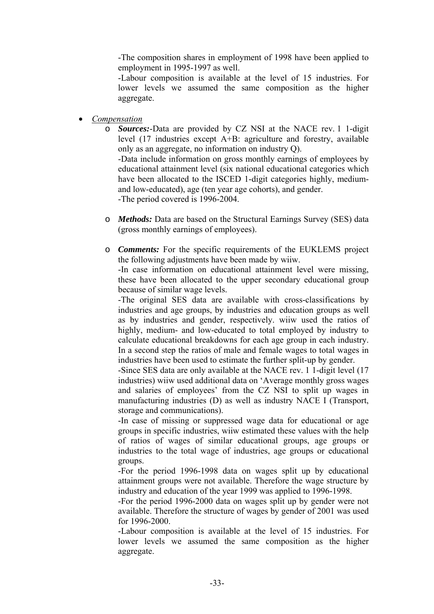-The composition shares in employment of 1998 have been applied to employment in 1995-1997 as well.

-Labour composition is available at the level of 15 industries. For lower levels we assumed the same composition as the higher aggregate.

- *Compensation*
	- o *Sources:*-Data are provided by CZ NSI at the NACE rev. 1 1-digit level (17 industries except A+B: agriculture and forestry, available only as an aggregate, no information on industry Q).

-Data include information on gross monthly earnings of employees by educational attainment level (six national educational categories which have been allocated to the ISCED 1-digit categories highly, mediumand low-educated), age (ten year age cohorts), and gender. -The period covered is 1996-2004.

- o *Methods:* Data are based on the Structural Earnings Survey (SES) data (gross monthly earnings of employees).
- o *Comments:* For the specific requirements of the EUKLEMS project the following adjustments have been made by wiiw.

-In case information on educational attainment level were missing, these have been allocated to the upper secondary educational group because of similar wage levels.

-The original SES data are available with cross-classifications by industries and age groups, by industries and education groups as well as by industries and gender, respectively. wiiw used the ratios of highly, medium- and low-educated to total employed by industry to calculate educational breakdowns for each age group in each industry. In a second step the ratios of male and female wages to total wages in industries have been used to estimate the further split-up by gender.

-Since SES data are only available at the NACE rev. 1 1-digit level (17 industries) wiiw used additional data on 'Average monthly gross wages and salaries of employees' from the CZ NSI to split up wages in manufacturing industries (D) as well as industry NACE I (Transport, storage and communications).

-In case of missing or suppressed wage data for educational or age groups in specific industries, wiiw estimated these values with the help of ratios of wages of similar educational groups, age groups or industries to the total wage of industries, age groups or educational groups.

-For the period 1996-1998 data on wages split up by educational attainment groups were not available. Therefore the wage structure by industry and education of the year 1999 was applied to 1996-1998.

-For the period 1996-2000 data on wages split up by gender were not available. Therefore the structure of wages by gender of 2001 was used for 1996-2000.

-Labour composition is available at the level of 15 industries. For lower levels we assumed the same composition as the higher aggregate.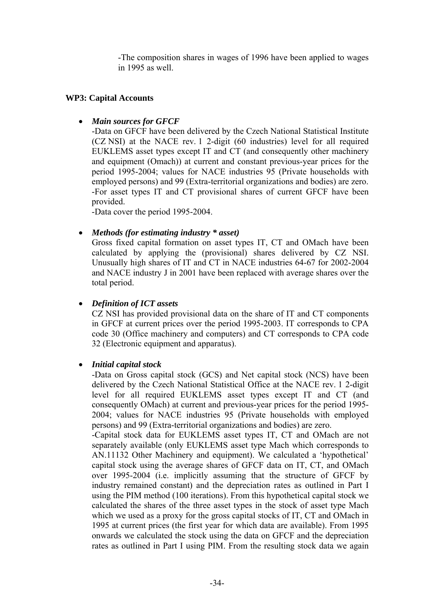-The composition shares in wages of 1996 have been applied to wages in 1995 as well.

### **WP3: Capital Accounts**

### • *Main sources for GFCF*

-Data on GFCF have been delivered by the Czech National Statistical Institute (CZ NSI) at the NACE rev. 1 2-digit (60 industries) level for all required EUKLEMS asset types except IT and CT (and consequently other machinery and equipment (Omach)) at current and constant previous-year prices for the period 1995-2004; values for NACE industries 95 (Private households with employed persons) and 99 (Extra-territorial organizations and bodies) are zero. -For asset types IT and CT provisional shares of current GFCF have been provided.

-Data cover the period 1995-2004.

### • *Methods (for estimating industry \* asset)*

Gross fixed capital formation on asset types IT, CT and OMach have been calculated by applying the (provisional) shares delivered by CZ NSI. Unusually high shares of IT and CT in NACE industries 64-67 for 2002-2004 and NACE industry J in 2001 have been replaced with average shares over the total period.

### • *Definition of ICT assets*

CZ NSI has provided provisional data on the share of IT and CT components in GFCF at current prices over the period 1995-2003. IT corresponds to CPA code 30 (Office machinery and computers) and CT corresponds to CPA code 32 (Electronic equipment and apparatus).

#### • *Initial capital stock*

-Data on Gross capital stock (GCS) and Net capital stock (NCS) have been delivered by the Czech National Statistical Office at the NACE rev. 1 2-digit level for all required EUKLEMS asset types except IT and CT (and consequently OMach) at current and previous-year prices for the period 1995- 2004; values for NACE industries 95 (Private households with employed persons) and 99 (Extra-territorial organizations and bodies) are zero.

-Capital stock data for EUKLEMS asset types IT, CT and OMach are not separately available (only EUKLEMS asset type Mach which corresponds to AN.11132 Other Machinery and equipment). We calculated a 'hypothetical' capital stock using the average shares of GFCF data on IT, CT, and OMach over 1995-2004 (i.e. implicitly assuming that the structure of GFCF by industry remained constant) and the depreciation rates as outlined in Part I using the PIM method (100 iterations). From this hypothetical capital stock we calculated the shares of the three asset types in the stock of asset type Mach which we used as a proxy for the gross capital stocks of IT, CT and OMach in 1995 at current prices (the first year for which data are available). From 1995 onwards we calculated the stock using the data on GFCF and the depreciation rates as outlined in Part I using PIM. From the resulting stock data we again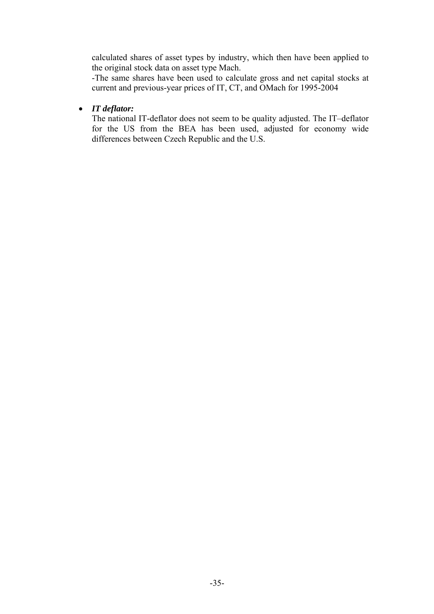calculated shares of asset types by industry, which then have been applied to the original stock data on asset type Mach.

-The same shares have been used to calculate gross and net capital stocks at current and previous-year prices of IT, CT, and OMach for 1995-2004

### • *IT deflator:*

The national IT-deflator does not seem to be quality adjusted. The IT–deflator for the US from the BEA has been used, adjusted for economy wide differences between Czech Republic and the U.S.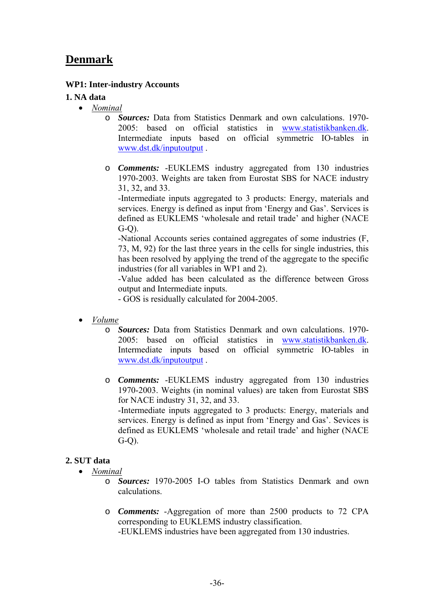### **Denmark**

### **WP1: Inter-industry Accounts**

### **1. NA data**

- *Nominal*
	- o *Sources:* Data from Statistics Denmark and own calculations. 1970- 2005: based on official statistics in www.statistikbanken.dk. Intermediate inputs based on official symmetric IO-tables in www.dst.dk/inputoutput .
	- o *Comments:* -EUKLEMS industry aggregated from 130 industries 1970-2003. Weights are taken from Eurostat SBS for NACE industry 31, 32, and 33.

-Intermediate inputs aggregated to 3 products: Energy, materials and services. Energy is defined as input from 'Energy and Gas'. Services is defined as EUKLEMS 'wholesale and retail trade' and higher (NACE  $G-O$ ).

-National Accounts series contained aggregates of some industries (F, 73, M, 92) for the last three years in the cells for single industries, this has been resolved by applying the trend of the aggregate to the specific industries (for all variables in WP1 and 2).

-Value added has been calculated as the difference between Gross output and Intermediate inputs.

- GOS is residually calculated for 2004-2005.

- *Volume*
	- o *Sources:* Data from Statistics Denmark and own calculations. 1970- 2005: based on official statistics in www.statistikbanken.dk. Intermediate inputs based on official symmetric IO-tables in www.dst.dk/inputoutput .
	- o *Comments:* -EUKLEMS industry aggregated from 130 industries 1970-2003. Weights (in nominal values) are taken from Eurostat SBS for NACE industry 31, 32, and 33. -Intermediate inputs aggregated to 3 products: Energy, materials and services. Energy is defined as input from 'Energy and Gas'. Sevices is defined as EUKLEMS 'wholesale and retail trade' and higher (NACE G-Q).

### **2. SUT data**

- *Nominal*
	- o *Sources:* 1970-2005 I-O tables from Statistics Denmark and own calculations.
	- o *Comments:* -Aggregation of more than 2500 products to 72 CPA corresponding to EUKLEMS industry classification. -EUKLEMS industries have been aggregated from 130 industries.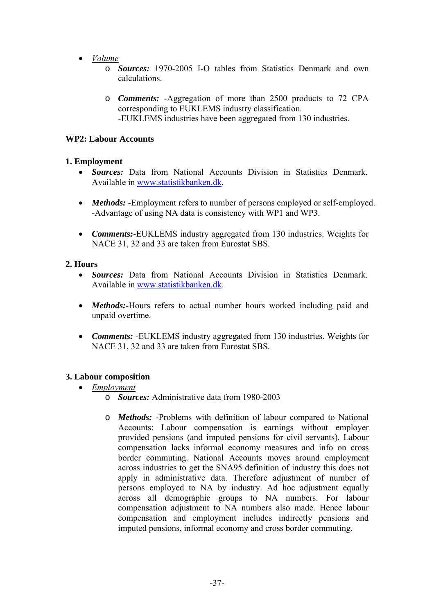- *Volume*
	- o *Sources:* 1970-2005 I-O tables from Statistics Denmark and own calculations.
	- o *Comments:* -Aggregation of more than 2500 products to 72 CPA corresponding to EUKLEMS industry classification. -EUKLEMS industries have been aggregated from 130 industries.

### **WP2: Labour Accounts**

### **1. Employment**

- *Sources:* Data from National Accounts Division in Statistics Denmark. Available in www.statistikbanken.dk.
- *Methods:* -Employment refers to number of persons employed or self-employed. -Advantage of using NA data is consistency with WP1 and WP3.
- *Comments:*-EUKLEMS industry aggregated from 130 industries. Weights for NACE 31, 32 and 33 are taken from Eurostat SBS.

### **2. Hours**

- *Sources:* Data from National Accounts Division in Statistics Denmark. Available in www.statistikbanken.dk.
- *Methods:*-Hours refers to actual number hours worked including paid and unpaid overtime.
- *Comments:* -EUKLEMS industry aggregated from 130 industries. Weights for NACE 31, 32 and 33 are taken from Eurostat SBS.

### **3. Labour composition**

- *Employment*
	- o *Sources:* Administrative data from 1980-2003
	- o *Methods:* -Problems with definition of labour compared to National Accounts: Labour compensation is earnings without employer provided pensions (and imputed pensions for civil servants). Labour compensation lacks informal economy measures and info on cross border commuting. National Accounts moves around employment across industries to get the SNA95 definition of industry this does not apply in administrative data. Therefore adjustment of number of persons employed to NA by industry. Ad hoc adjustment equally across all demographic groups to NA numbers. For labour compensation adjustment to NA numbers also made. Hence labour compensation and employment includes indirectly pensions and imputed pensions, informal economy and cross border commuting.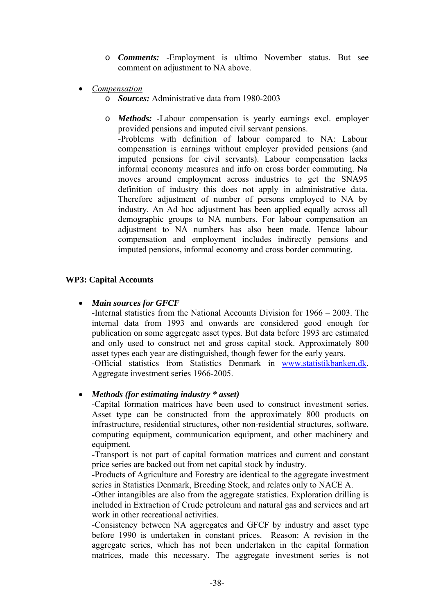- o *Comments:* -Employment is ultimo November status. But see comment on adjustment to NA above.
- *Compensation*
	- o *Sources:* Administrative data from 1980-2003
	- o *Methods:* -Labour compensation is yearly earnings excl. employer provided pensions and imputed civil servant pensions.

 -Problems with definition of labour compared to NA: Labour compensation is earnings without employer provided pensions (and imputed pensions for civil servants). Labour compensation lacks informal economy measures and info on cross border commuting. Na moves around employment across industries to get the SNA95 definition of industry this does not apply in administrative data. Therefore adjustment of number of persons employed to NA by industry. An Ad hoc adjustment has been applied equally across all demographic groups to NA numbers. For labour compensation an adjustment to NA numbers has also been made. Hence labour compensation and employment includes indirectly pensions and imputed pensions, informal economy and cross border commuting.

#### **WP3: Capital Accounts**

### • *Main sources for GFCF*

-Internal statistics from the National Accounts Division for 1966 – 2003. The internal data from 1993 and onwards are considered good enough for publication on some aggregate asset types. But data before 1993 are estimated and only used to construct net and gross capital stock. Approximately 800 asset types each year are distinguished, though fewer for the early years. -Official statistics from Statistics Denmark in www.statistikbanken.dk. Aggregate investment series 1966-2005.

### • *Methods (for estimating industry \* asset)*

-Capital formation matrices have been used to construct investment series. Asset type can be constructed from the approximately 800 products on infrastructure, residential structures, other non-residential structures, software, computing equipment, communication equipment, and other machinery and equipment.

-Transport is not part of capital formation matrices and current and constant price series are backed out from net capital stock by industry.

-Products of Agriculture and Forestry are identical to the aggregate investment series in Statistics Denmark, Breeding Stock, and relates only to NACE A.

-Other intangibles are also from the aggregate statistics. Exploration drilling is included in Extraction of Crude petroleum and natural gas and services and art work in other recreational activities.

-Consistency between NA aggregates and GFCF by industry and asset type before 1990 is undertaken in constant prices. Reason: A revision in the aggregate series, which has not been undertaken in the capital formation matrices, made this necessary. The aggregate investment series is not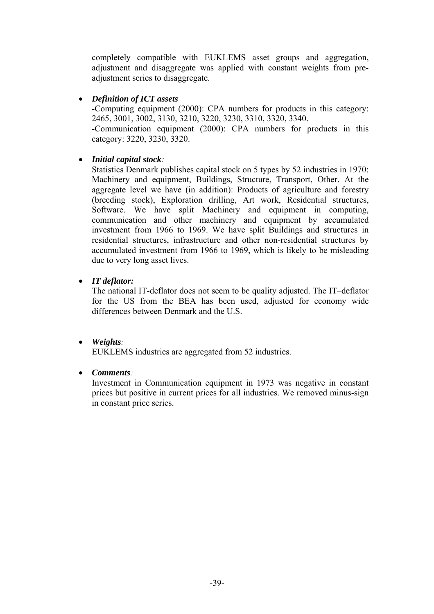completely compatible with EUKLEMS asset groups and aggregation, adjustment and disaggregate was applied with constant weights from preadjustment series to disaggregate.

### • *Definition of ICT assets*

-Computing equipment (2000): CPA numbers for products in this category: 2465, 3001, 3002, 3130, 3210, 3220, 3230, 3310, 3320, 3340. -Communication equipment (2000): CPA numbers for products in this category: 3220, 3230, 3320.

### • *Initial capital stock:*

Statistics Denmark publishes capital stock on 5 types by 52 industries in 1970: Machinery and equipment, Buildings, Structure, Transport, Other. At the aggregate level we have (in addition): Products of agriculture and forestry (breeding stock), Exploration drilling, Art work, Residential structures, Software. We have split Machinery and equipment in computing, communication and other machinery and equipment by accumulated investment from 1966 to 1969. We have split Buildings and structures in residential structures, infrastructure and other non-residential structures by accumulated investment from 1966 to 1969, which is likely to be misleading due to very long asset lives.

### • *IT deflator:*

The national IT-deflator does not seem to be quality adjusted. The IT–deflator for the US from the BEA has been used, adjusted for economy wide differences between Denmark and the U.S.

• *Weights:* 

EUKLEMS industries are aggregated from 52 industries.

# • *Comments:*

Investment in Communication equipment in 1973 was negative in constant prices but positive in current prices for all industries. We removed minus-sign in constant price series.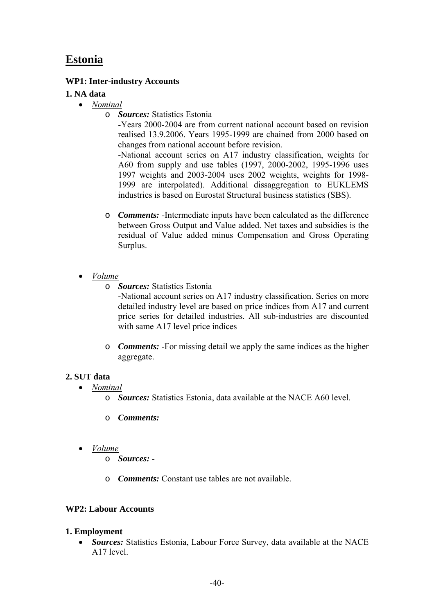# **Estonia**

## **WP1: Inter-industry Accounts**

## **1. NA data**

- *Nominal*
	- o *Sources:* Statistics Estonia

-Years 2000-2004 are from current national account based on revision realised 13.9.2006. Years 1995-1999 are chained from 2000 based on changes from national account before revision.

-National account series on A17 industry classification, weights for A60 from supply and use tables (1997, 2000-2002, 1995-1996 uses 1997 weights and 2003-2004 uses 2002 weights, weights for 1998- 1999 are interpolated). Additional dissaggregation to EUKLEMS industries is based on Eurostat Structural business statistics (SBS).

- o *Comments: -*Intermediate inputs have been calculated as the difference between Gross Output and Value added. Net taxes and subsidies is the residual of Value added minus Compensation and Gross Operating Surplus.
- *Volume*
	- o *Sources:* Statistics Estonia

-National account series on A17 industry classification. Series on more detailed industry level are based on price indices from A17 and current price series for detailed industries. All sub-industries are discounted with same A17 level price indices

o *Comments:* -For missing detail we apply the same indices as the higher aggregate.

# **2. SUT data**

- *Nominal*
	- o *Sources:* Statistics Estonia, data available at the NACE A60 level.
	- o *Comments:*
- *Volume*
	- o *Sources: -*
	- o *Comments:* Constant use tables are not available.

# **WP2: Labour Accounts**

### **1. Employment**

• *Sources:* Statistics Estonia, Labour Force Survey, data available at the NACE A17 level.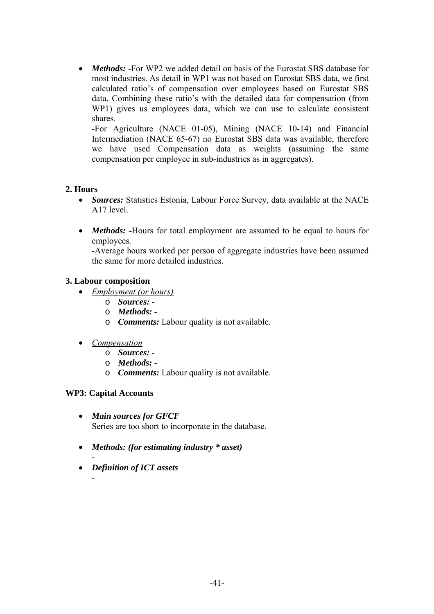• *Methods:* -For WP2 we added detail on basis of the Eurostat SBS database for most industries. As detail in WP1 was not based on Eurostat SBS data, we first calculated ratio's of compensation over employees based on Eurostat SBS data. Combining these ratio's with the detailed data for compensation (from WP1) gives us employees data, which we can use to calculate consistent shares.

-For Agriculture (NACE 01-05), Mining (NACE 10-14) and Financial Intermediation (NACE 65-67) no Eurostat SBS data was available, therefore we have used Compensation data as weights (assuming the same compensation per employee in sub-industries as in aggregates).

### **2. Hours**

- *Sources:* Statistics Estonia, Labour Force Survey, data available at the NACE A17 level.
- *Methods:* -Hours for total employment are assumed to be equal to hours for employees.

-Average hours worked per person of aggregate industries have been assumed the same for more detailed industries.

### **3. Labour composition**

- *Employment (or hours)*
	- o *Sources:*
	- o *Methods: -*
	- o *Comments:* Labour quality is not available.
- *Compensation*
	- o *Sources:*
	- o *Methods: -*
	- o *Comments:* Labour quality is not available.

### **WP3: Capital Accounts**

*-* 

*-* 

- *Main sources for GFCF*  Series are too short to incorporate in the database.
- *Methods: (for estimating industry \* asset)*
- *Definition of ICT assets*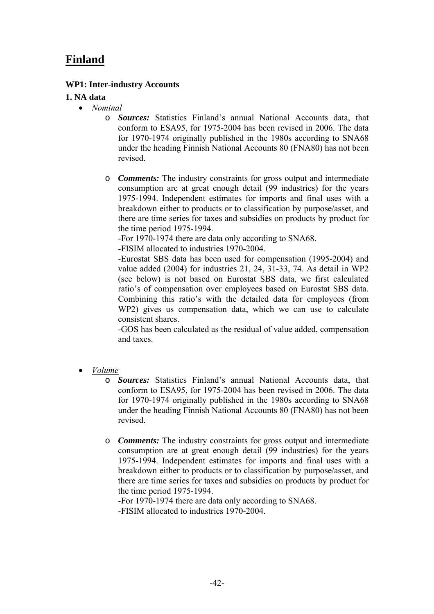# **Finland**

### **WP1: Inter-industry Accounts**

#### **1. NA data**

- *Nominal*
	- o *Sources:* Statistics Finland's annual National Accounts data, that conform to ESA95, for 1975-2004 has been revised in 2006. The data for 1970-1974 originally published in the 1980s according to SNA68 under the heading Finnish National Accounts 80 (FNA80) has not been revised.
	- o *Comments:* The industry constraints for gross output and intermediate consumption are at great enough detail (99 industries) for the years 1975-1994. Independent estimates for imports and final uses with a breakdown either to products or to classification by purpose/asset, and there are time series for taxes and subsidies on products by product for the time period 1975-1994.

-For 1970-1974 there are data only according to SNA68.

-FISIM allocated to industries 1970-2004.

-Eurostat SBS data has been used for compensation (1995-2004) and value added (2004) for industries 21, 24, 31-33, 74. As detail in WP2 (see below) is not based on Eurostat SBS data, we first calculated ratio's of compensation over employees based on Eurostat SBS data. Combining this ratio's with the detailed data for employees (from WP2) gives us compensation data, which we can use to calculate consistent shares.

-GOS has been calculated as the residual of value added, compensation and taxes.

- *Volume*
	- o *Sources:* Statistics Finland's annual National Accounts data, that conform to ESA95, for 1975-2004 has been revised in 2006. The data for 1970-1974 originally published in the 1980s according to SNA68 under the heading Finnish National Accounts 80 (FNA80) has not been revised.
	- o *Comments:* The industry constraints for gross output and intermediate consumption are at great enough detail (99 industries) for the years 1975-1994. Independent estimates for imports and final uses with a breakdown either to products or to classification by purpose/asset, and there are time series for taxes and subsidies on products by product for the time period 1975-1994.

-For 1970-1974 there are data only according to SNA68. -FISIM allocated to industries 1970-2004.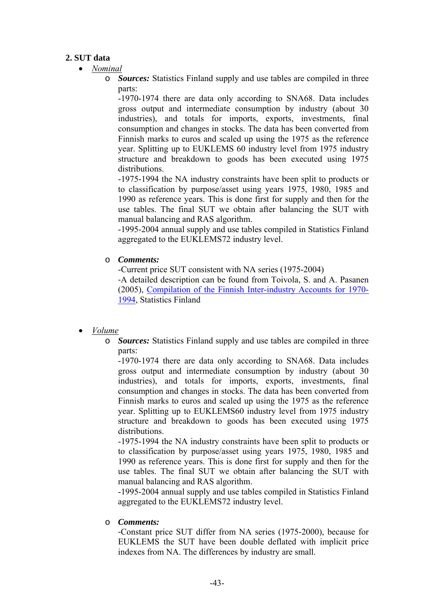## **2. SUT data**

- *Nominal*
	- o *Sources:* Statistics Finland supply and use tables are compiled in three parts:

-1970-1974 there are data only according to SNA68. Data includes gross output and intermediate consumption by industry (about 30 industries), and totals for imports, exports, investments, final consumption and changes in stocks. The data has been converted from Finnish marks to euros and scaled up using the 1975 as the reference year. Splitting up to EUKLEMS 60 industry level from 1975 industry structure and breakdown to goods has been executed using 1975 distributions.

-1975-1994 the NA industry constraints have been split to products or to classification by purpose/asset using years 1975, 1980, 1985 and 1990 as reference years. This is done first for supply and then for the use tables. The final SUT we obtain after balancing the SUT with manual balancing and RAS algorithm.

-1995-2004 annual supply and use tables compiled in Statistics Finland aggregated to the EUKLEMS72 industry level.

o *Comments:*

-Current price SUT consistent with NA series (1975-2004) -A detailed description can be found from Toivola, S. and A. Pasanen (2005), Compilation of the Finnish Inter-industry Accounts for 1970- 1994, Statistics Finland

- *Volume*
	- o *Sources:* Statistics Finland supply and use tables are compiled in three parts:

-1970-1974 there are data only according to SNA68. Data includes gross output and intermediate consumption by industry (about 30 industries), and totals for imports, exports, investments, final consumption and changes in stocks. The data has been converted from Finnish marks to euros and scaled up using the 1975 as the reference year. Splitting up to EUKLEMS60 industry level from 1975 industry structure and breakdown to goods has been executed using 1975 distributions.

-1975-1994 the NA industry constraints have been split to products or to classification by purpose/asset using years 1975, 1980, 1985 and 1990 as reference years. This is done first for supply and then for the use tables. The final SUT we obtain after balancing the SUT with manual balancing and RAS algorithm.

-1995-2004 annual supply and use tables compiled in Statistics Finland aggregated to the EUKLEMS72 industry level.

o *Comments:*

-Constant price SUT differ from NA series (1975-2000), because for EUKLEMS the SUT have been double deflated with implicit price indexes from NA. The differences by industry are small.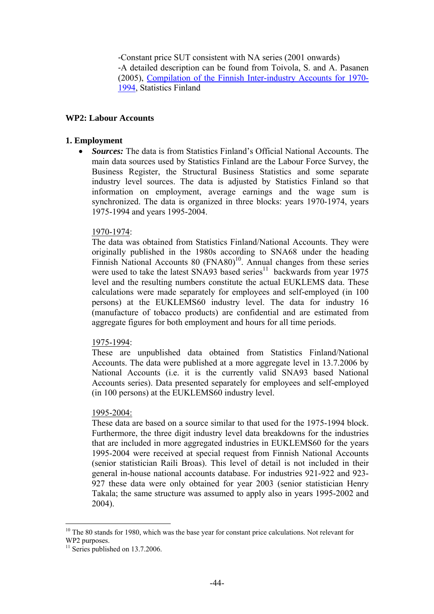-Constant price SUT consistent with NA series (2001 onwards) -A detailed description can be found from Toivola, S. and A. Pasanen (2005), Compilation of the Finnish Inter-industry Accounts for 1970- 1994, Statistics Finland

#### **WP2: Labour Accounts**

#### **1. Employment**

• *Sources:* The data is from Statistics Finland's Official National Accounts. The main data sources used by Statistics Finland are the Labour Force Survey, the Business Register, the Structural Business Statistics and some separate industry level sources. The data is adjusted by Statistics Finland so that information on employment, average earnings and the wage sum is synchronized. The data is organized in three blocks: years 1970-1974, years 1975-1994 and years 1995-2004.

#### 1970-1974:

The data was obtained from Statistics Finland/National Accounts. They were originally published in the 1980s according to SNA68 under the heading Finnish National Accounts 80 (FNA80)<sup>10</sup>. Annual changes from these series were used to take the latest SNA93 based series<sup>11</sup> backwards from year 1975 level and the resulting numbers constitute the actual EUKLEMS data. These calculations were made separately for employees and self-employed (in 100 persons) at the EUKLEMS60 industry level. The data for industry 16 (manufacture of tobacco products) are confidential and are estimated from aggregate figures for both employment and hours for all time periods.

#### 1975-1994:

These are unpublished data obtained from Statistics Finland/National Accounts. The data were published at a more aggregate level in 13.7.2006 by National Accounts (i.e. it is the currently valid SNA93 based National Accounts series). Data presented separately for employees and self-employed (in 100 persons) at the EUKLEMS60 industry level.

#### 1995-2004:

These data are based on a source similar to that used for the 1975-1994 block. Furthermore, the three digit industry level data breakdowns for the industries that are included in more aggregated industries in EUKLEMS60 for the years 1995-2004 were received at special request from Finnish National Accounts (senior statistician Raili Broas). This level of detail is not included in their general in-house national accounts database. For industries 921-922 and 923- 927 these data were only obtained for year 2003 (senior statistician Henry Takala; the same structure was assumed to apply also in years 1995-2002 and 2004).

 $\overline{a}$ 

<sup>&</sup>lt;sup>10</sup> The 80 stands for 1980, which was the base year for constant price calculations. Not relevant for WP2 purposes.

 $11$  Series published on 13.7.2006.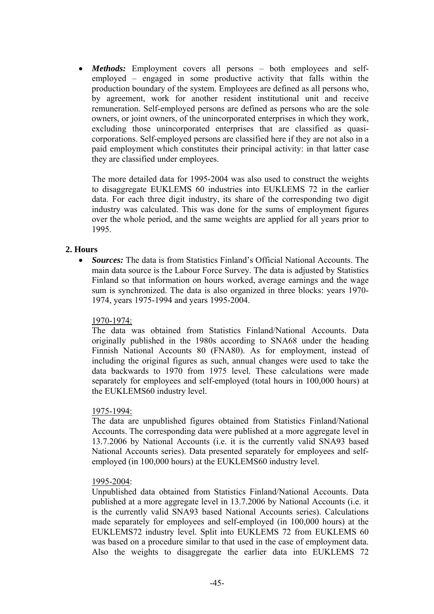• *Methods:* Employment covers all persons – both employees and selfemployed – engaged in some productive activity that falls within the production boundary of the system. Employees are defined as all persons who, by agreement, work for another resident institutional unit and receive remuneration. Self-employed persons are defined as persons who are the sole owners, or joint owners, of the unincorporated enterprises in which they work, excluding those unincorporated enterprises that are classified as quasicorporations. Self-employed persons are classified here if they are not also in a paid employment which constitutes their principal activity: in that latter case they are classified under employees.

The more detailed data for 1995-2004 was also used to construct the weights to disaggregate EUKLEMS 60 industries into EUKLEMS 72 in the earlier data. For each three digit industry, its share of the corresponding two digit industry was calculated. This was done for the sums of employment figures over the whole period, and the same weights are applied for all years prior to 1995.

### **2. Hours**

• *Sources:* The data is from Statistics Finland's Official National Accounts. The main data source is the Labour Force Survey. The data is adjusted by Statistics Finland so that information on hours worked, average earnings and the wage sum is synchronized. The data is also organized in three blocks: years 1970- 1974, years 1975-1994 and years 1995-2004.

### 1970-1974:

The data was obtained from Statistics Finland/National Accounts. Data originally published in the 1980s according to SNA68 under the heading Finnish National Accounts 80 (FNA80). As for employment, instead of including the original figures as such, annual changes were used to take the data backwards to 1970 from 1975 level. These calculations were made separately for employees and self-employed (total hours in 100,000 hours) at the EUKLEMS60 industry level.

#### 1975-1994:

The data are unpublished figures obtained from Statistics Finland/National Accounts. The corresponding data were published at a more aggregate level in 13.7.2006 by National Accounts (i.e. it is the currently valid SNA93 based National Accounts series). Data presented separately for employees and selfemployed (in 100,000 hours) at the EUKLEMS60 industry level.

#### 1995-2004:

Unpublished data obtained from Statistics Finland/National Accounts. Data published at a more aggregate level in 13.7.2006 by National Accounts (i.e. it is the currently valid SNA93 based National Accounts series). Calculations made separately for employees and self-employed (in 100,000 hours) at the EUKLEMS72 industry level. Split into EUKLEMS 72 from EUKLEMS 60 was based on a procedure similar to that used in the case of employment data. Also the weights to disaggregate the earlier data into EUKLEMS 72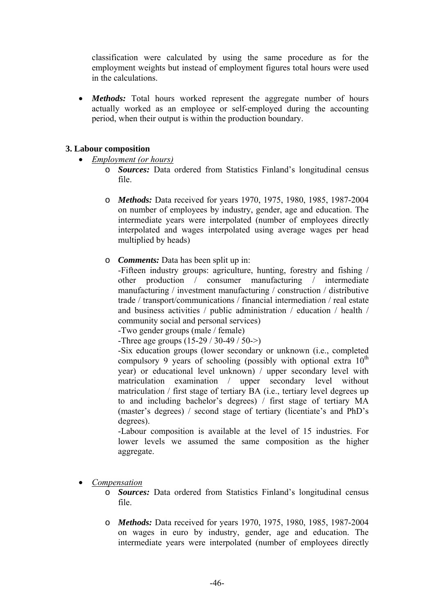classification were calculated by using the same procedure as for the employment weights but instead of employment figures total hours were used in the calculations.

*Methods:* Total hours worked represent the aggregate number of hours actually worked as an employee or self-employed during the accounting period, when their output is within the production boundary.

### **3. Labour composition**

- *Employment (or hours)*
	- **Sources:** Data ordered from Statistics Finland's longitudinal census file.
	- o *Methods:* Data received for years 1970, 1975, 1980, 1985, 1987-2004 on number of employees by industry, gender, age and education. The intermediate years were interpolated (number of employees directly interpolated and wages interpolated using average wages per head multiplied by heads)
	- o *Comments:* Data has been split up in:

-Fifteen industry groups: agriculture, hunting, forestry and fishing / other production / consumer manufacturing / intermediate manufacturing / investment manufacturing / construction / distributive trade / transport/communications / financial intermediation / real estate and business activities / public administration / education / health / community social and personal services)

-Two gender groups (male / female)

-Three age groups (15-29 / 30-49 / 50->)

-Six education groups (lower secondary or unknown (i.e., completed compulsory 9 years of schooling (possibly with optional extra  $10<sup>th</sup>$ year) or educational level unknown) / upper secondary level with matriculation examination / upper secondary level without matriculation / first stage of tertiary BA (i.e., tertiary level degrees up to and including bachelor's degrees) / first stage of tertiary MA (master's degrees) / second stage of tertiary (licentiate's and PhD's degrees).

-Labour composition is available at the level of 15 industries. For lower levels we assumed the same composition as the higher aggregate.

- *Compensation*
	- o *Sources:* Data ordered from Statistics Finland's longitudinal census file.
	- o *Methods:* Data received for years 1970, 1975, 1980, 1985, 1987-2004 on wages in euro by industry, gender, age and education. The intermediate years were interpolated (number of employees directly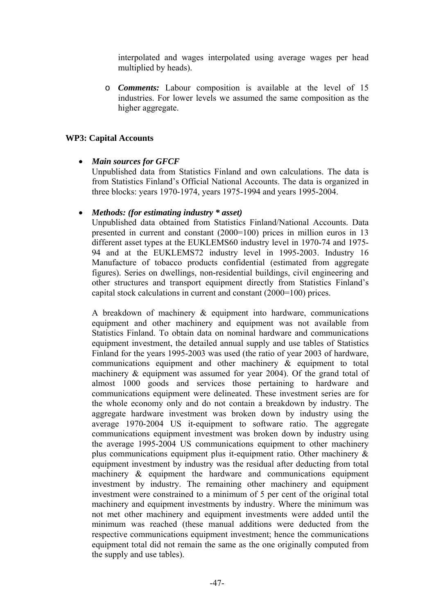interpolated and wages interpolated using average wages per head multiplied by heads).

o *Comments:* Labour composition is available at the level of 15 industries. For lower levels we assumed the same composition as the higher aggregate.

### **WP3: Capital Accounts**

### • *Main sources for GFCF*

Unpublished data from Statistics Finland and own calculations. The data is from Statistics Finland's Official National Accounts. The data is organized in three blocks: years 1970-1974, years 1975-1994 and years 1995-2004.

#### • *Methods: (for estimating industry \* asset)*

Unpublished data obtained from Statistics Finland/National Accounts. Data presented in current and constant (2000=100) prices in million euros in 13 different asset types at the EUKLEMS60 industry level in 1970-74 and 1975- 94 and at the EUKLEMS72 industry level in 1995-2003. Industry 16 Manufacture of tobacco products confidential (estimated from aggregate figures). Series on dwellings, non-residential buildings, civil engineering and other structures and transport equipment directly from Statistics Finland's capital stock calculations in current and constant (2000=100) prices.

A breakdown of machinery & equipment into hardware, communications equipment and other machinery and equipment was not available from Statistics Finland. To obtain data on nominal hardware and communications equipment investment, the detailed annual supply and use tables of Statistics Finland for the years 1995-2003 was used (the ratio of year 2003 of hardware, communications equipment and other machinery & equipment to total machinery & equipment was assumed for year 2004). Of the grand total of almost 1000 goods and services those pertaining to hardware and communications equipment were delineated. These investment series are for the whole economy only and do not contain a breakdown by industry. The aggregate hardware investment was broken down by industry using the average 1970-2004 US it-equipment to software ratio. The aggregate communications equipment investment was broken down by industry using the average 1995-2004 US communications equipment to other machinery plus communications equipment plus it-equipment ratio. Other machinery & equipment investment by industry was the residual after deducting from total machinery & equipment the hardware and communications equipment investment by industry. The remaining other machinery and equipment investment were constrained to a minimum of 5 per cent of the original total machinery and equipment investments by industry. Where the minimum was not met other machinery and equipment investments were added until the minimum was reached (these manual additions were deducted from the respective communications equipment investment; hence the communications equipment total did not remain the same as the one originally computed from the supply and use tables).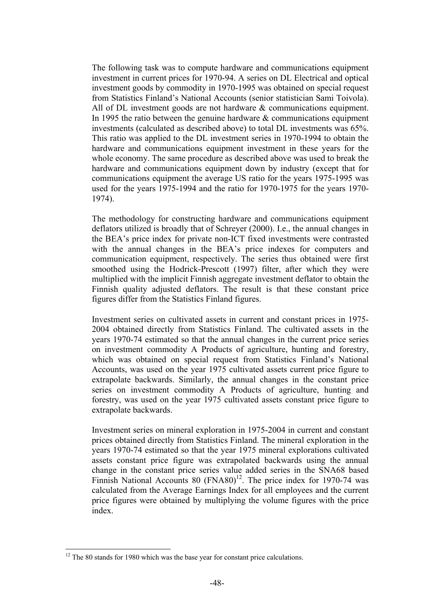The following task was to compute hardware and communications equipment investment in current prices for 1970-94. A series on DL Electrical and optical investment goods by commodity in 1970-1995 was obtained on special request from Statistics Finland's National Accounts (senior statistician Sami Toivola). All of DL investment goods are not hardware & communications equipment. In 1995 the ratio between the genuine hardware  $\&$  communications equipment investments (calculated as described above) to total DL investments was 65%. This ratio was applied to the DL investment series in 1970-1994 to obtain the hardware and communications equipment investment in these years for the whole economy. The same procedure as described above was used to break the hardware and communications equipment down by industry (except that for communications equipment the average US ratio for the years 1975-1995 was used for the years 1975-1994 and the ratio for 1970-1975 for the years 1970- 1974).

The methodology for constructing hardware and communications equipment deflators utilized is broadly that of Schreyer (2000). I.e., the annual changes in the BEA's price index for private non-ICT fixed investments were contrasted with the annual changes in the BEA's price indexes for computers and communication equipment, respectively. The series thus obtained were first smoothed using the Hodrick-Prescott (1997) filter, after which they were multiplied with the implicit Finnish aggregate investment deflator to obtain the Finnish quality adjusted deflators. The result is that these constant price figures differ from the Statistics Finland figures.

Investment series on cultivated assets in current and constant prices in 1975- 2004 obtained directly from Statistics Finland. The cultivated assets in the years 1970-74 estimated so that the annual changes in the current price series on investment commodity A Products of agriculture, hunting and forestry, which was obtained on special request from Statistics Finland's National Accounts, was used on the year 1975 cultivated assets current price figure to extrapolate backwards. Similarly, the annual changes in the constant price series on investment commodity A Products of agriculture, hunting and forestry, was used on the year 1975 cultivated assets constant price figure to extrapolate backwards.

Investment series on mineral exploration in 1975-2004 in current and constant prices obtained directly from Statistics Finland. The mineral exploration in the years 1970-74 estimated so that the year 1975 mineral explorations cultivated assets constant price figure was extrapolated backwards using the annual change in the constant price series value added series in the SNA68 based Finnish National Accounts 80  $(FNA80)^{12}$ . The price index for 1970-74 was calculated from the Average Earnings Index for all employees and the current price figures were obtained by multiplying the volume figures with the price index.

 $\overline{a}$ 

 $12$  The 80 stands for 1980 which was the base year for constant price calculations.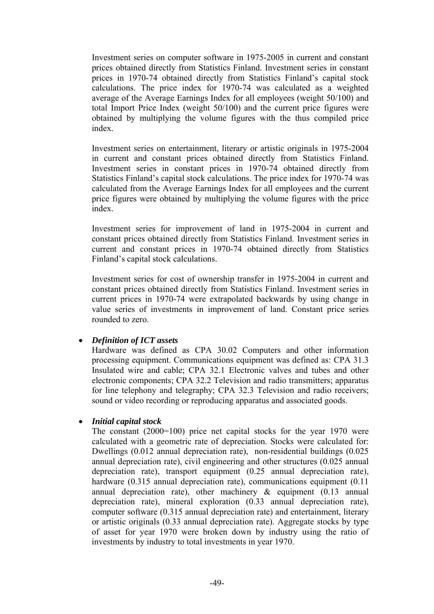Investment series on computer software in 1975-2005 in current and constant prices obtained directly from Statistics Finland. Investment series in constant prices in 1970-74 obtained directly from Statistics Finland's capital stock calculations. The price index for 1970-74 was calculated as a weighted average of the Average Earnings Index for all employees (weight 50/100) and total Import Price Index (weight 50/100) and the current price figures were obtained by multiplying the volume figures with the thus compiled price index.

Investment series on entertainment, literary or artistic originals in 1975-2004 in current and constant prices obtained directly from Statistics Finland. Investment series in constant prices in 1970-74 obtained directly from Statistics Finland's capital stock calculations. The price index for 1970-74 was calculated from the Average Earnings Index for all employees and the current price figures were obtained by multiplying the volume figures with the price index.

Investment series for improvement of land in 1975-2004 in current and constant prices obtained directly from Statistics Finland. Investment series in current and constant prices in 1970-74 obtained directly from Statistics Finland's capital stock calculations.

Investment series for cost of ownership transfer in 1975-2004 in current and constant prices obtained directly from Statistics Finland. Investment series in current prices in 1970-74 were extrapolated backwards by using change in value series of investments in improvement of land. Constant price series rounded to zero.

### • *Definition of ICT assets*

Hardware was defined as CPA 30.02 Computers and other information processing equipment. Communications equipment was defined as: CPA 31.3 Insulated wire and cable; CPA 32.1 Electronic valves and tubes and other electronic components; CPA 32.2 Television and radio transmitters; apparatus for line telephony and telegraphy; CPA 32.3 Television and radio receivers; sound or video recording or reproducing apparatus and associated goods.

### • *Initial capital stock*

The constant (2000=100) price net capital stocks for the year 1970 were calculated with a geometric rate of depreciation. Stocks were calculated for: Dwellings (0.012 annual depreciation rate), non-residential buildings (0.025 annual depreciation rate), civil engineering and other structures (0.025 annual depreciation rate), transport equipment (0.25 annual depreciation rate), hardware (0.315 annual depreciation rate), communications equipment (0.11) annual depreciation rate), other machinery  $\&$  equipment (0.13 annual depreciation rate), mineral exploration (0.33 annual depreciation rate), computer software (0.315 annual depreciation rate) and entertainment, literary or artistic originals (0.33 annual depreciation rate). Aggregate stocks by type of asset for year 1970 were broken down by industry using the ratio of investments by industry to total investments in year 1970.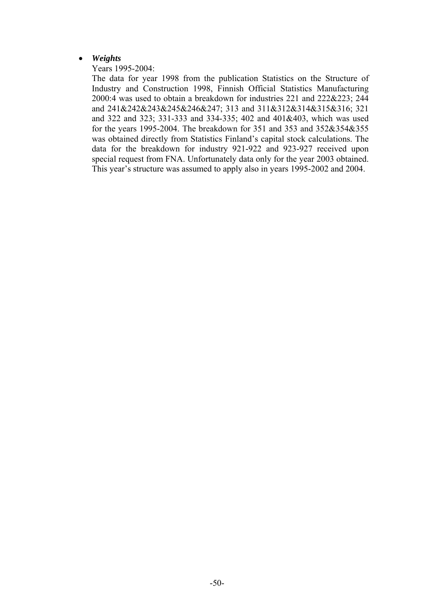#### • *Weights*

Years 1995-2004:

The data for year 1998 from the publication Statistics on the Structure of Industry and Construction 1998, Finnish Official Statistics Manufacturing 2000:4 was used to obtain a breakdown for industries 221 and 222&223; 244 and 241&242&243&245&246&247; 313 and 311&312&314&315&316; 321 and 322 and 323; 331-333 and 334-335; 402 and 401&403, which was used for the years 1995-2004. The breakdown for 351 and 353 and 352&354&355 was obtained directly from Statistics Finland's capital stock calculations. The data for the breakdown for industry 921-922 and 923-927 received upon special request from FNA. Unfortunately data only for the year 2003 obtained. This year's structure was assumed to apply also in years 1995-2002 and 2004.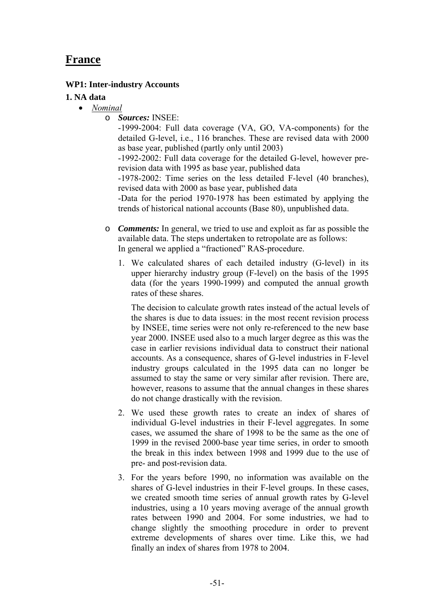# **France**

### **WP1: Inter-industry Accounts**

#### **1. NA data**

- *Nominal*
	- o *Sources:* INSEE:

-1999-2004: Full data coverage (VA, GO, VA-components) for the detailed G-level, i.e., 116 branches. These are revised data with 2000 as base year, published (partly only until 2003)

-1992-2002: Full data coverage for the detailed G-level, however prerevision data with 1995 as base year, published data

-1978-2002: Time series on the less detailed F-level (40 branches), revised data with 2000 as base year, published data

-Data for the period 1970-1978 has been estimated by applying the trends of historical national accounts (Base 80), unpublished data.

- o *Comments:* In general, we tried to use and exploit as far as possible the available data. The steps undertaken to retropolate are as follows: In general we applied a "fractioned" RAS-procedure.
	- 1. We calculated shares of each detailed industry (G-level) in its upper hierarchy industry group (F-level) on the basis of the 1995 data (for the years 1990-1999) and computed the annual growth rates of these shares.

The decision to calculate growth rates instead of the actual levels of the shares is due to data issues: in the most recent revision process by INSEE, time series were not only re-referenced to the new base year 2000. INSEE used also to a much larger degree as this was the case in earlier revisions individual data to construct their national accounts. As a consequence, shares of G-level industries in F-level industry groups calculated in the 1995 data can no longer be assumed to stay the same or very similar after revision. There are, however, reasons to assume that the annual changes in these shares do not change drastically with the revision.

- 2. We used these growth rates to create an index of shares of individual G-level industries in their F-level aggregates. In some cases, we assumed the share of 1998 to be the same as the one of 1999 in the revised 2000-base year time series, in order to smooth the break in this index between 1998 and 1999 due to the use of pre- and post-revision data.
- 3. For the years before 1990, no information was available on the shares of G-level industries in their F-level groups. In these cases, we created smooth time series of annual growth rates by G-level industries, using a 10 years moving average of the annual growth rates between 1990 and 2004. For some industries, we had to change slightly the smoothing procedure in order to prevent extreme developments of shares over time. Like this, we had finally an index of shares from 1978 to 2004.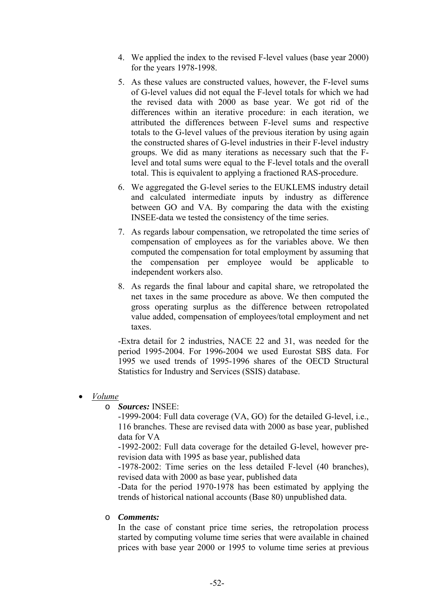- 4. We applied the index to the revised F-level values (base year 2000) for the years 1978-1998.
- 5. As these values are constructed values, however, the F-level sums of G-level values did not equal the F-level totals for which we had the revised data with 2000 as base year. We got rid of the differences within an iterative procedure: in each iteration, we attributed the differences between F-level sums and respective totals to the G-level values of the previous iteration by using again the constructed shares of G-level industries in their F-level industry groups. We did as many iterations as necessary such that the Flevel and total sums were equal to the F-level totals and the overall total. This is equivalent to applying a fractioned RAS-procedure.
- 6. We aggregated the G-level series to the EUKLEMS industry detail and calculated intermediate inputs by industry as difference between GO and VA. By comparing the data with the existing INSEE-data we tested the consistency of the time series.
- 7. As regards labour compensation, we retropolated the time series of compensation of employees as for the variables above. We then computed the compensation for total employment by assuming that the compensation per employee would be applicable to independent workers also.
- 8. As regards the final labour and capital share, we retropolated the net taxes in the same procedure as above. We then computed the gross operating surplus as the difference between retropolated value added, compensation of employees/total employment and net taxes.

-Extra detail for 2 industries, NACE 22 and 31, was needed for the period 1995-2004. For 1996-2004 we used Eurostat SBS data. For 1995 we used trends of 1995-1996 shares of the OECD Structural Statistics for Industry and Services (SSIS) database.

#### • *Volume*

o *Sources:* INSEE:

-1999-2004: Full data coverage (VA, GO) for the detailed G-level, i.e., 116 branches. These are revised data with 2000 as base year, published data for VA

-1992-2002: Full data coverage for the detailed G-level, however prerevision data with 1995 as base year, published data

-1978-2002: Time series on the less detailed F-level (40 branches), revised data with 2000 as base year, published data

-Data for the period 1970-1978 has been estimated by applying the trends of historical national accounts (Base 80) unpublished data.

#### o *Comments:*

In the case of constant price time series, the retropolation process started by computing volume time series that were available in chained prices with base year 2000 or 1995 to volume time series at previous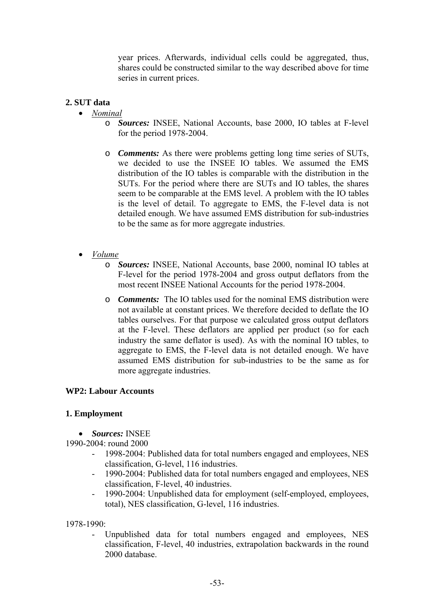year prices. Afterwards, individual cells could be aggregated, thus, shares could be constructed similar to the way described above for time series in current prices.

#### **2. SUT data**

- *Nominal*
	- o *Sources:* INSEE, National Accounts, base 2000, IO tables at F-level for the period 1978-2004.
	- o *Comments:* As there were problems getting long time series of SUTs, we decided to use the INSEE IO tables. We assumed the EMS distribution of the IO tables is comparable with the distribution in the SUTs. For the period where there are SUTs and IO tables, the shares seem to be comparable at the EMS level. A problem with the IO tables is the level of detail. To aggregate to EMS, the F-level data is not detailed enough. We have assumed EMS distribution for sub-industries to be the same as for more aggregate industries.
- *Volume*
	- o *Sources:* INSEE, National Accounts, base 2000, nominal IO tables at F-level for the period 1978-2004 and gross output deflators from the most recent INSEE National Accounts for the period 1978-2004.
	- o *Comments:*The IO tables used for the nominal EMS distribution were not available at constant prices. We therefore decided to deflate the IO tables ourselves. For that purpose we calculated gross output deflators at the F-level. These deflators are applied per product (so for each industry the same deflator is used). As with the nominal IO tables, to aggregate to EMS, the F-level data is not detailed enough. We have assumed EMS distribution for sub-industries to be the same as for more aggregate industries.

#### **WP2: Labour Accounts**

#### **1. Employment**

• *Sources:* INSEE

1990-2004: round 2000

- 1998-2004: Published data for total numbers engaged and employees, NES classification, G-level, 116 industries.
- 1990-2004: Published data for total numbers engaged and employees, NES classification, F-level, 40 industries.
- 1990-2004: Unpublished data for employment (self-employed, employees, total), NES classification, G-level, 116 industries.

1978-1990:

- Unpublished data for total numbers engaged and employees, NES classification, F-level, 40 industries, extrapolation backwards in the round 2000 database.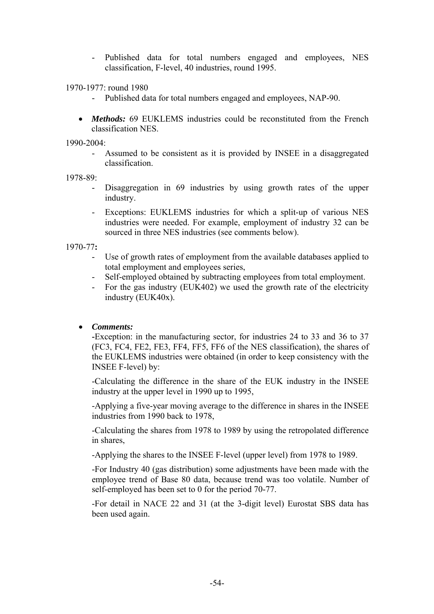Published data for total numbers engaged and employees, NES classification, F-level, 40 industries, round 1995.

1970-1977: round 1980

- Published data for total numbers engaged and employees, NAP-90.
- *Methods:* 69 EUKLEMS industries could be reconstituted from the French classification NES.

1990-2004:

Assumed to be consistent as it is provided by INSEE in a disaggregated classification.

1978-89:

- Disaggregation in 69 industries by using growth rates of the upper industry.
- Exceptions: EUKLEMS industries for which a split-up of various NES industries were needed. For example, employment of industry 32 can be sourced in three NES industries (see comments below).

1970-77**:** 

- Use of growth rates of employment from the available databases applied to total employment and employees series,
- Self-employed obtained by subtracting employees from total employment.
- For the gas industry (EUK402) we used the growth rate of the electricity industry (EUK40x).

#### • *Comments:*

**-**Exception: in the manufacturing sector, for industries 24 to 33 and 36 to 37 (FC3, FC4, FE2, FE3, FF4, FF5, FF6 of the NES classification), the shares of the EUKLEMS industries were obtained (in order to keep consistency with the INSEE F-level) by:

-Calculating the difference in the share of the EUK industry in the INSEE industry at the upper level in 1990 up to 1995,

-Applying a five-year moving average to the difference in shares in the INSEE industries from 1990 back to 1978,

-Calculating the shares from 1978 to 1989 by using the retropolated difference in shares,

-Applying the shares to the INSEE F-level (upper level) from 1978 to 1989.

-For Industry 40 (gas distribution) some adjustments have been made with the employee trend of Base 80 data, because trend was too volatile. Number of self-employed has been set to 0 for the period 70-77.

-For detail in NACE 22 and 31 (at the 3-digit level) Eurostat SBS data has been used again.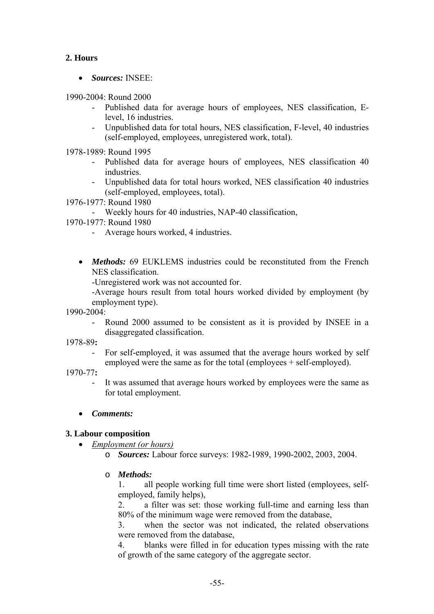# **2. Hours**

• *Sources:* INSEE:

1990-2004: Round 2000

- Published data for average hours of employees, NES classification, Elevel, 16 industries.
- Unpublished data for total hours, NES classification, F-level, 40 industries (self-employed, employees, unregistered work, total).

1978-1989: Round 1995

- Published data for average hours of employees, NES classification 40 industries.
- Unpublished data for total hours worked, NES classification 40 industries (self-employed, employees, total).

1976-1977: Round 1980

- Weekly hours for 40 industries, NAP-40 classification,
- 1970-1977: Round 1980
	- Average hours worked, 4 industries.
	- *Methods:* 69 EUKLEMS industries could be reconstituted from the French NES classification.

-Unregistered work was not accounted for.

-Average hours result from total hours worked divided by employment (by employment type).

1990-2004:

Round 2000 assumed to be consistent as it is provided by INSEE in a disaggregated classification.

1978-89**:** 

- For self-employed, it was assumed that the average hours worked by self employed were the same as for the total (employees + self-employed).
- 1970-77**:** 
	- It was assumed that average hours worked by employees were the same as for total employment.

### • *Comments:*

# **3. Labour composition**

• *Employment (or hours)*

o *Sources:* Labour force surveys: 1982-1989, 1990-2002, 2003, 2004.

o *Methods:*

1. all people working full time were short listed (employees, selfemployed, family helps),

2. a filter was set: those working full-time and earning less than 80% of the minimum wage were removed from the database,

3. when the sector was not indicated, the related observations were removed from the database,

4. blanks were filled in for education types missing with the rate of growth of the same category of the aggregate sector.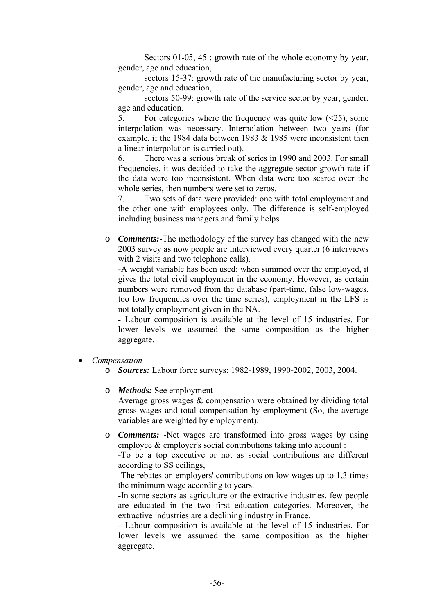Sectors 01-05, 45 : growth rate of the whole economy by year, gender, age and education,

 sectors 15-37: growth rate of the manufacturing sector by year, gender, age and education,

 sectors 50-99: growth rate of the service sector by year, gender, age and education.

5. For categories where the frequency was quite low  $(\leq 25)$ , some interpolation was necessary. Interpolation between two years (for example, if the 1984 data between 1983 & 1985 were inconsistent then a linear interpolation is carried out).

6. There was a serious break of series in 1990 and 2003. For small frequencies, it was decided to take the aggregate sector growth rate if the data were too inconsistent. When data were too scarce over the whole series, then numbers were set to zeros.

7. Two sets of data were provided: one with total employment and the other one with employees only. The difference is self-employed including business managers and family helps.

o *Comments:*-The methodology of the survey has changed with the new 2003 survey as now people are interviewed every quarter (6 interviews with 2 visits and two telephone calls).

*-*A weight variable has been used: when summed over the employed, it gives the total civil employment in the economy. However, as certain numbers were removed from the database (part-time, false low-wages, too low frequencies over the time series), employment in the LFS is not totally employment given in the NA.

*-* Labour composition is available at the level of 15 industries. For lower levels we assumed the same composition as the higher aggregate.

- *Compensation*
	- o *Sources:* Labour force surveys: 1982-1989, 1990-2002, 2003, 2004.
	- o *Methods:* See employment

Average gross wages & compensation were obtained by dividing total gross wages and total compensation by employment (So, the average variables are weighted by employment).

o *Comments:* **-**Net wages are transformed into gross wages by using employee & employer's social contributions taking into account :

-To be a top executive or not as social contributions are different according to SS ceilings,

-The rebates on employers' contributions on low wages up to 1,3 times the minimum wage according to years.

-In some sectors as agriculture or the extractive industries, few people are educated in the two first education categories. Moreover, the extractive industries are a declining industry in France.

*-* Labour composition is available at the level of 15 industries. For lower levels we assumed the same composition as the higher aggregate.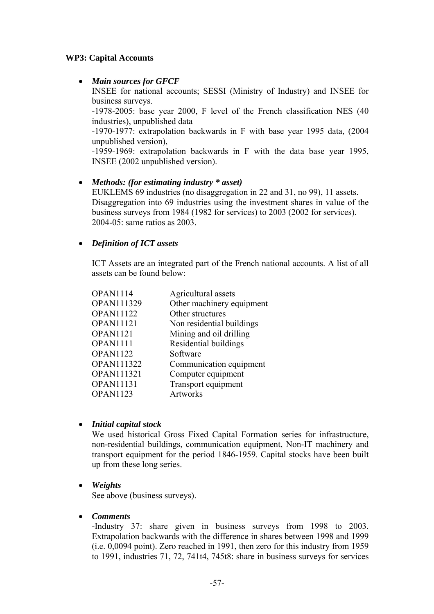### **WP3: Capital Accounts**

### • *Main sources for GFCF*

INSEE for national accounts; SESSI (Ministry of Industry) and INSEE for business surveys.

-1978-2005: base year 2000, F level of the French classification NES (40 industries), unpublished data

-1970-1977: extrapolation backwards in F with base year 1995 data, (2004 unpublished version),

-1959-1969: extrapolation backwards in F with the data base year 1995, INSEE (2002 unpublished version).

### • *Methods: (for estimating industry \* asset)*

EUKLEMS 69 industries (no disaggregation in 22 and 31, no 99), 11 assets. Disaggregation into 69 industries using the investment shares in value of the business surveys from 1984 (1982 for services) to 2003 (2002 for services). 2004-05: same ratios as 2003.

### • *Definition of ICT assets*

ICT Assets are an integrated part of the French national accounts. A list of all assets can be found below:

| <b>OPAN1114</b>   | Agricultural assets       |
|-------------------|---------------------------|
| <b>OPAN111329</b> | Other machinery equipment |
| <b>OPAN11122</b>  | Other structures          |
| <b>OPAN11121</b>  | Non residential buildings |
| <b>OPAN1121</b>   | Mining and oil drilling   |
| OPAN1111          | Residential buildings     |
| <b>OPAN1122</b>   | Software                  |
| <b>OPAN111322</b> | Communication equipment   |
| <b>OPAN111321</b> | Computer equipment        |
| <b>OPAN11131</b>  | Transport equipment       |
| <b>OPAN1123</b>   | <b>Artworks</b>           |
|                   |                           |

### • *Initial capital stock*

We used historical Gross Fixed Capital Formation series for infrastructure, non-residential buildings, communication equipment, Non-IT machinery and transport equipment for the period 1846-1959. Capital stocks have been built up from these long series.

# • *Weights*

See above (business surveys).

### • *Comments*

-Industry 37: share given in business surveys from 1998 to 2003. Extrapolation backwards with the difference in shares between 1998 and 1999 (i.e. 0,0094 point). Zero reached in 1991, then zero for this industry from 1959 to 1991, industries 71, 72, 741t4, 745t8: share in business surveys for services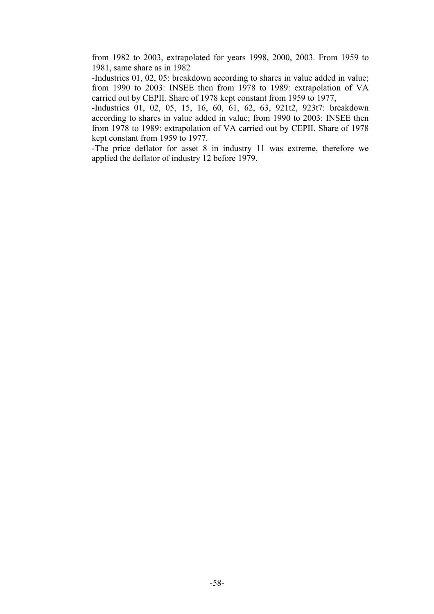from 1982 to 2003, extrapolated for years 1998, 2000, 2003. From 1959 to 1981, same share as in 1982

-Industries 01, 02, 05: breakdown according to shares in value added in value; from 1990 to 2003: INSEE then from 1978 to 1989: extrapolation of VA carried out by CEPII. Share of 1978 kept constant from 1959 to 1977,

-Industries 01, 02, 05, 15, 16, 60, 61, 62, 63, 921t2, 923t7: breakdown according to shares in value added in value; from 1990 to 2003: INSEE then from 1978 to 1989: extrapolation of VA carried out by CEPII. Share of 1978 kept constant from 1959 to 1977.

-The price deflator for asset 8 in industry 11 was extreme, therefore we applied the deflator of industry 12 before 1979.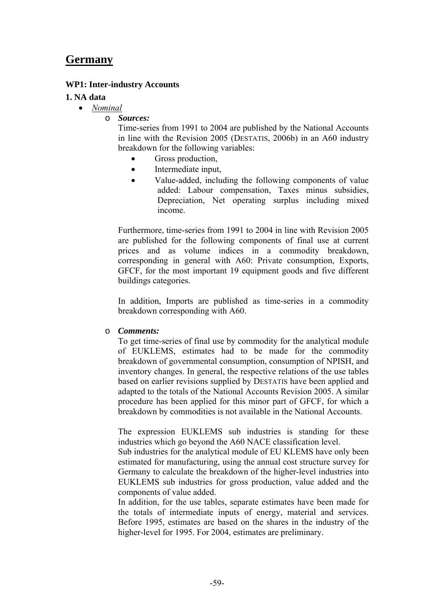# **Germany**

### **WP1: Inter-industry Accounts**

#### **1. NA data**

- *Nominal*
	- o *Sources:*

Time-series from 1991 to 2004 are published by the National Accounts in line with the Revision 2005 (DESTATIS, 2006b) in an A60 industry breakdown for the following variables:

- Gross production,
- Intermediate input,
- Value-added, including the following components of value added: Labour compensation, Taxes minus subsidies, Depreciation, Net operating surplus including mixed income.

Furthermore, time-series from 1991 to 2004 in line with Revision 2005 are published for the following components of final use at current prices and as volume indices in a commodity breakdown, corresponding in general with A60: Private consumption, Exports, GFCF, for the most important 19 equipment goods and five different buildings categories.

In addition, Imports are published as time-series in a commodity breakdown corresponding with A60.

#### o *Comments:*

To get time-series of final use by commodity for the analytical module of EUKLEMS, estimates had to be made for the commodity breakdown of governmental consumption, consumption of NPISH, and inventory changes. In general, the respective relations of the use tables based on earlier revisions supplied by DESTATIS have been applied and adapted to the totals of the National Accounts Revision 2005. A similar procedure has been applied for this minor part of GFCF, for which a breakdown by commodities is not available in the National Accounts.

The expression EUKLEMS sub industries is standing for these industries which go beyond the A60 NACE classification level.

Sub industries for the analytical module of EU KLEMS have only been estimated for manufacturing, using the annual cost structure survey for Germany to calculate the breakdown of the higher-level industries into EUKLEMS sub industries for gross production, value added and the components of value added.

In addition, for the use tables, separate estimates have been made for the totals of intermediate inputs of energy, material and services. Before 1995, estimates are based on the shares in the industry of the higher-level for 1995. For 2004, estimates are preliminary.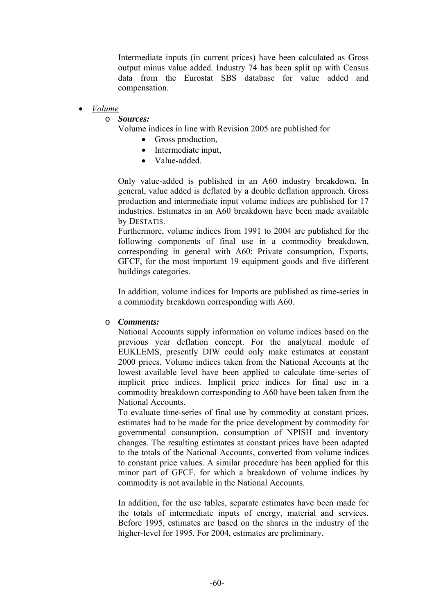Intermediate inputs (in current prices) have been calculated as Gross output minus value added. Industry 74 has been split up with Census data from the Eurostat SBS database for value added and compensation.

#### • *Volume*

#### o *Sources:*

Volume indices in line with Revision 2005 are published for

- Gross production,
- Intermediate input,
- Value-added

Only value-added is published in an A60 industry breakdown. In general, value added is deflated by a double deflation approach. Gross production and intermediate input volume indices are published for 17 industries. Estimates in an A60 breakdown have been made available by DESTATIS.

Furthermore, volume indices from 1991 to 2004 are published for the following components of final use in a commodity breakdown, corresponding in general with A60: Private consumption, Exports, GFCF, for the most important 19 equipment goods and five different buildings categories.

In addition, volume indices for Imports are published as time-series in a commodity breakdown corresponding with A60.

#### o *Comments:*

National Accounts supply information on volume indices based on the previous year deflation concept. For the analytical module of EUKLEMS, presently DIW could only make estimates at constant 2000 prices. Volume indices taken from the National Accounts at the lowest available level have been applied to calculate time-series of implicit price indices. Implicit price indices for final use in a commodity breakdown corresponding to A60 have been taken from the National Accounts.

To evaluate time-series of final use by commodity at constant prices, estimates had to be made for the price development by commodity for governmental consumption, consumption of NPISH and inventory changes. The resulting estimates at constant prices have been adapted to the totals of the National Accounts, converted from volume indices to constant price values. A similar procedure has been applied for this minor part of GFCF, for which a breakdown of volume indices by commodity is not available in the National Accounts.

In addition, for the use tables, separate estimates have been made for the totals of intermediate inputs of energy, material and services. Before 1995, estimates are based on the shares in the industry of the higher-level for 1995. For 2004, estimates are preliminary.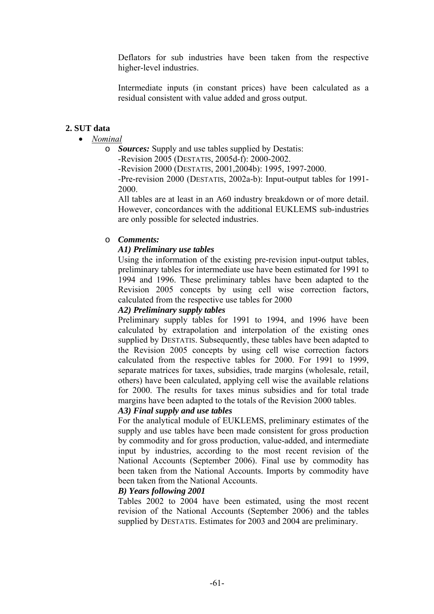Deflators for sub industries have been taken from the respective higher-level industries.

Intermediate inputs (in constant prices) have been calculated as a residual consistent with value added and gross output.

### **2. SUT data**

- *Nominal*
	- o *Sources:* Supply and use tables supplied by Destatis:

-Revision 2005 (DESTATIS, 2005d-f): 2000-2002.

-Revision 2000 (DESTATIS, 2001,2004b): 1995, 1997-2000.

-Pre-revision 2000 (DESTATIS, 2002a-b): Input-output tables for 1991- 2000.

All tables are at least in an A60 industry breakdown or of more detail. However, concordances with the additional EUKLEMS sub-industries are only possible for selected industries.

#### o *Comments:*

#### *A1) Preliminary use tables*

Using the information of the existing pre-revision input-output tables, preliminary tables for intermediate use have been estimated for 1991 to 1994 and 1996. These preliminary tables have been adapted to the Revision 2005 concepts by using cell wise correction factors, calculated from the respective use tables for 2000

#### *A2) Preliminary supply tables*

Preliminary supply tables for 1991 to 1994, and 1996 have been calculated by extrapolation and interpolation of the existing ones supplied by DESTATIS. Subsequently, these tables have been adapted to the Revision 2005 concepts by using cell wise correction factors calculated from the respective tables for 2000. For 1991 to 1999, separate matrices for taxes, subsidies, trade margins (wholesale, retail, others) have been calculated, applying cell wise the available relations for 2000. The results for taxes minus subsidies and for total trade margins have been adapted to the totals of the Revision 2000 tables.

#### *A3) Final supply and use tables*

For the analytical module of EUKLEMS, preliminary estimates of the supply and use tables have been made consistent for gross production by commodity and for gross production, value-added, and intermediate input by industries, according to the most recent revision of the National Accounts (September 2006). Final use by commodity has been taken from the National Accounts. Imports by commodity have been taken from the National Accounts.

#### *B) Years following 2001*

Tables 2002 to 2004 have been estimated, using the most recent revision of the National Accounts (September 2006) and the tables supplied by DESTATIS. Estimates for 2003 and 2004 are preliminary.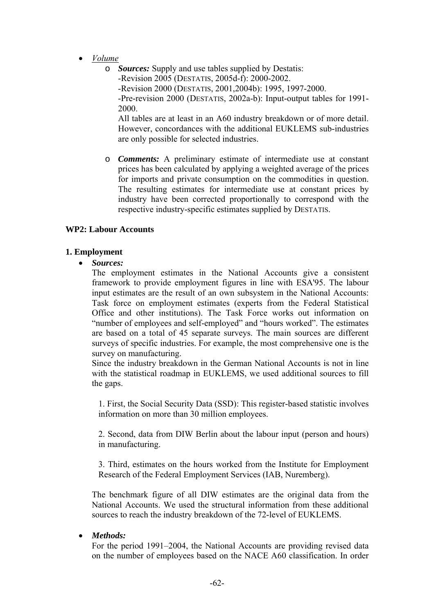- *Volume*
	- o *Sources:* Supply and use tables supplied by Destatis: -Revision 2005 (DESTATIS, 2005d-f): 2000-2002. -Revision 2000 (DESTATIS, 2001,2004b): 1995, 1997-2000. -Pre-revision 2000 (DESTATIS, 2002a-b): Input-output tables for 1991- 2000.

All tables are at least in an A60 industry breakdown or of more detail. However, concordances with the additional EUKLEMS sub-industries are only possible for selected industries.

o *Comments:* A preliminary estimate of intermediate use at constant prices has been calculated by applying a weighted average of the prices for imports and private consumption on the commodities in question. The resulting estimates for intermediate use at constant prices by industry have been corrected proportionally to correspond with the respective industry-specific estimates supplied by DESTATIS.

#### **WP2: Labour Accounts**

#### **1. Employment**

• *Sources:*

The employment estimates in the National Accounts give a consistent framework to provide employment figures in line with ESA'95. The labour input estimates are the result of an own subsystem in the National Accounts: Task force on employment estimates (experts from the Federal Statistical Office and other institutions). The Task Force works out information on "number of employees and self-employed" and "hours worked". The estimates are based on a total of 45 separate surveys. The main sources are different surveys of specific industries. For example, the most comprehensive one is the survey on manufacturing.

Since the industry breakdown in the German National Accounts is not in line with the statistical roadmap in EUKLEMS, we used additional sources to fill the gaps.

1. First, the Social Security Data (SSD): This register-based statistic involves information on more than 30 million employees.

 2. Second, data from DIW Berlin about the labour input (person and hours) in manufacturing.

 3. Third, estimates on the hours worked from the Institute for Employment Research of the Federal Employment Services (IAB, Nuremberg).

The benchmark figure of all DIW estimates are the original data from the National Accounts. We used the structural information from these additional sources to reach the industry breakdown of the 72-level of EUKLEMS.

#### • *Methods:*

For the period 1991–2004, the National Accounts are providing revised data on the number of employees based on the NACE A60 classification. In order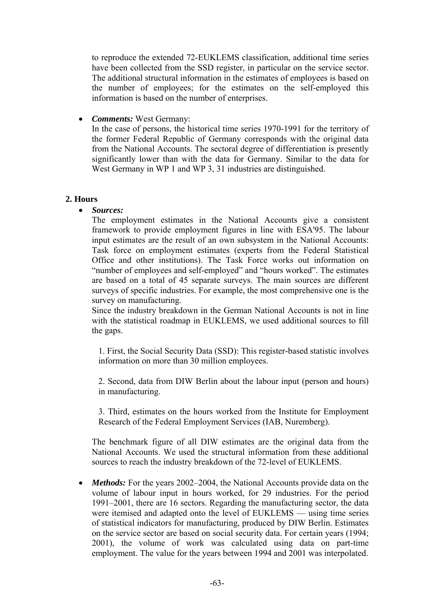to reproduce the extended 72-EUKLEMS classification, additional time series have been collected from the SSD register, in particular on the service sector. The additional structural information in the estimates of employees is based on the number of employees; for the estimates on the self-employed this information is based on the number of enterprises.

• *Comments:* West Germany:

In the case of persons, the historical time series 1970-1991 for the territory of the former Federal Republic of Germany corresponds with the original data from the National Accounts. The sectoral degree of differentiation is presently significantly lower than with the data for Germany. Similar to the data for West Germany in WP 1 and WP 3, 31 industries are distinguished.

#### **2. Hours**

• *Sources:*

The employment estimates in the National Accounts give a consistent framework to provide employment figures in line with ESA'95. The labour input estimates are the result of an own subsystem in the National Accounts: Task force on employment estimates (experts from the Federal Statistical Office and other institutions). The Task Force works out information on "number of employees and self-employed" and "hours worked". The estimates are based on a total of 45 separate surveys. The main sources are different surveys of specific industries. For example, the most comprehensive one is the survey on manufacturing.

Since the industry breakdown in the German National Accounts is not in line with the statistical roadmap in EUKLEMS, we used additional sources to fill the gaps.

1. First, the Social Security Data (SSD): This register-based statistic involves information on more than 30 million employees.

 2. Second, data from DIW Berlin about the labour input (person and hours) in manufacturing.

 3. Third, estimates on the hours worked from the Institute for Employment Research of the Federal Employment Services (IAB, Nuremberg).

The benchmark figure of all DIW estimates are the original data from the National Accounts. We used the structural information from these additional sources to reach the industry breakdown of the 72-level of EUKLEMS.

• *Methods:* For the years 2002–2004, the National Accounts provide data on the volume of labour input in hours worked, for 29 industries. For the period 1991–2001, there are 16 sectors. Regarding the manufacturing sector, the data were itemised and adapted onto the level of EUKLEMS — using time series of statistical indicators for manufacturing, produced by DIW Berlin. Estimates on the service sector are based on social security data. For certain years (1994; 2001), the volume of work was calculated using data on part-time employment. The value for the years between 1994 and 2001 was interpolated.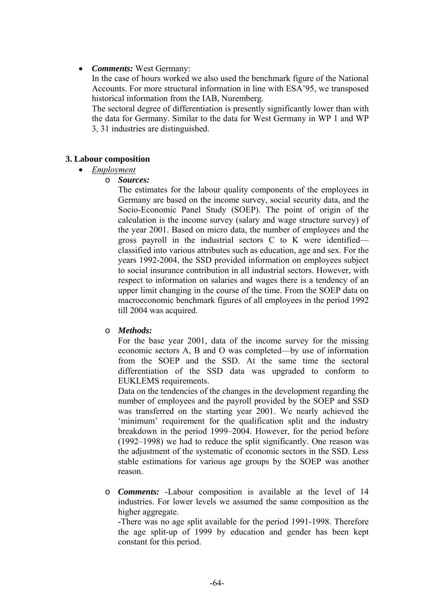### • *Comments:* West Germany:

In the case of hours worked we also used the benchmark figure of the National Accounts. For more structural information in line with ESA'95, we transposed historical information from the IAB, Nuremberg.

The sectoral degree of differentiation is presently significantly lower than with the data for Germany. Similar to the data for West Germany in WP 1 and WP 3, 31 industries are distinguished.

### **3. Labour composition**

### • *Employment*

o *Sources:* 

The estimates for the labour quality components of the employees in Germany are based on the income survey, social security data, and the Socio-Economic Panel Study (SOEP). The point of origin of the calculation is the income survey (salary and wage structure survey) of the year 2001. Based on micro data, the number of employees and the gross payroll in the industrial sectors C to K were identified classified into various attributes such as education, age and sex. For the years 1992-2004, the SSD provided information on employees subject to social insurance contribution in all industrial sectors. However, with respect to information on salaries and wages there is a tendency of an upper limit changing in the course of the time. From the SOEP data on macroeconomic benchmark figures of all employees in the period 1992 till 2004 was acquired.

# o *Methods:*

For the base year 2001, data of the income survey for the missing economic sectors A, B and O was completed—by use of information from the SOEP and the SSD. At the same time the sectoral differentiation of the SSD data was upgraded to conform to EUKLEMS requirements.

Data on the tendencies of the changes in the development regarding the number of employees and the payroll provided by the SOEP and SSD was transferred on the starting year 2001. We nearly achieved the 'minimum' requirement for the qualification split and the industry breakdown in the period 1999–2004. However, for the period before (1992–1998) we had to reduce the split significantly. One reason was the adjustment of the systematic of economic sectors in the SSD. Less stable estimations for various age groups by the SOEP was another reason.

o *Comments:* -Labour composition is available at the level of 14 industries. For lower levels we assumed the same composition as the higher aggregate.

-There was no age split available for the period 1991-1998. Therefore the age split-up of 1999 by education and gender has been kept constant for this period.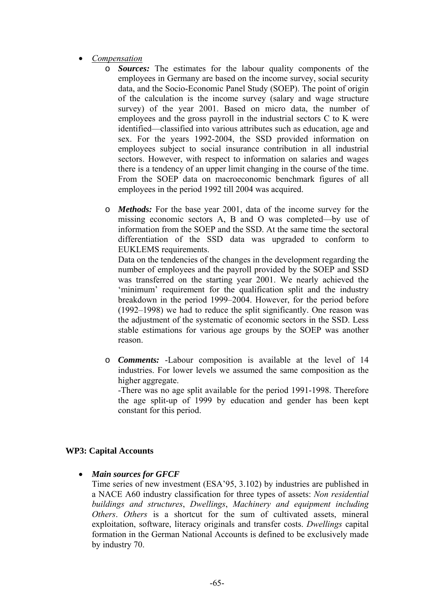- *Compensation*
	- o *Sources:* The estimates for the labour quality components of the employees in Germany are based on the income survey, social security data, and the Socio-Economic Panel Study (SOEP). The point of origin of the calculation is the income survey (salary and wage structure survey) of the year 2001. Based on micro data, the number of employees and the gross payroll in the industrial sectors C to K were identified—classified into various attributes such as education, age and sex. For the years 1992-2004, the SSD provided information on employees subject to social insurance contribution in all industrial sectors. However, with respect to information on salaries and wages there is a tendency of an upper limit changing in the course of the time. From the SOEP data on macroeconomic benchmark figures of all employees in the period 1992 till 2004 was acquired.
	- o *Methods:* For the base year 2001, data of the income survey for the missing economic sectors A, B and O was completed—by use of information from the SOEP and the SSD. At the same time the sectoral differentiation of the SSD data was upgraded to conform to EUKLEMS requirements.

Data on the tendencies of the changes in the development regarding the number of employees and the payroll provided by the SOEP and SSD was transferred on the starting year 2001. We nearly achieved the 'minimum' requirement for the qualification split and the industry breakdown in the period 1999–2004. However, for the period before (1992–1998) we had to reduce the split significantly. One reason was the adjustment of the systematic of economic sectors in the SSD. Less stable estimations for various age groups by the SOEP was another reason.

o *Comments:* -Labour composition is available at the level of 14 industries. For lower levels we assumed the same composition as the higher aggregate.

-There was no age split available for the period 1991-1998. Therefore the age split-up of 1999 by education and gender has been kept constant for this period.

# **WP3: Capital Accounts**

• *Main sources for GFCF* 

Time series of new investment (ESA'95, 3.102) by industries are published in a NACE A60 industry classification for three types of assets: *Non residential buildings and structures*, *Dwellings*, *Machinery and equipment including Others*. *Others* is a shortcut for the sum of cultivated assets, mineral exploitation, software, literacy originals and transfer costs. *Dwellings* capital formation in the German National Accounts is defined to be exclusively made by industry 70.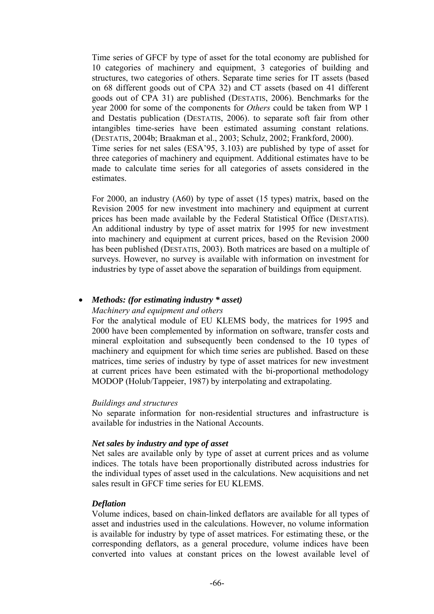Time series of GFCF by type of asset for the total economy are published for 10 categories of machinery and equipment, 3 categories of building and structures, two categories of others. Separate time series for IT assets (based on 68 different goods out of CPA 32) and CT assets (based on 41 different goods out of CPA 31) are published (DESTATIS, 2006). Benchmarks for the year 2000 for some of the components for *Others* could be taken from WP 1 and Destatis publication (DESTATIS, 2006). to separate soft fair from other intangibles time-series have been estimated assuming constant relations. (DESTATIS, 2004b; Braakman et al., 2003; Schulz, 2002; Frankford, 2000). Time series for net sales (ESA'95, 3.103) are published by type of asset for three categories of machinery and equipment. Additional estimates have to be made to calculate time series for all categories of assets considered in the estimates.

For 2000, an industry (A60) by type of asset (15 types) matrix, based on the Revision 2005 for new investment into machinery and equipment at current prices has been made available by the Federal Statistical Office (DESTATIS). An additional industry by type of asset matrix for 1995 for new investment into machinery and equipment at current prices, based on the Revision 2000 has been published (DESTATIS, 2003). Both matrices are based on a multiple of surveys. However, no survey is available with information on investment for industries by type of asset above the separation of buildings from equipment.

#### • *Methods: (for estimating industry \* asset)*

#### *Machinery and equipment and others*

For the analytical module of EU KLEMS body, the matrices for 1995 and 2000 have been complemented by information on software, transfer costs and mineral exploitation and subsequently been condensed to the 10 types of machinery and equipment for which time series are published. Based on these matrices, time series of industry by type of asset matrices for new investment at current prices have been estimated with the bi-proportional methodology MODOP (Holub/Tappeier, 1987) by interpolating and extrapolating.

#### *Buildings and structures*

No separate information for non-residential structures and infrastructure is available for industries in the National Accounts.

#### *Net sales by industry and type of asset*

Net sales are available only by type of asset at current prices and as volume indices. The totals have been proportionally distributed across industries for the individual types of asset used in the calculations. New acquisitions and net sales result in GFCF time series for EU KLEMS.

#### *Deflation*

Volume indices, based on chain-linked deflators are available for all types of asset and industries used in the calculations. However, no volume information is available for industry by type of asset matrices. For estimating these, or the corresponding deflators, as a general procedure, volume indices have been converted into values at constant prices on the lowest available level of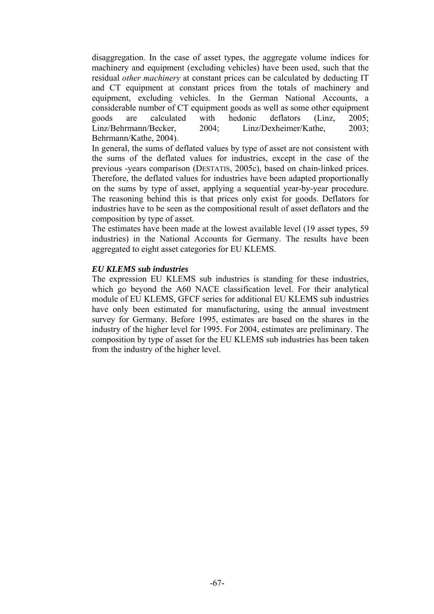disaggregation. In the case of asset types, the aggregate volume indices for machinery and equipment (excluding vehicles) have been used, such that the residual *other machinery* at constant prices can be calculated by deducting IT and CT equipment at constant prices from the totals of machinery and equipment, excluding vehicles. In the German National Accounts, a considerable number of CT equipment goods as well as some other equipment goods are calculated with hedonic deflators (Linz, 2005; Linz/Behrmann/Becker, 2004; Linz/Dexheimer/Kathe, 2003; Behrmann/Kathe, 2004).

In general, the sums of deflated values by type of asset are not consistent with the sums of the deflated values for industries, except in the case of the previous -years comparison (DESTATIS, 2005c), based on chain-linked prices. Therefore, the deflated values for industries have been adapted proportionally on the sums by type of asset, applying a sequential year-by-year procedure. The reasoning behind this is that prices only exist for goods. Deflators for industries have to be seen as the compositional result of asset deflators and the composition by type of asset.

The estimates have been made at the lowest available level (19 asset types, 59 industries) in the National Accounts for Germany. The results have been aggregated to eight asset categories for EU KLEMS.

#### *EU KLEMS sub industries*

The expression EU KLEMS sub industries is standing for these industries, which go beyond the A60 NACE classification level. For their analytical module of EU KLEMS, GFCF series for additional EU KLEMS sub industries have only been estimated for manufacturing, using the annual investment survey for Germany. Before 1995, estimates are based on the shares in the industry of the higher level for 1995. For 2004, estimates are preliminary. The composition by type of asset for the EU KLEMS sub industries has been taken from the industry of the higher level.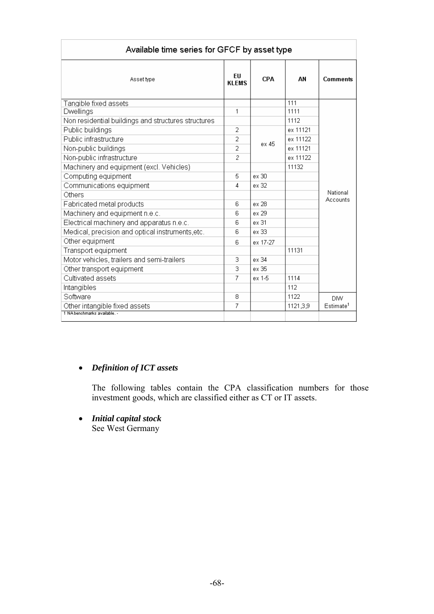| Available time series for GFCF by asset type        |                            |            |          |                       |  |
|-----------------------------------------------------|----------------------------|------------|----------|-----------------------|--|
| Asset type                                          | <b>FII</b><br><b>KLEMS</b> | <b>CPA</b> | AN       | <b>Comments</b>       |  |
| Tangible fixed assets                               |                            |            | 111      |                       |  |
| Dwellings                                           | 1                          |            | 1111     |                       |  |
| Non residential buildings and structures structures |                            | 1112       |          |                       |  |
| Public buildings                                    | $\overline{2}$             | ex 11121   |          |                       |  |
| Public infrastructure<br>2<br>ex 45                 |                            | ex 11122   |          |                       |  |
| Non-public buildings<br>2                           |                            | ex 11121   |          |                       |  |
| Non-public infrastructure                           | 2                          |            | ex 11122 |                       |  |
| Machinery and equipment (excl. Vehicles)            |                            |            | 11132    |                       |  |
| Computing equipment                                 |                            | ex 30      |          |                       |  |
| Communications equipment                            | 4                          | ex 32      |          |                       |  |
| Others                                              |                            |            |          | National<br>Accounts  |  |
| Fabricated metal products                           |                            | ex 28      |          |                       |  |
| Machinery and equipment n.e.c.                      |                            | ex 29      |          |                       |  |
| Electrical machinery and apparatus n.e.c.           |                            | ex 31      |          |                       |  |
| Medical, precision and optical instruments, etc.    |                            | ex 33      |          |                       |  |
| Other equipment                                     |                            | ex 17-27   |          |                       |  |
| Transport equipment                                 |                            |            | 11131    |                       |  |
| Motor vehicles, trailers and semi-trailers          | 3                          | ex 34      |          |                       |  |
| Other transport equipment                           | 3                          | ex 35      |          |                       |  |
| Cultivated assets                                   |                            | ex 1-5     | 1114     |                       |  |
| Intangibles                                         |                            |            | 112      |                       |  |
| Software                                            | 8                          |            | 1122     | <b>DIW</b>            |  |
| Other intangible fixed assets                       |                            |            | 1121,3,9 | Estimate <sup>1</sup> |  |
| 1 NA benchmarks available. -                        |                            |            |          |                       |  |

### • *Definition of ICT assets*

The following tables contain the CPA classification numbers for those investment goods, which are classified either as CT or IT assets.

• *Initial capital stock*  See West Germany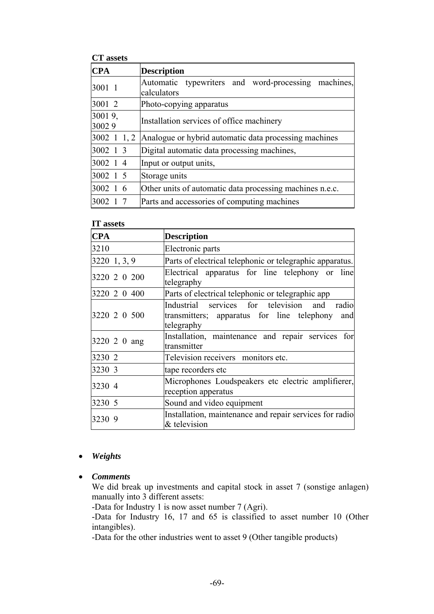#### **CT assets**

| UI UDULW          |                                                                    |  |  |
|-------------------|--------------------------------------------------------------------|--|--|
| <b>CPA</b>        | <b>Description</b>                                                 |  |  |
| 3001 1            | Automatic typewriters and word-processing machines,<br>calculators |  |  |
| 3001 2            | Photo-copying apparatus                                            |  |  |
| 30019,            | Installation services of office machinery                          |  |  |
| 30029             |                                                                    |  |  |
| $3002 \t1 \t1, 2$ | Analogue or hybrid automatic data processing machines              |  |  |
| 3002 1 3          | Digital automatic data processing machines,                        |  |  |
| 3002 1 4          | Input or output units,                                             |  |  |
| 3002 1 5          | Storage units                                                      |  |  |
| 3002 1 6          | Other units of automatic data processing machines n.e.c.           |  |  |
| 3002 1            | Parts and accessories of computing machines                        |  |  |

#### **IT assets**

| <b>CPA</b>   | <b>Description</b>                                                                                                 |
|--------------|--------------------------------------------------------------------------------------------------------------------|
| 3210         | Electronic parts                                                                                                   |
| 3220 1, 3, 9 | Parts of electrical telephonic or telegraphic apparatus.                                                           |
| 3220 2 0 200 | Electrical apparatus for line telephony or line<br>telegraphy                                                      |
| 3220 2 0 400 | Parts of electrical telephonic or telegraphic app                                                                  |
| 3220 2 0 500 | Industrial services for television and<br>radio<br>transmitters; apparatus for line telephony<br>and<br>telegraphy |
| 3220 2 0 ang | Installation, maintenance and repair services for<br>transmitter                                                   |
| 3230 2       | Television receivers monitors etc.                                                                                 |
| 3230 3       | tape recorders etc                                                                                                 |
| 3230 4       | Microphones Loudspeakers etc electric amplifierer,<br>reception apperatus                                          |
| 3230 5       | Sound and video equipment                                                                                          |
| 3230 9       | Installation, maintenance and repair services for radio<br>& television                                            |

### • *Weights*

• *Comments* 

We did break up investments and capital stock in asset 7 (sonstige anlagen) manually into 3 different assets:

-Data for Industry 1 is now asset number 7 (Agri).

-Data for Industry 16, 17 and 65 is classified to asset number 10 (Other intangibles).

-Data for the other industries went to asset 9 (Other tangible products)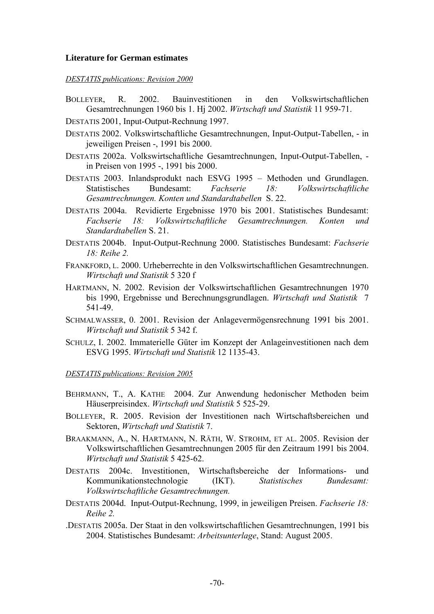#### **Literature for German estimates**

#### *DESTATIS publications: Revision 2000*

- BOLLEYER, R. 2002. Bauinvestitionen in den Volkswirtschaftlichen Gesamtrechnungen 1960 bis 1. Hj 2002. *Wirtschaft und Statistik* 11 959-71.
- DESTATIS 2001, Input-Output-Rechnung 1997.
- DESTATIS 2002. Volkswirtschaftliche Gesamtrechnungen, Input-Output-Tabellen, in jeweiligen Preisen -, 1991 bis 2000.
- DESTATIS 2002a. Volkswirtschaftliche Gesamtrechnungen, Input-Output-Tabellen, in Preisen von 1995 -, 1991 bis 2000.
- DESTATIS 2003. Inlandsprodukt nach ESVG 1995 Methoden und Grundlagen. Statistisches Bundesamt: *Fachserie 18: Volkswirtschaftliche Gesamtrechnungen. Konten und Standardtabellen* S. 22.
- DESTATIS 2004a. Revidierte Ergebnisse 1970 bis 2001. Statistisches Bundesamt: *Fachserie 18: Volkswirtschaftliche Gesamtrechnungen. Konten und Standardtabellen* S. 21.
- DESTATIS 2004b. Input-Output-Rechnung 2000. Statistisches Bundesamt: *Fachserie 18: Reihe 2.*
- FRANKFORD, L. 2000. Urheberrechte in den Volkswirtschaftlichen Gesamtrechnungen. *Wirtschaft und Statistik* 5 320 f
- HARTMANN, N. 2002. Revision der Volkswirtschaftlichen Gesamtrechnungen 1970 bis 1990, Ergebnisse und Berechnungsgrundlagen. *Wirtschaft und Statistik* 7 541-49.
- SCHMALWASSER, 0. 2001. Revision der Anlagevermögensrechnung 1991 bis 2001. *Wirtschaft und Statistik* 5 342 f.
- SCHULZ, I. 2002. Immaterielle Güter im Konzept der Anlageinvestitionen nach dem ESVG 1995. *Wirtschaft und Statistik* 12 1135-43.

#### *DESTATIS publications: Revision 2005*

- BEHRMANN, T., A. KATHE 2004. Zur Anwendung hedonischer Methoden beim Häuserpreisindex. *Wirtschaft und Statistik* 5 525-29.
- BOLLEYER, R. 2005. Revision der Investitionen nach Wirtschaftsbereichen und Sektoren, *Wirtschaft und Statistik* 7.
- BRAAKMANN, A., N. HARTMANN, N. RÄTH, W. STROHM, ET AL. 2005. Revision der Volkswirtschaftlichen Gesamtrechnungen 2005 für den Zeitraum 1991 bis 2004. *Wirtschaft und Statistik* 5 425-62.
- DESTATIS 2004c. Investitionen, Wirtschaftsbereiche der Informations- und Kommunikationstechnologie (IKT). *Statistisches Bundesamt: Volkswirtschaftliche Gesamtrechnungen.*
- DESTATIS 2004d. Input-Output-Rechnung, 1999, in jeweiligen Preisen. *Fachserie 18: Reihe 2.*
- .DESTATIS 2005a. Der Staat in den volkswirtschaftlichen Gesamtrechnungen, 1991 bis 2004. Statistisches Bundesamt: *Arbeitsunterlage*, Stand: August 2005.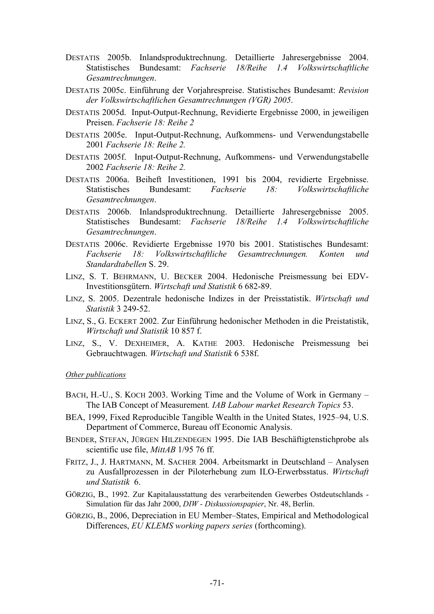- DESTATIS 2005b. Inlandsproduktrechnung. Detaillierte Jahresergebnisse 2004. Statistisches Bundesamt: *Fachserie 18/Reihe 1.4 Volkswirtschaftliche Gesamtrechnungen*.
- DESTATIS 2005c. Einführung der Vorjahrespreise. Statistisches Bundesamt: *Revision der Volkswirtschaftlichen Gesamtrechnungen (VGR) 2005*.
- DESTATIS 2005d. Input-Output-Rechnung, Revidierte Ergebnisse 2000, in jeweiligen Preisen. *Fachserie 18: Reihe 2*
- DESTATIS 2005e. Input-Output-Rechnung, Aufkommens- und Verwendungstabelle 2001 *Fachserie 18: Reihe 2.*
- DESTATIS 2005f. Input-Output-Rechnung, Aufkommens- und Verwendungstabelle 2002 *Fachserie 18: Reihe 2.*
- DESTATIS 2006a. Beiheft Investitionen, 1991 bis 2004, revidierte Ergebnisse. Statistisches Bundesamt: *Fachserie 18: Volkswirtschaftliche Gesamtrechnungen*.
- DESTATIS 2006b. Inlandsproduktrechnung. Detaillierte Jahresergebnisse 2005. Statistisches Bundesamt: *Fachserie 18/Reihe 1.4 Volkswirtschaftliche Gesamtrechnungen*.
- DESTATIS 2006c. Revidierte Ergebnisse 1970 bis 2001. Statistisches Bundesamt: *Fachserie 18: Volkswirtschaftliche Gesamtrechnungen. Konten und Standardtabellen* S. 29.
- LINZ, S. T. BEHRMANN, U. BECKER 2004. Hedonische Preismessung bei EDV-Investitionsgütern. *Wirtschaft und Statistik* 6 682-89.
- LINZ, S. 2005. Dezentrale hedonische Indizes in der Preisstatistik. *Wirtschaft und Statistik* 3 249-52.
- LINZ, S., G. ECKERT 2002. Zur Einführung hedonischer Methoden in die Preistatistik, *Wirtschaft und Statistik* 10 857 f.
- LINZ, S., V. DEXHEIMER, A. KATHE 2003. Hedonische Preismessung bei Gebrauchtwagen*. Wirtschaft und Statistik* 6 538f.

#### *Other publications*

- BACH, H.-U., S. KOCH 2003. Working Time and the Volume of Work in Germany The IAB Concept of Measurement*. IAB Labour market Research Topics* 53.
- BEA, 1999, Fixed Reproducible Tangible Wealth in the United States, 1925–94, U.S. Department of Commerce, Bureau off Economic Analysis.
- BENDER, STEFAN, JÜRGEN HILZENDEGEN 1995. Die IAB Beschäftigtenstichprobe als scientific use file, *MittAB* 1/95 76 ff.
- FRITZ, J., J. HARTMANN, M. SACHER 2004. Arbeitsmarkt in Deutschland Analysen zu Ausfallprozessen in der Piloterhebung zum ILO-Erwerbsstatus. *Wirtschaft und Statistik* 6.
- GÖRZIG, B., 1992. Zur Kapitalausstattung des verarbeitenden Gewerbes Ostdeutschlands Simulation für das Jahr 2000, *DIW - Diskussionspapier*, Nr. 48, Berlin.
- GÖRZIG, B., 2006, Depreciation in EU Member–States, Empirical and Methodological Differences, *EU KLEMS working papers series* (forthcoming).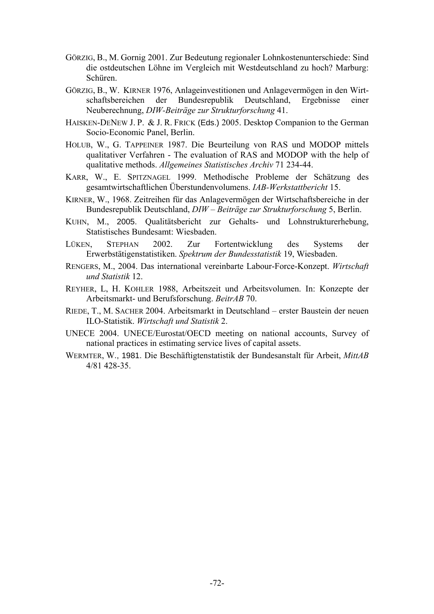- GÖRZIG, B., M. Gornig 2001. Zur Bedeutung regionaler Lohnkostenunterschiede: Sind die ostdeutschen Löhne im Vergleich mit Westdeutschland zu hoch? Marburg: Schüren.
- GÖRZIG, B., W. KIRNER 1976, Anlageinvestitionen und Anlagevermögen in den Wirtschaftsbereichen der Bundesrepublik Deutschland, Ergebnisse einer Neuberechnung, *DIW-Beiträge zur Strukturforschung* 41.
- HAISKEN-DENEW J. P. & J. R. FRICK (Eds.) 2005. Desktop Companion to the German Socio-Economic Panel, Berlin.
- HOLUB, W., G. TAPPEINER 1987. Die Beurteilung von RAS und MODOP mittels qualitativer Verfahren - The evaluation of RAS and MODOP with the help of qualitative methods. *Allgemeines Statistisches Archiv* 71 234-44.
- KARR, W., E. SPITZNAGEL 1999. Methodische Probleme der Schätzung des gesamtwirtschaftlichen Überstundenvolumens. *IAB-Werkstattbericht* 15.
- KIRNER, W., 1968. Zeitreihen für das Anlagevermögen der Wirtschaftsbereiche in der Bundesrepublik Deutschland, *DIW – Beiträge zur Strukturforschung* 5, Berlin.
- KUHN, M., 2005. Qualitätsbericht zur Gehalts- und Lohnstrukturerhebung, Statistisches Bundesamt: Wiesbaden.
- LÜKEN, STEPHAN 2002. Zur Fortentwicklung des Systems der Erwerbstätigenstatistiken. *Spektrum der Bundesstatistik* 19, Wiesbaden.
- RENGERS, M., 2004. Das international vereinbarte Labour-Force-Konzept. *Wirtschaft und Statistik* 12.
- REYHER, L, H. KOHLER 1988, Arbeitszeit und Arbeitsvolumen. In: Konzepte der Arbeitsmarkt- und Berufsforschung. *BeitrAB* 70.
- RIEDE, T., M. SACHER 2004. Arbeitsmarkt in Deutschland erster Baustein der neuen ILO-Statistik. *Wirtschaft und Statistik* 2.
- UNECE 2004. UNECE/Eurostat/OECD meeting on national accounts, Survey of national practices in estimating service lives of capital assets.
- WERMTER, W., 1981. Die Beschäftigtenstatistik der Bundesanstalt für Arbeit, *MittAB* 4/81 428-35.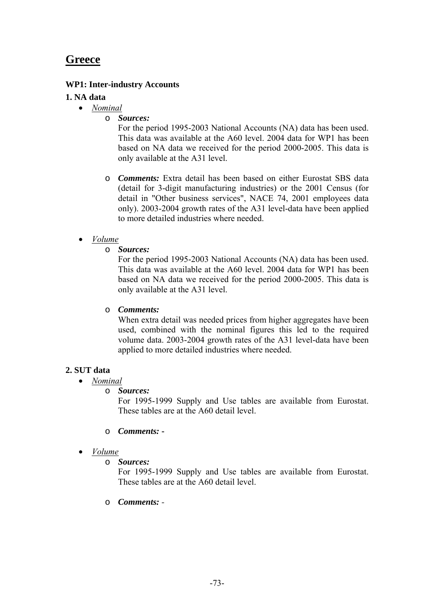# **Greece**

## **WP1: Inter-industry Accounts**

## **1. NA data**

- *Nominal*
	- o *Sources:*

For the period 1995-2003 National Accounts (NA) data has been used. This data was available at the A60 level. 2004 data for WP1 has been based on NA data we received for the period 2000-2005. This data is only available at the A31 level.

- o *Comments:* Extra detail has been based on either Eurostat SBS data (detail for 3-digit manufacturing industries) or the 2001 Census (for detail in "Other business services", NACE 74, 2001 employees data only). 2003-2004 growth rates of the A31 level-data have been applied to more detailed industries where needed.
- *Volume*
	- o *Sources:*

For the period 1995-2003 National Accounts (NA) data has been used. This data was available at the A60 level. 2004 data for WP1 has been based on NA data we received for the period 2000-2005. This data is only available at the A31 level.

### o *Comments:*

When extra detail was needed prices from higher aggregates have been used, combined with the nominal figures this led to the required volume data. 2003-2004 growth rates of the A31 level-data have been applied to more detailed industries where needed.

# **2. SUT data**

- *Nominal*
	- o *Sources:*

For 1995-1999 Supply and Use tables are available from Eurostat. These tables are at the A60 detail level.

- o *Comments:*
- *Volume*
	- o *Sources:*

For 1995-1999 Supply and Use tables are available from Eurostat. These tables are at the A60 detail level.

o *Comments: -*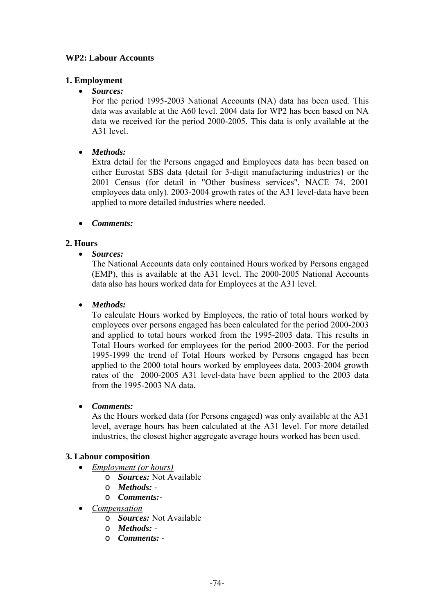## **WP2: Labour Accounts**

# **1. Employment**

• *Sources:*

For the period 1995-2003 National Accounts (NA) data has been used. This data was available at the A60 level. 2004 data for WP2 has been based on NA data we received for the period 2000-2005. This data is only available at the A31 level.

• *Methods:*

Extra detail for the Persons engaged and Employees data has been based on either Eurostat SBS data (detail for 3-digit manufacturing industries) or the 2001 Census (for detail in "Other business services", NACE 74, 2001 employees data only). 2003-2004 growth rates of the A31 level-data have been applied to more detailed industries where needed.

• *Comments:*

## **2. Hours**

• *Sources:*

The National Accounts data only contained Hours worked by Persons engaged (EMP), this is available at the A31 level. The 2000-2005 National Accounts data also has hours worked data for Employees at the A31 level.

## • *Methods:*

To calculate Hours worked by Employees, the ratio of total hours worked by employees over persons engaged has been calculated for the period 2000-2003 and applied to total hours worked from the 1995-2003 data. This results in Total Hours worked for employees for the period 2000-2003. For the period 1995-1999 the trend of Total Hours worked by Persons engaged has been applied to the 2000 total hours worked by employees data. 2003-2004 growth rates of the 2000-2005 A31 level-data have been applied to the 2003 data from the 1995-2003 NA data.

### • *Comments:*

As the Hours worked data (for Persons engaged) was only available at the A31 level, average hours has been calculated at the A31 level. For more detailed industries, the closest higher aggregate average hours worked has been used.

### **3. Labour composition**

- *Employment (or hours)*
	- o *Sources:* Not Available
	- o *Methods:* -
	- o *Comments:*-
	- *Compensation*
		- o *Sources:* Not Available
		- o *Methods:* -
		- o *Comments:* -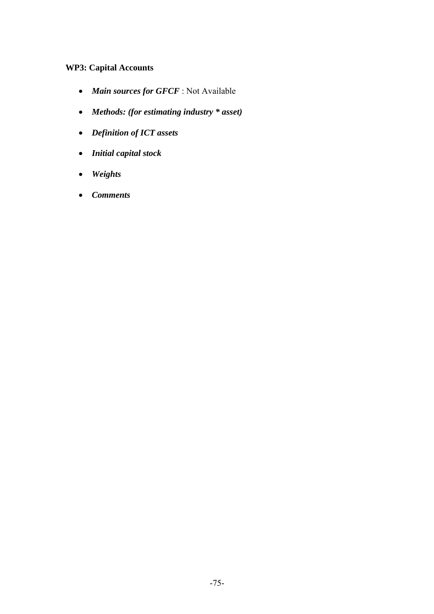# **WP3: Capital Accounts**

- *Main sources for GFCF* : Not Available
- *Methods: (for estimating industry \* asset)*
- *Definition of ICT assets*
- *Initial capital stock*
- *Weights*
- *Comments*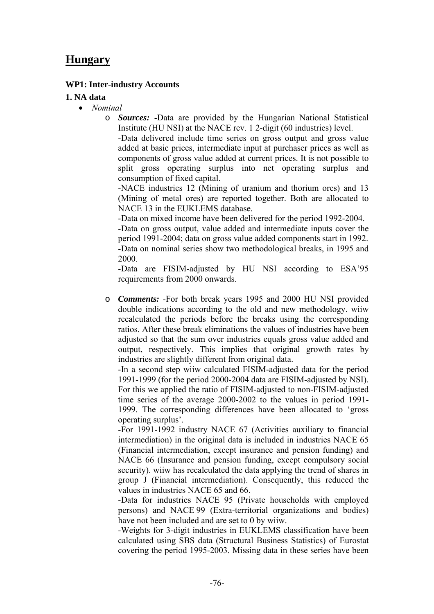# **Hungary**

### **WP1: Inter-industry Accounts**

#### **1. NA data**

- *Nominal*
	- o *Sources: -*Data are provided by the Hungarian National Statistical Institute (HU NSI) at the NACE rev. 1 2-digit (60 industries) level.

-Data delivered include time series on gross output and gross value added at basic prices, intermediate input at purchaser prices as well as components of gross value added at current prices. It is not possible to split gross operating surplus into net operating surplus and consumption of fixed capital.

-NACE industries 12 (Mining of uranium and thorium ores) and 13 (Mining of metal ores) are reported together. Both are allocated to NACE 13 in the EUKLEMS database.

-Data on mixed income have been delivered for the period 1992-2004. -Data on gross output, value added and intermediate inputs cover the period 1991-2004; data on gross value added components start in 1992. -Data on nominal series show two methodological breaks, in 1995 and 2000.

-Data are FISIM-adjusted by HU NSI according to ESA'95 requirements from 2000 onwards.

o *Comments: -*For both break years 1995 and 2000 HU NSI provided double indications according to the old and new methodology. wiiw recalculated the periods before the breaks using the corresponding ratios. After these break eliminations the values of industries have been adjusted so that the sum over industries equals gross value added and output, respectively. This implies that original growth rates by industries are slightly different from original data.

-In a second step wiiw calculated FISIM-adjusted data for the period 1991-1999 (for the period 2000-2004 data are FISIM-adjusted by NSI). For this we applied the ratio of FISIM-adjusted to non-FISIM-adjusted time series of the average 2000-2002 to the values in period 1991- 1999. The corresponding differences have been allocated to 'gross operating surplus'.

-For 1991-1992 industry NACE 67 (Activities auxiliary to financial intermediation) in the original data is included in industries NACE 65 (Financial intermediation, except insurance and pension funding) and NACE 66 (Insurance and pension funding, except compulsory social security). wiiw has recalculated the data applying the trend of shares in group J (Financial intermediation). Consequently, this reduced the values in industries NACE 65 and 66.

-Data for industries NACE 95 (Private households with employed persons) and NACE 99 (Extra-territorial organizations and bodies) have not been included and are set to 0 by wiiw.

-Weights for 3-digit industries in EUKLEMS classification have been calculated using SBS data (Structural Business Statistics) of Eurostat covering the period 1995-2003. Missing data in these series have been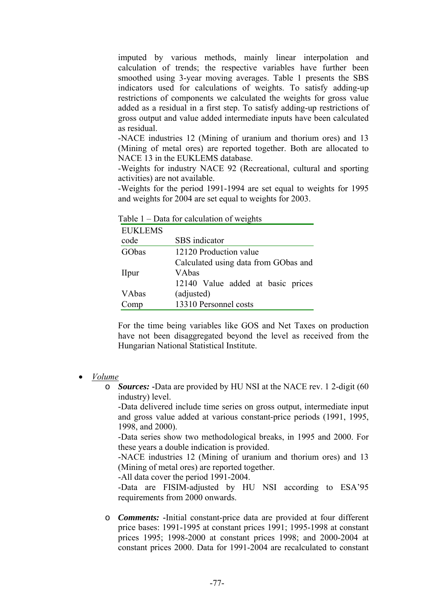imputed by various methods, mainly linear interpolation and calculation of trends; the respective variables have further been smoothed using 3-year moving averages. Table 1 presents the SBS indicators used for calculations of weights. To satisfy adding-up restrictions of components we calculated the weights for gross value added as a residual in a first step. To satisfy adding-up restrictions of gross output and value added intermediate inputs have been calculated as residual.

-NACE industries 12 (Mining of uranium and thorium ores) and 13 (Mining of metal ores) are reported together. Both are allocated to NACE 13 in the EUKLEMS database.

-Weights for industry NACE 92 (Recreational, cultural and sporting activities) are not available.

-Weights for the period 1991-1994 are set equal to weights for 1995 and weights for 2004 are set equal to weights for 2003.

| <b>EUKLEMS</b> |                                      |  |  |  |  |  |
|----------------|--------------------------------------|--|--|--|--|--|
| code           | SBS indicator                        |  |  |  |  |  |
| GObas          | 12120 Production value               |  |  |  |  |  |
|                | Calculated using data from GObas and |  |  |  |  |  |
| <b>IIpur</b>   | VAbas                                |  |  |  |  |  |
|                | 12140 Value added at basic prices    |  |  |  |  |  |
| VAbas          | (adjusted)                           |  |  |  |  |  |
| Comp           | 13310 Personnel costs                |  |  |  |  |  |

Table 1 – Data for calculation of weights

For the time being variables like GOS and Net Taxes on production have not been disaggregated beyond the level as received from the Hungarian National Statistical Institute.

- *Volume*
	- o *Sources:* **-**Data are provided by HU NSI at the NACE rev. 1 2-digit (60 industry) level.

-Data delivered include time series on gross output, intermediate input and gross value added at various constant-price periods (1991, 1995, 1998, and 2000).

-Data series show two methodological breaks, in 1995 and 2000. For these years a double indication is provided.

-NACE industries 12 (Mining of uranium and thorium ores) and 13 (Mining of metal ores) are reported together.

-All data cover the period 1991-2004.

-Data are FISIM-adjusted by HU NSI according to ESA'95 requirements from 2000 onwards.

o *Comments:* **-**Initial constant-price data are provided at four different price bases: 1991-1995 at constant prices 1991; 1995-1998 at constant prices 1995; 1998-2000 at constant prices 1998; and 2000-2004 at constant prices 2000. Data for 1991-2004 are recalculated to constant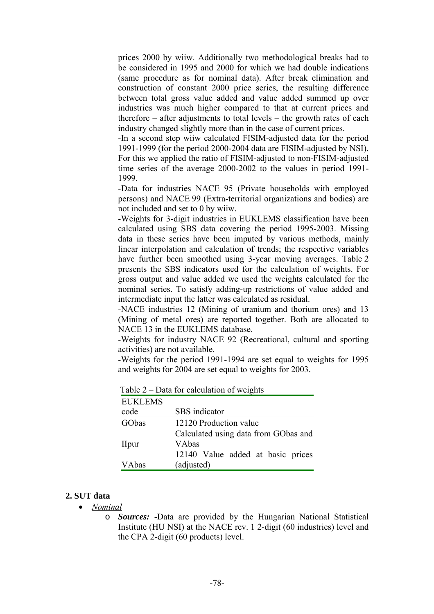prices 2000 by wiiw. Additionally two methodological breaks had to be considered in 1995 and 2000 for which we had double indications (same procedure as for nominal data). After break elimination and construction of constant 2000 price series, the resulting difference between total gross value added and value added summed up over industries was much higher compared to that at current prices and therefore – after adjustments to total levels – the growth rates of each industry changed slightly more than in the case of current prices.

-In a second step wiiw calculated FISIM-adjusted data for the period 1991-1999 (for the period 2000-2004 data are FISIM-adjusted by NSI). For this we applied the ratio of FISIM-adjusted to non-FISIM-adjusted time series of the average 2000-2002 to the values in period 1991- 1999.

-Data for industries NACE 95 (Private households with employed persons) and NACE 99 (Extra-territorial organizations and bodies) are not included and set to 0 by wiiw.

-Weights for 3-digit industries in EUKLEMS classification have been calculated using SBS data covering the period 1995-2003. Missing data in these series have been imputed by various methods, mainly linear interpolation and calculation of trends; the respective variables have further been smoothed using 3-year moving averages. Table 2 presents the SBS indicators used for the calculation of weights. For gross output and value added we used the weights calculated for the nominal series. To satisfy adding-up restrictions of value added and intermediate input the latter was calculated as residual.

-NACE industries 12 (Mining of uranium and thorium ores) and 13 (Mining of metal ores) are reported together. Both are allocated to NACE 13 in the EUKLEMS database.

-Weights for industry NACE 92 (Recreational, cultural and sporting activities) are not available.

-Weights for the period 1991-1994 are set equal to weights for 1995 and weights for 2004 are set equal to weights for 2003.

| <b>EUKLEMS</b> |                                      |  |  |  |
|----------------|--------------------------------------|--|--|--|
| code           | SBS indicator                        |  |  |  |
| GObas          | 12120 Production value               |  |  |  |
|                | Calculated using data from GObas and |  |  |  |
| <b>I</b> lpur  | VAbas                                |  |  |  |
|                | 12140 Value added at basic prices    |  |  |  |
| VAbas          | (adjusted)                           |  |  |  |

Table 2 – Data for calculation of weights

#### **2. SUT data**

- *Nominal*
	- o *Sources:* **-**Data are provided by the Hungarian National Statistical Institute (HU NSI) at the NACE rev. 1 2-digit (60 industries) level and the CPA 2-digit (60 products) level.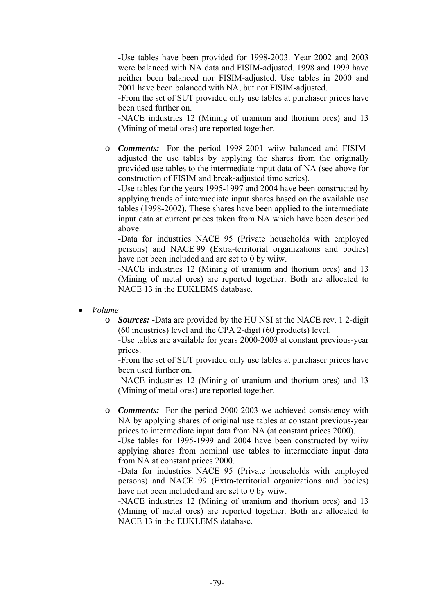-Use tables have been provided for 1998-2003. Year 2002 and 2003 were balanced with NA data and FISIM-adjusted. 1998 and 1999 have neither been balanced nor FISIM-adjusted. Use tables in 2000 and 2001 have been balanced with NA, but not FISIM-adjusted.

-From the set of SUT provided only use tables at purchaser prices have been used further on.

-NACE industries 12 (Mining of uranium and thorium ores) and 13 (Mining of metal ores) are reported together.

o *Comments:* **-**For the period 1998-2001 wiiw balanced and FISIMadjusted the use tables by applying the shares from the originally provided use tables to the intermediate input data of NA (see above for construction of FISIM and break-adjusted time series).

-Use tables for the years 1995-1997 and 2004 have been constructed by applying trends of intermediate input shares based on the available use tables (1998-2002). These shares have been applied to the intermediate input data at current prices taken from NA which have been described above.

-Data for industries NACE 95 (Private households with employed persons) and NACE 99 (Extra-territorial organizations and bodies) have not been included and are set to 0 by wiiw.

-NACE industries 12 (Mining of uranium and thorium ores) and 13 (Mining of metal ores) are reported together. Both are allocated to NACE 13 in the EUKLEMS database.

- *Volume*
	- o *Sources:* **-**Data are provided by the HU NSI at the NACE rev. 1 2-digit (60 industries) level and the CPA 2-digit (60 products) level.

-Use tables are available for years 2000-2003 at constant previous-year prices.

-From the set of SUT provided only use tables at purchaser prices have been used further on.

-NACE industries 12 (Mining of uranium and thorium ores) and 13 (Mining of metal ores) are reported together.

o *Comments:* **-**For the period 2000-2003 we achieved consistency with NA by applying shares of original use tables at constant previous-year prices to intermediate input data from NA (at constant prices 2000).

-Use tables for 1995-1999 and 2004 have been constructed by wiiw applying shares from nominal use tables to intermediate input data from NA at constant prices 2000.

-Data for industries NACE 95 (Private households with employed persons) and NACE 99 (Extra-territorial organizations and bodies) have not been included and are set to 0 by wiiw.

-NACE industries 12 (Mining of uranium and thorium ores) and 13 (Mining of metal ores) are reported together. Both are allocated to NACE 13 in the EUKLEMS database.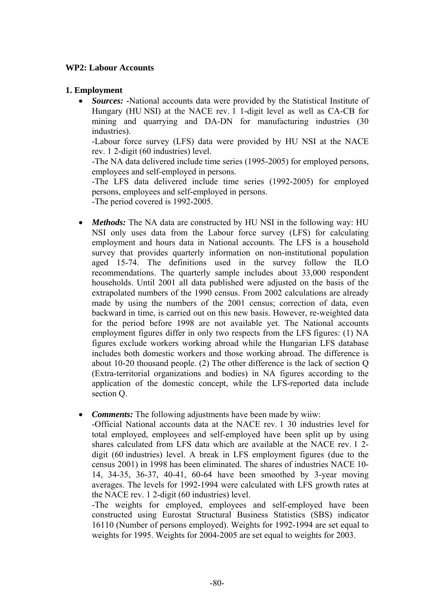#### **WP2: Labour Accounts**

#### **1. Employment**

• *Sources:* **-**National accounts data were provided by the Statistical Institute of Hungary (HU NSI) at the NACE rev. 1 1-digit level as well as CA-CB for mining and quarrying and DA-DN for manufacturing industries (30 industries).

-Labour force survey (LFS) data were provided by HU NSI at the NACE rev. 1 2-digit (60 industries) level.

-The NA data delivered include time series (1995-2005) for employed persons, employees and self-employed in persons.

-The LFS data delivered include time series (1992-2005) for employed persons, employees and self-employed in persons.

-The period covered is 1992-2005.

- *Methods*: The NA data are constructed by HU NSI in the following way: HU NSI only uses data from the Labour force survey (LFS) for calculating employment and hours data in National accounts. The LFS is a household survey that provides quarterly information on non-institutional population aged 15-74. The definitions used in the survey follow the ILO recommendations. The quarterly sample includes about 33,000 respondent households. Until 2001 all data published were adjusted on the basis of the extrapolated numbers of the 1990 census. From 2002 calculations are already made by using the numbers of the 2001 census; correction of data, even backward in time, is carried out on this new basis. However, re-weighted data for the period before 1998 are not available yet. The National accounts employment figures differ in only two respects from the LFS figures: (1) NA figures exclude workers working abroad while the Hungarian LFS database includes both domestic workers and those working abroad. The difference is about 10-20 thousand people. (2) The other difference is the lack of section Q (Extra-territorial organizations and bodies) in NA figures according to the application of the domestic concept, while the LFS-reported data include section Q.
- *Comments:* The following adjustments have been made by wiiw:

-Official National accounts data at the NACE rev. 1 30 industries level for total employed, employees and self-employed have been split up by using shares calculated from LFS data which are available at the NACE rev. 1 2 digit (60 industries) level. A break in LFS employment figures (due to the census 2001) in 1998 has been eliminated. The shares of industries NACE 10- 14, 34-35, 36-37, 40-41, 60-64 have been smoothed by 3-year moving averages. The levels for 1992-1994 were calculated with LFS growth rates at the NACE rev. 1 2-digit (60 industries) level.

-The weights for employed, employees and self-employed have been constructed using Eurostat Structural Business Statistics (SBS) indicator 16110 (Number of persons employed). Weights for 1992-1994 are set equal to weights for 1995. Weights for 2004-2005 are set equal to weights for 2003.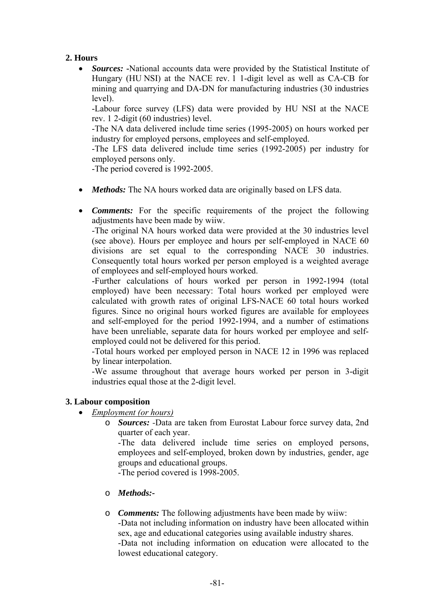# **2. Hours**

• *Sources:* **-**National accounts data were provided by the Statistical Institute of Hungary (HU NSI) at the NACE rev. 1 1-digit level as well as CA-CB for mining and quarrying and DA-DN for manufacturing industries (30 industries level).

-Labour force survey (LFS) data were provided by HU NSI at the NACE rev. 1 2-digit (60 industries) level.

-The NA data delivered include time series (1995-2005) on hours worked per industry for employed persons, employees and self-employed.

-The LFS data delivered include time series (1992-2005) per industry for employed persons only.

-The period covered is 1992-2005.

- *Methods*: The NA hours worked data are originally based on LFS data.
- *Comments:* For the specific requirements of the project the following adjustments have been made by wiiw.

-The original NA hours worked data were provided at the 30 industries level (see above). Hours per employee and hours per self-employed in NACE 60 divisions are set equal to the corresponding NACE 30 industries. Consequently total hours worked per person employed is a weighted average of employees and self-employed hours worked.

-Further calculations of hours worked per person in 1992-1994 (total employed) have been necessary: Total hours worked per employed were calculated with growth rates of original LFS-NACE 60 total hours worked figures. Since no original hours worked figures are available for employees and self-employed for the period 1992-1994, and a number of estimations have been unreliable, separate data for hours worked per employee and selfemployed could not be delivered for this period.

-Total hours worked per employed person in NACE 12 in 1996 was replaced by linear interpolation.

-We assume throughout that average hours worked per person in 3-digit industries equal those at the 2-digit level.

#### **3. Labour composition**

- *Employment (or hours)*
	- o *Sources: -*Data are taken from Eurostat Labour force survey data, 2nd quarter of each year.

-The data delivered include time series on employed persons, employees and self-employed, broken down by industries, gender, age groups and educational groups.

-The period covered is 1998-2005.

- o *Methods:-*
- o *Comments:* The following adjustments have been made by wiiw: -Data not including information on industry have been allocated within sex, age and educational categories using available industry shares. -Data not including information on education were allocated to the lowest educational category.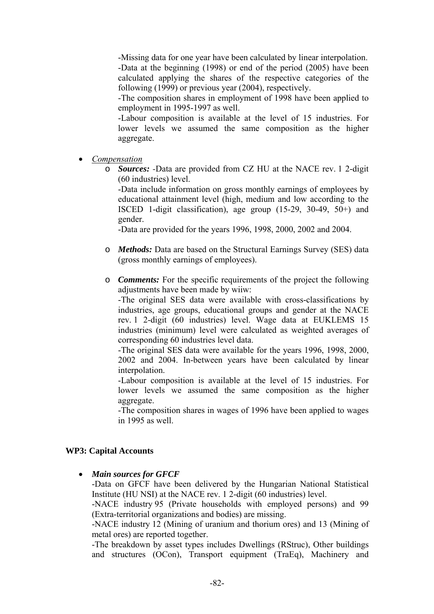-Missing data for one year have been calculated by linear interpolation. -Data at the beginning (1998) or end of the period (2005) have been calculated applying the shares of the respective categories of the following (1999) or previous year (2004), respectively.

-The composition shares in employment of 1998 have been applied to employment in 1995-1997 as well.

-Labour composition is available at the level of 15 industries. For lower levels we assumed the same composition as the higher aggregate.

• *Compensation*

o *Sources: -*Data are provided from CZ HU at the NACE rev. 1 2-digit (60 industries) level.

-Data include information on gross monthly earnings of employees by educational attainment level (high, medium and low according to the ISCED 1-digit classification), age group (15-29, 30-49, 50+) and gender.

-Data are provided for the years 1996, 1998, 2000, 2002 and 2004.

- o *Methods:* Data are based on the Structural Earnings Survey (SES) data (gross monthly earnings of employees).
- o *Comments:* For the specific requirements of the project the following adjustments have been made by wiiw:

-The original SES data were available with cross-classifications by industries, age groups, educational groups and gender at the NACE rev. 1 2-digit (60 industries) level. Wage data at EUKLEMS 15 industries (minimum) level were calculated as weighted averages of corresponding 60 industries level data.

-The original SES data were available for the years 1996, 1998, 2000, 2002 and 2004. In-between years have been calculated by linear interpolation.

-Labour composition is available at the level of 15 industries. For lower levels we assumed the same composition as the higher aggregate.

-The composition shares in wages of 1996 have been applied to wages in 1995 as well.

### **WP3: Capital Accounts**

• *Main sources for GFCF* 

-Data on GFCF have been delivered by the Hungarian National Statistical Institute (HU NSI) at the NACE rev. 1 2-digit (60 industries) level.

-NACE industry 95 (Private households with employed persons) and 99 (Extra-territorial organizations and bodies) are missing.

-NACE industry 12 (Mining of uranium and thorium ores) and 13 (Mining of metal ores) are reported together.

-The breakdown by asset types includes Dwellings (RStruc), Other buildings and structures (OCon), Transport equipment (TraEq), Machinery and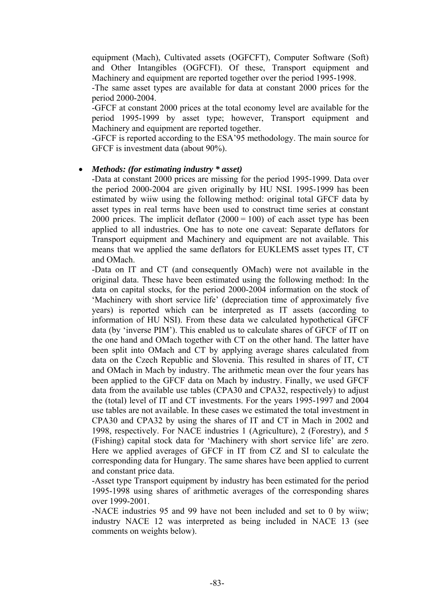equipment (Mach), Cultivated assets (OGFCFT), Computer Software (Soft) and Other Intangibles (OGFCFI). Of these, Transport equipment and Machinery and equipment are reported together over the period 1995-1998.

-The same asset types are available for data at constant 2000 prices for the period 2000-2004.

-GFCF at constant 2000 prices at the total economy level are available for the period 1995-1999 by asset type; however, Transport equipment and Machinery and equipment are reported together.

-GFCF is reported according to the ESA'95 methodology. The main source for GFCF is investment data (about 90%).

#### • *Methods: (for estimating industry \* asset)*

-Data at constant 2000 prices are missing for the period 1995-1999. Data over the period 2000-2004 are given originally by HU NSI. 1995-1999 has been estimated by wiiw using the following method: original total GFCF data by asset types in real terms have been used to construct time series at constant 2000 prices. The implicit deflator  $(2000 = 100)$  of each asset type has been applied to all industries. One has to note one caveat: Separate deflators for Transport equipment and Machinery and equipment are not available. This means that we applied the same deflators for EUKLEMS asset types IT, CT and OMach.

-Data on IT and CT (and consequently OMach) were not available in the original data. These have been estimated using the following method: In the data on capital stocks, for the period 2000-2004 information on the stock of 'Machinery with short service life' (depreciation time of approximately five years) is reported which can be interpreted as IT assets (according to information of HU NSI). From these data we calculated hypothetical GFCF data (by 'inverse PIM'). This enabled us to calculate shares of GFCF of IT on the one hand and OMach together with CT on the other hand. The latter have been split into OMach and CT by applying average shares calculated from data on the Czech Republic and Slovenia. This resulted in shares of IT, CT and OMach in Mach by industry. The arithmetic mean over the four years has been applied to the GFCF data on Mach by industry. Finally, we used GFCF data from the available use tables (CPA30 and CPA32, respectively) to adjust the (total) level of IT and CT investments. For the years 1995-1997 and 2004 use tables are not available. In these cases we estimated the total investment in CPA30 and CPA32 by using the shares of IT and CT in Mach in 2002 and 1998, respectively. For NACE industries 1 (Agriculture), 2 (Forestry), and 5 (Fishing) capital stock data for 'Machinery with short service life' are zero. Here we applied averages of GFCF in IT from CZ and SI to calculate the corresponding data for Hungary. The same shares have been applied to current and constant price data.

-Asset type Transport equipment by industry has been estimated for the period 1995-1998 using shares of arithmetic averages of the corresponding shares over 1999-2001.

-NACE industries 95 and 99 have not been included and set to 0 by wiiw; industry NACE 12 was interpreted as being included in NACE 13 (see comments on weights below).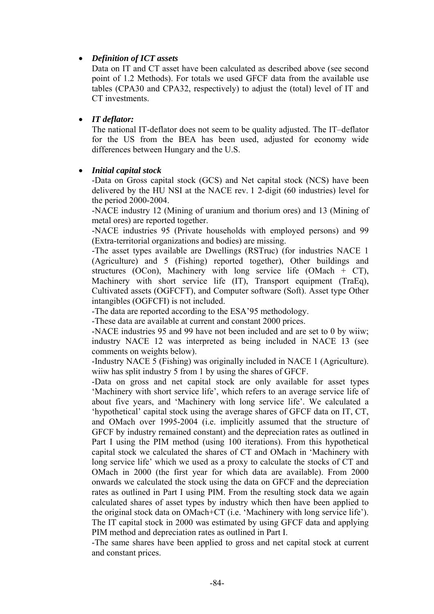## • *Definition of ICT assets*

Data on IT and CT asset have been calculated as described above (see second point of 1.2 Methods). For totals we used GFCF data from the available use tables (CPA30 and CPA32, respectively) to adjust the (total) level of IT and CT investments.

### • *IT deflator:*

The national IT-deflator does not seem to be quality adjusted. The IT–deflator for the US from the BEA has been used, adjusted for economy wide differences between Hungary and the U.S.

#### • *Initial capital stock*

-Data on Gross capital stock (GCS) and Net capital stock (NCS) have been delivered by the HU NSI at the NACE rev. 1 2-digit (60 industries) level for the period 2000-2004.

-NACE industry 12 (Mining of uranium and thorium ores) and 13 (Mining of metal ores) are reported together.

-NACE industries 95 (Private households with employed persons) and 99 (Extra-territorial organizations and bodies) are missing.

-The asset types available are Dwellings (RSTruc) (for industries NACE 1 (Agriculture) and 5 (Fishing) reported together), Other buildings and structures (OCon), Machinery with long service life (OMach + CT), Machinery with short service life (IT), Transport equipment (TraEq), Cultivated assets (OGFCFT), and Computer software (Soft). Asset type Other intangibles (OGFCFI) is not included.

-The data are reported according to the ESA'95 methodology.

-These data are available at current and constant 2000 prices.

-NACE industries 95 and 99 have not been included and are set to 0 by wiiw; industry NACE 12 was interpreted as being included in NACE 13 (see comments on weights below).

-Industry NACE 5 (Fishing) was originally included in NACE 1 (Agriculture). wiiw has split industry 5 from 1 by using the shares of GFCF.

-Data on gross and net capital stock are only available for asset types 'Machinery with short service life', which refers to an average service life of about five years, and 'Machinery with long service life'. We calculated a 'hypothetical' capital stock using the average shares of GFCF data on IT, CT, and OMach over 1995-2004 (i.e. implicitly assumed that the structure of GFCF by industry remained constant) and the depreciation rates as outlined in Part I using the PIM method (using 100 iterations). From this hypothetical capital stock we calculated the shares of CT and OMach in 'Machinery with long service life' which we used as a proxy to calculate the stocks of CT and OMach in 2000 (the first year for which data are available). From 2000 onwards we calculated the stock using the data on GFCF and the depreciation rates as outlined in Part I using PIM. From the resulting stock data we again calculated shares of asset types by industry which then have been applied to the original stock data on OMach+CT (i.e. 'Machinery with long service life'). The IT capital stock in 2000 was estimated by using GFCF data and applying PIM method and depreciation rates as outlined in Part I.

-The same shares have been applied to gross and net capital stock at current and constant prices.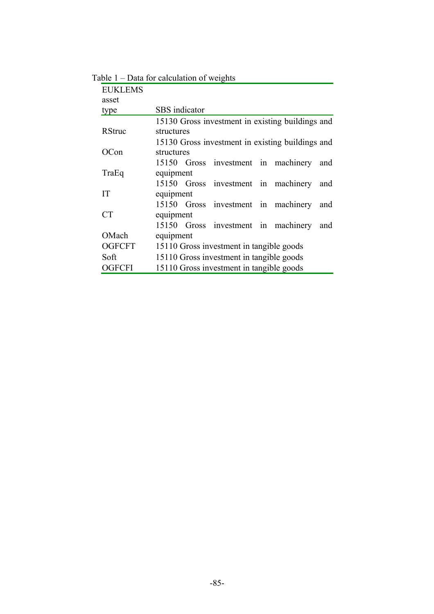| <b>EUKLEMS</b> |                                          |  |                                                  |  |  |     |  |
|----------------|------------------------------------------|--|--------------------------------------------------|--|--|-----|--|
| asset          |                                          |  |                                                  |  |  |     |  |
| type           | <b>SBS</b> indicator                     |  |                                                  |  |  |     |  |
|                |                                          |  | 15130 Gross investment in existing buildings and |  |  |     |  |
| <b>RStruc</b>  | structures                               |  |                                                  |  |  |     |  |
|                |                                          |  | 15130 Gross investment in existing buildings and |  |  |     |  |
| OCon           | structures                               |  |                                                  |  |  |     |  |
|                |                                          |  | 15150 Gross investment in machinery and          |  |  |     |  |
| TraEq          | equipment                                |  |                                                  |  |  |     |  |
|                |                                          |  | 15150 Gross investment in machinery              |  |  | and |  |
| IT             | equipment                                |  |                                                  |  |  |     |  |
|                |                                          |  | 15150 Gross investment in machinery              |  |  | and |  |
| <b>CT</b>      | equipment                                |  |                                                  |  |  |     |  |
|                |                                          |  | 15150 Gross investment in machinery              |  |  | and |  |
| OMach          | equipment                                |  |                                                  |  |  |     |  |
| <b>OGFCFT</b>  | 15110 Gross investment in tangible goods |  |                                                  |  |  |     |  |
| Soft           | 15110 Gross investment in tangible goods |  |                                                  |  |  |     |  |
| <b>OGFCFI</b>  | 15110 Gross investment in tangible goods |  |                                                  |  |  |     |  |

Table 1 – Data for calculation of weights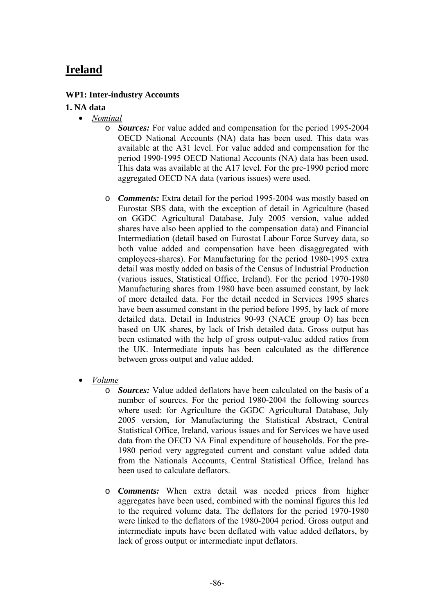# **Ireland**

### **WP1: Inter-industry Accounts**

## **1. NA data**

- *Nominal*
	- o *Sources:* For value added and compensation for the period 1995-2004 OECD National Accounts (NA) data has been used. This data was available at the A31 level. For value added and compensation for the period 1990-1995 OECD National Accounts (NA) data has been used. This data was available at the A17 level. For the pre-1990 period more aggregated OECD NA data (various issues) were used.
	- o *Comments:* Extra detail for the period 1995-2004 was mostly based on Eurostat SBS data, with the exception of detail in Agriculture (based on GGDC Agricultural Database, July 2005 version, value added shares have also been applied to the compensation data) and Financial Intermediation (detail based on Eurostat Labour Force Survey data, so both value added and compensation have been disaggregated with employees-shares). For Manufacturing for the period 1980-1995 extra detail was mostly added on basis of the Census of Industrial Production (various issues, Statistical Office, Ireland). For the period 1970-1980 Manufacturing shares from 1980 have been assumed constant, by lack of more detailed data. For the detail needed in Services 1995 shares have been assumed constant in the period before 1995, by lack of more detailed data. Detail in Industries 90-93 (NACE group O) has been based on UK shares, by lack of Irish detailed data. Gross output has been estimated with the help of gross output-value added ratios from the UK. Intermediate inputs has been calculated as the difference between gross output and value added.
- *Volume*
	- o *Sources:* Value added deflators have been calculated on the basis of a number of sources. For the period 1980-2004 the following sources where used: for Agriculture the GGDC Agricultural Database, July 2005 version, for Manufacturing the Statistical Abstract, Central Statistical Office, Ireland, various issues and for Services we have used data from the OECD NA Final expenditure of households. For the pre-1980 period very aggregated current and constant value added data from the Nationals Accounts, Central Statistical Office, Ireland has been used to calculate deflators.
	- o *Comments:* When extra detail was needed prices from higher aggregates have been used, combined with the nominal figures this led to the required volume data. The deflators for the period 1970-1980 were linked to the deflators of the 1980-2004 period. Gross output and intermediate inputs have been deflated with value added deflators, by lack of gross output or intermediate input deflators.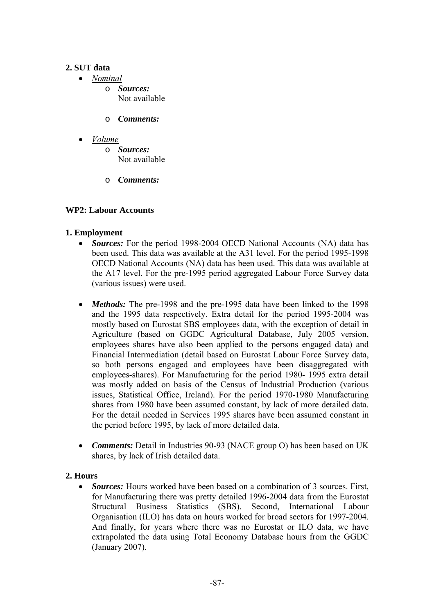## **2. SUT data**

- *Nominal*
	- o *Sources:* Not available
	- o *Comments:*
- *Volume*
	- o *Sources:* Not available
	- o *Comments:*

## **WP2: Labour Accounts**

## **1. Employment**

- *Sources:* For the period 1998-2004 OECD National Accounts (NA) data has been used. This data was available at the A31 level. For the period 1995-1998 OECD National Accounts (NA) data has been used. This data was available at the A17 level. For the pre-1995 period aggregated Labour Force Survey data (various issues) were used.
- *Methods:* The pre-1998 and the pre-1995 data have been linked to the 1998 and the 1995 data respectively. Extra detail for the period 1995-2004 was mostly based on Eurostat SBS employees data, with the exception of detail in Agriculture (based on GGDC Agricultural Database, July 2005 version, employees shares have also been applied to the persons engaged data) and Financial Intermediation (detail based on Eurostat Labour Force Survey data, so both persons engaged and employees have been disaggregated with employees-shares). For Manufacturing for the period 1980- 1995 extra detail was mostly added on basis of the Census of Industrial Production (various issues, Statistical Office, Ireland). For the period 1970-1980 Manufacturing shares from 1980 have been assumed constant, by lack of more detailed data. For the detail needed in Services 1995 shares have been assumed constant in the period before 1995, by lack of more detailed data.
- *Comments:* Detail in Industries 90-93 (NACE group O) has been based on UK shares, by lack of Irish detailed data.

### **2. Hours**

• *Sources:* Hours worked have been based on a combination of 3 sources. First, for Manufacturing there was pretty detailed 1996-2004 data from the Eurostat Structural Business Statistics (SBS). Second, International Labour Organisation (ILO) has data on hours worked for broad sectors for 1997-2004. And finally, for years where there was no Eurostat or ILO data, we have extrapolated the data using Total Economy Database hours from the GGDC (January 2007).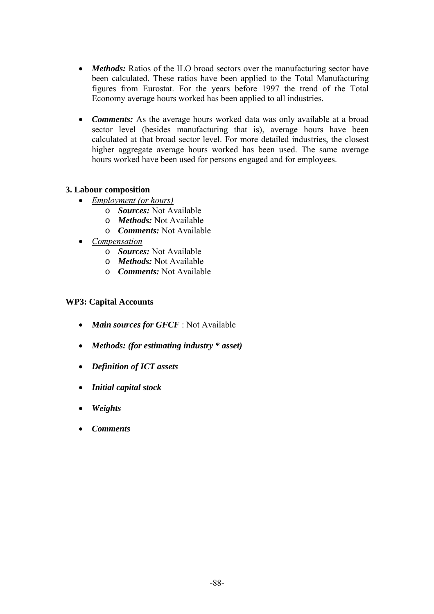- *Methods:* Ratios of the ILO broad sectors over the manufacturing sector have been calculated. These ratios have been applied to the Total Manufacturing figures from Eurostat. For the years before 1997 the trend of the Total Economy average hours worked has been applied to all industries.
- *Comments:* As the average hours worked data was only available at a broad sector level (besides manufacturing that is), average hours have been calculated at that broad sector level. For more detailed industries, the closest higher aggregate average hours worked has been used. The same average hours worked have been used for persons engaged and for employees.

### **3. Labour composition**

- *Employment (or hours)*
	- o *Sources:* Not Available
	- o *Methods:* Not Available
	- o *Comments:* Not Available
- *Compensation*
	- o *Sources:* Not Available
	- o *Methods:* Not Available
	- o *Comments:* Not Available

### **WP3: Capital Accounts**

- *Main sources for GFCF* : Not Available
- *Methods: (for estimating industry \* asset)*
- *Definition of ICT assets*
- *Initial capital stock*
- *Weights*
- *Comments*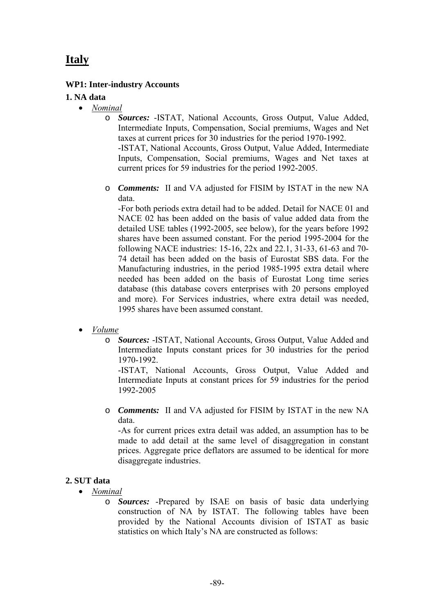# **Italy**

### **WP1: Inter-industry Accounts**

### **1. NA data**

- *Nominal*
	- o *Sources:* -ISTAT, National Accounts, Gross Output, Value Added, Intermediate Inputs, Compensation, Social premiums, Wages and Net taxes at current prices for 30 industries for the period 1970-1992. -ISTAT, National Accounts, Gross Output, Value Added, Intermediate Inputs, Compensation, Social premiums, Wages and Net taxes at current prices for 59 industries for the period 1992-2005.
	- o *Comments:* II and VA adjusted for FISIM by ISTAT in the new NA data.

-For both periods extra detail had to be added. Detail for NACE 01 and NACE 02 has been added on the basis of value added data from the detailed USE tables (1992-2005, see below), for the years before 1992 shares have been assumed constant. For the period 1995-2004 for the following NACE industries: 15-16, 22x and 22.1, 31-33, 61-63 and 70- 74 detail has been added on the basis of Eurostat SBS data. For the Manufacturing industries, in the period 1985-1995 extra detail where needed has been added on the basis of Eurostat Long time series database (this database covers enterprises with 20 persons employed and more). For Services industries, where extra detail was needed, 1995 shares have been assumed constant.

- *Volume*
	- o *Sources:* -ISTAT, National Accounts, Gross Output, Value Added and Intermediate Inputs constant prices for 30 industries for the period 1970-1992.

-ISTAT, National Accounts, Gross Output, Value Added and Intermediate Inputs at constant prices for 59 industries for the period 1992-2005

o *Comments:* II and VA adjusted for FISIM by ISTAT in the new NA data.

-As for current prices extra detail was added, an assumption has to be made to add detail at the same level of disaggregation in constant prices. Aggregate price deflators are assumed to be identical for more disaggregate industries.

### **2. SUT data**

- *Nominal*
	- o *Sources:* -Prepared by ISAE on basis of basic data underlying construction of NA by ISTAT. The following tables have been provided by the National Accounts division of ISTAT as basic statistics on which Italy's NA are constructed as follows: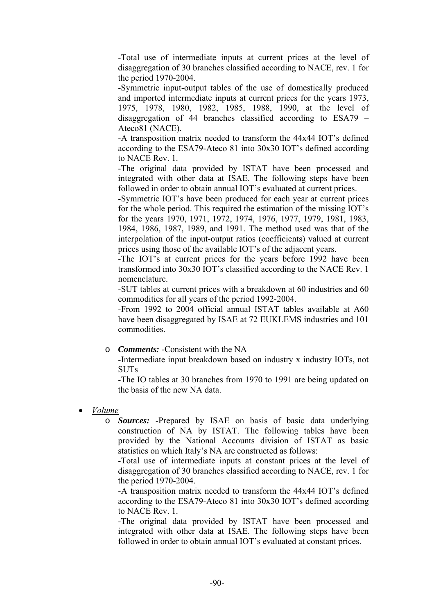-Total use of intermediate inputs at current prices at the level of disaggregation of 30 branches classified according to NACE, rev. 1 for the period 1970-2004.

-Symmetric input-output tables of the use of domestically produced and imported intermediate inputs at current prices for the years 1973, 1975, 1978, 1980, 1982, 1985, 1988, 1990, at the level of disaggregation of 44 branches classified according to ESA79 – Ateco81 (NACE).

-A transposition matrix needed to transform the 44x44 IOT's defined according to the ESA79-Ateco 81 into 30x30 IOT's defined according to NACE Rev. 1.

-The original data provided by ISTAT have been processed and integrated with other data at ISAE. The following steps have been followed in order to obtain annual IOT's evaluated at current prices.

-Symmetric IOT's have been produced for each year at current prices for the whole period. This required the estimation of the missing IOT's for the years 1970, 1971, 1972, 1974, 1976, 1977, 1979, 1981, 1983, 1984, 1986, 1987, 1989, and 1991. The method used was that of the interpolation of the input-output ratios (coefficients) valued at current prices using those of the available IOT's of the adjacent years.

-The IOT's at current prices for the years before 1992 have been transformed into 30x30 IOT's classified according to the NACE Rev. 1 nomenclature.

-SUT tables at current prices with a breakdown at 60 industries and 60 commodities for all years of the period 1992-2004.

-From 1992 to 2004 official annual ISTAT tables available at A60 have been disaggregated by ISAE at 72 EUKLEMS industries and 101 commodities.

o *Comments:* -Consistent with the NA

-Intermediate input breakdown based on industry x industry IOTs, not SUTs

-The IO tables at 30 branches from 1970 to 1991 are being updated on the basis of the new NA data.

- *Volume*
	- o *Sources:* -Prepared by ISAE on basis of basic data underlying construction of NA by ISTAT. The following tables have been provided by the National Accounts division of ISTAT as basic statistics on which Italy's NA are constructed as follows:

-Total use of intermediate inputs at constant prices at the level of disaggregation of 30 branches classified according to NACE, rev. 1 for the period 1970-2004.

-A transposition matrix needed to transform the 44x44 IOT's defined according to the ESA79-Ateco 81 into 30x30 IOT's defined according to NACE Rev. 1.

-The original data provided by ISTAT have been processed and integrated with other data at ISAE. The following steps have been followed in order to obtain annual IOT's evaluated at constant prices.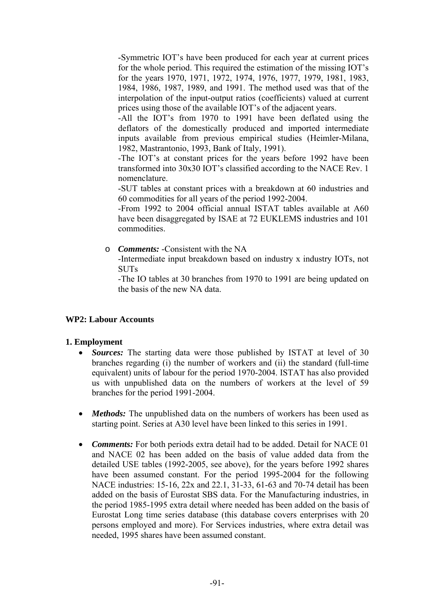-Symmetric IOT's have been produced for each year at current prices for the whole period. This required the estimation of the missing IOT's for the years 1970, 1971, 1972, 1974, 1976, 1977, 1979, 1981, 1983, 1984, 1986, 1987, 1989, and 1991. The method used was that of the interpolation of the input-output ratios (coefficients) valued at current prices using those of the available IOT's of the adjacent years.

-All the IOT's from 1970 to 1991 have been deflated using the deflators of the domestically produced and imported intermediate inputs available from previous empirical studies (Heimler-Milana, 1982, Mastrantonio, 1993, Bank of Italy, 1991).

-The IOT's at constant prices for the years before 1992 have been transformed into 30x30 IOT's classified according to the NACE Rev. 1 nomenclature.

-SUT tables at constant prices with a breakdown at 60 industries and 60 commodities for all years of the period 1992-2004.

-From 1992 to 2004 official annual ISTAT tables available at A60 have been disaggregated by ISAE at 72 EUKLEMS industries and 101 commodities.

o *Comments:* -Consistent with the NA

-Intermediate input breakdown based on industry x industry IOTs, not **SUTs** 

-The IO tables at 30 branches from 1970 to 1991 are being updated on the basis of the new NA data.

### **WP2: Labour Accounts**

### **1. Employment**

- *Sources:* The starting data were those published by ISTAT at level of 30 branches regarding (i) the number of workers and (ii) the standard (full-time equivalent) units of labour for the period 1970-2004. ISTAT has also provided us with unpublished data on the numbers of workers at the level of 59 branches for the period 1991-2004.
- *Methods:* The unpublished data on the numbers of workers has been used as starting point. Series at A30 level have been linked to this series in 1991.
- *Comments:* For both periods extra detail had to be added. Detail for NACE 01 and NACE 02 has been added on the basis of value added data from the detailed USE tables (1992-2005, see above), for the years before 1992 shares have been assumed constant. For the period 1995-2004 for the following NACE industries: 15-16, 22x and 22.1, 31-33, 61-63 and 70-74 detail has been added on the basis of Eurostat SBS data. For the Manufacturing industries, in the period 1985-1995 extra detail where needed has been added on the basis of Eurostat Long time series database (this database covers enterprises with 20 persons employed and more). For Services industries, where extra detail was needed, 1995 shares have been assumed constant.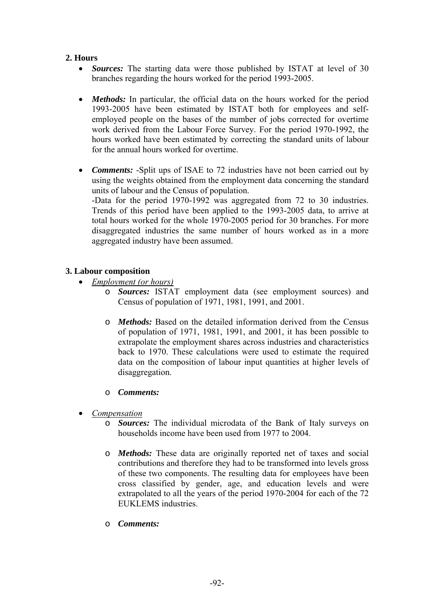## **2. Hours**

- *Sources:* The starting data were those published by ISTAT at level of 30 branches regarding the hours worked for the period 1993-2005.
- *Methods:* In particular, the official data on the hours worked for the period 1993-2005 have been estimated by ISTAT both for employees and selfemployed people on the bases of the number of jobs corrected for overtime work derived from the Labour Force Survey. For the period 1970-1992, the hours worked have been estimated by correcting the standard units of labour for the annual hours worked for overtime.
- *Comments:* -Split ups of ISAE to 72 industries have not been carried out by using the weights obtained from the employment data concerning the standard units of labour and the Census of population. -Data for the period 1970-1992 was aggregated from 72 to 30 industries. Trends of this period have been applied to the 1993-2005 data, to arrive at total hours worked for the whole 1970-2005 period for 30 branches. For more disaggregated industries the same number of hours worked as in a more aggregated industry have been assumed.

### **3. Labour composition**

- *Employment (or hours)*
	- o *Sources:* ISTAT employment data (see employment sources) and Census of population of 1971, 1981, 1991, and 2001.
	- o *Methods:* Based on the detailed information derived from the Census of population of 1971, 1981, 1991, and 2001, it has been possible to extrapolate the employment shares across industries and characteristics back to 1970. These calculations were used to estimate the required data on the composition of labour input quantities at higher levels of disaggregation.

### o *Comments:*

- *Compensation*
	- o *Sources:* The individual microdata of the Bank of Italy surveys on households income have been used from 1977 to 2004.
	- o *Methods:* These data are originally reported net of taxes and social contributions and therefore they had to be transformed into levels gross of these two components. The resulting data for employees have been cross classified by gender, age, and education levels and were extrapolated to all the years of the period 1970-2004 for each of the 72 EUKLEMS industries.
	- o *Comments:*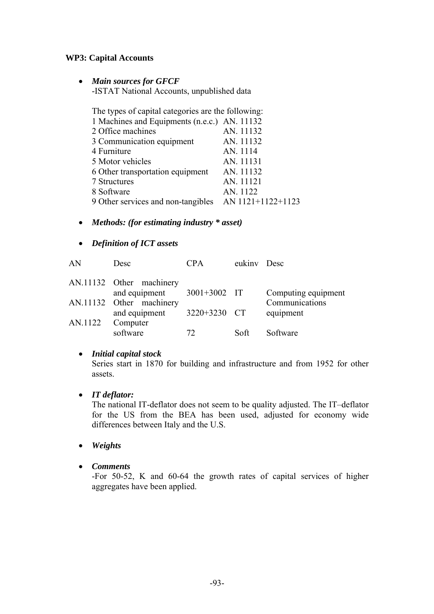## **WP3: Capital Accounts**

• *Main sources for GFCF* 

-ISTAT National Accounts, unpublished data

| The types of capital categories are the following: |                   |  |  |
|----------------------------------------------------|-------------------|--|--|
| 1 Machines and Equipments (n.e.c.) AN. 11132       |                   |  |  |
| 2 Office machines                                  | AN. 11132         |  |  |
| 3 Communication equipment                          | AN. 11132         |  |  |
| 4 Furniture                                        | AN. 1114          |  |  |
| 5 Motor vehicles                                   | AN. 11131         |  |  |
| 6 Other transportation equipment                   | AN. 11132         |  |  |
| 7 Structures                                       | AN. 11121         |  |  |
| 8 Software                                         | AN. 1122          |  |  |
| 9 Other services and non-tangibles                 | AN 1121+1122+1123 |  |  |

- *Methods: (for estimating industry \* asset)*
- *Definition of ICT assets*

| AN      | Desc                                      | <b>CPA</b>   | eukiny Desc |                             |
|---------|-------------------------------------------|--------------|-------------|-----------------------------|
|         | AN.11132 Other machinery<br>and equipment | 3001+3002 IT |             | Computing equipment         |
|         | AN.11132 Other machinery<br>and equipment | 3220+3230 CT |             | Communications<br>equipment |
| AN.1122 | Computer<br>software                      | 72           | Soft        | Software                    |

# • *Initial capital stock*

Series start in 1870 for building and infrastructure and from 1952 for other assets.

• *IT deflator:* 

The national IT-deflator does not seem to be quality adjusted. The IT–deflator for the US from the BEA has been used, adjusted for economy wide differences between Italy and the U.S.

- *Weights*
- *Comments*

-For 50-52, K and 60-64 the growth rates of capital services of higher aggregates have been applied.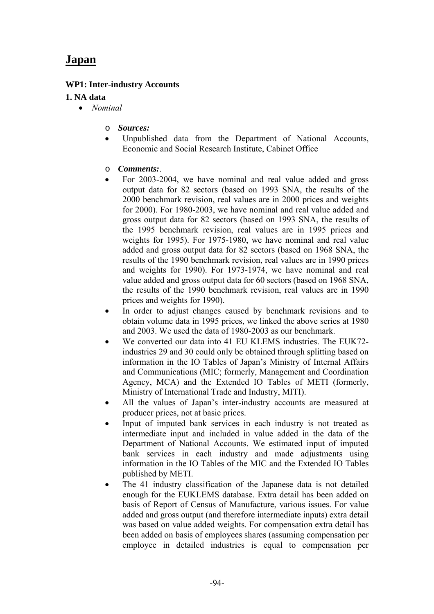# **Japan**

## **WP1: Inter-industry Accounts**

### **1. NA data**

- *Nominal* 
	- o *Sources:*
	- Unpublished data from the Department of National Accounts, Economic and Social Research Institute, Cabinet Office
	- o *Comments:*.
	- For 2003-2004, we have nominal and real value added and gross output data for 82 sectors (based on 1993 SNA, the results of the 2000 benchmark revision, real values are in 2000 prices and weights for 2000). For 1980-2003, we have nominal and real value added and gross output data for 82 sectors (based on 1993 SNA, the results of the 1995 benchmark revision, real values are in 1995 prices and weights for 1995). For 1975-1980, we have nominal and real value added and gross output data for 82 sectors (based on 1968 SNA, the results of the 1990 benchmark revision, real values are in 1990 prices and weights for 1990). For 1973-1974, we have nominal and real value added and gross output data for 60 sectors (based on 1968 SNA, the results of the 1990 benchmark revision, real values are in 1990 prices and weights for 1990).
	- In order to adjust changes caused by benchmark revisions and to obtain volume data in 1995 prices, we linked the above series at 1980 and 2003. We used the data of 1980-2003 as our benchmark.
	- We converted our data into 41 EU KLEMS industries. The EUK72industries 29 and 30 could only be obtained through splitting based on information in the IO Tables of Japan's Ministry of Internal Affairs and Communications (MIC; formerly, Management and Coordination Agency, MCA) and the Extended IO Tables of METI (formerly, Ministry of International Trade and Industry, MITI).
	- All the values of Japan's inter-industry accounts are measured at producer prices, not at basic prices.
	- Input of imputed bank services in each industry is not treated as intermediate input and included in value added in the data of the Department of National Accounts. We estimated input of imputed bank services in each industry and made adjustments using information in the IO Tables of the MIC and the Extended IO Tables published by METI.
	- The 41 industry classification of the Japanese data is not detailed enough for the EUKLEMS database. Extra detail has been added on basis of Report of Census of Manufacture, various issues. For value added and gross output (and therefore intermediate inputs) extra detail was based on value added weights. For compensation extra detail has been added on basis of employees shares (assuming compensation per employee in detailed industries is equal to compensation per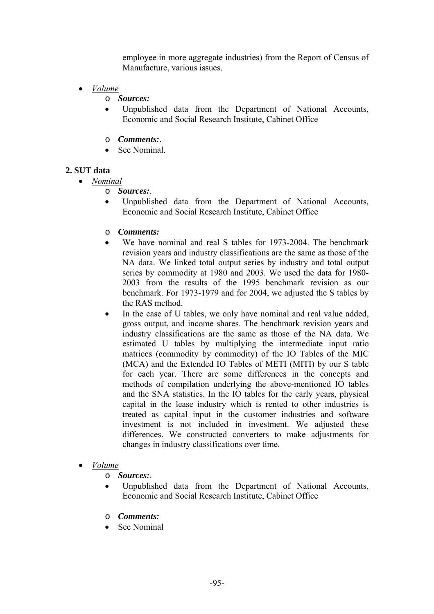employee in more aggregate industries) from the Report of Census of Manufacture, various issues.

- *Volume*
	- o *Sources:*
	- Unpublished data from the Department of National Accounts, Economic and Social Research Institute, Cabinet Office
	- o *Comments:*.
	- See Nominal

### **2. SUT data**

- *Nominal*
	- o *Sources:*.
	- Unpublished data from the Department of National Accounts, Economic and Social Research Institute, Cabinet Office
	- o *Comments:*
	- We have nominal and real S tables for 1973-2004. The benchmark revision years and industry classifications are the same as those of the NA data. We linked total output series by industry and total output series by commodity at 1980 and 2003. We used the data for 1980- 2003 from the results of the 1995 benchmark revision as our benchmark. For 1973-1979 and for 2004, we adjusted the S tables by the RAS method.
	- In the case of U tables, we only have nominal and real value added, gross output, and income shares. The benchmark revision years and industry classifications are the same as those of the NA data. We estimated U tables by multiplying the intermediate input ratio matrices (commodity by commodity) of the IO Tables of the MIC (MCA) and the Extended IO Tables of METI (MITI) by our S table for each year. There are some differences in the concepts and methods of compilation underlying the above-mentioned IO tables and the SNA statistics. In the IO tables for the early years, physical capital in the lease industry which is rented to other industries is treated as capital input in the customer industries and software investment is not included in investment. We adjusted these differences. We constructed converters to make adjustments for changes in industry classifications over time.
- *Volume*
	- o *Sources:*.
	- Unpublished data from the Department of National Accounts, Economic and Social Research Institute, Cabinet Office
	- o *Comments:*
	- See Nominal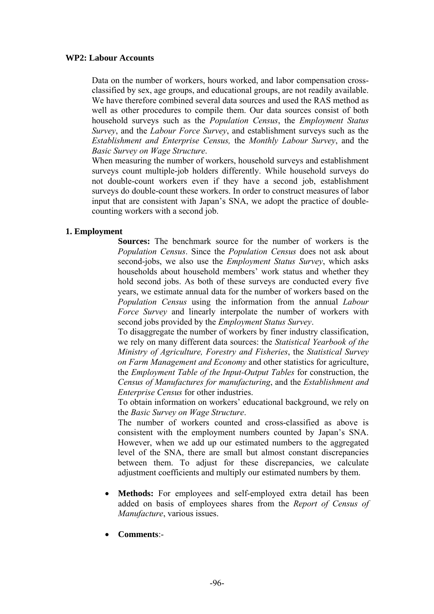#### **WP2: Labour Accounts**

Data on the number of workers, hours worked, and labor compensation crossclassified by sex, age groups, and educational groups, are not readily available. We have therefore combined several data sources and used the RAS method as well as other procedures to compile them. Our data sources consist of both household surveys such as the *Population Census*, the *Employment Status Survey*, and the *Labour Force Survey*, and establishment surveys such as the *Establishment and Enterprise Census,* the *Monthly Labour Survey*, and the *Basic Survey on Wage Structure*.

When measuring the number of workers, household surveys and establishment surveys count multiple-job holders differently. While household surveys do not double-count workers even if they have a second job, establishment surveys do double-count these workers. In order to construct measures of labor input that are consistent with Japan's SNA, we adopt the practice of doublecounting workers with a second job.

### **1. Employment**

**Sources:** The benchmark source for the number of workers is the *Population Census*. Since the *Population Census* does not ask about second-jobs, we also use the *Employment Status Survey*, which asks households about household members' work status and whether they hold second jobs. As both of these surveys are conducted every five years, we estimate annual data for the number of workers based on the *Population Census* using the information from the annual *Labour Force Survey* and linearly interpolate the number of workers with second jobs provided by the *Employment Status Survey*.

To disaggregate the number of workers by finer industry classification, we rely on many different data sources: the *Statistical Yearbook of the Ministry of Agriculture, Forestry and Fisheries*, the *Statistical Survey on Farm Management and Economy* and other statistics for agriculture, the *Employment Table of the Input-Output Tables* for construction, the *Census of Manufactures for manufacturing*, and the *Establishment and Enterprise Census* for other industries.

To obtain information on workers' educational background, we rely on the *Basic Survey on Wage Structure*.

The number of workers counted and cross-classified as above is consistent with the employment numbers counted by Japan's SNA. However, when we add up our estimated numbers to the aggregated level of the SNA, there are small but almost constant discrepancies between them. To adjust for these discrepancies, we calculate adjustment coefficients and multiply our estimated numbers by them.

- **Methods:** For employees and self-employed extra detail has been added on basis of employees shares from the *Report of Census of Manufacture*, various issues.
- **Comments**:-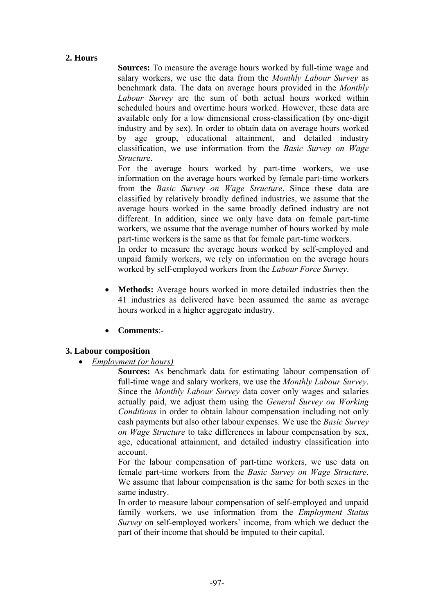## **2. Hours**

**Sources:** To measure the average hours worked by full-time wage and salary workers, we use the data from the *Monthly Labour Survey* as benchmark data. The data on average hours provided in the *Monthly Labour Survey* are the sum of both actual hours worked within scheduled hours and overtime hours worked. However, these data are available only for a low dimensional cross-classification (by one-digit industry and by sex). In order to obtain data on average hours worked by age group, educational attainment, and detailed industry classification, we use information from the *Basic Survey on Wage Structur*e.

For the average hours worked by part-time workers, we use information on the average hours worked by female part-time workers from the *Basic Survey on Wage Structure*. Since these data are classified by relatively broadly defined industries, we assume that the average hours worked in the same broadly defined industry are not different. In addition, since we only have data on female part-time workers, we assume that the average number of hours worked by male part-time workers is the same as that for female part-time workers.

In order to measure the average hours worked by self-employed and unpaid family workers, we rely on information on the average hours worked by self-employed workers from the *Labour Force Survey*.

- **Methods:** Average hours worked in more detailed industries then the 41 industries as delivered have been assumed the same as average hours worked in a higher aggregate industry.
- **Comments**:-

### **3. Labour composition**

• *Employment (or hours)*

**Sources:** As benchmark data for estimating labour compensation of full-time wage and salary workers, we use the *Monthly Labour Survey*. Since the *Monthly Labour Survey* data cover only wages and salaries actually paid, we adjust them using the *General Survey on Working Conditions* in order to obtain labour compensation including not only cash payments but also other labour expenses. We use the *Basic Survey on Wage Structure* to take differences in labour compensation by sex, age, educational attainment, and detailed industry classification into account.

For the labour compensation of part-time workers, we use data on female part-time workers from the *Basic Survey on Wage Structure*. We assume that labour compensation is the same for both sexes in the same industry.

In order to measure labour compensation of self-employed and unpaid family workers, we use information from the *Employment Status Survey* on self-employed workers' income, from which we deduct the part of their income that should be imputed to their capital.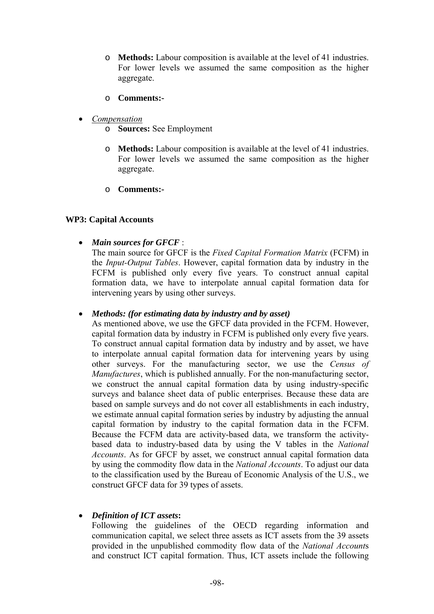- o **Methods:** Labour composition is available at the level of 41 industries. For lower levels we assumed the same composition as the higher aggregate.
- o **Comments:-**
- *Compensation*
	- o **Sources:** See Employment
	- o **Methods:** Labour composition is available at the level of 41 industries. For lower levels we assumed the same composition as the higher aggregate.
	- o **Comments:-**

#### **WP3: Capital Accounts**

• *Main sources for GFCF* :

The main source for GFCF is the *Fixed Capital Formation Matrix* (FCFM) in the *Input-Output Tables*. However, capital formation data by industry in the FCFM is published only every five years. To construct annual capital formation data, we have to interpolate annual capital formation data for intervening years by using other surveys.

#### • *Methods: (for estimating data by industry and by asset)*

As mentioned above, we use the GFCF data provided in the FCFM. However, capital formation data by industry in FCFM is published only every five years. To construct annual capital formation data by industry and by asset, we have to interpolate annual capital formation data for intervening years by using other surveys. For the manufacturing sector, we use the *Census of Manufactures*, which is published annually. For the non-manufacturing sector, we construct the annual capital formation data by using industry-specific surveys and balance sheet data of public enterprises. Because these data are based on sample surveys and do not cover all establishments in each industry, we estimate annual capital formation series by industry by adjusting the annual capital formation by industry to the capital formation data in the FCFM. Because the FCFM data are activity-based data, we transform the activitybased data to industry-based data by using the V tables in the *National Accounts*. As for GFCF by asset, we construct annual capital formation data by using the commodity flow data in the *National Accounts*. To adjust our data to the classification used by the Bureau of Economic Analysis of the U.S., we construct GFCF data for 39 types of assets.

### • *Definition of ICT assets***:**

Following the guidelines of the OECD regarding information and communication capital, we select three assets as ICT assets from the 39 assets provided in the unpublished commodity flow data of the *National Account*s and construct ICT capital formation. Thus, ICT assets include the following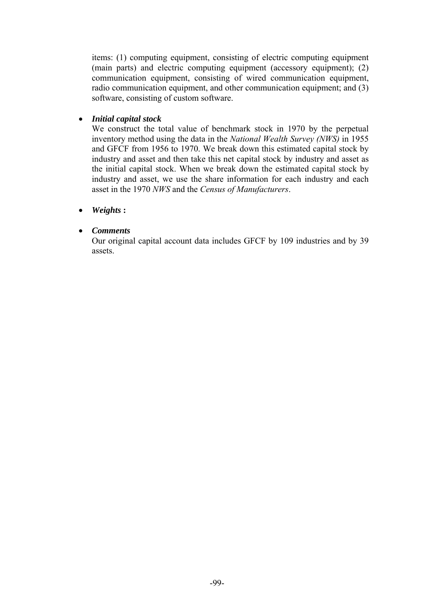items: (1) computing equipment, consisting of electric computing equipment (main parts) and electric computing equipment (accessory equipment); (2) communication equipment, consisting of wired communication equipment, radio communication equipment, and other communication equipment; and (3) software, consisting of custom software.

#### • *Initial capital stock*

We construct the total value of benchmark stock in 1970 by the perpetual inventory method using the data in the *National Wealth Survey (NWS)* in 1955 and GFCF from 1956 to 1970. We break down this estimated capital stock by industry and asset and then take this net capital stock by industry and asset as the initial capital stock. When we break down the estimated capital stock by industry and asset, we use the share information for each industry and each asset in the 1970 *NWS* and the *Census of Manufacturers*.

### • *Weights* **:**

### • *Comments*

Our original capital account data includes GFCF by 109 industries and by 39 assets.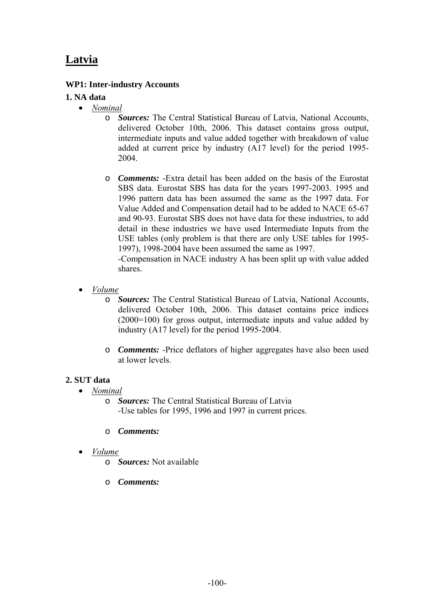# **Latvia**

## **WP1: Inter-industry Accounts**

## **1. NA data**

- *Nominal*
	- o *Sources:* The Central Statistical Bureau of Latvia, National Accounts, delivered October 10th, 2006. This dataset contains gross output, intermediate inputs and value added together with breakdown of value added at current price by industry (A17 level) for the period 1995- 2004.
	- o *Comments:* -Extra detail has been added on the basis of the Eurostat SBS data. Eurostat SBS has data for the years 1997-2003. 1995 and 1996 pattern data has been assumed the same as the 1997 data. For Value Added and Compensation detail had to be added to NACE 65-67 and 90-93. Eurostat SBS does not have data for these industries, to add detail in these industries we have used Intermediate Inputs from the USE tables (only problem is that there are only USE tables for 1995- 1997), 1998-2004 have been assumed the same as 1997.

*-*Compensation in NACE industry A has been split up with value added shares.

- *Volume*
	- o *Sources:* The Central Statistical Bureau of Latvia, National Accounts, delivered October 10th, 2006. This dataset contains price indices (2000=100) for gross output, intermediate inputs and value added by industry (A17 level) for the period 1995-2004.
	- o *Comments: -*Price deflators of higher aggregates have also been used at lower levels.

### **2. SUT data**

- *Nominal*
	- o *Sources:* The Central Statistical Bureau of Latvia *-*Use tables for 1995, 1996 and 1997 in current prices.
	- o *Comments:*
- *Volume*
	- o *Sources:* Not available
	- o *Comments:*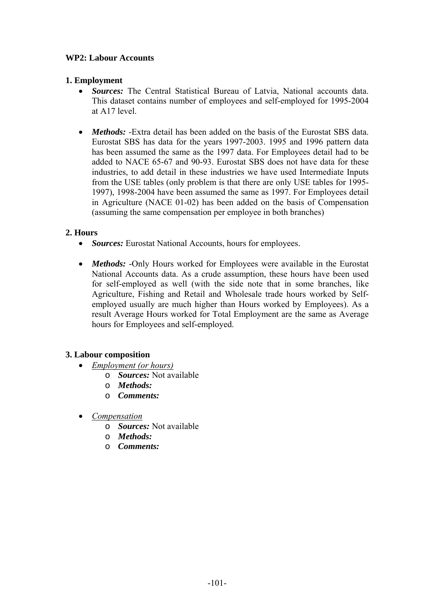## **WP2: Labour Accounts**

## **1. Employment**

- *Sources:* The Central Statistical Bureau of Latvia, National accounts data. This dataset contains number of employees and self-employed for 1995-2004 at A17 level.
- *Methods:* -Extra detail has been added on the basis of the Eurostat SBS data. Eurostat SBS has data for the years 1997-2003. 1995 and 1996 pattern data has been assumed the same as the 1997 data. For Employees detail had to be added to NACE 65-67 and 90-93. Eurostat SBS does not have data for these industries, to add detail in these industries we have used Intermediate Inputs from the USE tables (only problem is that there are only USE tables for 1995- 1997), 1998-2004 have been assumed the same as 1997. For Employees detail in Agriculture (NACE 01-02) has been added on the basis of Compensation (assuming the same compensation per employee in both branches)

## **2. Hours**

- *Sources:* Eurostat National Accounts, hours for employees.
- *Methods:* -Only Hours worked for Employees were available in the Eurostat National Accounts data. As a crude assumption, these hours have been used for self-employed as well (with the side note that in some branches, like Agriculture, Fishing and Retail and Wholesale trade hours worked by Selfemployed usually are much higher than Hours worked by Employees). As a result Average Hours worked for Total Employment are the same as Average hours for Employees and self-employed.

# **3. Labour composition**

- *Employment (or hours)*
	- o *Sources:* Not available
	- o *Methods:*
	- o *Comments:*
- *Compensation*
	- o *Sources:* Not available
	- o *Methods:*
	- o *Comments:*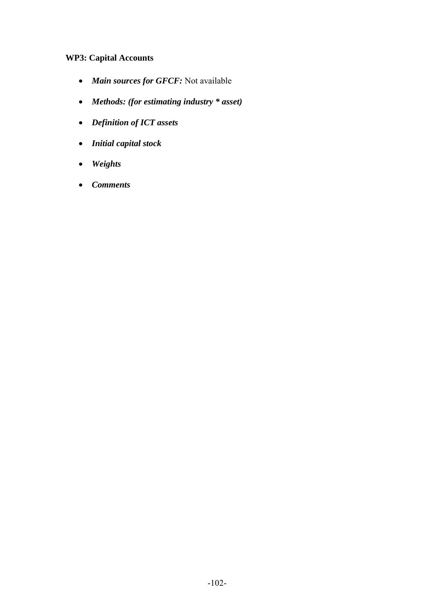# **WP3: Capital Accounts**

- *Main sources for GFCF:* Not available
- *Methods: (for estimating industry \* asset)*
- *Definition of ICT assets*
- *Initial capital stock*
- *Weights*
- *Comments*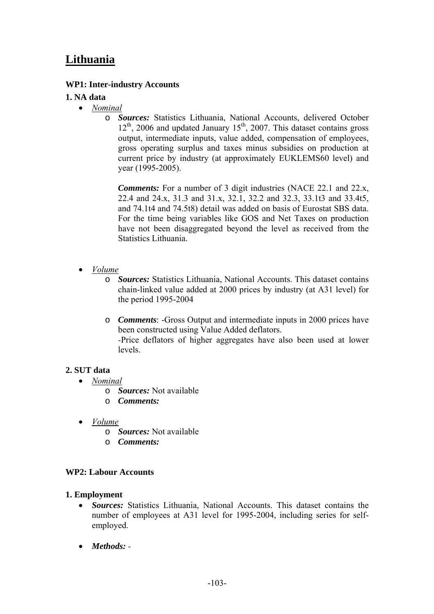# **Lithuania**

## **WP1: Inter-industry Accounts**

## **1. NA data**

- *Nominal*
	- o *Sources:* Statistics Lithuania, National Accounts, delivered October  $12<sup>th</sup>$ , 2006 and updated January  $15<sup>th</sup>$ , 2007. This dataset contains gross output, intermediate inputs, value added, compensation of employees, gross operating surplus and taxes minus subsidies on production at current price by industry (at approximately EUKLEMS60 level) and year (1995-2005).

*Comments:* For a number of 3 digit industries (NACE 22.1 and 22.x, 22.4 and 24.x, 31.3 and 31.x, 32.1, 32.2 and 32.3, 33.1t3 and 33.4t5, and 74.1t4 and 74.5t8) detail was added on basis of Eurostat SBS data. For the time being variables like GOS and Net Taxes on production have not been disaggregated beyond the level as received from the Statistics Lithuania.

- *Volume*
	- o *Sources:* Statistics Lithuania, National Accounts. This dataset contains chain-linked value added at 2000 prices by industry (at A31 level) for the period 1995-2004
	- o *Comments*: -Gross Output and intermediate inputs in 2000 prices have been constructed using Value Added deflators. *-*Price deflators of higher aggregates have also been used at lower levels.

### **2. SUT data**

- *Nominal*
	- o *Sources:* Not available
	- o *Comments:*
- *Volume*
	- o *Sources:* Not available
	- o *Comments:*

### **WP2: Labour Accounts**

### **1. Employment**

- *Sources:* Statistics Lithuania, National Accounts. This dataset contains the number of employees at A31 level for 1995-2004, including series for selfemployed.
- *Methods: -*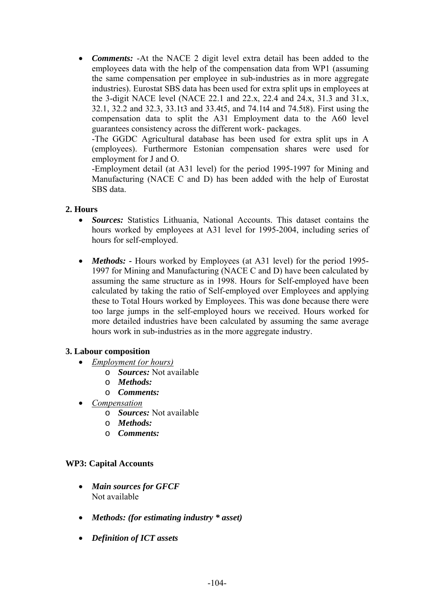• *Comments:* -At the NACE 2 digit level extra detail has been added to the employees data with the help of the compensation data from WP1 (assuming the same compensation per employee in sub-industries as in more aggregate industries). Eurostat SBS data has been used for extra split ups in employees at the 3-digit NACE level (NACE 22.1 and 22.x, 22.4 and 24.x, 31.3 and 31.x, 32.1, 32.2 and 32.3, 33.1t3 and 33.4t5, and 74.1t4 and 74.5t8). First using the compensation data to split the A31 Employment data to the A60 level guarantees consistency across the different work- packages.

-The GGDC Agricultural database has been used for extra split ups in A (employees). Furthermore Estonian compensation shares were used for employment for J and O.

-Employment detail (at A31 level) for the period 1995-1997 for Mining and Manufacturing (NACE C and D) has been added with the help of Eurostat SBS data.

#### **2. Hours**

- *Sources:* Statistics Lithuania, National Accounts. This dataset contains the hours worked by employees at A31 level for 1995-2004, including series of hours for self-employed.
- *Methods:* Hours worked by Employees (at A31 level) for the period 1995-1997 for Mining and Manufacturing (NACE C and D) have been calculated by assuming the same structure as in 1998. Hours for Self-employed have been calculated by taking the ratio of Self-employed over Employees and applying these to Total Hours worked by Employees. This was done because there were too large jumps in the self-employed hours we received. Hours worked for more detailed industries have been calculated by assuming the same average hours work in sub-industries as in the more aggregate industry.

### **3. Labour composition**

- *Employment (or hours)*
	- o *Sources:* Not available
	- o *Methods:*
	- o *Comments:*
- *Compensation*
	- o *Sources:* Not available
	- o *Methods:*
	- o *Comments:*

#### **WP3: Capital Accounts**

- *Main sources for GFCF*  Not available
- *Methods: (for estimating industry \* asset)*
- *Definition of ICT assets*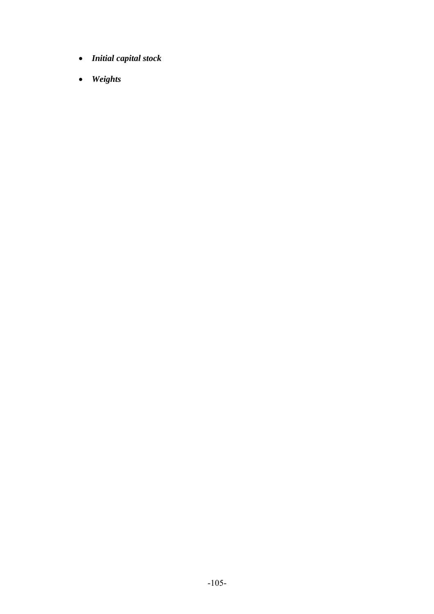- *Initial capital stock*
- *Weights*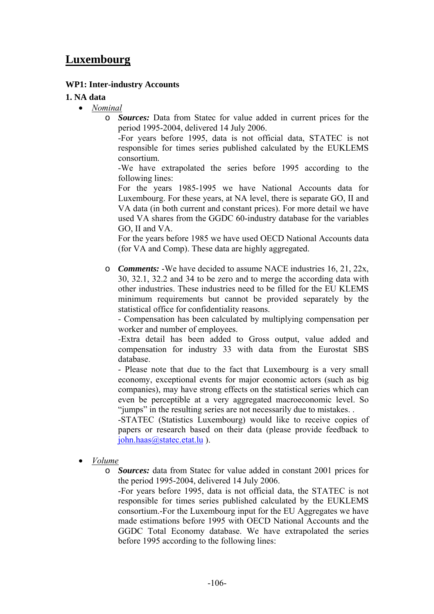# **Luxembourg**

#### **WP1: Inter-industry Accounts**

#### **1. NA data**

- *Nominal*
	- o *Sources:* Data from Statec for value added in current prices for the period 1995-2004, delivered 14 July 2006.

-For years before 1995, data is not official data, STATEC is not responsible for times series published calculated by the EUKLEMS consortium.

-We have extrapolated the series before 1995 according to the following lines:

For the years 1985-1995 we have National Accounts data for Luxembourg. For these years, at NA level, there is separate GO, II and VA data (in both current and constant prices). For more detail we have used VA shares from the GGDC 60-industry database for the variables GO, II and VA.

For the years before 1985 we have used OECD National Accounts data (for VA and Comp). These data are highly aggregated.

o *Comments:* -We have decided to assume NACE industries 16, 21, 22x, 30, 32.1, 32.2 and 34 to be zero and to merge the according data with other industries. These industries need to be filled for the EU KLEMS minimum requirements but cannot be provided separately by the statistical office for confidentiality reasons.

- Compensation has been calculated by multiplying compensation per worker and number of employees.

-Extra detail has been added to Gross output, value added and compensation for industry 33 with data from the Eurostat SBS database.

- Please note that due to the fact that Luxembourg is a very small economy, exceptional events for major economic actors (such as big companies), may have strong effects on the statistical series which can even be perceptible at a very aggregated macroeconomic level. So "jumps" in the resulting series are not necessarily due to mistakes. .

-STATEC (Statistics Luxembourg) would like to receive copies of papers or research based on their data (please provide feedback to john.haas@statec.etat.lu ).

- *Volume*
	- o *Sources:* data from Statec for value added in constant 2001 prices for the period 1995-2004, delivered 14 July 2006.

-For years before 1995, data is not official data, the STATEC is not responsible for times series published calculated by the EUKLEMS consortium.-For the Luxembourg input for the EU Aggregates we have made estimations before 1995 with OECD National Accounts and the GGDC Total Economy database. We have extrapolated the series before 1995 according to the following lines: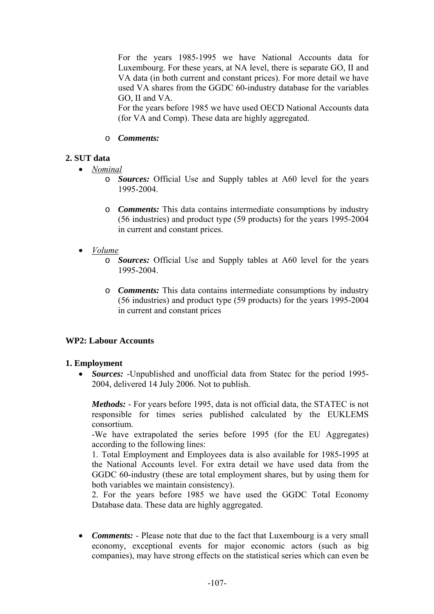For the years 1985-1995 we have National Accounts data for Luxembourg. For these years, at NA level, there is separate GO, II and VA data (in both current and constant prices). For more detail we have used VA shares from the GGDC 60-industry database for the variables GO, II and VA.

For the years before 1985 we have used OECD National Accounts data (for VA and Comp). These data are highly aggregated.

#### o *Comments:*

## **2. SUT data**

- *Nominal*
	- o *Sources:* Official Use and Supply tables at A60 level for the years 1995-2004.
	- o *Comments:* This data contains intermediate consumptions by industry (56 industries) and product type (59 products) for the years 1995-2004 in current and constant prices.
- *Volume*
	- o *Sources:* Official Use and Supply tables at A60 level for the years 1995-2004.
	- o *Comments:* This data contains intermediate consumptions by industry (56 industries) and product type (59 products) for the years 1995-2004 in current and constant prices

### **WP2: Labour Accounts**

### **1. Employment**

• *Sources:* -Unpublished and unofficial data from Statec for the period 1995-2004, delivered 14 July 2006. Not to publish.

*Methods:* - For years before 1995, data is not official data, the STATEC is not responsible for times series published calculated by the EUKLEMS consortium.

-We have extrapolated the series before 1995 (for the EU Aggregates) according to the following lines:

1. Total Employment and Employees data is also available for 1985-1995 at the National Accounts level. For extra detail we have used data from the GGDC 60-industry (these are total employment shares, but by using them for both variables we maintain consistency).

2. For the years before 1985 we have used the GGDC Total Economy Database data. These data are highly aggregated.

• *Comments:* - Please note that due to the fact that Luxembourg is a very small economy, exceptional events for major economic actors (such as big companies), may have strong effects on the statistical series which can even be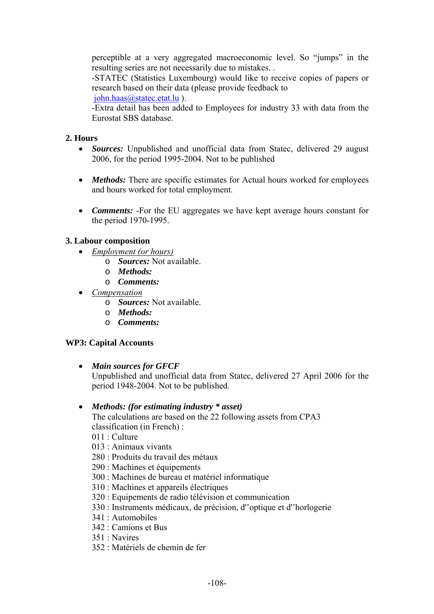perceptible at a very aggregated macroeconomic level. So "jumps" in the resulting series are not necessarily due to mistakes. .

-STATEC (Statistics Luxembourg) would like to receive copies of papers or research based on their data (please provide feedback to

john.haas@statec.etat.lu ).

-Extra detail has been added to Employees for industry 33 with data from the Eurostat SBS database.

# **2. Hours**

- *Sources:* Unpublished and unofficial data from Statec, delivered 29 august 2006, for the period 1995-2004. Not to be published
- *Methods:* There are specific estimates for Actual hours worked for employees and hours worked for total employment.
- *Comments:* -For the EU aggregates we have kept average hours constant for the period 1970-1995.

# **3. Labour composition**

- *Employment (or hours)*
	- o *Sources:* Not available.
	- o *Methods:*
	- o *Comments:*
- *Compensation*
	- o *Sources:* Not available.
	- o *Methods:*
	- o *Comments:*

# **WP3: Capital Accounts**

• *Main sources for GFCF* 

Unpublished and unofficial data from Statec, delivered 27 April 2006 for the period 1948-2004. Not to be published.

# • *Methods: (for estimating industry \* asset)*

The calculations are based on the 22 following assets from CPA3 classification (in French) :

- $011 \cdot$  Culture
- 013 : Animaux vivants
- 280 : Produits du travail des métaux
- 290 : Machines et équipements
- 300 : Machines de bureau et matériel informatique
- 310 : Machines et appareils électriques
- 320 : Equipements de radio télévision et communication
- 330 : Instruments médicaux, de précision, d''optique et d''horlogerie
- 341 : Automobiles
- 342 : Camions et Bus
- 351 : Navires
- 352 : Matériels de chemin de fer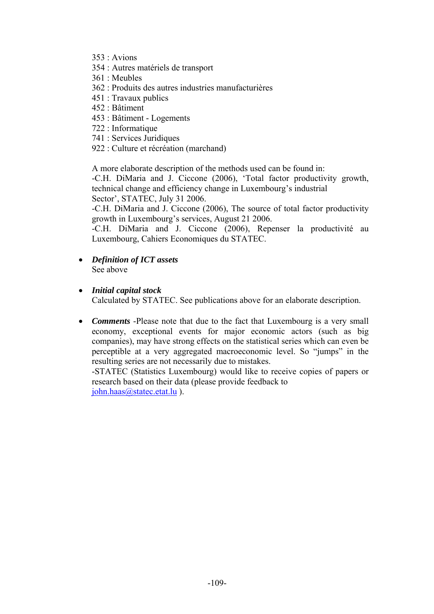- 353 : Avions
- 354 : Autres matériels de transport
- 361 : Meubles
- 362 : Produits des autres industries manufacturières
- 451 : Travaux publics
- 452 : Bâtiment
- 453 : Bâtiment Logements
- 722 : Informatique
- 741 : Services Juridiques
- 922 : Culture et récréation (marchand)

A more elaborate description of the methods used can be found in:

-C.H. DiMaria and J. Ciccone (2006), 'Total factor productivity growth, technical change and efficiency change in Luxembourg's industrial Sector', STATEC, July 31 2006.

-C.H. DiMaria and J. Ciccone (2006), The source of total factor productivity growth in Luxembourg's services, August 21 2006.

-C.H. DiMaria and J. Ciccone (2006), Repenser la productivité au Luxembourg, Cahiers Economiques du STATEC.

- *Definition of ICT assets*  See above
- *Initial capital stock*

Calculated by STATEC. See publications above for an elaborate description.

• *Comments* -Please note that due to the fact that Luxembourg is a very small economy, exceptional events for major economic actors (such as big companies), may have strong effects on the statistical series which can even be perceptible at a very aggregated macroeconomic level. So "jumps" in the resulting series are not necessarily due to mistakes.

-STATEC (Statistics Luxembourg) would like to receive copies of papers or research based on their data (please provide feedback to

john.haas@statec.etat.lu).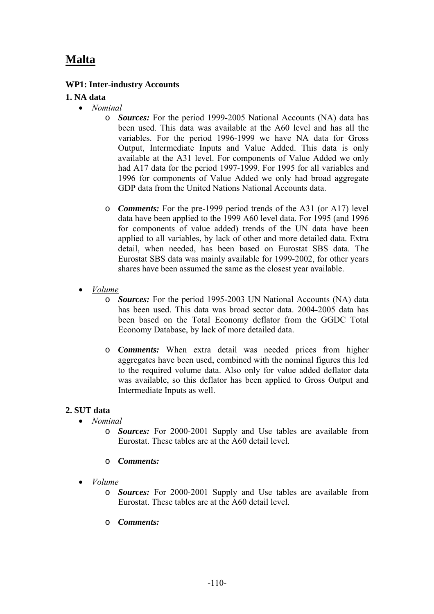# **Malta**

# **WP1: Inter-industry Accounts**

#### **1. NA data**

- *Nominal*
	- o *Sources:* For the period 1999-2005 National Accounts (NA) data has been used. This data was available at the A60 level and has all the variables. For the period 1996-1999 we have NA data for Gross Output, Intermediate Inputs and Value Added. This data is only available at the A31 level. For components of Value Added we only had A17 data for the period 1997-1999. For 1995 for all variables and 1996 for components of Value Added we only had broad aggregate GDP data from the United Nations National Accounts data.
	- o *Comments:* For the pre-1999 period trends of the A31 (or A17) level data have been applied to the 1999 A60 level data. For 1995 (and 1996 for components of value added) trends of the UN data have been applied to all variables, by lack of other and more detailed data. Extra detail, when needed, has been based on Eurostat SBS data. The Eurostat SBS data was mainly available for 1999-2002, for other years shares have been assumed the same as the closest year available.
- *Volume*
	- o *Sources:* For the period 1995-2003 UN National Accounts (NA) data has been used. This data was broad sector data. 2004-2005 data has been based on the Total Economy deflator from the GGDC Total Economy Database, by lack of more detailed data.
	- o *Comments:* When extra detail was needed prices from higher aggregates have been used, combined with the nominal figures this led to the required volume data. Also only for value added deflator data was available, so this deflator has been applied to Gross Output and Intermediate Inputs as well.

#### **2. SUT data**

- *Nominal*
	- o *Sources:* For 2000-2001 Supply and Use tables are available from Eurostat. These tables are at the A60 detail level.
	- o *Comments:*
- *Volume*
	- o *Sources:* For 2000-2001 Supply and Use tables are available from Eurostat. These tables are at the A60 detail level.
	- o *Comments:*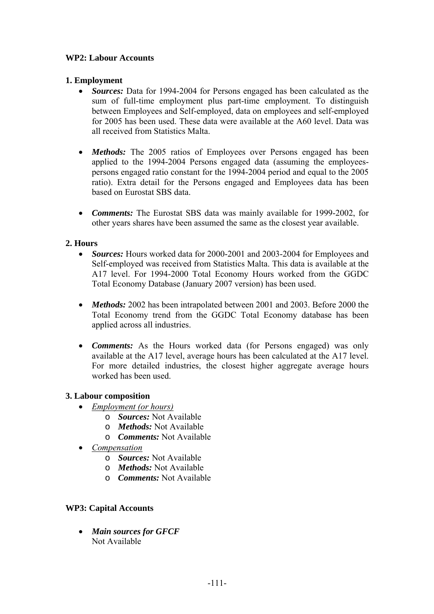# **WP2: Labour Accounts**

# **1. Employment**

- *Sources:* Data for 1994-2004 for Persons engaged has been calculated as the sum of full-time employment plus part-time employment. To distinguish between Employees and Self-employed, data on employees and self-employed for 2005 has been used. These data were available at the A60 level. Data was all received from Statistics Malta.
- *Methods:* The 2005 ratios of Employees over Persons engaged has been applied to the 1994-2004 Persons engaged data (assuming the employeespersons engaged ratio constant for the 1994-2004 period and equal to the 2005 ratio). Extra detail for the Persons engaged and Employees data has been based on Eurostat SBS data.
- *Comments:* The Eurostat SBS data was mainly available for 1999-2002, for other years shares have been assumed the same as the closest year available.

# **2. Hours**

- *Sources:* Hours worked data for 2000-2001 and 2003-2004 for Employees and Self-employed was received from Statistics Malta. This data is available at the A17 level. For 1994-2000 Total Economy Hours worked from the GGDC Total Economy Database (January 2007 version) has been used.
- *Methods:* 2002 has been intrapolated between 2001 and 2003. Before 2000 the Total Economy trend from the GGDC Total Economy database has been applied across all industries.
- *Comments:* As the Hours worked data (for Persons engaged) was only available at the A17 level, average hours has been calculated at the A17 level. For more detailed industries, the closest higher aggregate average hours worked has been used.

# **3. Labour composition**

- *Employment (or hours)*
	- o *Sources:* Not Available
	- o *Methods:* Not Available
	- o *Comments:* Not Available
- *Compensation*
	- o *Sources:* Not Available
	- o *Methods:* Not Available
	- o *Comments:* Not Available

# **WP3: Capital Accounts**

• *Main sources for GFCF*  Not Available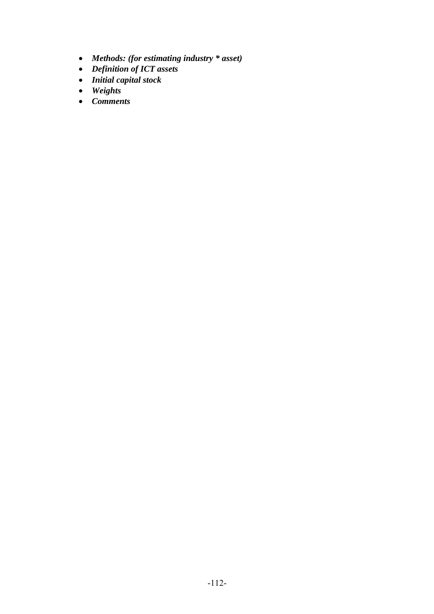- *Methods: (for estimating industry \* asset)*
- *Definition of ICT assets*
- *Initial capital stock*
- *Weights*
- *Comments*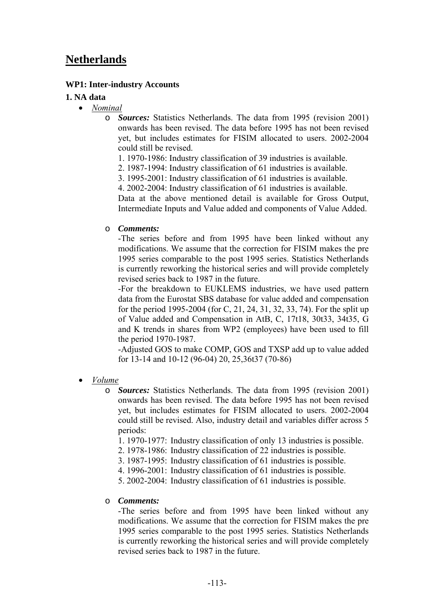# **Netherlands**

### **WP1: Inter-industry Accounts**

#### **1. NA data**

- *Nominal*
	- o *Sources:* Statistics Netherlands. The data from 1995 (revision 2001) onwards has been revised. The data before 1995 has not been revised yet, but includes estimates for FISIM allocated to users. 2002-2004 could still be revised.
		- 1. 1970-1986: Industry classification of 39 industries is available.
		- 2. 1987-1994: Industry classification of 61 industries is available.
		- 3. 1995-2001: Industry classification of 61 industries is available.
		- 4. 2002-2004: Industry classification of 61 industries is available.

Data at the above mentioned detail is available for Gross Output, Intermediate Inputs and Value added and components of Value Added.

#### o *Comments:*

-The series before and from 1995 have been linked without any modifications. We assume that the correction for FISIM makes the pre 1995 series comparable to the post 1995 series. Statistics Netherlands is currently reworking the historical series and will provide completely revised series back to 1987 in the future.

-For the breakdown to EUKLEMS industries, we have used pattern data from the Eurostat SBS database for value added and compensation for the period 1995-2004 (for C, 21, 24, 31, 32, 33, 74). For the split up of Value added and Compensation in AtB, C, 17t18, 30t33, 34t35, G and K trends in shares from WP2 (employees) have been used to fill the period 1970-1987.

-Adjusted GOS to make COMP, GOS and TXSP add up to value added for 13-14 and 10-12 (96-04) 20, 25,36t37 (70-86)

• *Volume*

o *Sources:* Statistics Netherlands. The data from 1995 (revision 2001) onwards has been revised. The data before 1995 has not been revised yet, but includes estimates for FISIM allocated to users. 2002-2004 could still be revised. Also, industry detail and variables differ across 5 periods:

1. 1970-1977: Industry classification of only 13 industries is possible.

- 2. 1978-1986: Industry classification of 22 industries is possible.
- 3. 1987-1995: Industry classification of 61 industries is possible.
- 4. 1996-2001: Industry classification of 61 industries is possible.
- 5. 2002-2004: Industry classification of 61 industries is possible.

#### o *Comments:*

-The series before and from 1995 have been linked without any modifications. We assume that the correction for FISIM makes the pre 1995 series comparable to the post 1995 series. Statistics Netherlands is currently reworking the historical series and will provide completely revised series back to 1987 in the future.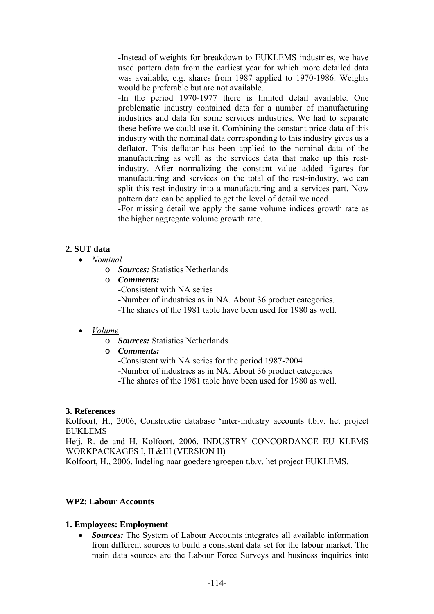-Instead of weights for breakdown to EUKLEMS industries, we have used pattern data from the earliest year for which more detailed data was available, e.g. shares from 1987 applied to 1970-1986. Weights would be preferable but are not available.

-In the period 1970-1977 there is limited detail available. One problematic industry contained data for a number of manufacturing industries and data for some services industries. We had to separate these before we could use it. Combining the constant price data of this industry with the nominal data corresponding to this industry gives us a deflator. This deflator has been applied to the nominal data of the manufacturing as well as the services data that make up this restindustry. After normalizing the constant value added figures for manufacturing and services on the total of the rest-industry, we can split this rest industry into a manufacturing and a services part. Now pattern data can be applied to get the level of detail we need.

-For missing detail we apply the same volume indices growth rate as the higher aggregate volume growth rate.

#### **2. SUT data**

#### • *Nominal*

- o *Sources:* Statistics Netherlands
- o *Comments:* -Consistent with NA series -Number of industries as in NA. About 36 product categories. -The shares of the 1981 table have been used for 1980 as well.

#### • *Volume*

- o *Sources:* Statistics Netherlands
- o *Comments:*
	- -Consistent with NA series for the period 1987-2004
	- -Number of industries as in NA. About 36 product categories
	- -The shares of the 1981 table have been used for 1980 as well.

#### **3. References**

Kolfoort, H., 2006, Constructie database 'inter-industry accounts t.b.v. het project EUKLEMS

Heij, R. de and H. Kolfoort, 2006, INDUSTRY CONCORDANCE EU KLEMS WORKPACKAGES I, II &III (VERSION II)

Kolfoort, H., 2006, Indeling naar goederengroepen t.b.v. het project EUKLEMS.

#### **WP2: Labour Accounts**

#### **1. Employees: Employment**

• *Sources:* The System of Labour Accounts integrates all available information from different sources to build a consistent data set for the labour market. The main data sources are the Labour Force Surveys and business inquiries into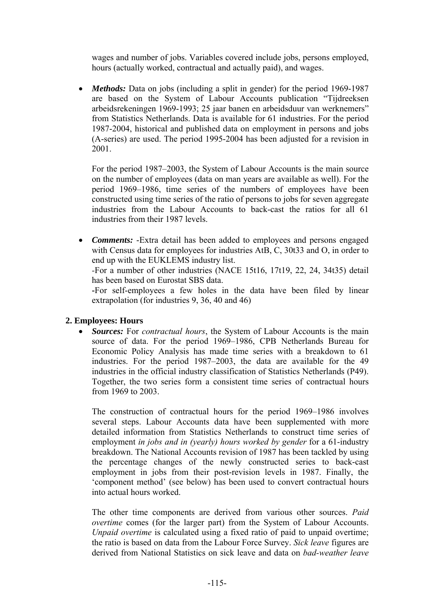wages and number of jobs. Variables covered include jobs, persons employed, hours (actually worked, contractual and actually paid), and wages.

• *Methods:* Data on jobs (including a split in gender) for the period 1969-1987 are based on the System of Labour Accounts publication "Tijdreeksen arbeidsrekeningen 1969-1993; 25 jaar banen en arbeidsduur van werknemers" from Statistics Netherlands. Data is available for 61 industries. For the period 1987-2004, historical and published data on employment in persons and jobs (A-series) are used. The period 1995-2004 has been adjusted for a revision in 2001.

For the period 1987–2003, the System of Labour Accounts is the main source on the number of employees (data on man years are available as well). For the period 1969–1986, time series of the numbers of employees have been constructed using time series of the ratio of persons to jobs for seven aggregate industries from the Labour Accounts to back-cast the ratios for all 61 industries from their 1987 levels.

• *Comments:* -Extra detail has been added to employees and persons engaged with Census data for employees for industries AtB, C, 30t33 and O, in order to end up with the EUKLEMS industry list.

*-*For a number of other industries (NACE 15t16, 17t19, 22, 24, 34t35) detail has been based on Eurostat SBS data.

**-**For self-employees a few holes in the data have been filed by linear extrapolation (for industries 9, 36, 40 and 46)

# **2. Employees: Hours**

• *Sources:* For *contractual hours*, the System of Labour Accounts is the main source of data. For the period 1969–1986, CPB Netherlands Bureau for Economic Policy Analysis has made time series with a breakdown to 61 industries. For the period 1987–2003, the data are available for the 49 industries in the official industry classification of Statistics Netherlands (P49). Together, the two series form a consistent time series of contractual hours from 1969 to 2003.

The construction of contractual hours for the period 1969–1986 involves several steps. Labour Accounts data have been supplemented with more detailed information from Statistics Netherlands to construct time series of employment *in jobs and in (yearly) hours worked by gender* for a 61-industry breakdown. The National Accounts revision of 1987 has been tackled by using the percentage changes of the newly constructed series to back-cast employment in jobs from their post-revision levels in 1987. Finally, the 'component method' (see below) has been used to convert contractual hours into actual hours worked.

The other time components are derived from various other sources. *Paid overtime* comes (for the larger part) from the System of Labour Accounts. *Unpaid overtime* is calculated using a fixed ratio of paid to unpaid overtime; the ratio is based on data from the Labour Force Survey. *Sick leave* figures are derived from National Statistics on sick leave and data on *bad-weather leave*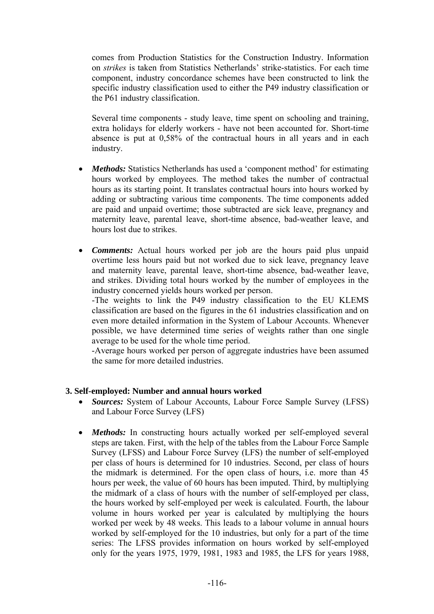comes from Production Statistics for the Construction Industry. Information on *strikes* is taken from Statistics Netherlands' strike-statistics. For each time component, industry concordance schemes have been constructed to link the specific industry classification used to either the P49 industry classification or the P61 industry classification.

Several time components - study leave, time spent on schooling and training, extra holidays for elderly workers - have not been accounted for. Short-time absence is put at 0,58% of the contractual hours in all years and in each industry.

- *Methods:* Statistics Netherlands has used a 'component method' for estimating hours worked by employees. The method takes the number of contractual hours as its starting point. It translates contractual hours into hours worked by adding or subtracting various time components. The time components added are paid and unpaid overtime; those subtracted are sick leave, pregnancy and maternity leave, parental leave, short-time absence, bad-weather leave, and hours lost due to strikes.
- *Comments:* Actual hours worked per job are the hours paid plus unpaid overtime less hours paid but not worked due to sick leave, pregnancy leave and maternity leave, parental leave, short-time absence, bad-weather leave, and strikes. Dividing total hours worked by the number of employees in the industry concerned yields hours worked per person.

-The weights to link the P49 industry classification to the EU KLEMS classification are based on the figures in the 61 industries classification and on even more detailed information in the System of Labour Accounts. Whenever possible, we have determined time series of weights rather than one single average to be used for the whole time period.

-Average hours worked per person of aggregate industries have been assumed the same for more detailed industries.

#### **3. Self-employed: Number and annual hours worked**

- *Sources:* System of Labour Accounts, Labour Force Sample Survey (LFSS) and Labour Force Survey (LFS)
- *Methods:* In constructing hours actually worked per self-employed several steps are taken. First, with the help of the tables from the Labour Force Sample Survey (LFSS) and Labour Force Survey (LFS) the number of self-employed per class of hours is determined for 10 industries. Second, per class of hours the midmark is determined. For the open class of hours, i.e. more than 45 hours per week, the value of 60 hours has been imputed. Third, by multiplying the midmark of a class of hours with the number of self-employed per class, the hours worked by self-employed per week is calculated. Fourth, the labour volume in hours worked per year is calculated by multiplying the hours worked per week by 48 weeks. This leads to a labour volume in annual hours worked by self-employed for the 10 industries, but only for a part of the time series: The LFSS provides information on hours worked by self-employed only for the years 1975, 1979, 1981, 1983 and 1985, the LFS for years 1988,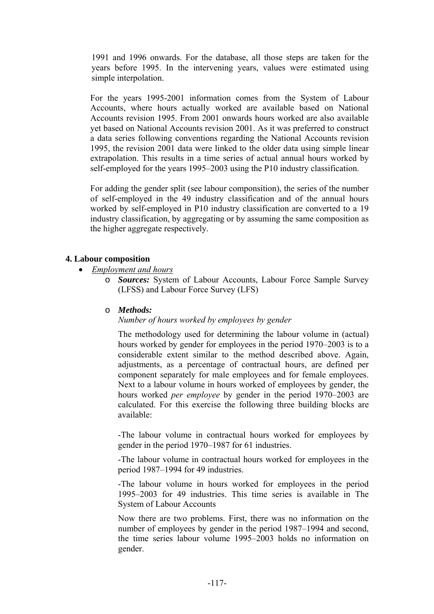1991 and 1996 onwards. For the database, all those steps are taken for the years before 1995. In the intervening years, values were estimated using simple interpolation.

For the years 1995-2001 information comes from the System of Labour Accounts, where hours actually worked are available based on National Accounts revision 1995. From 2001 onwards hours worked are also available yet based on National Accounts revision 2001. As it was preferred to construct a data series following conventions regarding the National Accounts revision 1995, the revision 2001 data were linked to the older data using simple linear extrapolation. This results in a time series of actual annual hours worked by self-employed for the years 1995–2003 using the P10 industry classification.

For adding the gender split (see labour componsition), the series of the number of self-employed in the 49 industry classification and of the annual hours worked by self-employed in P10 industry classification are converted to a 19 industry classification, by aggregating or by assuming the same composition as the higher aggregate respectively.

#### **4. Labour composition**

- *Employment and hours*
	- o *Sources:* System of Labour Accounts, Labour Force Sample Survey (LFSS) and Labour Force Survey (LFS)

#### o *Methods:*

*Number of hours worked by employees by gender* 

The methodology used for determining the labour volume in (actual) hours worked by gender for employees in the period 1970–2003 is to a considerable extent similar to the method described above. Again, adjustments, as a percentage of contractual hours, are defined per component separately for male employees and for female employees. Next to a labour volume in hours worked of employees by gender, the hours worked *per employee* by gender in the period 1970–2003 are calculated. For this exercise the following three building blocks are available:

-The labour volume in contractual hours worked for employees by gender in the period 1970–1987 for 61 industries.

-The labour volume in contractual hours worked for employees in the period 1987–1994 for 49 industries.

-The labour volume in hours worked for employees in the period 1995–2003 for 49 industries. This time series is available in The System of Labour Accounts

Now there are two problems. First, there was no information on the number of employees by gender in the period 1987–1994 and second, the time series labour volume 1995–2003 holds no information on gender.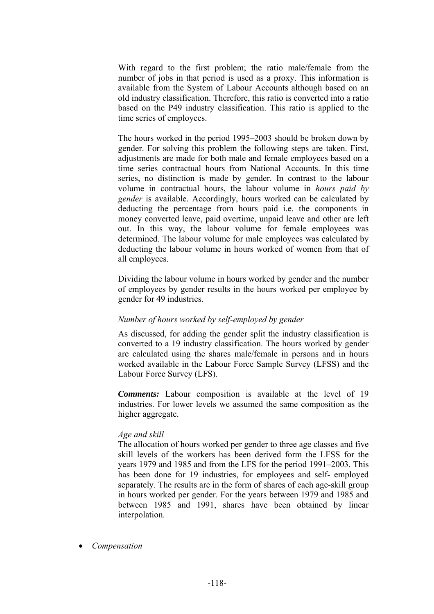With regard to the first problem; the ratio male/female from the number of jobs in that period is used as a proxy. This information is available from the System of Labour Accounts although based on an old industry classification. Therefore, this ratio is converted into a ratio based on the P49 industry classification. This ratio is applied to the time series of employees.

The hours worked in the period 1995–2003 should be broken down by gender. For solving this problem the following steps are taken. First, adjustments are made for both male and female employees based on a time series contractual hours from National Accounts. In this time series, no distinction is made by gender. In contrast to the labour volume in contractual hours, the labour volume in *hours paid by gender* is available. Accordingly, hours worked can be calculated by deducting the percentage from hours paid i.e. the components in money converted leave, paid overtime, unpaid leave and other are left out. In this way, the labour volume for female employees was determined. The labour volume for male employees was calculated by deducting the labour volume in hours worked of women from that of all employees.

Dividing the labour volume in hours worked by gender and the number of employees by gender results in the hours worked per employee by gender for 49 industries.

# *Number of hours worked by self-employed by gender*

As discussed, for adding the gender split the industry classification is converted to a 19 industry classification. The hours worked by gender are calculated using the shares male/female in persons and in hours worked available in the Labour Force Sample Survey (LFSS) and the Labour Force Survey (LFS).

*Comments:* Labour composition is available at the level of 19 industries. For lower levels we assumed the same composition as the higher aggregate.

# *Age and skill*

The allocation of hours worked per gender to three age classes and five skill levels of the workers has been derived form the LFSS for the years 1979 and 1985 and from the LFS for the period 1991–2003. This has been done for 19 industries, for employees and self- employed separately. The results are in the form of shares of each age-skill group in hours worked per gender. For the years between 1979 and 1985 and between 1985 and 1991, shares have been obtained by linear interpolation.

• *Compensation*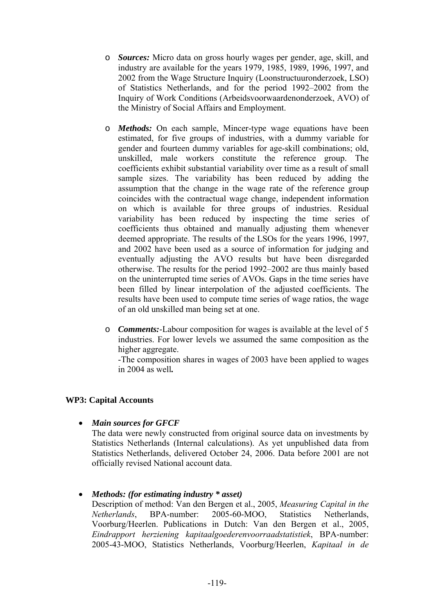- o *Sources:* Micro data on gross hourly wages per gender, age, skill, and industry are available for the years 1979, 1985, 1989, 1996, 1997, and 2002 from the Wage Structure Inquiry (Loonstructuuronderzoek, LSO) of Statistics Netherlands, and for the period 1992–2002 from the Inquiry of Work Conditions (Arbeidsvoorwaardenonderzoek, AVO) of the Ministry of Social Affairs and Employment.
- o *Methods:* On each sample, Mincer-type wage equations have been estimated, for five groups of industries, with a dummy variable for gender and fourteen dummy variables for age-skill combinations; old, unskilled, male workers constitute the reference group. The coefficients exhibit substantial variability over time as a result of small sample sizes. The variability has been reduced by adding the assumption that the change in the wage rate of the reference group coincides with the contractual wage change, independent information on which is available for three groups of industries. Residual variability has been reduced by inspecting the time series of coefficients thus obtained and manually adjusting them whenever deemed appropriate. The results of the LSOs for the years 1996, 1997, and 2002 have been used as a source of information for judging and eventually adjusting the AVO results but have been disregarded otherwise. The results for the period 1992–2002 are thus mainly based on the uninterrupted time series of AVOs. Gaps in the time series have been filled by linear interpolation of the adjusted coefficients. The results have been used to compute time series of wage ratios, the wage of an old unskilled man being set at one.
- o *Comments:*-Labour composition for wages is available at the level of 5 industries. For lower levels we assumed the same composition as the higher aggregate.

-The composition shares in wages of 2003 have been applied to wages in 2004 as well*.* 

# **WP3: Capital Accounts**

• *Main sources for GFCF* 

The data were newly constructed from original source data on investments by Statistics Netherlands (Internal calculations). As yet unpublished data from Statistics Netherlands, delivered October 24, 2006. Data before 2001 are not officially revised National account data.

# • *Methods: (for estimating industry \* asset)*

Description of method: Van den Bergen et al., 2005, *Measuring Capital in the Netherlands*, BPA-number: 2005-60-MOO, Statistics Netherlands, Voorburg/Heerlen. Publications in Dutch: Van den Bergen et al., 2005, *Eindrapport herziening kapitaalgoederenvoorraadstatistiek*, BPA-number: 2005-43-MOO, Statistics Netherlands, Voorburg/Heerlen, *Kapitaal in de*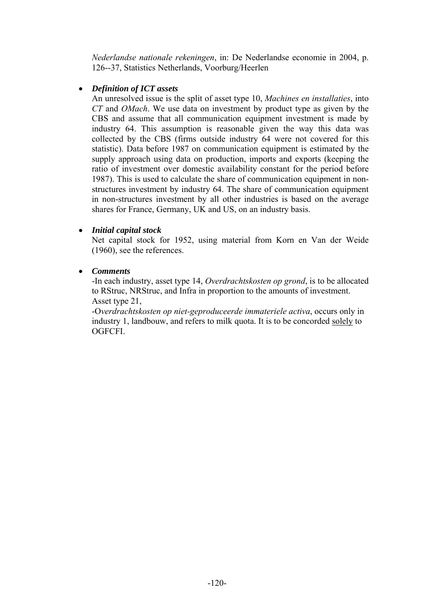*Nederlandse nationale rekeningen*, in: De Nederlandse economie in 2004, p. 126--37, Statistics Netherlands, Voorburg/Heerlen

# • *Definition of ICT assets*

An unresolved issue is the split of asset type 10, *Machines en installaties*, into *CT* and *OMach*. We use data on investment by product type as given by the CBS and assume that all communication equipment investment is made by industry 64. This assumption is reasonable given the way this data was collected by the CBS (firms outside industry 64 were not covered for this statistic). Data before 1987 on communication equipment is estimated by the supply approach using data on production, imports and exports (keeping the ratio of investment over domestic availability constant for the period before 1987). This is used to calculate the share of communication equipment in nonstructures investment by industry 64. The share of communication equipment in non-structures investment by all other industries is based on the average shares for France, Germany, UK and US, on an industry basis.

# • *Initial capital stock*

Net capital stock for 1952, using material from Korn en Van der Weide (1960), see the references.

# • *Comments*

-In each industry, asset type 14, *Overdrachtskosten op grond*, is to be allocated to RStruc, NRStruc, and Infra in proportion to the amounts of investment. Asset type 21,

-O*verdrachtskosten op niet-geproduceerde immateriele activa*, occurs only in industry 1, landbouw, and refers to milk quota. It is to be concorded solely to OGFCFI.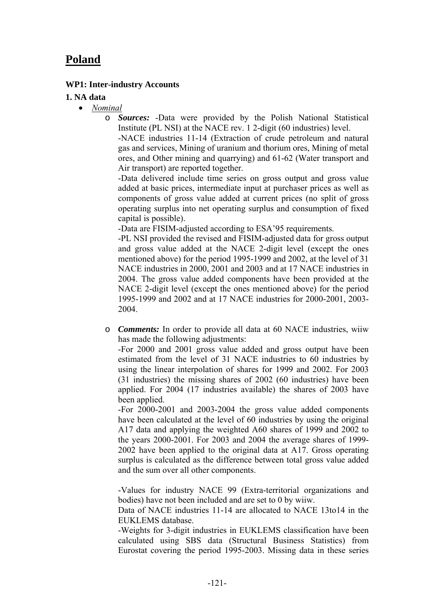# **Poland**

# **WP1: Inter-industry Accounts**

#### **1. NA data**

- *Nominal*
	- o *Sources:* -Data were provided by the Polish National Statistical Institute (PL NSI) at the NACE rev. 1 2-digit (60 industries) level.

-NACE industries 11-14 (Extraction of crude petroleum and natural gas and services, Mining of uranium and thorium ores, Mining of metal ores, and Other mining and quarrying) and 61-62 (Water transport and Air transport) are reported together.

-Data delivered include time series on gross output and gross value added at basic prices, intermediate input at purchaser prices as well as components of gross value added at current prices (no split of gross operating surplus into net operating surplus and consumption of fixed capital is possible).

-Data are FISIM-adjusted according to ESA'95 requirements.

-PL NSI provided the revised and FISIM-adjusted data for gross output and gross value added at the NACE 2-digit level (except the ones mentioned above) for the period 1995-1999 and 2002, at the level of 31 NACE industries in 2000, 2001 and 2003 and at 17 NACE industries in 2004. The gross value added components have been provided at the NACE 2-digit level (except the ones mentioned above) for the period 1995-1999 and 2002 and at 17 NACE industries for 2000-2001, 2003- 2004.

o *Comments:* In order to provide all data at 60 NACE industries, wiiw has made the following adjustments:

-For 2000 and 2001 gross value added and gross output have been estimated from the level of 31 NACE industries to 60 industries by using the linear interpolation of shares for 1999 and 2002. For 2003 (31 industries) the missing shares of 2002 (60 industries) have been applied. For 2004 (17 industries available) the shares of 2003 have been applied.

-For 2000-2001 and 2003-2004 the gross value added components have been calculated at the level of 60 industries by using the original A17 data and applying the weighted A60 shares of 1999 and 2002 to the years 2000-2001. For 2003 and 2004 the average shares of 1999- 2002 have been applied to the original data at A17. Gross operating surplus is calculated as the difference between total gross value added and the sum over all other components.

-Values for industry NACE 99 (Extra-territorial organizations and bodies) have not been included and are set to 0 by wiiw.

Data of NACE industries 11-14 are allocated to NACE 13to14 in the EUKLEMS database.

-Weights for 3-digit industries in EUKLEMS classification have been calculated using SBS data (Structural Business Statistics) from Eurostat covering the period 1995-2003. Missing data in these series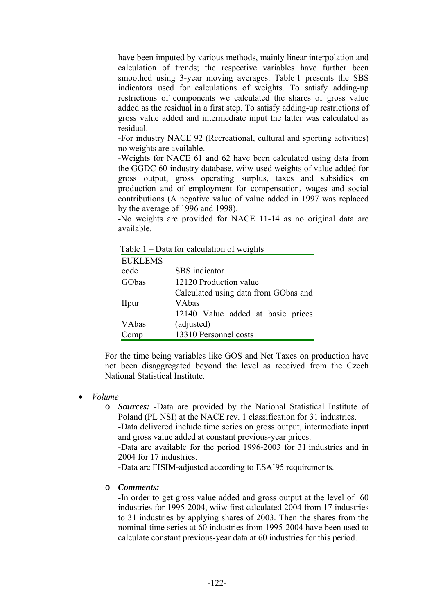have been imputed by various methods, mainly linear interpolation and calculation of trends; the respective variables have further been smoothed using 3-year moving averages. Table 1 presents the SBS indicators used for calculations of weights. To satisfy adding-up restrictions of components we calculated the shares of gross value added as the residual in a first step. To satisfy adding-up restrictions of gross value added and intermediate input the latter was calculated as residual.

-For industry NACE 92 (Recreational, cultural and sporting activities) no weights are available.

-Weights for NACE 61 and 62 have been calculated using data from the GGDC 60-industry database. wiiw used weights of value added for gross output, gross operating surplus, taxes and subsidies on production and of employment for compensation, wages and social contributions (A negative value of value added in 1997 was replaced by the average of 1996 and 1998).

-No weights are provided for NACE 11-14 as no original data are available.

Table 1 – Data for calculation of weights

| <b>EUKLEMS</b> |                                      |
|----------------|--------------------------------------|
| code           | SBS indicator                        |
| GObas          | 12120 Production value               |
|                | Calculated using data from GObas and |
| <b>I</b> lpur  | VAbas                                |
|                | 12140 Value added at basic prices    |
| <b>VAbas</b>   | (adjusted)                           |
| omp            | 13310 Personnel costs                |

For the time being variables like GOS and Net Taxes on production have not been disaggregated beyond the level as received from the Czech National Statistical Institute.

#### • *Volume*

o *Sources:* **-**Data are provided by the National Statistical Institute of Poland (PL NSI) at the NACE rev. 1 classification for 31 industries.

-Data delivered include time series on gross output, intermediate input and gross value added at constant previous-year prices.

-Data are available for the period 1996-2003 for 31 industries and in 2004 for 17 industries.

-Data are FISIM-adjusted according to ESA'95 requirements.

#### o *Comments:*

-In order to get gross value added and gross output at the level of 60 industries for 1995-2004, wiiw first calculated 2004 from 17 industries to 31 industries by applying shares of 2003. Then the shares from the nominal time series at 60 industries from 1995-2004 have been used to calculate constant previous-year data at 60 industries for this period.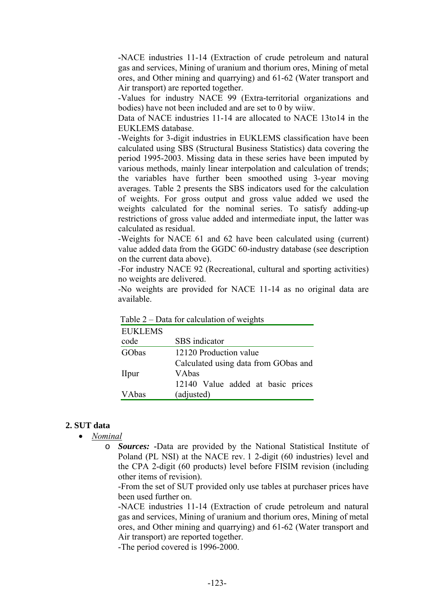-NACE industries 11-14 (Extraction of crude petroleum and natural gas and services, Mining of uranium and thorium ores, Mining of metal ores, and Other mining and quarrying) and 61-62 (Water transport and Air transport) are reported together.

-Values for industry NACE 99 (Extra-territorial organizations and bodies) have not been included and are set to 0 by wiiw.

Data of NACE industries 11-14 are allocated to NACE 13to14 in the EUKLEMS database.

-Weights for 3-digit industries in EUKLEMS classification have been calculated using SBS (Structural Business Statistics) data covering the period 1995-2003. Missing data in these series have been imputed by various methods, mainly linear interpolation and calculation of trends; the variables have further been smoothed using 3-year moving averages. Table 2 presents the SBS indicators used for the calculation of weights. For gross output and gross value added we used the weights calculated for the nominal series. To satisfy adding-up restrictions of gross value added and intermediate input, the latter was calculated as residual.

-Weights for NACE 61 and 62 have been calculated using (current) value added data from the GGDC 60-industry database (see description on the current data above).

-For industry NACE 92 (Recreational, cultural and sporting activities) no weights are delivered.

-No weights are provided for NACE 11-14 as no original data are available.

|                | $\sim$ $\sim$ www.ror very extend on $\sim$ $\sim$ $\sim$ |
|----------------|-----------------------------------------------------------|
| <b>EUKLEMS</b> |                                                           |
| code           | SBS indicator                                             |
| GObas          | 12120 Production value                                    |
|                | Calculated using data from GObas and                      |
| <b>I</b> lpur  | VAbas                                                     |
|                | 12140 Value added at basic prices                         |
| VAbas          | (adjusted)                                                |
|                |                                                           |

Table 2 – Data for calculation of weights

#### **2. SUT data**

- *Nominal*
	- o *Sources:* **-**Data are provided by the National Statistical Institute of Poland (PL NSI) at the NACE rev. 1 2-digit (60 industries) level and the CPA 2-digit (60 products) level before FISIM revision (including other items of revision).

-From the set of SUT provided only use tables at purchaser prices have been used further on.

-NACE industries 11-14 (Extraction of crude petroleum and natural gas and services, Mining of uranium and thorium ores, Mining of metal ores, and Other mining and quarrying) and 61-62 (Water transport and Air transport) are reported together.

-The period covered is 1996-2000.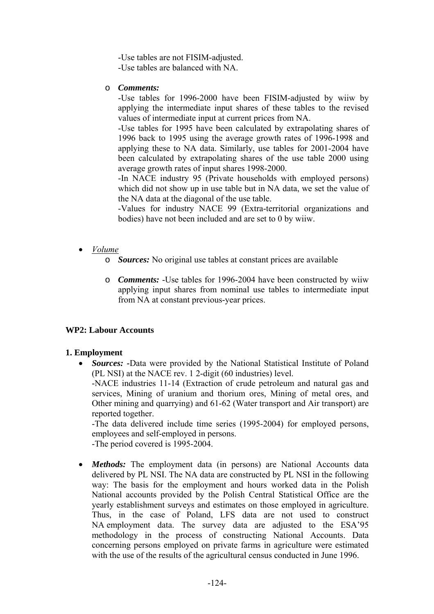-Use tables are not FISIM-adjusted. -Use tables are balanced with NA.

o *Comments:*

-Use tables for 1996-2000 have been FISIM-adjusted by wiiw by applying the intermediate input shares of these tables to the revised values of intermediate input at current prices from NA.

-Use tables for 1995 have been calculated by extrapolating shares of 1996 back to 1995 using the average growth rates of 1996-1998 and applying these to NA data. Similarly, use tables for 2001-2004 have been calculated by extrapolating shares of the use table 2000 using average growth rates of input shares 1998-2000.

-In NACE industry 95 (Private households with employed persons) which did not show up in use table but in NA data, we set the value of the NA data at the diagonal of the use table.

-Values for industry NACE 99 (Extra-territorial organizations and bodies) have not been included and are set to 0 by wiiw.

- *Volume*
	- o *Sources:* No original use tables at constant prices are available
	- o *Comments:* -Use tables for 1996-2004 have been constructed by wiiw applying input shares from nominal use tables to intermediate input from NA at constant previous-year prices.

# **WP2: Labour Accounts**

# **1. Employment**

• *Sources:* **-**Data were provided by the National Statistical Institute of Poland (PL NSI) at the NACE rev. 1 2-digit (60 industries) level. -NACE industries 11-14 (Extraction of crude petroleum and natural gas and services, Mining of uranium and thorium ores, Mining of metal ores, and Other mining and quarrying) and 61-62 (Water transport and Air transport) are reported together. -The data delivered include time series (1995-2004) for employed persons,

employees and self-employed in persons.

-The period covered is 1995-2004.

• *Methods:* The employment data (in persons) are National Accounts data delivered by PL NSI. The NA data are constructed by PL NSI in the following way: The basis for the employment and hours worked data in the Polish National accounts provided by the Polish Central Statistical Office are the yearly establishment surveys and estimates on those employed in agriculture. Thus, in the case of Poland, LFS data are not used to construct NA employment data. The survey data are adjusted to the ESA'95 methodology in the process of constructing National Accounts. Data concerning persons employed on private farms in agriculture were estimated with the use of the results of the agricultural census conducted in June 1996.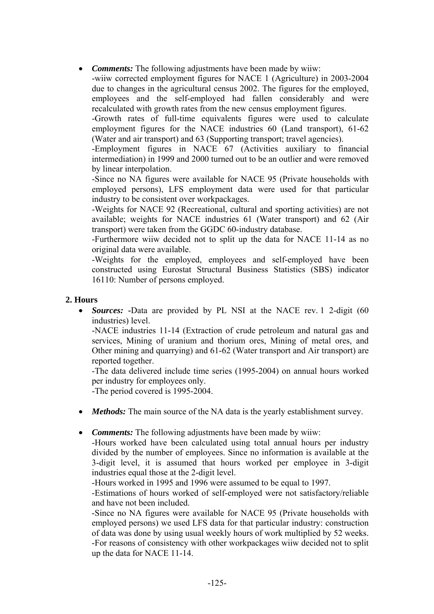• *Comments:* The following adjustments have been made by wiiw:

-wiiw corrected employment figures for NACE 1 (Agriculture) in 2003-2004 due to changes in the agricultural census 2002. The figures for the employed, employees and the self-employed had fallen considerably and were recalculated with growth rates from the new census employment figures.

-Growth rates of full-time equivalents figures were used to calculate employment figures for the NACE industries 60 (Land transport), 61-62 (Water and air transport) and 63 (Supporting transport; travel agencies).

-Employment figures in NACE 67 (Activities auxiliary to financial intermediation) in 1999 and 2000 turned out to be an outlier and were removed by linear interpolation.

-Since no NA figures were available for NACE 95 (Private households with employed persons), LFS employment data were used for that particular industry to be consistent over workpackages.

-Weights for NACE 92 (Recreational, cultural and sporting activities) are not available; weights for NACE industries 61 (Water transport) and 62 (Air transport) were taken from the GGDC 60-industry database.

-Furthermore wiiw decided not to split up the data for NACE 11-14 as no original data were available.

-Weights for the employed, employees and self-employed have been constructed using Eurostat Structural Business Statistics (SBS) indicator 16110: Number of persons employed.

# **2. Hours**

• *Sources:* **-**Data are provided by PL NSI at the NACE rev. 1 2-digit (60 industries) level.

-NACE industries 11-14 (Extraction of crude petroleum and natural gas and services, Mining of uranium and thorium ores, Mining of metal ores, and Other mining and quarrying) and 61-62 (Water transport and Air transport) are reported together.

-The data delivered include time series (1995-2004) on annual hours worked per industry for employees only.

-The period covered is 1995-2004.

- *Methods:* The main source of the NA data is the yearly establishment survey.
- *Comments:* The following adjustments have been made by wiiw:

-Hours worked have been calculated using total annual hours per industry divided by the number of employees. Since no information is available at the 3-digit level, it is assumed that hours worked per employee in 3-digit industries equal those at the 2-digit level.

-Hours worked in 1995 and 1996 were assumed to be equal to 1997.

-Estimations of hours worked of self-employed were not satisfactory/reliable and have not been included.

-Since no NA figures were available for NACE 95 (Private households with employed persons) we used LFS data for that particular industry: construction of data was done by using usual weekly hours of work multiplied by 52 weeks. -For reasons of consistency with other workpackages wiiw decided not to split up the data for NACE 11-14.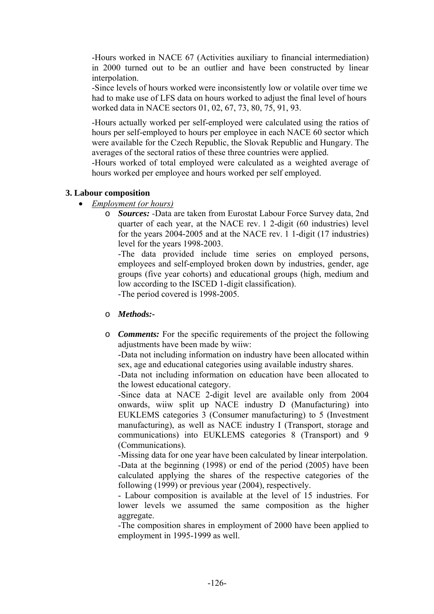-Hours worked in NACE 67 (Activities auxiliary to financial intermediation) in 2000 turned out to be an outlier and have been constructed by linear interpolation.

-Since levels of hours worked were inconsistently low or volatile over time we had to make use of LFS data on hours worked to adjust the final level of hours worked data in NACE sectors 01, 02, 67, 73, 80, 75, 91, 93.

-Hours actually worked per self-employed were calculated using the ratios of hours per self-employed to hours per employee in each NACE 60 sector which were available for the Czech Republic, the Slovak Republic and Hungary. The averages of the sectoral ratios of these three countries were applied.

-Hours worked of total employed were calculated as a weighted average of hours worked per employee and hours worked per self employed.

#### **3. Labour composition**

- *Employment (or hours)*
	- o *Sources: -*Data are taken from Eurostat Labour Force Survey data, 2nd quarter of each year, at the NACE rev. 1 2-digit (60 industries) level for the years 2004-2005 and at the NACE rev. 1 1-digit (17 industries) level for the years 1998-2003.

-The data provided include time series on employed persons, employees and self-employed broken down by industries, gender, age groups (five year cohorts) and educational groups (high, medium and low according to the ISCED 1-digit classification).

-The period covered is 1998-2005.

# o *Methods:-*

o *Comments:* For the specific requirements of the project the following adjustments have been made by wiiw:

-Data not including information on industry have been allocated within sex, age and educational categories using available industry shares.

-Data not including information on education have been allocated to the lowest educational category.

-Since data at NACE 2-digit level are available only from 2004 onwards, wiiw split up NACE industry D (Manufacturing) into EUKLEMS categories 3 (Consumer manufacturing) to 5 (Investment manufacturing), as well as NACE industry I (Transport, storage and communications) into EUKLEMS categories 8 (Transport) and 9 (Communications).

-Missing data for one year have been calculated by linear interpolation. -Data at the beginning (1998) or end of the period (2005) have been calculated applying the shares of the respective categories of the following (1999) or previous year (2004), respectively.

- Labour composition is available at the level of 15 industries. For lower levels we assumed the same composition as the higher aggregate.

-The composition shares in employment of 2000 have been applied to employment in 1995-1999 as well.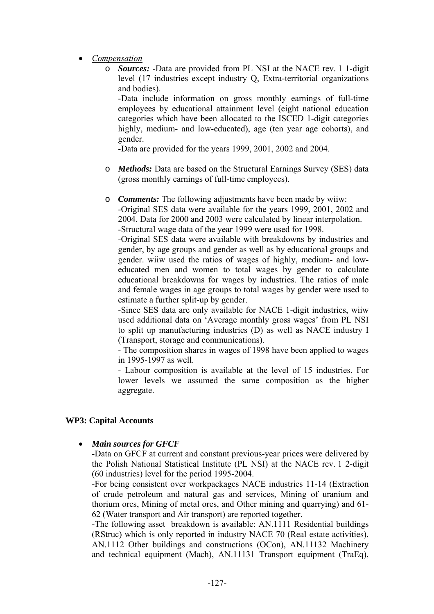- *Compensation*
	- o *Sources:* -Data are provided from PL NSI at the NACE rev. 1 1-digit level (17 industries except industry Q, Extra-territorial organizations and bodies).

-Data include information on gross monthly earnings of full-time employees by educational attainment level (eight national education categories which have been allocated to the ISCED 1-digit categories highly, medium- and low-educated), age (ten year age cohorts), and gender.

-Data are provided for the years 1999, 2001, 2002 and 2004.

o *Methods:* Data are based on the Structural Earnings Survey (SES) data (gross monthly earnings of full-time employees).

o *Comments:* The following adjustments have been made by wiiw: -Original SES data were available for the years 1999, 2001, 2002 and 2004. Data for 2000 and 2003 were calculated by linear interpolation. -Structural wage data of the year 1999 were used for 1998.

-Original SES data were available with breakdowns by industries and gender, by age groups and gender as well as by educational groups and gender. wiiw used the ratios of wages of highly, medium- and loweducated men and women to total wages by gender to calculate educational breakdowns for wages by industries. The ratios of male and female wages in age groups to total wages by gender were used to estimate a further split-up by gender.

-Since SES data are only available for NACE 1-digit industries, wiiw used additional data on 'Average monthly gross wages' from PL NSI to split up manufacturing industries (D) as well as NACE industry I (Transport, storage and communications).

- The composition shares in wages of 1998 have been applied to wages in 1995-1997 as well.

- Labour composition is available at the level of 15 industries. For lower levels we assumed the same composition as the higher aggregate.

# **WP3: Capital Accounts**

• *Main sources for GFCF* 

-Data on GFCF at current and constant previous-year prices were delivered by the Polish National Statistical Institute (PL NSI) at the NACE rev. 1 2-digit (60 industries) level for the period 1995-2004.

-For being consistent over workpackages NACE industries 11-14 (Extraction of crude petroleum and natural gas and services, Mining of uranium and thorium ores, Mining of metal ores, and Other mining and quarrying) and 61- 62 (Water transport and Air transport) are reported together.

-The following asset breakdown is available: AN.1111 Residential buildings (RStruc) which is only reported in industry NACE 70 (Real estate activities), AN.1112 Other buildings and constructions (OCon), AN.11132 Machinery and technical equipment (Mach), AN.11131 Transport equipment (TraEq),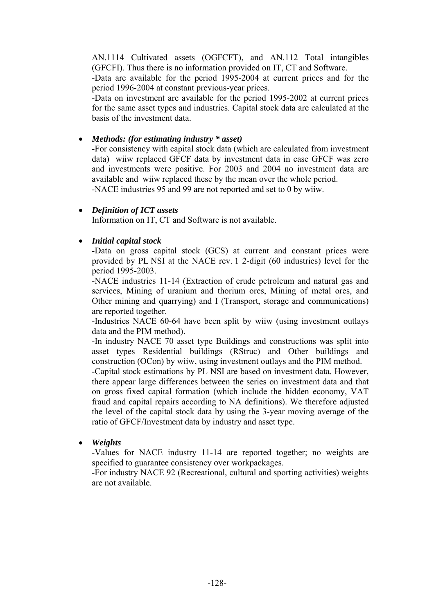AN.1114 Cultivated assets (OGFCFT), and AN.112 Total intangibles (GFCFI). Thus there is no information provided on IT, CT and Software.

-Data are available for the period 1995-2004 at current prices and for the period 1996-2004 at constant previous-year prices.

-Data on investment are available for the period 1995-2002 at current prices for the same asset types and industries. Capital stock data are calculated at the basis of the investment data.

### • *Methods: (for estimating industry \* asset)*

-For consistency with capital stock data (which are calculated from investment data) wiiw replaced GFCF data by investment data in case GFCF was zero and investments were positive. For 2003 and 2004 no investment data are available and wiiw replaced these by the mean over the whole period. -NACE industries 95 and 99 are not reported and set to 0 by wiiw.

#### • *Definition of ICT assets*

Information on IT, CT and Software is not available.

#### • *Initial capital stock*

-Data on gross capital stock (GCS) at current and constant prices were provided by PL NSI at the NACE rev. 1 2-digit (60 industries) level for the period 1995-2003.

-NACE industries 11-14 (Extraction of crude petroleum and natural gas and services, Mining of uranium and thorium ores, Mining of metal ores, and Other mining and quarrying) and I (Transport, storage and communications) are reported together.

-Industries NACE 60-64 have been split by wiiw (using investment outlays data and the PIM method).

-In industry NACE 70 asset type Buildings and constructions was split into asset types Residential buildings (RStruc) and Other buildings and construction (OCon) by wiiw, using investment outlays and the PIM method.

-Capital stock estimations by PL NSI are based on investment data. However, there appear large differences between the series on investment data and that on gross fixed capital formation (which include the hidden economy, VAT fraud and capital repairs according to NA definitions). We therefore adjusted the level of the capital stock data by using the 3-year moving average of the ratio of GFCF/Investment data by industry and asset type.

• *Weights* 

-Values for NACE industry 11-14 are reported together; no weights are specified to guarantee consistency over workpackages.

-For industry NACE 92 (Recreational, cultural and sporting activities) weights are not available.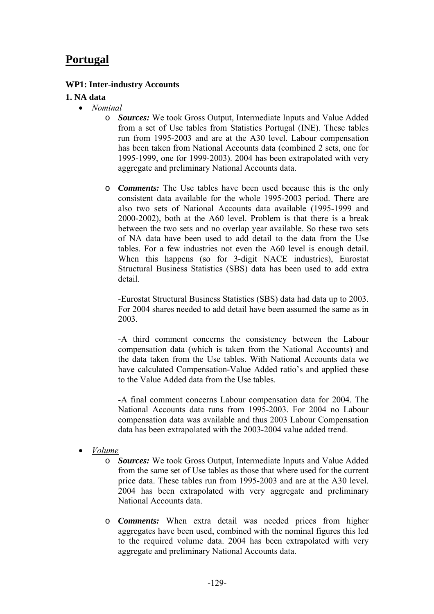# **Portugal**

### **WP1: Inter-industry Accounts**

#### **1. NA data**

- *Nominal*
	- o *Sources:* We took Gross Output, Intermediate Inputs and Value Added from a set of Use tables from Statistics Portugal (INE). These tables run from 1995-2003 and are at the A30 level. Labour compensation has been taken from National Accounts data (combined 2 sets, one for 1995-1999, one for 1999-2003). 2004 has been extrapolated with very aggregate and preliminary National Accounts data.
	- o *Comments:* The Use tables have been used because this is the only consistent data available for the whole 1995-2003 period. There are also two sets of National Accounts data available (1995-1999 and 2000-2002), both at the A60 level. Problem is that there is a break between the two sets and no overlap year available. So these two sets of NA data have been used to add detail to the data from the Use tables. For a few industries not even the A60 level is enough detail. When this happens (so for 3-digit NACE industries), Eurostat Structural Business Statistics (SBS) data has been used to add extra detail.

-Eurostat Structural Business Statistics (SBS) data had data up to 2003. For 2004 shares needed to add detail have been assumed the same as in 2003.

-A third comment concerns the consistency between the Labour compensation data (which is taken from the National Accounts) and the data taken from the Use tables. With National Accounts data we have calculated Compensation-Value Added ratio's and applied these to the Value Added data from the Use tables.

-A final comment concerns Labour compensation data for 2004. The National Accounts data runs from 1995-2003. For 2004 no Labour compensation data was available and thus 2003 Labour Compensation data has been extrapolated with the 2003-2004 value added trend.

- *Volume*
	- o *Sources:* We took Gross Output, Intermediate Inputs and Value Added from the same set of Use tables as those that where used for the current price data. These tables run from 1995-2003 and are at the A30 level. 2004 has been extrapolated with very aggregate and preliminary National Accounts data.
	- o *Comments:* When extra detail was needed prices from higher aggregates have been used, combined with the nominal figures this led to the required volume data. 2004 has been extrapolated with very aggregate and preliminary National Accounts data.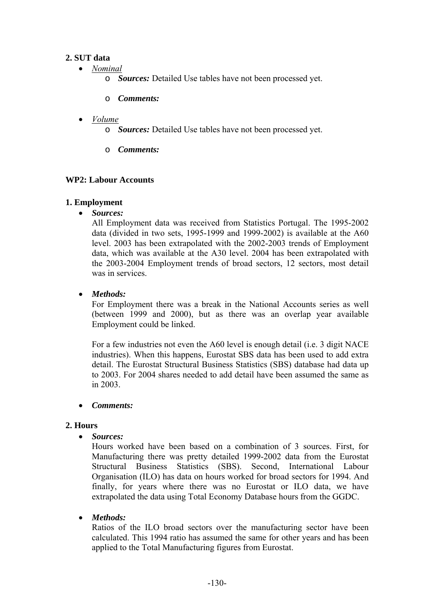# **2. SUT data**

- *Nominal*
	- o *Sources:* Detailed Use tables have not been processed yet.
	- o *Comments:*

# • *Volume*

- o *Sources:* Detailed Use tables have not been processed yet.
- o *Comments:*

# **WP2: Labour Accounts**

# **1. Employment**

• *Sources:*

All Employment data was received from Statistics Portugal. The 1995-2002 data (divided in two sets, 1995-1999 and 1999-2002) is available at the A60 level. 2003 has been extrapolated with the 2002-2003 trends of Employment data, which was available at the A30 level. 2004 has been extrapolated with the 2003-2004 Employment trends of broad sectors, 12 sectors, most detail was in services

# • *Methods:*

For Employment there was a break in the National Accounts series as well (between 1999 and 2000), but as there was an overlap year available Employment could be linked.

For a few industries not even the A60 level is enough detail (i.e. 3 digit NACE industries). When this happens, Eurostat SBS data has been used to add extra detail. The Eurostat Structural Business Statistics (SBS) database had data up to 2003. For 2004 shares needed to add detail have been assumed the same as in 2003.

# • *Comments:*

# **2. Hours**

• *Sources:*

Hours worked have been based on a combination of 3 sources. First, for Manufacturing there was pretty detailed 1999-2002 data from the Eurostat Structural Business Statistics (SBS). Second, International Labour Organisation (ILO) has data on hours worked for broad sectors for 1994. And finally, for years where there was no Eurostat or ILO data, we have extrapolated the data using Total Economy Database hours from the GGDC.

# • *Methods:*

Ratios of the ILO broad sectors over the manufacturing sector have been calculated. This 1994 ratio has assumed the same for other years and has been applied to the Total Manufacturing figures from Eurostat.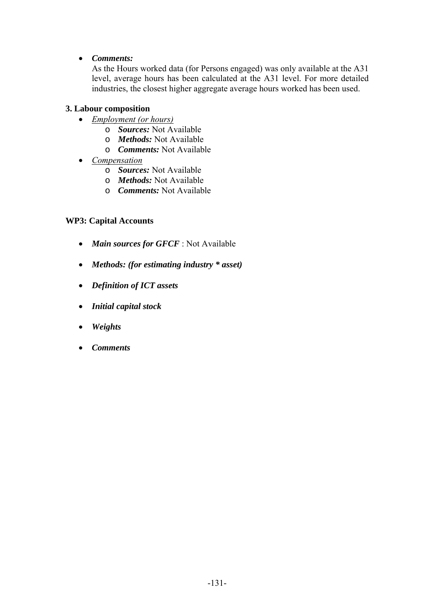# • *Comments:*

As the Hours worked data (for Persons engaged) was only available at the A31 level, average hours has been calculated at the A31 level. For more detailed industries, the closest higher aggregate average hours worked has been used.

# **3. Labour composition**

- *Employment (or hours)*
	- o *Sources:* Not Available
	- o *Methods:* Not Available
	- o *Comments:* Not Available
- *Compensation*
	- o *Sources:* Not Available
	- o *Methods:* Not Available
	- o *Comments:* Not Available

# **WP3: Capital Accounts**

- *Main sources for GFCF* : Not Available
- *Methods: (for estimating industry \* asset)*
- *Definition of ICT assets*
- *Initial capital stock*
- *Weights*
- *Comments*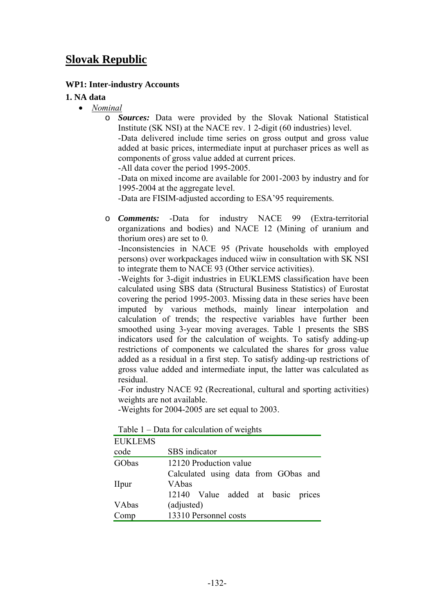# **Slovak Republic**

### **WP1: Inter-industry Accounts**

#### **1. NA data**

- *Nominal*
	- o *Sources:* Data were provided by the Slovak National Statistical Institute (SK NSI) at the NACE rev. 1 2-digit (60 industries) level.

-Data delivered include time series on gross output and gross value added at basic prices, intermediate input at purchaser prices as well as components of gross value added at current prices.

-All data cover the period 1995-2005.

-Data on mixed income are available for 2001-2003 by industry and for 1995-2004 at the aggregate level.

-Data are FISIM-adjusted according to ESA'95 requirements.

o *Comments:* -Data for industry NACE 99 (Extra-territorial organizations and bodies) and NACE 12 (Mining of uranium and thorium ores) are set to 0.

-Inconsistencies in NACE 95 (Private households with employed persons) over workpackages induced wiiw in consultation with SK NSI to integrate them to NACE 93 (Other service activities).

-Weights for 3-digit industries in EUKLEMS classification have been calculated using SBS data (Structural Business Statistics) of Eurostat covering the period 1995-2003. Missing data in these series have been imputed by various methods, mainly linear interpolation and calculation of trends; the respective variables have further been smoothed using 3-year moving averages. Table 1 presents the SBS indicators used for the calculation of weights. To satisfy adding-up restrictions of components we calculated the shares for gross value added as a residual in a first step. To satisfy adding-up restrictions of gross value added and intermediate input, the latter was calculated as residual.

-For industry NACE 92 (Recreational, cultural and sporting activities) weights are not available.

-Weights for 2004-2005 are set equal to 2003.

| <b>EUKLEMS</b> |                                      |
|----------------|--------------------------------------|
| code           | SBS indicator                        |
| GObas          | 12120 Production value               |
|                | Calculated using data from GObas and |
| <b>I</b> lpur  | <b>VAbas</b>                         |
|                | 12140 Value added at basic prices    |
| VAbas          | (adjusted)                           |
| Comp           | 13310 Personnel costs                |

Table 1 – Data for calculation of weights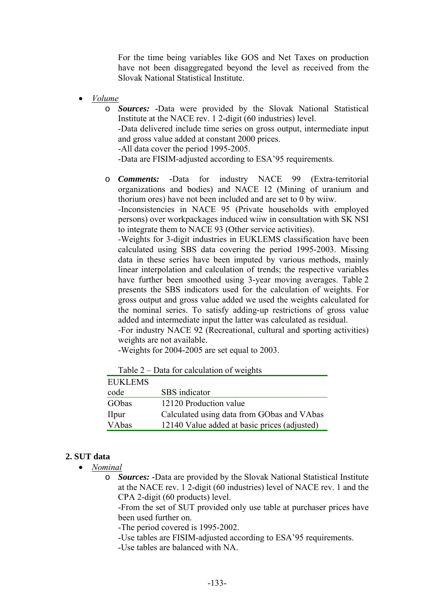For the time being variables like GOS and Net Taxes on production have not been disaggregated beyond the level as received from the Slovak National Statistical Institute.

• *Volume*

o *Sources:* **-**Data were provided by the Slovak National Statistical Institute at the NACE rev. 1 2-digit (60 industries) level. -Data delivered include time series on gross output, intermediate input

and gross value added at constant 2000 prices.

-All data cover the period 1995-2005.

-Data are FISIM-adjusted according to ESA'95 requirements.

o *Comments:* **-**Data for industry NACE 99 (Extra-territorial organizations and bodies) and NACE 12 (Mining of uranium and thorium ores) have not been included and are set to 0 by wiiw.

-Inconsistencies in NACE 95 (Private households with employed persons) over workpackages induced wiiw in consultation with SK NSI to integrate them to NACE 93 (Other service activities).

-Weights for 3-digit industries in EUKLEMS classification have been calculated using SBS data covering the period 1995-2003. Missing data in these series have been imputed by various methods, mainly linear interpolation and calculation of trends; the respective variables have further been smoothed using 3-year moving averages. Table 2 presents the SBS indicators used for the calculation of weights. For gross output and gross value added we used the weights calculated for the nominal series. To satisfy adding-up restrictions of gross value added and intermediate input the latter was calculated as residual.

-For industry NACE 92 (Recreational, cultural and sporting activities) weights are not available.

-Weights for 2004-2005 are set equal to 2003.

| $1$ ably $2 -$ Data for calculation of weights |                                              |  |
|------------------------------------------------|----------------------------------------------|--|
| <b>EUKLEMS</b>                                 |                                              |  |
| code                                           | SBS indicator                                |  |
| GObas                                          | 12120 Production value                       |  |
| <b>I</b> lpur                                  | Calculated using data from GObas and VAbas   |  |
| VAbas                                          | 12140 Value added at basic prices (adjusted) |  |

Table 2 – Data for calculation of weights

#### **2. SUT data**

• *Nominal*

o *Sources:* **-**Data are provided by the Slovak National Statistical Institute at the NACE rev. 1 2-digit (60 industries) level of NACE rev. 1 and the CPA 2-digit (60 products) level.

-From the set of SUT provided only use table at purchaser prices have been used further on.

-The period covered is 1995-2002.

-Use tables are FISIM-adjusted according to ESA'95 requirements.

-Use tables are balanced with NA.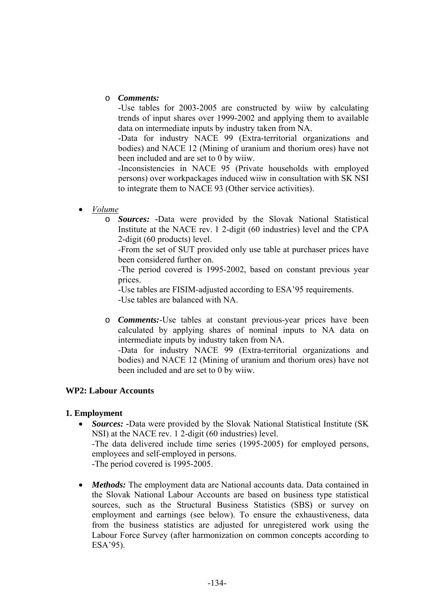### o *Comments:*

-Use tables for 2003-2005 are constructed by wiiw by calculating trends of input shares over 1999-2002 and applying them to available data on intermediate inputs by industry taken from NA.

-Data for industry NACE 99 (Extra-territorial organizations and bodies) and NACE 12 (Mining of uranium and thorium ores) have not been included and are set to 0 by wiiw.

-Inconsistencies in NACE 95 (Private households with employed persons) over workpackages induced wiiw in consultation with SK NSI to integrate them to NACE 93 (Other service activities).

- *Volume*
	- o *Sources:* **-**Data were provided by the Slovak National Statistical Institute at the NACE rev. 1 2-digit (60 industries) level and the CPA 2-digit (60 products) level.

-From the set of SUT provided only use table at purchaser prices have been considered further on.

-The period covered is 1995-2002, based on constant previous year prices.

-Use tables are FISIM-adjusted according to ESA'95 requirements. -Use tables are balanced with NA.

o *Comments:*-Use tables at constant previous-year prices have been calculated by applying shares of nominal inputs to NA data on intermediate inputs by industry taken from NA.

-Data for industry NACE 99 (Extra-territorial organizations and bodies) and NACE 12 (Mining of uranium and thorium ores) have not been included and are set to 0 by wiiw.

# **WP2: Labour Accounts**

# **1. Employment**

- *Sources:* -Data were provided by the Slovak National Statistical Institute (SK) NSI) at the NACE rev. 1 2-digit (60 industries) level. -The data delivered include time series (1995-2005) for employed persons, employees and self-employed in persons. -The period covered is 1995-2005.
- *Methods*: The employment data are National accounts data. Data contained in the Slovak National Labour Accounts are based on business type statistical sources, such as the Structural Business Statistics (SBS) or survey on employment and earnings (see below). To ensure the exhaustiveness, data from the business statistics are adjusted for unregistered work using the Labour Force Survey (after harmonization on common concepts according to ESA'95).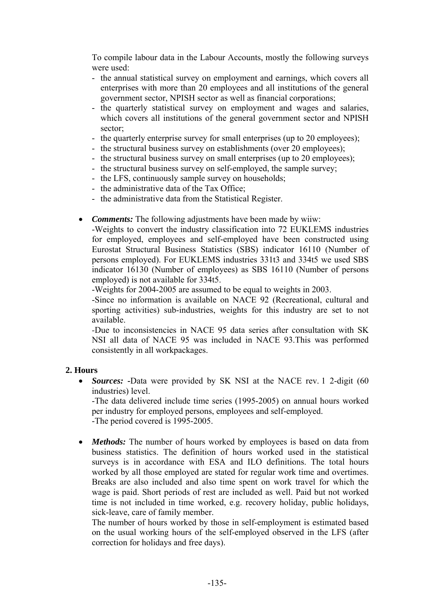To compile labour data in the Labour Accounts, mostly the following surveys were used:

- the annual statistical survey on employment and earnings, which covers all enterprises with more than 20 employees and all institutions of the general government sector, NPISH sector as well as financial corporations;
- the quarterly statistical survey on employment and wages and salaries, which covers all institutions of the general government sector and NPISH sector;
- the quarterly enterprise survey for small enterprises (up to 20 employees);
- the structural business survey on establishments (over 20 employees);
- the structural business survey on small enterprises (up to 20 employees);
- the structural business survey on self-employed, the sample survey;
- the LFS, continuously sample survey on households;
- the administrative data of the Tax Office;
- the administrative data from the Statistical Register.
- *Comments:* The following adjustments have been made by wiiw:

-Weights to convert the industry classification into 72 EUKLEMS industries for employed, employees and self-employed have been constructed using Eurostat Structural Business Statistics (SBS) indicator 16110 (Number of persons employed). For EUKLEMS industries 331t3 and 334t5 we used SBS indicator 16130 (Number of employees) as SBS 16110 (Number of persons employed) is not available for 334t5.

-Weights for 2004-2005 are assumed to be equal to weights in 2003.

-Since no information is available on NACE 92 (Recreational, cultural and sporting activities) sub-industries, weights for this industry are set to not available.

*-*Due to inconsistencies in NACE 95 data series after consultation with SK NSI all data of NACE 95 was included in NACE 93.This was performed consistently in all workpackages.

# **2. Hours**

• *Sources:* -Data were provided by SK NSI at the NACE rev. 1 2-digit (60) industries) level.

-The data delivered include time series (1995-2005) on annual hours worked per industry for employed persons, employees and self-employed. -The period covered is 1995-2005.

• *Methods:* The number of hours worked by employees is based on data from business statistics. The definition of hours worked used in the statistical surveys is in accordance with ESA and ILO definitions. The total hours worked by all those employed are stated for regular work time and overtimes. Breaks are also included and also time spent on work travel for which the wage is paid. Short periods of rest are included as well. Paid but not worked time is not included in time worked, e.g. recovery holiday, public holidays, sick-leave, care of family member.

The number of hours worked by those in self-employment is estimated based on the usual working hours of the self-employed observed in the LFS (after correction for holidays and free days).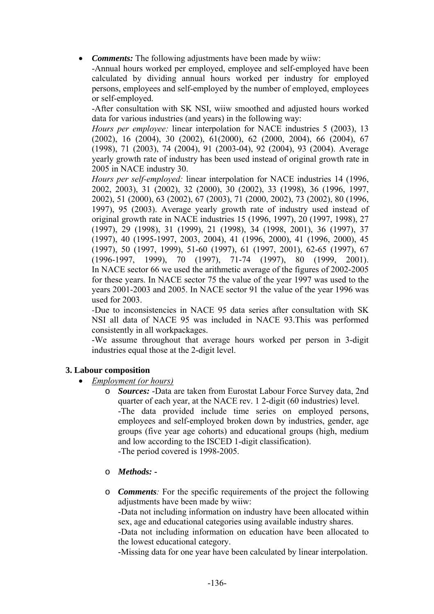• *Comments:* The following adjustments have been made by wiiw:

-Annual hours worked per employed, employee and self-employed have been calculated by dividing annual hours worked per industry for employed persons, employees and self-employed by the number of employed, employees or self-employed.

-After consultation with SK NSI, wiiw smoothed and adjusted hours worked data for various industries (and years) in the following way:

*Hours per employee:* linear interpolation for NACE industries 5 (2003), 13 (2002), 16 (2004), 30 (2002), 61(2000), 62 (2000, 2004), 66 (2004), 67 (1998), 71 (2003), 74 (2004), 91 (2003-04), 92 (2004), 93 (2004). Average yearly growth rate of industry has been used instead of original growth rate in 2005 in NACE industry 30.

*Hours per self-employed:* linear interpolation for NACE industries 14 (1996, 2002, 2003), 31 (2002), 32 (2000), 30 (2002), 33 (1998), 36 (1996, 1997, 2002), 51 (2000), 63 (2002), 67 (2003), 71 (2000, 2002), 73 (2002), 80 (1996, 1997), 95 (2003). Average yearly growth rate of industry used instead of original growth rate in NACE industries 15 (1996, 1997), 20 (1997, 1998), 27 (1997), 29 (1998), 31 (1999), 21 (1998), 34 (1998, 2001), 36 (1997), 37 (1997), 40 (1995-1997, 2003, 2004), 41 (1996, 2000), 41 (1996, 2000), 45 (1997), 50 (1997, 1999), 51-60 (1997), 61 (1997, 2001), 62-65 (1997), 67 (1996-1997, 1999), 70 (1997), 71-74 (1997), 80 (1999, 2001). In NACE sector 66 we used the arithmetic average of the figures of 2002-2005 for these years. In NACE sector 75 the value of the year 1997 was used to the years 2001-2003 and 2005. In NACE sector 91 the value of the year 1996 was used for 2003.

*-*Due to inconsistencies in NACE 95 data series after consultation with SK NSI all data of NACE 95 was included in NACE 93.This was performed consistently in all workpackages.

-We assume throughout that average hours worked per person in 3-digit industries equal those at the 2-digit level.

# **3. Labour composition**

- *Employment (or hours)*
	- o *Sources:* -Data are taken from Eurostat Labour Force Survey data, 2nd quarter of each year, at the NACE rev. 1 2-digit (60 industries) level. -The data provided include time series on employed persons, employees and self-employed broken down by industries, gender, age groups (five year age cohorts) and educational groups (high, medium and low according to the ISCED 1-digit classification). -The period covered is 1998-2005.
	- o *Methods:*
	- o *Comments:* For the specific requirements of the project the following adjustments have been made by wiiw:

-Data not including information on industry have been allocated within sex, age and educational categories using available industry shares.

-Data not including information on education have been allocated to the lowest educational category.

-Missing data for one year have been calculated by linear interpolation.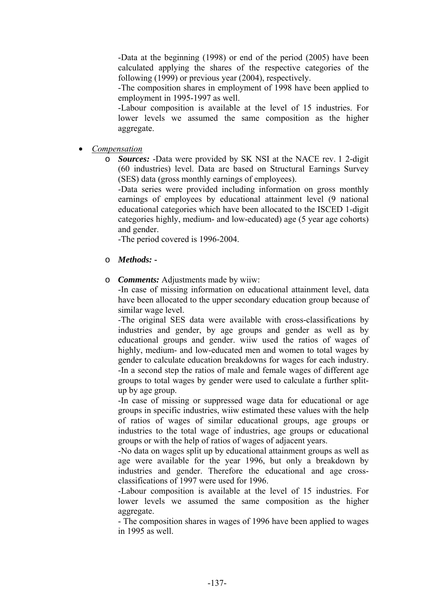-Data at the beginning (1998) or end of the period (2005) have been calculated applying the shares of the respective categories of the following (1999) or previous year (2004), respectively.

-The composition shares in employment of 1998 have been applied to employment in 1995-1997 as well.

-Labour composition is available at the level of 15 industries. For lower levels we assumed the same composition as the higher aggregate.

• *Compensation*

o *Sources:* -Data were provided by SK NSI at the NACE rev. 1 2-digit (60 industries) level. Data are based on Structural Earnings Survey (SES) data (gross monthly earnings of employees).

-Data series were provided including information on gross monthly earnings of employees by educational attainment level (9 national educational categories which have been allocated to the ISCED 1-digit categories highly, medium- and low-educated) age (5 year age cohorts) and gender.

-The period covered is 1996-2004.

- o *Methods:*
- o *Comments:* Adjustments made by wiiw:

-In case of missing information on educational attainment level, data have been allocated to the upper secondary education group because of similar wage level.

-The original SES data were available with cross-classifications by industries and gender, by age groups and gender as well as by educational groups and gender. wiiw used the ratios of wages of highly, medium- and low-educated men and women to total wages by gender to calculate education breakdowns for wages for each industry. -In a second step the ratios of male and female wages of different age groups to total wages by gender were used to calculate a further splitup by age group.

-In case of missing or suppressed wage data for educational or age groups in specific industries, wiiw estimated these values with the help of ratios of wages of similar educational groups, age groups or industries to the total wage of industries, age groups or educational groups or with the help of ratios of wages of adjacent years.

-No data on wages split up by educational attainment groups as well as age were available for the year 1996, but only a breakdown by industries and gender. Therefore the educational and age crossclassifications of 1997 were used for 1996.

-Labour composition is available at the level of 15 industries. For lower levels we assumed the same composition as the higher aggregate.

- The composition shares in wages of 1996 have been applied to wages in 1995 as well.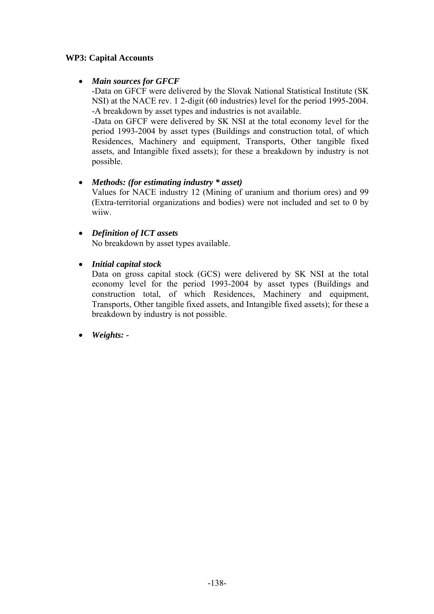# **WP3: Capital Accounts**

# • *Main sources for GFCF*

-Data on GFCF were delivered by the Slovak National Statistical Institute (SK NSI) at the NACE rev. 1 2-digit (60 industries) level for the period 1995-2004. -A breakdown by asset types and industries is not available.

-Data on GFCF were delivered by SK NSI at the total economy level for the period 1993-2004 by asset types (Buildings and construction total, of which Residences, Machinery and equipment, Transports, Other tangible fixed assets, and Intangible fixed assets); for these a breakdown by industry is not possible.

# • *Methods: (for estimating industry \* asset)*

Values for NACE industry 12 (Mining of uranium and thorium ores) and 99 (Extra-territorial organizations and bodies) were not included and set to 0 by wiiw.

# • *Definition of ICT assets*

No breakdown by asset types available.

# • *Initial capital stock*

Data on gross capital stock (GCS) were delivered by SK NSI at the total economy level for the period 1993-2004 by asset types (Buildings and construction total, of which Residences, Machinery and equipment, Transports, Other tangible fixed assets, and Intangible fixed assets); for these a breakdown by industry is not possible.

• *Weights: -*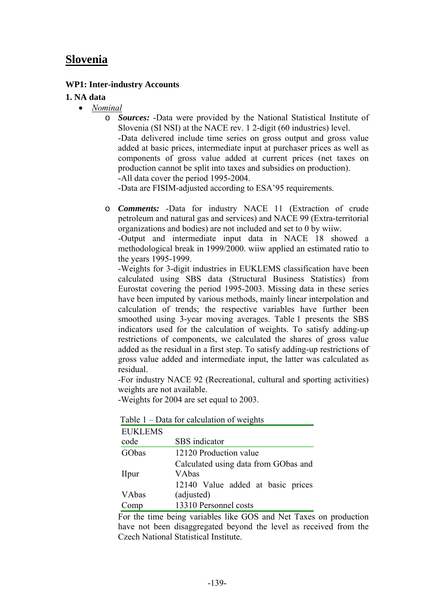# **Slovenia**

#### **WP1: Inter-industry Accounts**

#### **1. NA data**

- *Nominal*
	- o *Sources:* -Data were provided by the National Statistical Institute of Slovenia (SI NSI) at the NACE rev. 1 2-digit (60 industries) level. -Data delivered include time series on gross output and gross value added at basic prices, intermediate input at purchaser prices as well as components of gross value added at current prices (net taxes on production cannot be split into taxes and subsidies on production). -All data cover the period 1995-2004.

-Data are FISIM-adjusted according to ESA'95 requirements.

o *Comments:* -Data for industry NACE 11 (Extraction of crude petroleum and natural gas and services) and NACE 99 (Extra-territorial organizations and bodies) are not included and set to 0 by wiiw.

-Output and intermediate input data in NACE 18 showed a methodological break in 1999/2000. wiiw applied an estimated ratio to the years 1995-1999.

-Weights for 3-digit industries in EUKLEMS classification have been calculated using SBS data (Structural Business Statistics) from Eurostat covering the period 1995-2003. Missing data in these series have been imputed by various methods, mainly linear interpolation and calculation of trends; the respective variables have further been smoothed using 3-year moving averages. Table 1 presents the SBS indicators used for the calculation of weights. To satisfy adding-up restrictions of components, we calculated the shares of gross value added as the residual in a first step. To satisfy adding-up restrictions of gross value added and intermediate input, the latter was calculated as residual.

-For industry NACE 92 (Recreational, cultural and sporting activities) weights are not available.

-Weights for 2004 are set equal to 2003.

| <b>EUKLEMS</b> |                                      |
|----------------|--------------------------------------|
| code           | SBS indicator                        |
| GObas          | 12120 Production value               |
|                | Calculated using data from GObas and |
| <b>I</b> lpur  | VAbas                                |
|                | 12140 Value added at basic prices    |
| VAbas          | (adjusted)                           |
| 'omp           | 13310 Personnel costs                |

Table 1 – Data for calculation of weights

For the time being variables like GOS and Net Taxes on production have not been disaggregated beyond the level as received from the Czech National Statistical Institute.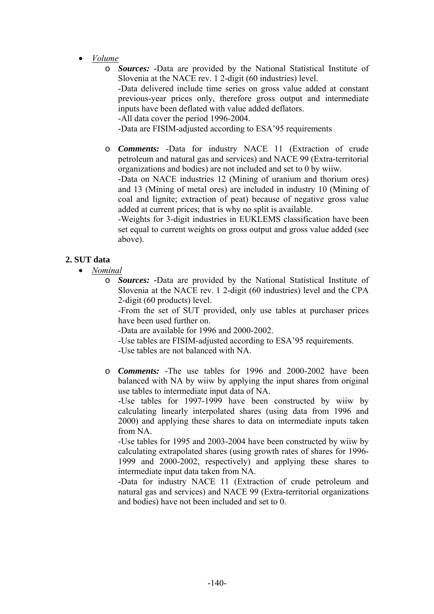- *Volume*
	- o *Sources:* **-**Data are provided by the National Statistical Institute of Slovenia at the NACE rev. 1 2-digit (60 industries) level. -Data delivered include time series on gross value added at constant previous-year prices only, therefore gross output and intermediate inputs have been deflated with value added deflators. -All data cover the period 1996-2004. -Data are FISIM-adjusted according to ESA'95 requirements
	- o *Comments:* -Data for industry NACE 11 (Extraction of crude petroleum and natural gas and services) and NACE 99 (Extra-territorial organizations and bodies) are not included and set to 0 by wiiw. -Data on NACE industries 12 (Mining of uranium and thorium ores) and 13 (Mining of metal ores) are included in industry 10 (Mining of coal and lignite; extraction of peat) because of negative gross value added at current prices; that is why no split is available. -Weights for 3-digit industries in EUKLEMS classification have been

set equal to current weights on gross output and gross value added (see above).

# **2. SUT data**

- *Nominal*
	- o *Sources:* **-**Data are provided by the National Statistical Institute of Slovenia at the NACE rev. 1 2-digit (60 industries) level and the CPA 2-digit (60 products) level.

-From the set of SUT provided, only use tables at purchaser prices have been used further on.

-Data are available for 1996 and 2000-2002.

-Use tables are FISIM-adjusted according to ESA'95 requirements.

-Use tables are not balanced with NA.

o *Comments:* -The use tables for 1996 and 2000-2002 have been balanced with NA by wiiw by applying the input shares from original use tables to intermediate input data of NA.

-Use tables for 1997-1999 have been constructed by wiiw by calculating linearly interpolated shares (using data from 1996 and 2000) and applying these shares to data on intermediate inputs taken from NA.

-Use tables for 1995 and 2003-2004 have been constructed by wiiw by calculating extrapolated shares (using growth rates of shares for 1996- 1999 and 2000-2002, respectively) and applying these shares to intermediate input data taken from NA.

-Data for industry NACE 11 (Extraction of crude petroleum and natural gas and services) and NACE 99 (Extra-territorial organizations and bodies) have not been included and set to 0.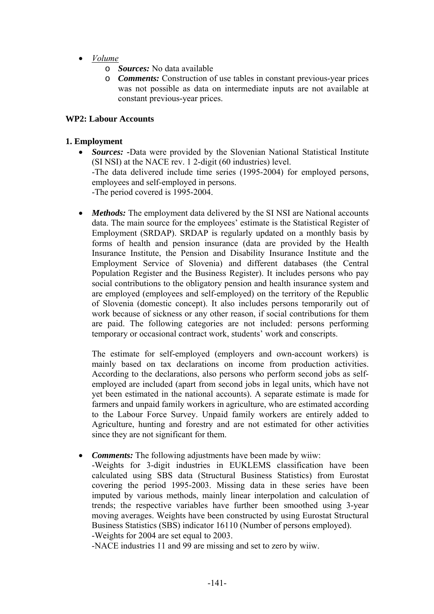- *Volume*
	- o *Sources:* No data available
	- o *Comments:* Construction of use tables in constant previous-year prices was not possible as data on intermediate inputs are not available at constant previous-year prices.

# **WP2: Labour Accounts**

# **1. Employment**

- *Sources:* **-**Data were provided by the Slovenian National Statistical Institute (SI NSI) at the NACE rev. 1 2-digit (60 industries) level. -The data delivered include time series (1995-2004) for employed persons, employees and self-employed in persons. -The period covered is 1995-2004.
- *Methods:* The employment data delivered by the SI NSI are National accounts data. The main source for the employees' estimate is the Statistical Register of Employment (SRDAP). SRDAP is regularly updated on a monthly basis by forms of health and pension insurance (data are provided by the Health Insurance Institute, the Pension and Disability Insurance Institute and the Employment Service of Slovenia) and different databases (the Central Population Register and the Business Register). It includes persons who pay social contributions to the obligatory pension and health insurance system and are employed (employees and self-employed) on the territory of the Republic of Slovenia (domestic concept). It also includes persons temporarily out of work because of sickness or any other reason, if social contributions for them are paid. The following categories are not included: persons performing temporary or occasional contract work, students' work and conscripts.

The estimate for self-employed (employers and own-account workers) is mainly based on tax declarations on income from production activities. According to the declarations, also persons who perform second jobs as selfemployed are included (apart from second jobs in legal units, which have not yet been estimated in the national accounts). A separate estimate is made for farmers and unpaid family workers in agriculture, who are estimated according to the Labour Force Survey. Unpaid family workers are entirely added to Agriculture, hunting and forestry and are not estimated for other activities since they are not significant for them.

• *Comments:* The following adjustments have been made by wiiw:

-Weights for 3-digit industries in EUKLEMS classification have been calculated using SBS data (Structural Business Statistics) from Eurostat covering the period 1995-2003. Missing data in these series have been imputed by various methods, mainly linear interpolation and calculation of trends; the respective variables have further been smoothed using 3-year moving averages. Weights have been constructed by using Eurostat Structural Business Statistics (SBS) indicator 16110 (Number of persons employed). -Weights for 2004 are set equal to 2003.

-NACE industries 11 and 99 are missing and set to zero by wiiw.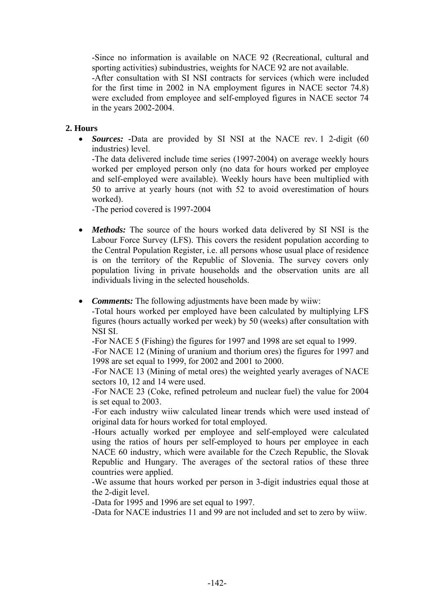-Since no information is available on NACE 92 (Recreational, cultural and sporting activities) subindustries, weights for NACE 92 are not available.

-After consultation with SI NSI contracts for services (which were included for the first time in 2002 in NA employment figures in NACE sector 74.8) were excluded from employee and self-employed figures in NACE sector 74 in the years 2002-2004.

# **2. Hours**

• *Sources:* **-**Data are provided by SI NSI at the NACE rev. 1 2-digit (60 industries) level.

-The data delivered include time series (1997-2004) on average weekly hours worked per employed person only (no data for hours worked per employee and self-employed were available). Weekly hours have been multiplied with 50 to arrive at yearly hours (not with 52 to avoid overestimation of hours worked).

-The period covered is 1997-2004

- *Methods:* The source of the hours worked data delivered by SI NSI is the Labour Force Survey (LFS). This covers the resident population according to the Central Population Register, i.e. all persons whose usual place of residence is on the territory of the Republic of Slovenia. The survey covers only population living in private households and the observation units are all individuals living in the selected households.
- *Comments:* The following adjustments have been made by wiiw:

-Total hours worked per employed have been calculated by multiplying LFS figures (hours actually worked per week) by 50 (weeks) after consultation with NSI SI.

-For NACE 5 (Fishing) the figures for 1997 and 1998 are set equal to 1999.

-For NACE 12 (Mining of uranium and thorium ores) the figures for 1997 and 1998 are set equal to 1999, for 2002 and 2001 to 2000.

-For NACE 13 (Mining of metal ores) the weighted yearly averages of NACE sectors 10, 12 and 14 were used.

-For NACE 23 (Coke, refined petroleum and nuclear fuel) the value for 2004 is set equal to 2003.

-For each industry wiiw calculated linear trends which were used instead of original data for hours worked for total employed.

-Hours actually worked per employee and self-employed were calculated using the ratios of hours per self-employed to hours per employee in each NACE 60 industry, which were available for the Czech Republic, the Slovak Republic and Hungary. The averages of the sectoral ratios of these three countries were applied.

-We assume that hours worked per person in 3-digit industries equal those at the 2-digit level.

-Data for 1995 and 1996 are set equal to 1997.

-Data for NACE industries 11 and 99 are not included and set to zero by wiiw.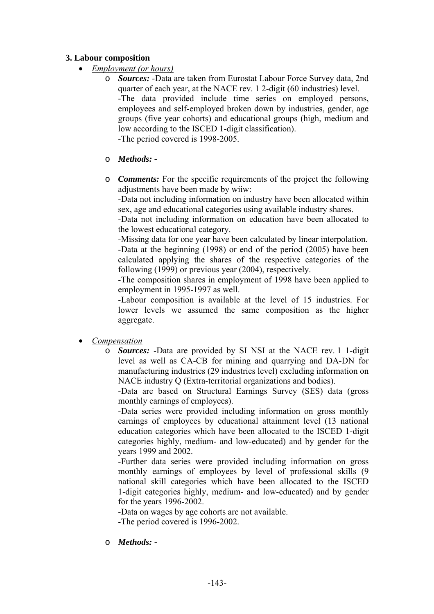### **3. Labour composition**

- *Employment (or hours)*
	- o *Sources: -*Data are taken from Eurostat Labour Force Survey data, 2nd quarter of each year, at the NACE rev. 1 2-digit (60 industries) level. -The data provided include time series on employed persons, employees and self-employed broken down by industries, gender, age groups (five year cohorts) and educational groups (high, medium and low according to the ISCED 1-digit classification). -The period covered is 1998-2005.
	- o *Methods:*
	- o *Comments:* For the specific requirements of the project the following adjustments have been made by wiiw:

-Data not including information on industry have been allocated within sex, age and educational categories using available industry shares.

-Data not including information on education have been allocated to the lowest educational category.

-Missing data for one year have been calculated by linear interpolation. -Data at the beginning (1998) or end of the period (2005) have been calculated applying the shares of the respective categories of the following (1999) or previous year (2004), respectively.

-The composition shares in employment of 1998 have been applied to employment in 1995-1997 as well.

-Labour composition is available at the level of 15 industries. For lower levels we assumed the same composition as the higher aggregate.

- *Compensation*
	- o *Sources: -*Data are provided by SI NSI at the NACE rev. 1 1-digit level as well as CA-CB for mining and quarrying and DA-DN for manufacturing industries (29 industries level) excluding information on NACE industry Q (Extra-territorial organizations and bodies).

-Data are based on Structural Earnings Survey (SES) data (gross monthly earnings of employees).

-Data series were provided including information on gross monthly earnings of employees by educational attainment level (13 national education categories which have been allocated to the ISCED 1-digit categories highly, medium- and low-educated) and by gender for the years 1999 and 2002.

-Further data series were provided including information on gross monthly earnings of employees by level of professional skills (9 national skill categories which have been allocated to the ISCED 1-digit categories highly, medium- and low-educated) and by gender for the years 1996-2002.

-Data on wages by age cohorts are not available.

-The period covered is 1996-2002.

o *Methods:* **-**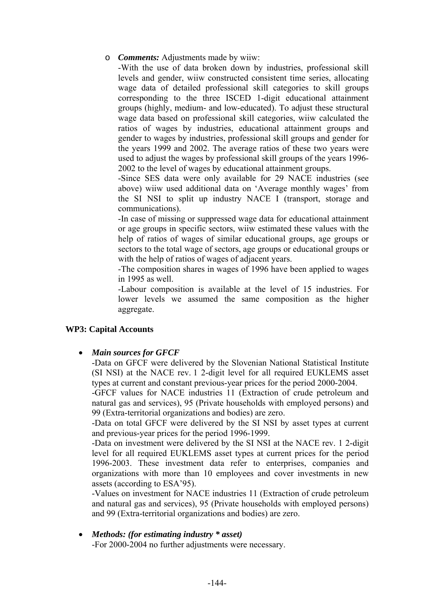o *Comments:* Adjustments made by wiiw:

-With the use of data broken down by industries, professional skill levels and gender, wiiw constructed consistent time series, allocating wage data of detailed professional skill categories to skill groups corresponding to the three ISCED 1-digit educational attainment groups (highly, medium- and low-educated). To adjust these structural wage data based on professional skill categories, wiiw calculated the ratios of wages by industries, educational attainment groups and gender to wages by industries, professional skill groups and gender for the years 1999 and 2002. The average ratios of these two years were used to adjust the wages by professional skill groups of the years 1996- 2002 to the level of wages by educational attainment groups.

-Since SES data were only available for 29 NACE industries (see above) wiiw used additional data on 'Average monthly wages' from the SI NSI to split up industry NACE I (transport, storage and communications).

-In case of missing or suppressed wage data for educational attainment or age groups in specific sectors, wiiw estimated these values with the help of ratios of wages of similar educational groups, age groups or sectors to the total wage of sectors, age groups or educational groups or with the help of ratios of wages of adjacent years.

-The composition shares in wages of 1996 have been applied to wages in 1995 as well.

-Labour composition is available at the level of 15 industries. For lower levels we assumed the same composition as the higher aggregate.

# **WP3: Capital Accounts**

• *Main sources for GFCF* 

-Data on GFCF were delivered by the Slovenian National Statistical Institute (SI NSI) at the NACE rev. 1 2-digit level for all required EUKLEMS asset types at current and constant previous-year prices for the period 2000-2004.

-GFCF values for NACE industries 11 (Extraction of crude petroleum and natural gas and services), 95 (Private households with employed persons) and 99 (Extra-territorial organizations and bodies) are zero.

-Data on total GFCF were delivered by the SI NSI by asset types at current and previous-year prices for the period 1996-1999.

-Data on investment were delivered by the SI NSI at the NACE rev. 1 2-digit level for all required EUKLEMS asset types at current prices for the period 1996-2003. These investment data refer to enterprises, companies and organizations with more than 10 employees and cover investments in new assets (according to ESA'95).

-Values on investment for NACE industries 11 (Extraction of crude petroleum and natural gas and services), 95 (Private households with employed persons) and 99 (Extra-territorial organizations and bodies) are zero.

• *Methods: (for estimating industry \* asset)*  -For 2000-2004 no further adjustments were necessary.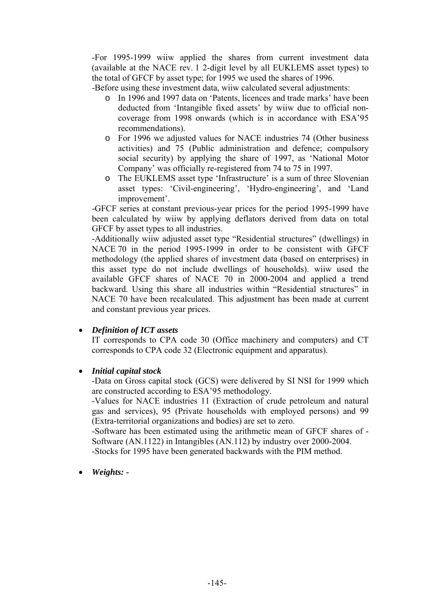-For 1995-1999 wiiw applied the shares from current investment data (available at the NACE rev. 1 2-digit level by all EUKLEMS asset types) to the total of GFCF by asset type; for 1995 we used the shares of 1996.

-Before using these investment data, wiiw calculated several adjustments:

- o In 1996 and 1997 data on 'Patents, licences and trade marks' have been deducted from 'Intangible fixed assets' by wiiw due to official noncoverage from 1998 onwards (which is in accordance with ESA'95 recommendations).
- o For 1996 we adjusted values for NACE industries 74 (Other business activities) and 75 (Public administration and defence; compulsory social security) by applying the share of 1997, as 'National Motor Company' was officially re-registered from 74 to 75 in 1997.
- o The EUKLEMS asset type 'Infrastructure' is a sum of three Slovenian asset types: 'Civil-engineering', 'Hydro-engineering', and 'Land improvement'.

-GFCF series at constant previous-year prices for the period 1995-1999 have been calculated by wiiw by applying deflators derived from data on total GFCF by asset types to all industries.

-Additionally wiiw adjusted asset type "Residential structures" (dwellings) in NACE 70 in the period 1995-1999 in order to be consistent with GFCF methodology (the applied shares of investment data (based on enterprises) in this asset type do not include dwellings of households). wiiw used the available GFCF shares of NACE 70 in 2000-2004 and applied a trend backward. Using this share all industries within "Residential structures" in NACE 70 have been recalculated. This adjustment has been made at current and constant previous year prices.

# • *Definition of ICT assets*

IT corresponds to CPA code 30 (Office machinery and computers) and CT corresponds to CPA code 32 (Electronic equipment and apparatus).

## • *Initial capital stock*

-Data on Gross capital stock (GCS) were delivered by SI NSI for 1999 which are constructed according to ESA'95 methodology.

-Values for NACE industries 11 (Extraction of crude petroleum and natural gas and services), 95 (Private households with employed persons) and 99 (Extra-territorial organizations and bodies) are set to zero.

-Software has been estimated using the arithmetic mean of GFCF shares of - Software (AN.1122) in Intangibles (AN.112) by industry over 2000-2004. -Stocks for 1995 have been generated backwards with the PIM method.

## • *Weights: -*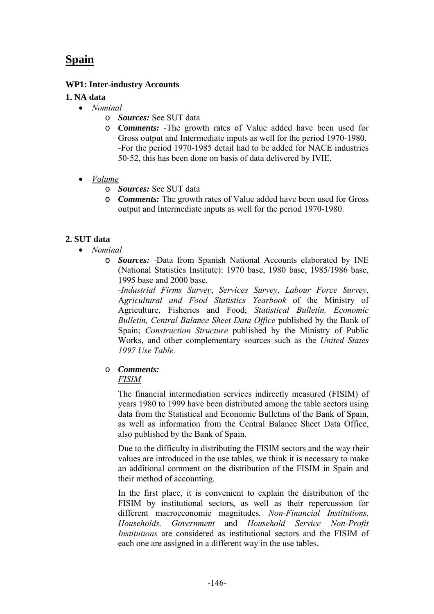# **Spain**

## **WP1: Inter-industry Accounts**

### **1. NA data**

- *Nominal*
	- o *Sources:* See SUT data
	- o *Comments: -*The growth rates of Value added have been used for Gross output and Intermediate inputs as well for the period 1970-1980. -For the period 1970-1985 detail had to be added for NACE industries 50-52, this has been done on basis of data delivered by IVIE.
- *Volume*
	- o *Sources:* See SUT data
	- o *Comments:* The growth rates of Value added have been used for Gross output and Intermediate inputs as well for the period 1970-1980.

## **2. SUT data**

- *Nominal*
	- o *Sources: -*Data from Spanish National Accounts elaborated by INE (National Statistics Institute): 1970 base, 1980 base, 1985/1986 base, 1995 base and 2000 base.

*-Industrial Firms Survey*, *Services Survey*, *Labour Force Survey*, A*gricultural and Food Statistics Yearbook* of the Ministry of Agriculture, Fisheries and Food; *Statistical Bulletin, Economic Bulletin, Central Balance Sheet Data Office* published by the Bank of Spain; *Construction Structure* published by the Ministry of Public Works, and other complementary sources such as the *United States 1997 Use Table.*

o *Comments:* *FISIM*

> The financial intermediation services indirectly measured (FISIM) of years 1980 to 1999 have been distributed among the table sectors using data from the Statistical and Economic Bulletins of the Bank of Spain, as well as information from the Central Balance Sheet Data Office, also published by the Bank of Spain.

> Due to the difficulty in distributing the FISIM sectors and the way their values are introduced in the use tables, we think it is necessary to make an additional comment on the distribution of the FISIM in Spain and their method of accounting.

> In the first place, it is convenient to explain the distribution of the FISIM by institutional sectors, as well as their repercussion for different macroeconomic magnitudes*. Non-Financial Institutions, Households, Government* and *Household Service Non-Profit Institutions* are considered as institutional sectors and the FISIM of each one are assigned in a different way in the use tables.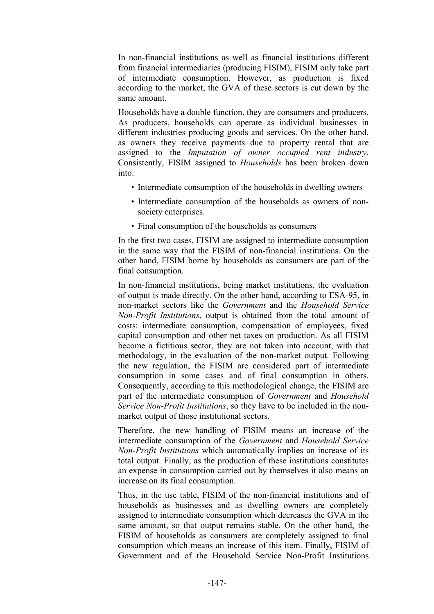In non-financial institutions as well as financial institutions different from financial intermediaries (producing FISIM), FISIM only take part of intermediate consumption. However, as production is fixed according to the market, the GVA of these sectors is cut down by the same amount.

Households have a double function, they are consumers and producers. As producers, households can operate as individual businesses in different industries producing goods and services. On the other hand, as owners they receive payments due to property rental that are assigned to the *Imputation of owner occupied rent industry*. Consistently, FISIM assigned to *Households* has been broken down into:

- Intermediate consumption of the households in dwelling owners
- Intermediate consumption of the households as owners of nonsociety enterprises.
- Final consumption of the households as consumers

In the first two cases, FISIM are assigned to intermediate consumption in the same way that the FISIM of non-financial institutions. On the other hand, FISIM borne by households as consumers are part of the final consumption.

In non-financial institutions, being market institutions, the evaluation of output is made directly. On the other hand, according to ESA-95, in non-market sectors like the *Government* and the *Household Service Non-Profit Institutions*, output is obtained from the total amount of costs: intermediate consumption, compensation of employees, fixed capital consumption and other net taxes on production. As all FISIM become a fictitious sector, they are not taken into account, with that methodology, in the evaluation of the non-market output. Following the new regulation, the FISIM are considered part of intermediate consumption in some cases and of final consumption in others. Consequently, according to this methodological change, the FISIM are part of the intermediate consumption of *Government* and *Household Service Non-Profit Institutions*, so they have to be included in the nonmarket output of those institutional sectors.

Therefore, the new handling of FISIM means an increase of the intermediate consumption of the *Government* and *Household Service Non-Profit Institutions* which automatically implies an increase of its total output. Finally, as the production of these institutions constitutes an expense in consumption carried out by themselves it also means an increase on its final consumption.

Thus, in the use table, FISIM of the non-financial institutions and of households as businesses and as dwelling owners are completely assigned to intermediate consumption which decreases the GVA in the same amount, so that output remains stable. On the other hand, the FISIM of households as consumers are completely assigned to final consumption which means an increase of this item. Finally, FISIM of Government and of the Household Service Non-Profit Institutions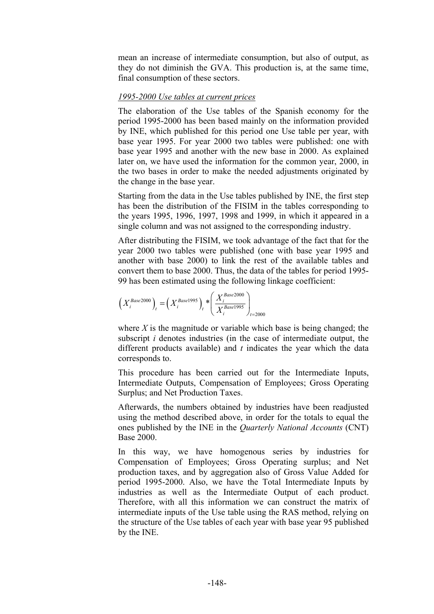mean an increase of intermediate consumption, but also of output, as they do not diminish the GVA. This production is, at the same time, final consumption of these sectors.

#### *1995-2000 Use tables at current prices*

The elaboration of the Use tables of the Spanish economy for the period 1995-2000 has been based mainly on the information provided by INE, which published for this period one Use table per year, with base year 1995. For year 2000 two tables were published: one with base year 1995 and another with the new base in 2000. As explained later on, we have used the information for the common year, 2000, in the two bases in order to make the needed adjustments originated by the change in the base year.

Starting from the data in the Use tables published by INE, the first step has been the distribution of the FISIM in the tables corresponding to the years 1995, 1996, 1997, 1998 and 1999, in which it appeared in a single column and was not assigned to the corresponding industry.

After distributing the FISIM, we took advantage of the fact that for the year 2000 two tables were published (one with base year 1995 and another with base 2000) to link the rest of the available tables and convert them to base 2000. Thus, the data of the tables for period 1995- 99 has been estimated using the following linkage coefficient:

$$
\left(X_i^{Base2000}\right)_t = \left(X_i^{Base1995}\right)_t * \left(\frac{X_i^{Base2000}}{X_i^{Base1995}}\right)_{t=2000}
$$

where *X* is the magnitude or variable which base is being changed; the subscript *i* denotes industries (in the case of intermediate output, the different products available) and *t* indicates the year which the data corresponds to.

This procedure has been carried out for the Intermediate Inputs, Intermediate Outputs, Compensation of Employees; Gross Operating Surplus; and Net Production Taxes.

Afterwards, the numbers obtained by industries have been readjusted using the method described above, in order for the totals to equal the ones published by the INE in the *Quarterly National Accounts* (CNT) Base 2000.

In this way, we have homogenous series by industries for Compensation of Employees; Gross Operating surplus; and Net production taxes, and by aggregation also of Gross Value Added for period 1995-2000. Also, we have the Total Intermediate Inputs by industries as well as the Intermediate Output of each product. Therefore, with all this information we can construct the matrix of intermediate inputs of the Use table using the RAS method, relying on the structure of the Use tables of each year with base year 95 published by the INE.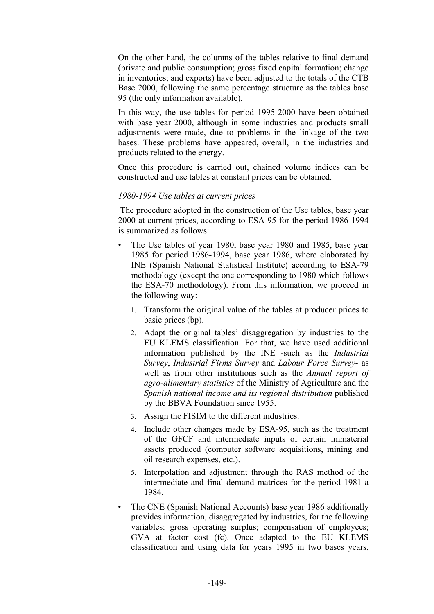On the other hand, the columns of the tables relative to final demand (private and public consumption; gross fixed capital formation; change in inventories; and exports) have been adjusted to the totals of the CTB Base 2000, following the same percentage structure as the tables base 95 (the only information available).

In this way, the use tables for period 1995-2000 have been obtained with base year 2000, although in some industries and products small adjustments were made, due to problems in the linkage of the two bases. These problems have appeared, overall, in the industries and products related to the energy.

Once this procedure is carried out, chained volume indices can be constructed and use tables at constant prices can be obtained.

### *1980-1994 Use tables at current prices*

The procedure adopted in the construction of the Use tables, base year 2000 at current prices, according to ESA-95 for the period 1986-1994 is summarized as follows:

- The Use tables of year 1980, base year 1980 and 1985, base year 1985 for period 1986-1994, base year 1986, where elaborated by INE (Spanish National Statistical Institute) according to ESA-79 methodology (except the one corresponding to 1980 which follows the ESA-70 methodology). From this information, we proceed in the following way:
	- 1. Transform the original value of the tables at producer prices to basic prices (bp).
	- 2. Adapt the original tables' disaggregation by industries to the EU KLEMS classification. For that, we have used additional information published by the INE -such as the *Industrial Survey*, *Industrial Firms Survey* and *Labour Force Survey*- as well as from other institutions such as the *Annual report of agro-alimentary statistics* of the Ministry of Agriculture and the *Spanish national income and its regional distribution* published by the BBVA Foundation since 1955.
	- 3. Assign the FISIM to the different industries.
	- 4. Include other changes made by ESA-95, such as the treatment of the GFCF and intermediate inputs of certain immaterial assets produced (computer software acquisitions, mining and oil research expenses, etc.).
	- 5. Interpolation and adjustment through the RAS method of the intermediate and final demand matrices for the period 1981 a 1984.
- The CNE (Spanish National Accounts) base year 1986 additionally provides information, disaggregated by industries, for the following variables: gross operating surplus; compensation of employees; GVA at factor cost (fc). Once adapted to the EU KLEMS classification and using data for years 1995 in two bases years,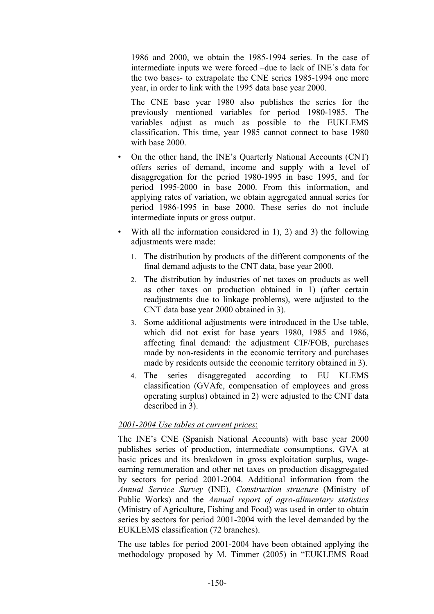1986 and 2000, we obtain the 1985-1994 series. In the case of intermediate inputs we were forced –due to lack of INE´s data for the two bases- to extrapolate the CNE series 1985-1994 one more year, in order to link with the 1995 data base year 2000.

The CNE base year 1980 also publishes the series for the previously mentioned variables for period 1980-1985. The variables adjust as much as possible to the EUKLEMS classification. This time, year 1985 cannot connect to base 1980 with base 2000.

- On the other hand, the INE's Quarterly National Accounts (CNT) offers series of demand, income and supply with a level of disaggregation for the period 1980-1995 in base 1995, and for period 1995-2000 in base 2000. From this information, and applying rates of variation, we obtain aggregated annual series for period 1986-1995 in base 2000. These series do not include intermediate inputs or gross output.
- With all the information considered in 1), 2) and 3) the following adjustments were made:
	- 1. The distribution by products of the different components of the final demand adjusts to the CNT data, base year 2000.
	- 2. The distribution by industries of net taxes on products as well as other taxes on production obtained in 1) (after certain readjustments due to linkage problems), were adjusted to the CNT data base year 2000 obtained in 3).
	- 3. Some additional adjustments were introduced in the Use table, which did not exist for base years 1980, 1985 and 1986, affecting final demand: the adjustment CIF/FOB, purchases made by non-residents in the economic territory and purchases made by residents outside the economic territory obtained in 3).
	- 4. The series disaggregated according to EU KLEMS classification (GVAfc, compensation of employees and gross operating surplus) obtained in 2) were adjusted to the CNT data described in 3).

## *2001-2004 Use tables at current prices*:

The INE's CNE (Spanish National Accounts) with base year 2000 publishes series of production, intermediate consumptions, GVA at basic prices and its breakdown in gross exploitation surplus, wageearning remuneration and other net taxes on production disaggregated by sectors for period 2001-2004. Additional information from the *Annual Service Survey* (INE), *Construction structure* (Ministry of Public Works) and the *Annual report of agro-alimentary statistics* (Ministry of Agriculture, Fishing and Food) was used in order to obtain series by sectors for period 2001-2004 with the level demanded by the EUKLEMS classification (72 branches).

The use tables for period 2001-2004 have been obtained applying the methodology proposed by M. Timmer (2005) in "EUKLEMS Road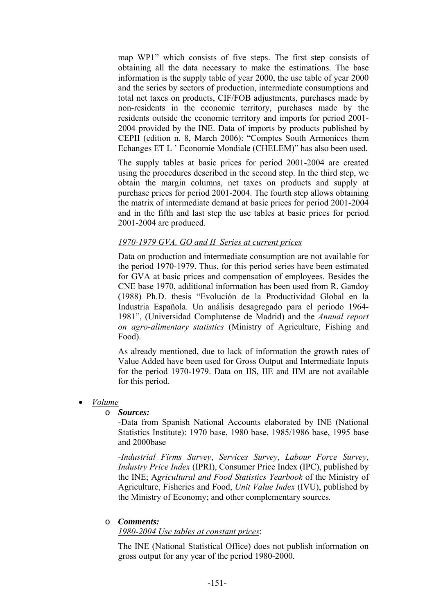map WP1" which consists of five steps. The first step consists of obtaining all the data necessary to make the estimations. The base information is the supply table of year 2000, the use table of year 2000 and the series by sectors of production, intermediate consumptions and total net taxes on products, CIF/FOB adjustments, purchases made by non-residents in the economic territory, purchases made by the residents outside the economic territory and imports for period 2001- 2004 provided by the INE. Data of imports by products published by CEPII (edition n. 8, March 2006): "Comptes South Armonices them Echanges ET L ' Economie Mondiale (CHELEM)" has also been used.

The supply tables at basic prices for period 2001-2004 are created using the procedures described in the second step. In the third step, we obtain the margin columns, net taxes on products and supply at purchase prices for period 2001-2004. The fourth step allows obtaining the matrix of intermediate demand at basic prices for period 2001-2004 and in the fifth and last step the use tables at basic prices for period 2001-2004 are produced.

### *1970-1979 GVA, GO and II Series at current prices*

Data on production and intermediate consumption are not available for the period 1970-1979. Thus, for this period series have been estimated for GVA at basic prices and compensation of employees. Besides the CNE base 1970, additional information has been used from R. Gandoy (1988) Ph.D. thesis "Evolución de la Productividad Global en la Industria Española. Un análisis desagregado para el periodo 1964- 1981", (Universidad Complutense de Madrid) and the *Annual report on agro-alimentary statistics* (Ministry of Agriculture, Fishing and Food).

As already mentioned, due to lack of information the growth rates of Value Added have been used for Gross Output and Intermediate Inputs for the period 1970-1979. Data on IIS, IIE and IIM are not available for this period.

• *Volume*

### o *Sources:*

-Data from Spanish National Accounts elaborated by INE (National Statistics Institute): 1970 base, 1980 base, 1985/1986 base, 1995 base and 2000base

*-Industrial Firms Survey*, *Services Survey*, *Labour Force Survey*, *Industry Price Index* (IPRI), Consumer Price Index (IPC), published by the INE; A*gricultural and Food Statistics Yearbook* of the Ministry of Agriculture, Fisheries and Food, *Unit Value Index* (IVU), published by the Ministry of Economy; and other complementary sources*.*

## o *Comments:*

*1980-2004 Use tables at constant prices*:

The INE (National Statistical Office) does not publish information on gross output for any year of the period 1980-2000.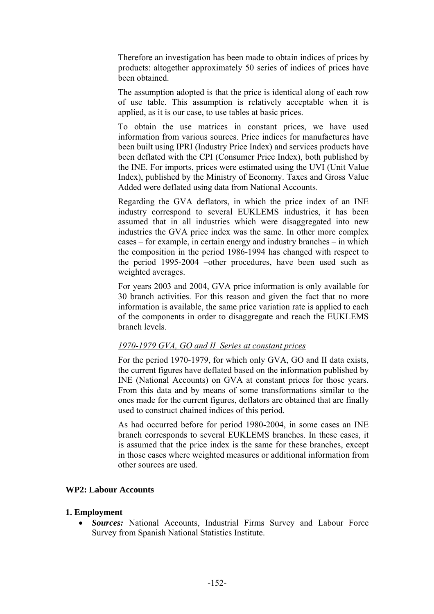Therefore an investigation has been made to obtain indices of prices by products: altogether approximately 50 series of indices of prices have been obtained.

The assumption adopted is that the price is identical along of each row of use table. This assumption is relatively acceptable when it is applied, as it is our case, to use tables at basic prices.

To obtain the use matrices in constant prices, we have used information from various sources. Price indices for manufactures have been built using IPRI (Industry Price Index) and services products have been deflated with the CPI (Consumer Price Index), both published by the INE. For imports, prices were estimated using the UVI (Unit Value Index), published by the Ministry of Economy. Taxes and Gross Value Added were deflated using data from National Accounts.

Regarding the GVA deflators, in which the price index of an INE industry correspond to several EUKLEMS industries, it has been assumed that in all industries which were disaggregated into new industries the GVA price index was the same. In other more complex cases – for example, in certain energy and industry branches – in which the composition in the period 1986-1994 has changed with respect to the period 1995-2004 –other procedures, have been used such as weighted averages.

For years 2003 and 2004, GVA price information is only available for 30 branch activities. For this reason and given the fact that no more information is available, the same price variation rate is applied to each of the components in order to disaggregate and reach the EUKLEMS branch levels.

## *1970-1979 GVA, GO and II Series at constant prices*

For the period 1970-1979, for which only GVA, GO and II data exists, the current figures have deflated based on the information published by INE (National Accounts) on GVA at constant prices for those years. From this data and by means of some transformations similar to the ones made for the current figures, deflators are obtained that are finally used to construct chained indices of this period.

As had occurred before for period 1980-2004, in some cases an INE branch corresponds to several EUKLEMS branches. In these cases, it is assumed that the price index is the same for these branches, except in those cases where weighted measures or additional information from other sources are used.

### **WP2: Labour Accounts**

### **1. Employment**

• *Sources:* National Accounts, Industrial Firms Survey and Labour Force Survey from Spanish National Statistics Institute.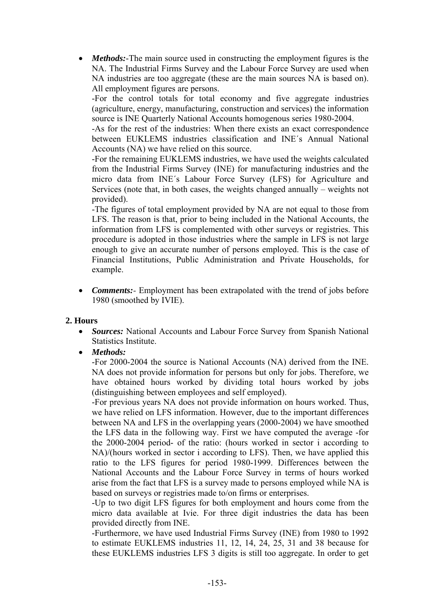• *Methods:*-The main source used in constructing the employment figures is the NA. The Industrial Firms Survey and the Labour Force Survey are used when NA industries are too aggregate (these are the main sources NA is based on). All employment figures are persons.

-For the control totals for total economy and five aggregate industries (agriculture, energy, manufacturing, construction and services) the information source is INE Quarterly National Accounts homogenous series 1980-2004.

-As for the rest of the industries: When there exists an exact correspondence between EUKLEMS industries classification and INE´s Annual National Accounts (NA) we have relied on this source.

-For the remaining EUKLEMS industries, we have used the weights calculated from the Industrial Firms Survey (INE) for manufacturing industries and the micro data from INE´s Labour Force Survey (LFS) for Agriculture and Services (note that, in both cases, the weights changed annually – weights not provided).

-The figures of total employment provided by NA are not equal to those from LFS. The reason is that, prior to being included in the National Accounts, the information from LFS is complemented with other surveys or registries. This procedure is adopted in those industries where the sample in LFS is not large enough to give an accurate number of persons employed. This is the case of Financial Institutions, Public Administration and Private Households, for example.

• *Comments:* Employment has been extrapolated with the trend of jobs before 1980 (smoothed by IVIE).

## **2. Hours**

• *Sources:* National Accounts and Labour Force Survey from Spanish National Statistics Institute.

### • *Methods:*

-For 2000-2004 the source is National Accounts (NA) derived from the INE. NA does not provide information for persons but only for jobs. Therefore, we have obtained hours worked by dividing total hours worked by jobs (distinguishing between employees and self employed).

-For previous years NA does not provide information on hours worked. Thus, we have relied on LFS information. However, due to the important differences between NA and LFS in the overlapping years (2000-2004) we have smoothed the LFS data in the following way. First we have computed the average -for the 2000-2004 period- of the ratio: (hours worked in sector i according to NA)/(hours worked in sector i according to LFS). Then, we have applied this ratio to the LFS figures for period 1980-1999. Differences between the National Accounts and the Labour Force Survey in terms of hours worked arise from the fact that LFS is a survey made to persons employed while NA is based on surveys or registries made to/on firms or enterprises.

-Up to two digit LFS figures for both employment and hours come from the micro data available at Ivie. For three digit industries the data has been provided directly from INE.

-Furthermore, we have used Industrial Firms Survey (INE) from 1980 to 1992 to estimate EUKLEMS industries 11, 12, 14, 24, 25, 31 and 38 because for these EUKLEMS industries LFS 3 digits is still too aggregate. In order to get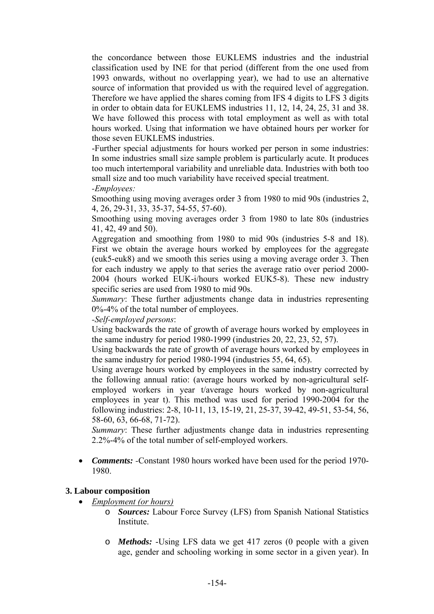the concordance between those EUKLEMS industries and the industrial classification used by INE for that period (different from the one used from 1993 onwards, without no overlapping year), we had to use an alternative source of information that provided us with the required level of aggregation. Therefore we have applied the shares coming from IFS 4 digits to LFS 3 digits in order to obtain data for EUKLEMS industries 11, 12, 14, 24, 25, 31 and 38. We have followed this process with total employment as well as with total hours worked. Using that information we have obtained hours per worker for those seven EUKLEMS industries.

-Further special adjustments for hours worked per person in some industries: In some industries small size sample problem is particularly acute. It produces too much intertemporal variability and unreliable data. Industries with both too small size and too much variability have received special treatment. *-Employees:* 

Smoothing using moving averages order 3 from 1980 to mid 90s (industries 2, 4, 26, 29-31, 33, 35-37, 54-55, 57-60).

Smoothing using moving averages order 3 from 1980 to late 80s (industries 41, 42, 49 and 50).

Aggregation and smoothing from 1980 to mid 90s (industries 5-8 and 18). First we obtain the average hours worked by employees for the aggregate (euk5-euk8) and we smooth this series using a moving average order 3. Then for each industry we apply to that series the average ratio over period 2000- 2004 (hours worked EUK-i/hours worked EUK5-8). These new industry specific series are used from 1980 to mid 90s.

*Summary*: These further adjustments change data in industries representing 0%-4% of the total number of employees.

*-Self-employed persons*:

Using backwards the rate of growth of average hours worked by employees in the same industry for period 1980-1999 (industries 20, 22, 23, 52, 57).

Using backwards the rate of growth of average hours worked by employees in the same industry for period 1980-1994 (industries 55, 64, 65).

Using average hours worked by employees in the same industry corrected by the following annual ratio: (average hours worked by non-agricultural selfemployed workers in year t/average hours worked by non-agricultural employees in year t). This method was used for period 1990-2004 for the following industries: 2-8, 10-11, 13, 15-19, 21, 25-37, 39-42, 49-51, 53-54, 56, 58-60, 63, 66-68, 71-72).

*Summary*: These further adjustments change data in industries representing 2.2%-4% of the total number of self-employed workers.

• *Comments: -*Constant 1980 hours worked have been used for the period 1970- 1980.

## **3. Labour composition**

- *Employment (or hours)*
	- o *Sources:* Labour Force Survey (LFS) from Spanish National Statistics Institute.
	- o *Methods:* -Using LFS data we get 417 zeros (0 people with a given age, gender and schooling working in some sector in a given year). In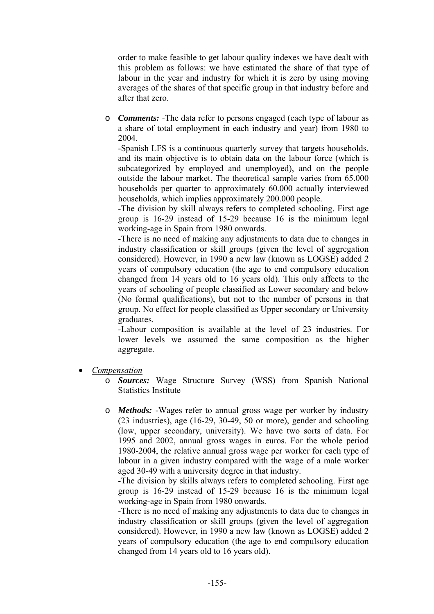order to make feasible to get labour quality indexes we have dealt with this problem as follows: we have estimated the share of that type of labour in the year and industry for which it is zero by using moving averages of the shares of that specific group in that industry before and after that zero.

o *Comments: -*The data refer to persons engaged (each type of labour as a share of total employment in each industry and year) from 1980 to 2004.

-Spanish LFS is a continuous quarterly survey that targets households, and its main objective is to obtain data on the labour force (which is subcategorized by employed and unemployed), and on the people outside the labour market. The theoretical sample varies from 65.000 households per quarter to approximately 60.000 actually interviewed households, which implies approximately 200.000 people.

-The division by skill always refers to completed schooling. First age group is 16-29 instead of 15-29 because 16 is the minimum legal working-age in Spain from 1980 onwards.

-There is no need of making any adjustments to data due to changes in industry classification or skill groups (given the level of aggregation considered). However, in 1990 a new law (known as LOGSE) added 2 years of compulsory education (the age to end compulsory education changed from 14 years old to 16 years old). This only affects to the years of schooling of people classified as Lower secondary and below (No formal qualifications), but not to the number of persons in that group. No effect for people classified as Upper secondary or University graduates.

-Labour composition is available at the level of 23 industries. For lower levels we assumed the same composition as the higher aggregate.

- *Compensation*
	- o *Sources:* Wage Structure Survey (WSS) from Spanish National Statistics Institute
	- o *Methods:* -Wages refer to annual gross wage per worker by industry (23 industries), age (16-29, 30-49, 50 or more), gender and schooling (low, upper secondary, university). We have two sorts of data. For 1995 and 2002, annual gross wages in euros. For the whole period 1980-2004, the relative annual gross wage per worker for each type of labour in a given industry compared with the wage of a male worker aged 30-49 with a university degree in that industry.

-The division by skills always refers to completed schooling. First age group is 16-29 instead of 15-29 because 16 is the minimum legal working-age in Spain from 1980 onwards.

-There is no need of making any adjustments to data due to changes in industry classification or skill groups (given the level of aggregation considered). However, in 1990 a new law (known as LOGSE) added 2 years of compulsory education (the age to end compulsory education changed from 14 years old to 16 years old).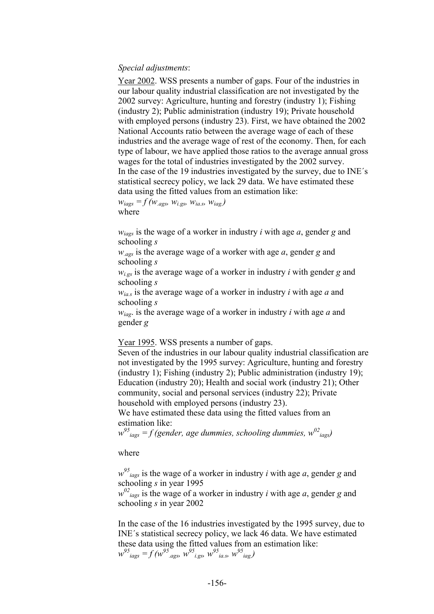### *Special adjustments*:

Year 2002. WSS presents a number of gaps. Four of the industries in our labour quality industrial classification are not investigated by the 2002 survey: Agriculture, hunting and forestry (industry 1); Fishing (industry 2); Public administration (industry 19); Private household with employed persons (industry 23). First, we have obtained the 2002 National Accounts ratio between the average wage of each of these industries and the average wage of rest of the economy. Then, for each type of labour, we have applied those ratios to the average annual gross wages for the total of industries investigated by the 2002 survey. In the case of the 19 industries investigated by the survey, due to INE´s statistical secrecy policy, we lack 29 data. We have estimated these data using the fitted values from an estimation like:

 $W_{iags} = f(w_{.ags}, w_{i. gs}, w_{ia.s}, w_{iag})$ where

*wiags* is the wage of a worker in industry *i* with age *a*, gender *g* and schooling *s*

*w.ags* is the average wage of a worker with age *a*, gender *g* and schooling *s*

*wi.gs* is the average wage of a worker in industry *i* with gender *g* and schooling *s*

*wia.s* is the average wage of a worker in industry *i* with age *a* and schooling *s*

*wiag*. is the average wage of a worker in industry *i* with age *a* and gender *g*

Year 1995. WSS presents a number of gaps.

Seven of the industries in our labour quality industrial classification are not investigated by the 1995 survey: Agriculture, hunting and forestry (industry 1); Fishing (industry 2); Public administration (industry 19); Education (industry 20); Health and social work (industry 21); Other community, social and personal services (industry 22); Private household with employed persons (industry 23).

We have estimated these data using the fitted values from an estimation like:

 $w^{95}$ <sub>iags</sub> = f (gender, age dummies, schooling dummies,  $w^{02}$ <sub>iags</sub>)

where

 $w^{95}$ <sub>iags</sub> is the wage of a worker in industry *i* with age *a*, gender *g* and schooling *s* in year 1995

 $w^{02}$ <sub>iags</sub> is the wage of a worker in industry *i* with age *a*, gender *g* and schooling *s* in year 2002

In the case of the 16 industries investigated by the 1995 survey, due to INE´s statistical secrecy policy, we lack 46 data. We have estimated these data using the fitted values from an estimation like:  $w^{95}$  *iags* =  $f(w^{95}$  *ags,*  $w^{95}$  *i.gs,*  $w^{95}$  *ia.s,*  $w^{95}$  *iag.*)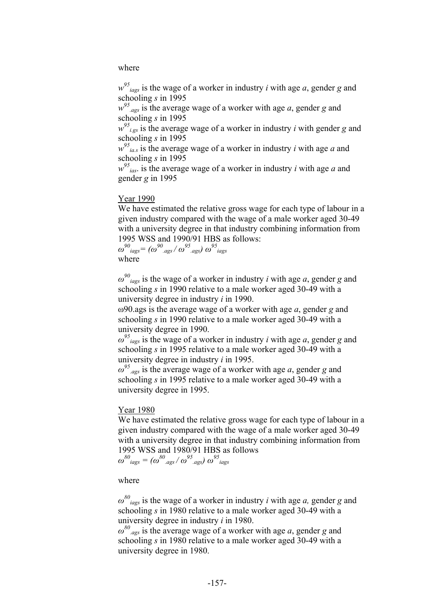where

 $w^{95}$ <sub>iags</sub> is the wage of a worker in industry *i* with age *a*, gender *g* and schooling *s* in 1995

 $w^{95}$ <sub>ags</sub> is the average wage of a worker with age *a*, gender *g* and schooling *s* in 1995

 $w^{95}$ <sub>*i.gs*</sub> is the average wage of a worker in industry *i* with gender *g* and schooling *s* in 1995

 $w^{95}$ <sub>*ia.s*</sub> is the average wage of a worker in industry *i* with age *a* and schooling *s* in 1995

 $w^{95}$ <sub>ias</sub>. is the average wage of a worker in industry *i* with age *a* and gender *g* in 1995

#### Year 1990

We have estimated the relative gross wage for each type of labour in a given industry compared with the wage of a male worker aged 30-49 with a university degree in that industry combining information from 1995 WSS and 1990/91 HBS as follows:

 $\omega^{90}$ <sub>*iags*</sub>  $(\omega^{95}$ <sub>*.ags</sub>*  $(\omega^{95}$ <sub>*.ags*</sub>  $)\omega^{95}$ <sub>*iags*</sub></sub> where

 $\omega^{90}$ <sub>iags</sub> is the wage of a worker in industry *i* with age *a*, gender *g* and schooling *s* in 1990 relative to a male worker aged 30-49 with a university degree in industry *i* in 1990.

ω90.ags is the average wage of a worker with age *a*, gender *g* and schooling *s* in 1990 relative to a male worker aged 30-49 with a university degree in 1990.

 $\omega^{95}$  *iags* is the wage of a worker in industry *i* with age *a*, gender *g* and schooling *s* in 1995 relative to a male worker aged 30-49 with a university degree in industry *i* in 1995.

*ω 95 .ags* is the average wage of a worker with age *a*, gender *g* and schooling *s* in 1995 relative to a male worker aged 30-49 with a university degree in 1995.

#### Year 1980

We have estimated the relative gross wage for each type of labour in a given industry compared with the wage of a male worker aged 30-49 with a university degree in that industry combining information from 1995 WSS and 1980/91 HBS as follows *ω*<sup>80</sup><sub>·ags</sub> /  $ω^{95}$ <sub>·ags</sub>)  $ω^{95}$ <sub>·ags</sub>

where

 $\omega^{80}$ <sub>iags</sub> is the wage of a worker in industry *i* with age *a*, gender *g* and schooling *s* in 1980 relative to a male worker aged 30-49 with a university degree in industry *i* in 1980.

*ω 80 .ags* is the average wage of a worker with age *a*, gender *g* and schooling *s* in 1980 relative to a male worker aged 30-49 with a university degree in 1980.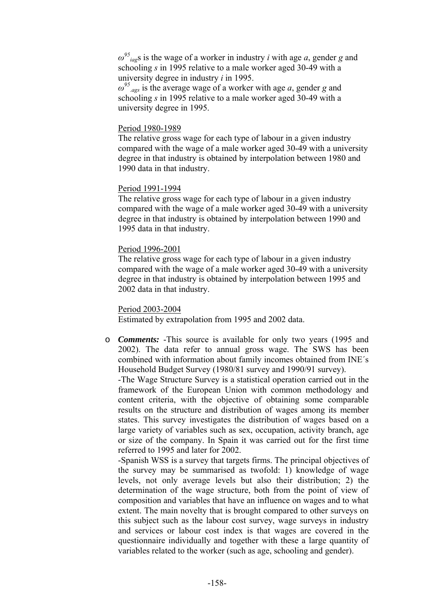*ω 95 iag*s is the wage of a worker in industry *i* with age *a*, gender *g* and schooling *s* in 1995 relative to a male worker aged 30-49 with a university degree in industry *i* in 1995.

*ω 95 .ags* is the average wage of a worker with age *a*, gender *g* and schooling *s* in 1995 relative to a male worker aged 30-49 with a university degree in 1995.

### Period 1980-1989

The relative gross wage for each type of labour in a given industry compared with the wage of a male worker aged 30-49 with a university degree in that industry is obtained by interpolation between 1980 and 1990 data in that industry.

### Period 1991-1994

The relative gross wage for each type of labour in a given industry compared with the wage of a male worker aged 30-49 with a university degree in that industry is obtained by interpolation between 1990 and 1995 data in that industry.

### Period 1996-2001

The relative gross wage for each type of labour in a given industry compared with the wage of a male worker aged 30-49 with a university degree in that industry is obtained by interpolation between 1995 and 2002 data in that industry.

### Period 2003-2004

Estimated by extrapolation from 1995 and 2002 data.

o *Comments:* -This source is available for only two years (1995 and 2002). The data refer to annual gross wage. The SWS has been combined with information about family incomes obtained from INE´s Household Budget Survey (1980/81 survey and 1990/91 survey).

-The Wage Structure Survey is a statistical operation carried out in the framework of the European Union with common methodology and content criteria, with the objective of obtaining some comparable results on the structure and distribution of wages among its member states. This survey investigates the distribution of wages based on a large variety of variables such as sex, occupation, activity branch, age or size of the company. In Spain it was carried out for the first time referred to 1995 and later for 2002.

-Spanish WSS is a survey that targets firms. The principal objectives of the survey may be summarised as twofold: 1) knowledge of wage levels, not only average levels but also their distribution; 2) the determination of the wage structure, both from the point of view of composition and variables that have an influence on wages and to what extent. The main novelty that is brought compared to other surveys on this subject such as the labour cost survey, wage surveys in industry and services or labour cost index is that wages are covered in the questionnaire individually and together with these a large quantity of variables related to the worker (such as age, schooling and gender).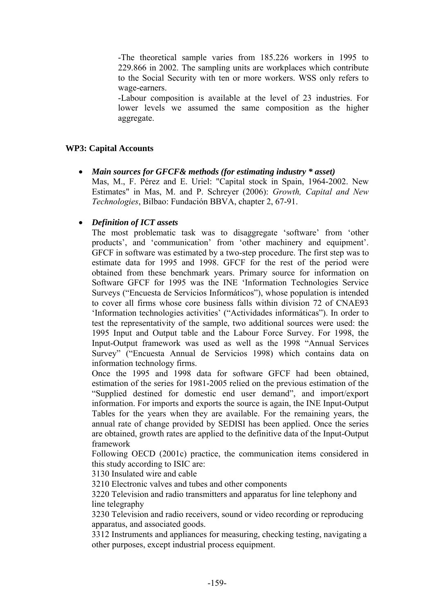-The theoretical sample varies from 185.226 workers in 1995 to 229.866 in 2002. The sampling units are workplaces which contribute to the Social Security with ten or more workers. WSS only refers to wage-earners.

-Labour composition is available at the level of 23 industries. For lower levels we assumed the same composition as the higher aggregate.

### **WP3: Capital Accounts**

• *Main sources for GFCF& methods (for estimating industry \* asset)*  Mas, M., F. Pérez and E. Uriel: "Capital stock in Spain, 1964-2002. New Estimates" in Mas, M. and P. Schreyer (2006): *Growth, Capital and New Technologies*, Bilbao: Fundación BBVA, chapter 2, 67-91.

### • *Definition of ICT assets*

The most problematic task was to disaggregate 'software' from 'other products', and 'communication' from 'other machinery and equipment'. GFCF in software was estimated by a two-step procedure. The first step was to estimate data for 1995 and 1998. GFCF for the rest of the period were obtained from these benchmark years. Primary source for information on Software GFCF for 1995 was the INE 'Information Technologies Service Surveys ("Encuesta de Servicios Informáticos"), whose population is intended to cover all firms whose core business falls within division 72 of CNAE93 'Information technologies activities' ("Actividades informáticas"). In order to test the representativity of the sample, two additional sources were used: the 1995 Input and Output table and the Labour Force Survey. For 1998, the Input-Output framework was used as well as the 1998 "Annual Services Survey" ("Encuesta Annual de Servicios 1998) which contains data on information technology firms.

Once the 1995 and 1998 data for software GFCF had been obtained, estimation of the series for 1981-2005 relied on the previous estimation of the "Supplied destined for domestic end user demand", and import/export information. For imports and exports the source is again, the INE Input-Output Tables for the years when they are available. For the remaining years, the annual rate of change provided by SEDISI has been applied. Once the series are obtained, growth rates are applied to the definitive data of the Input-Output framework

Following OECD (2001c) practice, the communication items considered in this study according to ISIC are:

3130 Insulated wire and cable

3210 Electronic valves and tubes and other components

3220 Television and radio transmitters and apparatus for line telephony and line telegraphy

3230 Television and radio receivers, sound or video recording or reproducing apparatus, and associated goods.

3312 Instruments and appliances for measuring, checking testing, navigating a other purposes, except industrial process equipment.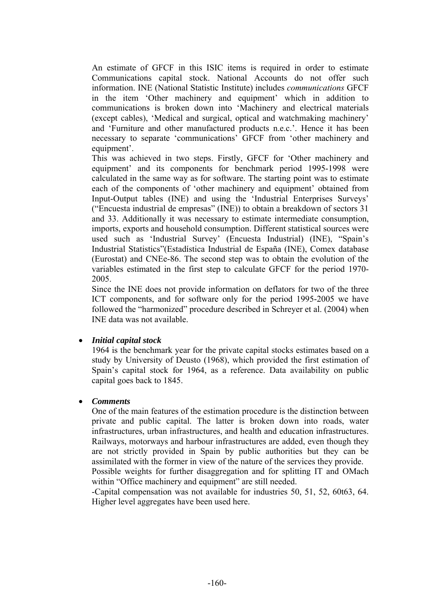An estimate of GFCF in this ISIC items is required in order to estimate Communications capital stock. National Accounts do not offer such information. INE (National Statistic Institute) includes *communications* GFCF in the item 'Other machinery and equipment' which in addition to communications is broken down into 'Machinery and electrical materials (except cables), 'Medical and surgical, optical and watchmaking machinery' and 'Furniture and other manufactured products n.e.c.'. Hence it has been necessary to separate 'communications' GFCF from 'other machinery and equipment'.

This was achieved in two steps. Firstly, GFCF for 'Other machinery and equipment' and its components for benchmark period 1995-1998 were calculated in the same way as for software. The starting point was to estimate each of the components of 'other machinery and equipment' obtained from Input-Output tables (INE) and using the 'Industrial Enterprises Surveys' ("Encuesta industrial de empresas" (INE)) to obtain a breakdown of sectors 31 and 33. Additionally it was necessary to estimate intermediate consumption, imports, exports and household consumption. Different statistical sources were used such as 'Industrial Survey' (Encuesta Industrial) (INE), "Spain's Industrial Statistics"(Estadística Industrial de España (INE), Comex database (Eurostat) and CNEe-86. The second step was to obtain the evolution of the variables estimated in the first step to calculate GFCF for the period 1970- 2005.

Since the INE does not provide information on deflators for two of the three ICT components, and for software only for the period 1995-2005 we have followed the "harmonized" procedure described in Schreyer et al. (2004) when INE data was not available.

### • *Initial capital stock*

1964 is the benchmark year for the private capital stocks estimates based on a study by University of Deusto (1968), which provided the first estimation of Spain's capital stock for 1964, as a reference. Data availability on public capital goes back to 1845.

## • *Comments*

One of the main features of the estimation procedure is the distinction between private and public capital. The latter is broken down into roads, water infrastructures, urban infrastructures, and health and education infrastructures. Railways, motorways and harbour infrastructures are added, even though they are not strictly provided in Spain by public authorities but they can be assimilated with the former in view of the nature of the services they provide. Possible weights for further disaggregation and for splitting IT and OMach within "Office machinery and equipment" are still needed.

-Capital compensation was not available for industries 50, 51, 52, 60t63, 64. Higher level aggregates have been used here.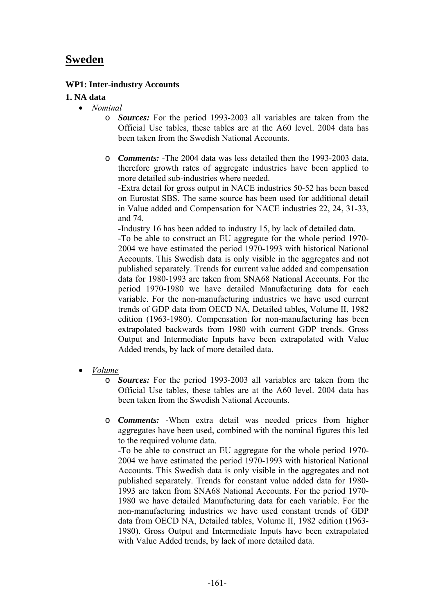# **Sweden**

## **WP1: Inter-industry Accounts**

## **1. NA data**

- *Nominal*
	- o *Sources:* For the period 1993-2003 all variables are taken from the Official Use tables, these tables are at the A60 level. 2004 data has been taken from the Swedish National Accounts.
	- o *Comments:* -The 2004 data was less detailed then the 1993-2003 data, therefore growth rates of aggregate industries have been applied to more detailed sub-industries where needed.

-Extra detail for gross output in NACE industries 50-52 has been based on Eurostat SBS. The same source has been used for additional detail in Value added and Compensation for NACE industries 22, 24, 31-33, and 74.

-Industry 16 has been added to industry 15, by lack of detailed data.

-To be able to construct an EU aggregate for the whole period 1970- 2004 we have estimated the period 1970-1993 with historical National Accounts. This Swedish data is only visible in the aggregates and not published separately. Trends for current value added and compensation data for 1980-1993 are taken from SNA68 National Accounts. For the period 1970-1980 we have detailed Manufacturing data for each variable. For the non-manufacturing industries we have used current trends of GDP data from OECD NA, Detailed tables, Volume II, 1982 edition (1963-1980). Compensation for non-manufacturing has been extrapolated backwards from 1980 with current GDP trends. Gross Output and Intermediate Inputs have been extrapolated with Value Added trends, by lack of more detailed data.

- *Volume*
	- o *Sources:* For the period 1993-2003 all variables are taken from the Official Use tables, these tables are at the A60 level. 2004 data has been taken from the Swedish National Accounts.
	- o *Comments:* -When extra detail was needed prices from higher aggregates have been used, combined with the nominal figures this led to the required volume data.

-To be able to construct an EU aggregate for the whole period 1970- 2004 we have estimated the period 1970-1993 with historical National Accounts. This Swedish data is only visible in the aggregates and not published separately. Trends for constant value added data for 1980- 1993 are taken from SNA68 National Accounts. For the period 1970- 1980 we have detailed Manufacturing data for each variable. For the non-manufacturing industries we have used constant trends of GDP data from OECD NA, Detailed tables, Volume II, 1982 edition (1963- 1980). Gross Output and Intermediate Inputs have been extrapolated with Value Added trends, by lack of more detailed data.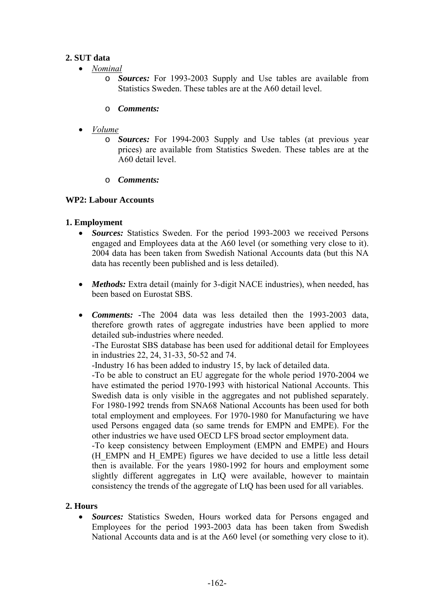## **2. SUT data**

- *Nominal*
	- o *Sources:* For 1993-2003 Supply and Use tables are available from Statistics Sweden. These tables are at the A60 detail level.
	- o *Comments:*
- *Volume*
	- o *Sources:* For 1994-2003 Supply and Use tables (at previous year prices) are available from Statistics Sweden. These tables are at the A60 detail level.
	- o *Comments:*

## **WP2: Labour Accounts**

## **1. Employment**

- *Sources:* Statistics Sweden. For the period 1993-2003 we received Persons engaged and Employees data at the A60 level (or something very close to it). 2004 data has been taken from Swedish National Accounts data (but this NA data has recently been published and is less detailed).
- *Methods:* Extra detail (mainly for 3-digit NACE industries), when needed, has been based on Eurostat SBS.
- *Comments:* **-**The 2004 data was less detailed then the 1993-2003 data, therefore growth rates of aggregate industries have been applied to more detailed sub-industries where needed.

-The Eurostat SBS database has been used for additional detail for Employees in industries 22, 24, 31-33, 50-52 and 74.

-Industry 16 has been added to industry 15, by lack of detailed data.

-To be able to construct an EU aggregate for the whole period 1970-2004 we have estimated the period 1970-1993 with historical National Accounts. This Swedish data is only visible in the aggregates and not published separately. For 1980-1992 trends from SNA68 National Accounts has been used for both total employment and employees. For 1970-1980 for Manufacturing we have used Persons engaged data (so same trends for EMPN and EMPE). For the other industries we have used OECD LFS broad sector employment data.

-To keep consistency between Employment (EMPN and EMPE) and Hours (H\_EMPN and H\_EMPE) figures we have decided to use a little less detail then is available. For the years 1980-1992 for hours and employment some slightly different aggregates in LtQ were available, however to maintain consistency the trends of the aggregate of LtQ has been used for all variables.

## **2. Hours**

• *Sources:* Statistics Sweden, Hours worked data for Persons engaged and Employees for the period 1993-2003 data has been taken from Swedish National Accounts data and is at the A60 level (or something very close to it).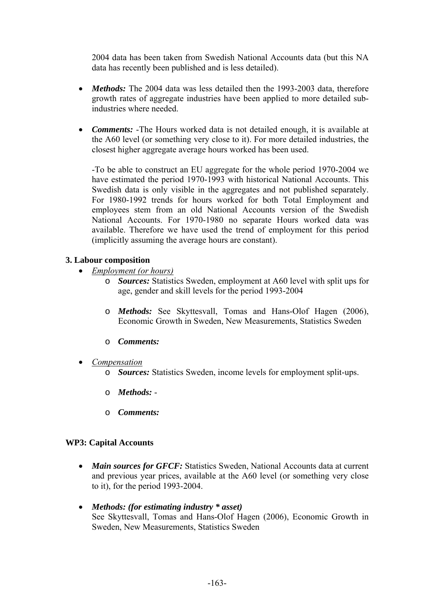2004 data has been taken from Swedish National Accounts data (but this NA data has recently been published and is less detailed).

- *Methods*: The 2004 data was less detailed then the 1993-2003 data, therefore growth rates of aggregate industries have been applied to more detailed subindustries where needed.
- *Comments:* -The Hours worked data is not detailed enough, it is available at the A60 level (or something very close to it). For more detailed industries, the closest higher aggregate average hours worked has been used.

-To be able to construct an EU aggregate for the whole period 1970-2004 we have estimated the period 1970-1993 with historical National Accounts. This Swedish data is only visible in the aggregates and not published separately. For 1980-1992 trends for hours worked for both Total Employment and employees stem from an old National Accounts version of the Swedish National Accounts. For 1970-1980 no separate Hours worked data was available. Therefore we have used the trend of employment for this period (implicitly assuming the average hours are constant).

## **3. Labour composition**

- *Employment (or hours)*
	- o *Sources:* Statistics Sweden, employment at A60 level with split ups for age, gender and skill levels for the period 1993-2004
	- o *Methods:* See Skyttesvall, Tomas and Hans-Olof Hagen (2006), Economic Growth in Sweden, New Measurements, Statistics Sweden
	- o *Comments:*
- *Compensation*
	- o *Sources:* Statistics Sweden, income levels for employment split-ups.
	- o *Methods:* -
	- o *Comments:*

## **WP3: Capital Accounts**

- *Main sources for GFCF*: Statistics Sweden, National Accounts data at current and previous year prices, available at the A60 level (or something very close to it), for the period 1993-2004.
- *Methods: (for estimating industry \* asset)*  See Skyttesvall, Tomas and Hans-Olof Hagen (2006), Economic Growth in Sweden, New Measurements, Statistics Sweden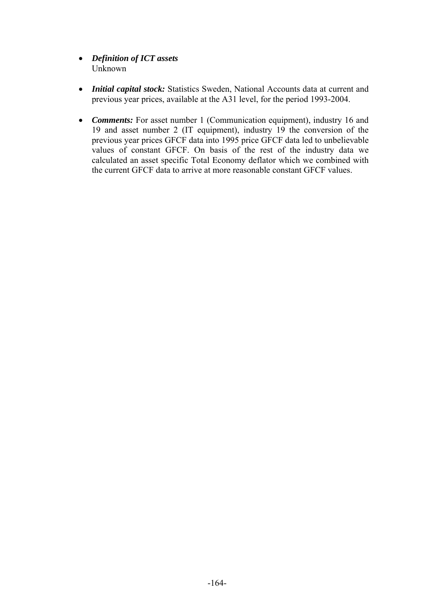- *Definition of ICT assets*  Unknown
- *Initial capital stock:* Statistics Sweden, National Accounts data at current and previous year prices, available at the A31 level, for the period 1993-2004.
- *Comments:* For asset number 1 (Communication equipment), industry 16 and 19 and asset number 2 (IT equipment), industry 19 the conversion of the previous year prices GFCF data into 1995 price GFCF data led to unbelievable values of constant GFCF. On basis of the rest of the industry data we calculated an asset specific Total Economy deflator which we combined with the current GFCF data to arrive at more reasonable constant GFCF values.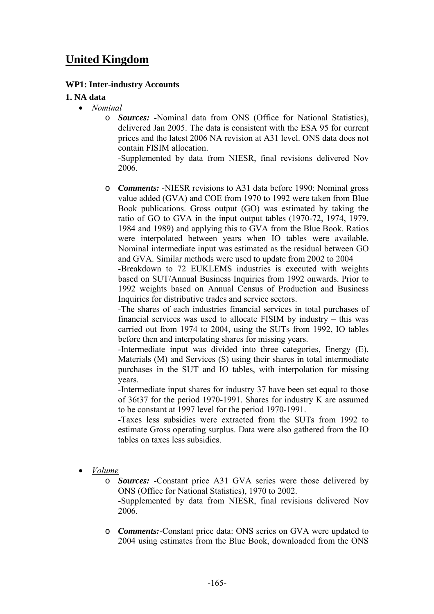# **United Kingdom**

## **WP1: Inter-industry Accounts**

### **1. NA data**

- *Nominal*
	- o *Sources:* -Nominal data from ONS (Office for National Statistics), delivered Jan 2005. The data is consistent with the ESA 95 for current prices and the latest 2006 NA revision at A31 level. ONS data does not contain FISIM allocation.

-Supplemented by data from NIESR, final revisions delivered Nov 2006.

o *Comments:* -NIESR revisions to A31 data before 1990: Nominal gross value added (GVA) and COE from 1970 to 1992 were taken from Blue Book publications. Gross output (GO) was estimated by taking the ratio of GO to GVA in the input output tables (1970-72, 1974, 1979, 1984 and 1989) and applying this to GVA from the Blue Book. Ratios were interpolated between years when IO tables were available. Nominal intermediate input was estimated as the residual between GO and GVA. Similar methods were used to update from 2002 to 2004

-Breakdown to 72 EUKLEMS industries is executed with weights based on SUT/Annual Business Inquiries from 1992 onwards. Prior to 1992 weights based on Annual Census of Production and Business Inquiries for distributive trades and service sectors.

-The shares of each industries financial services in total purchases of financial services was used to allocate FISIM by industry – this was carried out from 1974 to 2004, using the SUTs from 1992, IO tables before then and interpolating shares for missing years.

-Intermediate input was divided into three categories, Energy (E), Materials (M) and Services (S) using their shares in total intermediate purchases in the SUT and IO tables, with interpolation for missing years.

-Intermediate input shares for industry 37 have been set equal to those of 36t37 for the period 1970-1991. Shares for industry K are assumed to be constant at 1997 level for the period 1970-1991.

-Taxes less subsidies were extracted from the SUTs from 1992 to estimate Gross operating surplus. Data were also gathered from the IO tables on taxes less subsidies.

• *Volume*

o *Sources:* **-**Constant price A31 GVA series were those delivered by ONS (Office for National Statistics), 1970 to 2002. -Supplemented by data from NIESR, final revisions delivered Nov

2006.

o *Comments:*-Constant price data: ONS series on GVA were updated to 2004 using estimates from the Blue Book, downloaded from the ONS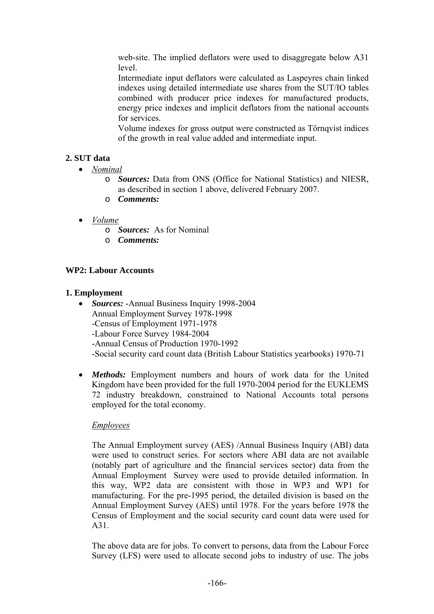web-site. The implied deflators were used to disaggregate below A31 level.

Intermediate input deflators were calculated as Laspeyres chain linked indexes using detailed intermediate use shares from the SUT/IO tables combined with producer price indexes for manufactured products, energy price indexes and implicit deflators from the national accounts for services.

Volume indexes for gross output were constructed as Törnqvist indices of the growth in real value added and intermediate input.

# **2. SUT data**

- *Nominal*
	- o *Sources:* Data from ONS (Office for National Statistics) and NIESR, as described in section 1 above, delivered February 2007.
	- o *Comments:*
- *Volume*
	- o *Sources:* As for Nominal
	- o *Comments:*

# **WP2: Labour Accounts**

# **1. Employment**

- *Sources:* -Annual Business Inquiry 1998-2004 Annual Employment Survey 1978-1998 -Census of Employment 1971-1978 -Labour Force Survey 1984-2004 -Annual Census of Production 1970-1992 -Social security card count data (British Labour Statistics yearbooks) 1970-71
- *Methods:* Employment numbers and hours of work data for the United Kingdom have been provided for the full 1970-2004 period for the EUKLEMS 72 industry breakdown, constrained to National Accounts total persons employed for the total economy.

# *Employees*

The Annual Employment survey (AES) /Annual Business Inquiry (ABI) data were used to construct series. For sectors where ABI data are not available (notably part of agriculture and the financial services sector) data from the Annual Employment Survey were used to provide detailed information. In this way, WP2 data are consistent with those in WP3 and WP1 for manufacturing. For the pre-1995 period, the detailed division is based on the Annual Employment Survey (AES) until 1978. For the years before 1978 the Census of Employment and the social security card count data were used for A31.

The above data are for jobs. To convert to persons, data from the Labour Force Survey (LFS) were used to allocate second jobs to industry of use. The jobs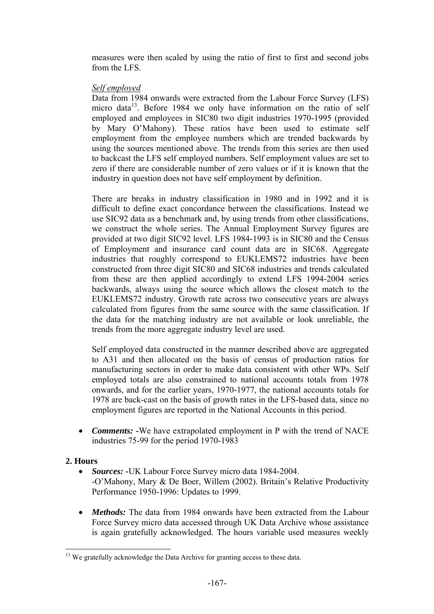measures were then scaled by using the ratio of first to first and second jobs from the LFS.

### *Self employed*

Data from 1984 onwards were extracted from the Labour Force Survey (LFS) micro data $^{13}$ . Before 1984 we only have information on the ratio of self employed and employees in SIC80 two digit industries 1970-1995 (provided by Mary O'Mahony). These ratios have been used to estimate self employment from the employee numbers which are trended backwards by using the sources mentioned above. The trends from this series are then used to backcast the LFS self employed numbers. Self employment values are set to zero if there are considerable number of zero values or if it is known that the industry in question does not have self employment by definition.

There are breaks in industry classification in 1980 and in 1992 and it is difficult to define exact concordance between the classifications. Instead we use SIC92 data as a benchmark and, by using trends from other classifications, we construct the whole series. The Annual Employment Survey figures are provided at two digit SIC92 level. LFS 1984-1993 is in SIC80 and the Census of Employment and insurance card count data are in SIC68. Aggregate industries that roughly correspond to EUKLEMS72 industries have been constructed from three digit SIC80 and SIC68 industries and trends calculated from these are then applied accordingly to extend LFS 1994-2004 series backwards, always using the source which allows the closest match to the EUKLEMS72 industry. Growth rate across two consecutive years are always calculated from figures from the same source with the same classification. If the data for the matching industry are not available or look unreliable, the trends from the more aggregate industry level are used.

Self employed data constructed in the manner described above are aggregated to A31 and then allocated on the basis of census of production ratios for manufacturing sectors in order to make data consistent with other WPs. Self employed totals are also constrained to national accounts totals from 1978 onwards, and for the earlier years, 1970-1977, the national accounts totals for 1978 are back-cast on the basis of growth rates in the LFS-based data, since no employment figures are reported in the National Accounts in this period.

• *Comments:* **-**We have extrapolated employment in P with the trend of NACE industries 75-99 for the period 1970-1983

## **2. Hours**

 $\overline{a}$ 

- *Sources:* -UK Labour Force Survey micro data 1984-2004. -O'Mahony, Mary & De Boer, Willem (2002). Britain's Relative Productivity Performance 1950-1996: Updates to 1999.
- *Methods:* The data from 1984 onwards have been extracted from the Labour Force Survey micro data accessed through UK Data Archive whose assistance is again gratefully acknowledged. The hours variable used measures weekly

 $13$  We gratefully acknowledge the Data Archive for granting access to these data.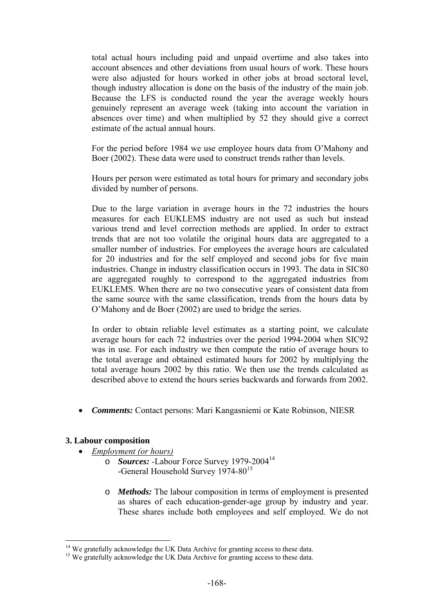total actual hours including paid and unpaid overtime and also takes into account absences and other deviations from usual hours of work. These hours were also adjusted for hours worked in other jobs at broad sectoral level, though industry allocation is done on the basis of the industry of the main job. Because the LFS is conducted round the year the average weekly hours genuinely represent an average week (taking into account the variation in absences over time) and when multiplied by 52 they should give a correct estimate of the actual annual hours.

For the period before 1984 we use employee hours data from O'Mahony and Boer (2002). These data were used to construct trends rather than levels.

Hours per person were estimated as total hours for primary and secondary jobs divided by number of persons.

Due to the large variation in average hours in the 72 industries the hours measures for each EUKLEMS industry are not used as such but instead various trend and level correction methods are applied. In order to extract trends that are not too volatile the original hours data are aggregated to a smaller number of industries. For employees the average hours are calculated for 20 industries and for the self employed and second jobs for five main industries. Change in industry classification occurs in 1993. The data in SIC80 are aggregated roughly to correspond to the aggregated industries from EUKLEMS. When there are no two consecutive years of consistent data from the same source with the same classification, trends from the hours data by O'Mahony and de Boer (2002) are used to bridge the series.

In order to obtain reliable level estimates as a starting point, we calculate average hours for each 72 industries over the period 1994-2004 when SIC92 was in use. For each industry we then compute the ratio of average hours to the total average and obtained estimated hours for 2002 by multiplying the total average hours 2002 by this ratio. We then use the trends calculated as described above to extend the hours series backwards and forwards from 2002.

• *Comments:* Contact persons: Mari Kangasniemi or Kate Robinson, NIESR

### **3. Labour composition**

 $\overline{a}$ 

- *Employment (or hours)*
	- o *Sources: -*Labour Force Survey 1979-200414 -General Household Survey 1974-80<sup>15</sup>
	- o *Methods:* The labour composition in terms of employment is presented as shares of each education-gender-age group by industry and year. These shares include both employees and self employed. We do not

 $14$  We gratefully acknowledge the UK Data Archive for granting access to these data.  $15$  We gratefully acknowledge the UK Data Archive for granting access to these data.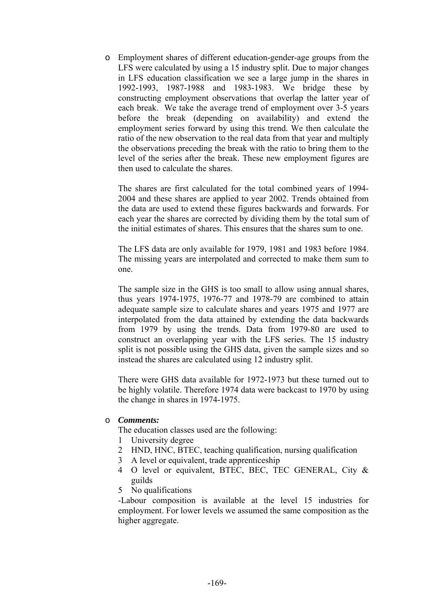o Employment shares of different education-gender-age groups from the LFS were calculated by using a 15 industry split. Due to major changes in LFS education classification we see a large jump in the shares in 1992-1993, 1987-1988 and 1983-1983. We bridge these by constructing employment observations that overlap the latter year of each break. We take the average trend of employment over 3-5 years before the break (depending on availability) and extend the employment series forward by using this trend. We then calculate the ratio of the new observation to the real data from that year and multiply the observations preceding the break with the ratio to bring them to the level of the series after the break. These new employment figures are then used to calculate the shares.

The shares are first calculated for the total combined years of 1994- 2004 and these shares are applied to year 2002. Trends obtained from the data are used to extend these figures backwards and forwards. For each year the shares are corrected by dividing them by the total sum of the initial estimates of shares. This ensures that the shares sum to one.

The LFS data are only available for 1979, 1981 and 1983 before 1984. The missing years are interpolated and corrected to make them sum to one.

The sample size in the GHS is too small to allow using annual shares, thus years 1974-1975, 1976-77 and 1978-79 are combined to attain adequate sample size to calculate shares and years 1975 and 1977 are interpolated from the data attained by extending the data backwards from 1979 by using the trends. Data from 1979-80 are used to construct an overlapping year with the LFS series. The 15 industry split is not possible using the GHS data, given the sample sizes and so instead the shares are calculated using 12 industry split.

There were GHS data available for 1972-1973 but these turned out to be highly volatile. Therefore 1974 data were backcast to 1970 by using the change in shares in 1974-1975.

### o *Comments:*

The education classes used are the following:

- 1 University degree
- 2 HND, HNC, BTEC, teaching qualification, nursing qualification
- 3 A level or equivalent, trade apprenticeship
- 4 O level or equivalent, BTEC, BEC, TEC GENERAL, City & guilds
- 5 No qualifications

-Labour composition is available at the level 15 industries for employment. For lower levels we assumed the same composition as the higher aggregate.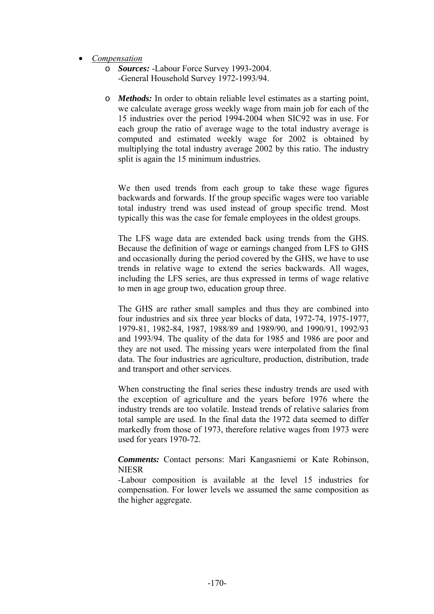- *Compensation*
	- o *Sources:* -Labour Force Survey 1993-2004. -General Household Survey 1972-1993/94.
	- o *Methods:* In order to obtain reliable level estimates as a starting point, we calculate average gross weekly wage from main job for each of the 15 industries over the period 1994-2004 when SIC92 was in use. For each group the ratio of average wage to the total industry average is computed and estimated weekly wage for 2002 is obtained by multiplying the total industry average 2002 by this ratio. The industry split is again the 15 minimum industries.

We then used trends from each group to take these wage figures backwards and forwards. If the group specific wages were too variable total industry trend was used instead of group specific trend. Most typically this was the case for female employees in the oldest groups.

The LFS wage data are extended back using trends from the GHS. Because the definition of wage or earnings changed from LFS to GHS and occasionally during the period covered by the GHS, we have to use trends in relative wage to extend the series backwards. All wages, including the LFS series, are thus expressed in terms of wage relative to men in age group two, education group three.

The GHS are rather small samples and thus they are combined into four industries and six three year blocks of data, 1972-74, 1975-1977, 1979-81, 1982-84, 1987, 1988/89 and 1989/90, and 1990/91, 1992/93 and 1993/94. The quality of the data for 1985 and 1986 are poor and they are not used. The missing years were interpolated from the final data. The four industries are agriculture, production, distribution, trade and transport and other services.

When constructing the final series these industry trends are used with the exception of agriculture and the years before 1976 where the industry trends are too volatile. Instead trends of relative salaries from total sample are used. In the final data the 1972 data seemed to differ markedly from those of 1973, therefore relative wages from 1973 were used for years 1970-72.

*Comments:* Contact persons: Mari Kangasniemi or Kate Robinson, **NIESR** 

-Labour composition is available at the level 15 industries for compensation. For lower levels we assumed the same composition as the higher aggregate.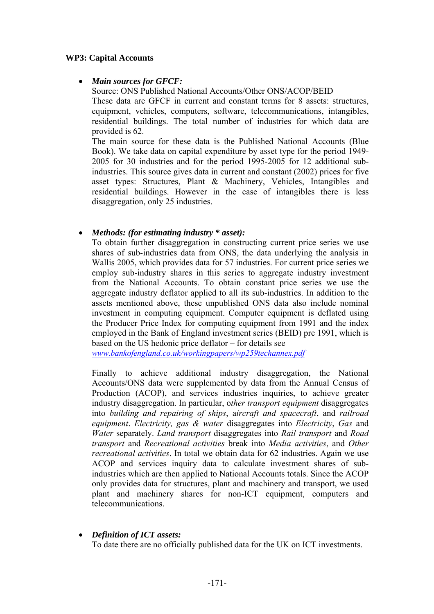### **WP3: Capital Accounts**

### • *Main sources for GFCF:*

Source: ONS Published National Accounts/Other ONS/ACOP/BEID These data are GFCF in current and constant terms for 8 assets: structures,

equipment, vehicles, computers, software, telecommunications, intangibles, residential buildings. The total number of industries for which data are provided is 62.

The main source for these data is the Published National Accounts (Blue Book). We take data on capital expenditure by asset type for the period 1949- 2005 for 30 industries and for the period 1995-2005 for 12 additional subindustries. This source gives data in current and constant (2002) prices for five asset types: Structures, Plant & Machinery, Vehicles, Intangibles and residential buildings. However in the case of intangibles there is less disaggregation, only 25 industries.

### • *Methods: (for estimating industry \* asset):*

To obtain further disaggregation in constructing current price series we use shares of sub-industries data from ONS, the data underlying the analysis in Wallis 2005, which provides data for 57 industries. For current price series we employ sub-industry shares in this series to aggregate industry investment from the National Accounts. To obtain constant price series we use the aggregate industry deflator applied to all its sub-industries. In addition to the assets mentioned above, these unpublished ONS data also include nominal investment in computing equipment. Computer equipment is deflated using the Producer Price Index for computing equipment from 1991 and the index employed in the Bank of England investment series (BEID) pre 1991, which is based on the US hedonic price deflator – for details see

*www.bankofengland.co.uk/workingpapers/wp259techannex.pdf*

Finally to achieve additional industry disaggregation, the National Accounts/ONS data were supplemented by data from the Annual Census of Production (ACOP), and services industries inquiries, to achieve greater industry disaggregation. In particular, o*ther transport equipment* disaggregates into *building and repairing of ships*, a*ircraft and spacecraft*, and *railroad equipment*. *Electricity, gas & water* disaggregates into *Electricity*, *Gas* and *Water* separately. *Land transport* disaggregates into *Rail transport* and *Road transport* and *Recreational activities* break into *Media activities*, and *Other recreational activities*. In total we obtain data for 62 industries. Again we use ACOP and services inquiry data to calculate investment shares of subindustries which are then applied to National Accounts totals. Since the ACOP only provides data for structures, plant and machinery and transport, we used plant and machinery shares for non-ICT equipment, computers and telecommunications.

• *Definition of ICT assets:* 

To date there are no officially published data for the UK on ICT investments.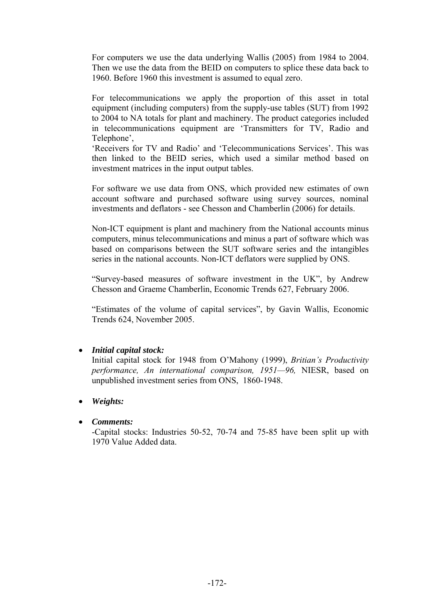For computers we use the data underlying Wallis (2005) from 1984 to 2004. Then we use the data from the BEID on computers to splice these data back to 1960. Before 1960 this investment is assumed to equal zero.

For telecommunications we apply the proportion of this asset in total equipment (including computers) from the supply-use tables (SUT) from 1992 to 2004 to NA totals for plant and machinery. The product categories included in telecommunications equipment are 'Transmitters for TV, Radio and Telephone',

'Receivers for TV and Radio' and 'Telecommunications Services'. This was then linked to the BEID series, which used a similar method based on investment matrices in the input output tables.

For software we use data from ONS, which provided new estimates of own account software and purchased software using survey sources, nominal investments and deflators - see Chesson and Chamberlin (2006) for details.

Non-ICT equipment is plant and machinery from the National accounts minus computers, minus telecommunications and minus a part of software which was based on comparisons between the SUT software series and the intangibles series in the national accounts. Non-ICT deflators were supplied by ONS.

"Survey-based measures of software investment in the UK", by Andrew Chesson and Graeme Chamberlin, Economic Trends 627, February 2006.

"Estimates of the volume of capital services", by Gavin Wallis, Economic Trends 624, November 2005.

## • *Initial capital stock:*

Initial capital stock for 1948 from O'Mahony (1999), *Britian's Productivity performance, An international comparison, 1951—96,* NIESR, based on unpublished investment series from ONS, 1860-1948.

## • *Weights:*

## • *Comments:*

-Capital stocks: Industries 50-52, 70-74 and 75-85 have been split up with 1970 Value Added data.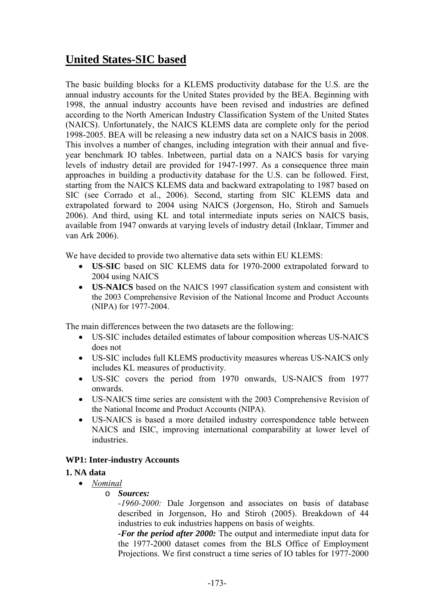# **United States-SIC based**

The basic building blocks for a KLEMS productivity database for the U.S. are the annual industry accounts for the United States provided by the BEA. Beginning with 1998, the annual industry accounts have been revised and industries are defined according to the North American Industry Classification System of the United States (NAICS). Unfortunately, the NAICS KLEMS data are complete only for the period 1998-2005. BEA will be releasing a new industry data set on a NAICS basis in 2008. This involves a number of changes, including integration with their annual and fiveyear benchmark IO tables. Inbetween, partial data on a NAICS basis for varying levels of industry detail are provided for 1947-1997. As a consequence three main approaches in building a productivity database for the U.S. can be followed. First, starting from the NAICS KLEMS data and backward extrapolating to 1987 based on SIC (see Corrado et al., 2006). Second, starting from SIC KLEMS data and extrapolated forward to 2004 using NAICS (Jorgenson, Ho, Stiroh and Samuels 2006). And third, using KL and total intermediate inputs series on NAICS basis, available from 1947 onwards at varying levels of industry detail (Inklaar, Timmer and van Ark 2006).

We have decided to provide two alternative data sets within EU KLEMS:

- **US-SIC** based on SIC KLEMS data for 1970-2000 extrapolated forward to 2004 using NAICS
- **US-NAICS** based on the NAICS 1997 classification system and consistent with the 2003 Comprehensive Revision of the National Income and Product Accounts (NIPA) for 1977-2004.

The main differences between the two datasets are the following:

- US-SIC includes detailed estimates of labour composition whereas US-NAICS does not
- US-SIC includes full KLEMS productivity measures whereas US-NAICS only includes KL measures of productivity.
- US-SIC covers the period from 1970 onwards, US-NAICS from 1977 onwards.
- US-NAICS time series are consistent with the 2003 Comprehensive Revision of the National Income and Product Accounts (NIPA).
- US-NAICS is based a more detailed industry correspondence table between NAICS and ISIC, improving international comparability at lower level of industries.

## **WP1: Inter-industry Accounts**

## **1. NA data**

- *Nominal*
	- o *Sources:*

*-1960-2000:* Dale Jorgenson and associates on basis of database described in Jorgenson, Ho and Stiroh (2005). Breakdown of 44 industries to euk industries happens on basis of weights.

*-For the period after 2000:* The output and intermediate input data for the 1977-2000 dataset comes from the BLS Office of Employment Projections. We first construct a time series of IO tables for 1977-2000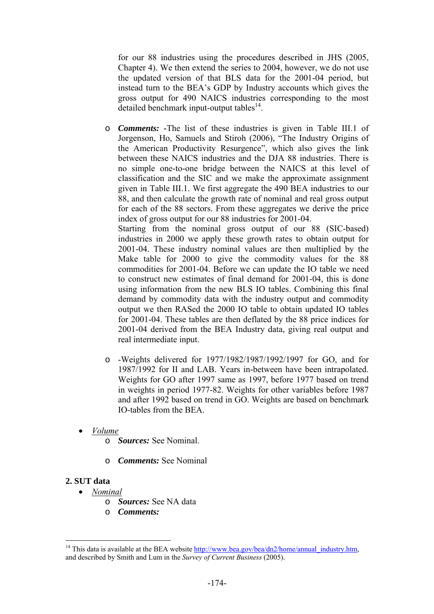for our 88 industries using the procedures described in JHS (2005, Chapter 4). We then extend the series to 2004, however, we do not use the updated version of that BLS data for the 2001-04 period, but instead turn to the BEA's GDP by Industry accounts which gives the gross output for 490 NAICS industries corresponding to the most detailed benchmark input-output tables $^{14}$ .

o *Comments: -*The list of these industries is given in Table III.1 of Jorgenson, Ho, Samuels and Stiroh (2006), "The Industry Origins of the American Productivity Resurgence", which also gives the link between these NAICS industries and the DJA 88 industries. There is no simple one-to-one bridge between the NAICS at this level of classification and the SIC and we make the approximate assignment given in Table III.1. We first aggregate the 490 BEA industries to our 88, and then calculate the growth rate of nominal and real gross output for each of the 88 sectors. From these aggregates we derive the price index of gross output for our 88 industries for 2001-04.

Starting from the nominal gross output of our 88 (SIC-based) industries in 2000 we apply these growth rates to obtain output for 2001-04. These industry nominal values are then multiplied by the Make table for 2000 to give the commodity values for the 88 commodities for 2001-04. Before we can update the IO table we need to construct new estimates of final demand for 2001-04, this is done using information from the new BLS IO tables. Combining this final demand by commodity data with the industry output and commodity output we then RASed the 2000 IO table to obtain updated IO tables for 2001-04. These tables are then deflated by the 88 price indices for 2001-04 derived from the BEA Industry data, giving real output and real intermediate input.

- o -Weights delivered for 1977/1982/1987/1992/1997 for GO, and for 1987/1992 for II and LAB. Years in-between have been intrapolated. Weights for GO after 1997 same as 1997, before 1977 based on trend in weights in period 1977-82. Weights for other variables before 1987 and after 1992 based on trend in GO. Weights are based on benchmark IO-tables from the BEA.
- *Volume*
	- o *Sources:* See Nominal.
	- o *Comments:* See Nominal

### **2. SUT data**

 $\overline{a}$ 

- *Nominal*
	- o *Sources:* See NA data
	- o *Comments:*

<sup>&</sup>lt;sup>14</sup> This data is available at the BEA website http://www.bea.gov/bea/dn2/home/annual\_industry.htm, and described by Smith and Lum in the *Survey of Current Business* (2005).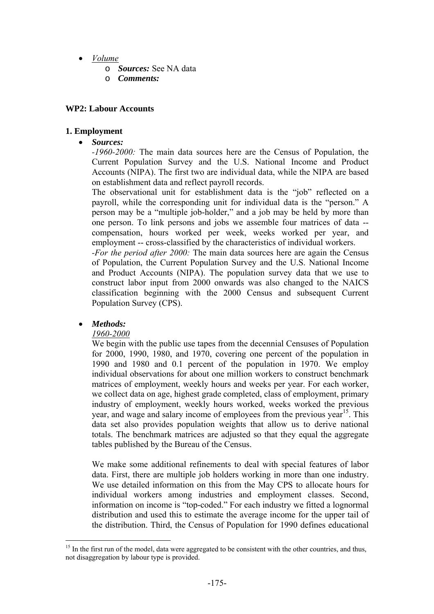- *Volume*
	- o *Sources:* See NA data
	- o *Comments:*

### **WP2: Labour Accounts**

### **1. Employment**

• *Sources:*

*-1960-2000:* The main data sources here are the Census of Population, the Current Population Survey and the U.S. National Income and Product Accounts (NIPA). The first two are individual data, while the NIPA are based on establishment data and reflect payroll records.

The observational unit for establishment data is the "job" reflected on a payroll, while the corresponding unit for individual data is the "person." A person may be a "multiple job-holder," and a job may be held by more than one person. To link persons and jobs we assemble four matrices of data - compensation, hours worked per week, weeks worked per year, and employment -- cross-classified by the characteristics of individual workers.

*-For the period after 2000:* The main data sources here are again the Census of Population, the Current Population Survey and the U.S. National Income and Product Accounts (NIPA). The population survey data that we use to construct labor input from 2000 onwards was also changed to the NAICS classification beginning with the 2000 Census and subsequent Current Population Survey (CPS).

### • *Methods:*

 $\overline{a}$ 

### *1960-2000*

We begin with the public use tapes from the decennial Censuses of Population for 2000, 1990, 1980, and 1970, covering one percent of the population in 1990 and 1980 and 0.1 percent of the population in 1970. We employ individual observations for about one million workers to construct benchmark matrices of employment, weekly hours and weeks per year. For each worker, we collect data on age, highest grade completed, class of employment, primary industry of employment, weekly hours worked, weeks worked the previous year, and wage and salary income of employees from the previous year<sup>15</sup>. This data set also provides population weights that allow us to derive national totals. The benchmark matrices are adjusted so that they equal the aggregate tables published by the Bureau of the Census.

We make some additional refinements to deal with special features of labor data. First, there are multiple job holders working in more than one industry. We use detailed information on this from the May CPS to allocate hours for individual workers among industries and employment classes. Second, information on income is "top-coded." For each industry we fitted a lognormal distribution and used this to estimate the average income for the upper tail of the distribution. Third, the Census of Population for 1990 defines educational

 $15$  In the first run of the model, data were aggregated to be consistent with the other countries, and thus, not disaggregation by labour type is provided.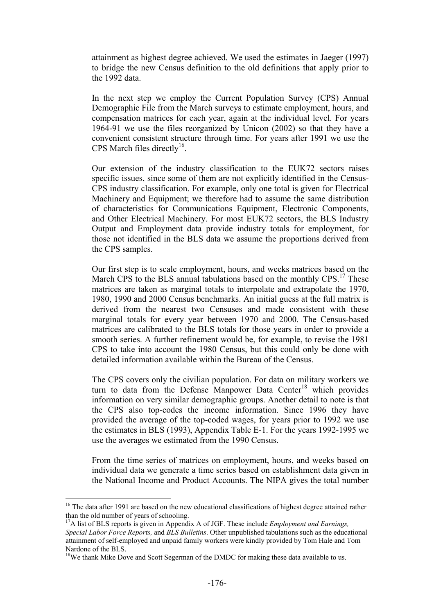attainment as highest degree achieved. We used the estimates in Jaeger (1997) to bridge the new Census definition to the old definitions that apply prior to the 1992 data.

In the next step we employ the Current Population Survey (CPS) Annual Demographic File from the March surveys to estimate employment, hours, and compensation matrices for each year, again at the individual level. For years 1964-91 we use the files reorganized by Unicon (2002) so that they have a convenient consistent structure through time. For years after 1991 we use the CPS March files directly<sup>16</sup>.

Our extension of the industry classification to the EUK72 sectors raises specific issues, since some of them are not explicitly identified in the Census-CPS industry classification. For example, only one total is given for Electrical Machinery and Equipment; we therefore had to assume the same distribution of characteristics for Communications Equipment, Electronic Components, and Other Electrical Machinery. For most EUK72 sectors, the BLS Industry Output and Employment data provide industry totals for employment, for those not identified in the BLS data we assume the proportions derived from the CPS samples.

Our first step is to scale employment, hours, and weeks matrices based on the March CPS to the BLS annual tabulations based on the monthly CPS.<sup>17</sup> These matrices are taken as marginal totals to interpolate and extrapolate the 1970, 1980, 1990 and 2000 Census benchmarks. An initial guess at the full matrix is derived from the nearest two Censuses and made consistent with these marginal totals for every year between 1970 and 2000. The Census-based matrices are calibrated to the BLS totals for those years in order to provide a smooth series. A further refinement would be, for example, to revise the 1981 CPS to take into account the 1980 Census, but this could only be done with detailed information available within the Bureau of the Census.

The CPS covers only the civilian population. For data on military workers we turn to data from the Defense Manpower Data Center<sup>18</sup> which provides information on very similar demographic groups. Another detail to note is that the CPS also top-codes the income information. Since 1996 they have provided the average of the top-coded wages, for years prior to 1992 we use the estimates in BLS (1993), Appendix Table E-1. For the years 1992-1995 we use the averages we estimated from the 1990 Census.

From the time series of matrices on employment, hours, and weeks based on individual data we generate a time series based on establishment data given in the National Income and Product Accounts. The NIPA gives the total number

 $\overline{a}$ 

<sup>&</sup>lt;sup>16</sup> The data after 1991 are based on the new educational classifications of highest degree attained rather than the old number of years of schooling.

<sup>&</sup>lt;sup>17</sup>A list of BLS reports is given in Appendix A of JGF. These include *Employment and Earnings*, *Special Labor Force Reports,* and *BLS Bulletins*. Other unpublished tabulations such as the educational attainment of self-employed and unpaid family workers were kindly provided by Tom Hale and Tom Nardone of the BLS.

<sup>&</sup>lt;sup>18</sup>We thank Mike Dove and Scott Segerman of the DMDC for making these data available to us.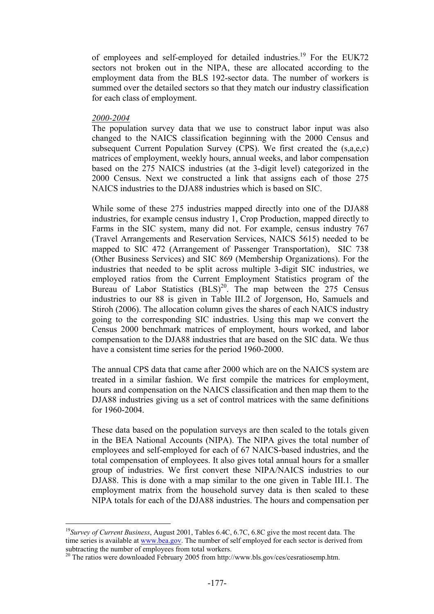of employees and self-employed for detailed industries.<sup>19</sup> For the EUK72 sectors not broken out in the NIPA, these are allocated according to the employment data from the BLS 192-sector data. The number of workers is summed over the detailed sectors so that they match our industry classification for each class of employment.

#### *2000-2004*

 $\overline{a}$ 

The population survey data that we use to construct labor input was also changed to the NAICS classification beginning with the 2000 Census and subsequent Current Population Survey (CPS). We first created the (s,a,e,c) matrices of employment, weekly hours, annual weeks, and labor compensation based on the 275 NAICS industries (at the 3-digit level) categorized in the 2000 Census. Next we constructed a link that assigns each of those 275 NAICS industries to the DJA88 industries which is based on SIC.

While some of these 275 industries mapped directly into one of the DJA88 industries, for example census industry 1, Crop Production, mapped directly to Farms in the SIC system, many did not. For example, census industry 767 (Travel Arrangements and Reservation Services, NAICS 5615) needed to be mapped to SIC 472 (Arrangement of Passenger Transportation), SIC 738 (Other Business Services) and SIC 869 (Membership Organizations). For the industries that needed to be split across multiple 3-digit SIC industries, we employed ratios from the Current Employment Statistics program of the Bureau of Labor Statistics  $(BLS)^{20}$ . The map between the 275 Census industries to our 88 is given in Table III.2 of Jorgenson, Ho, Samuels and Stiroh (2006). The allocation column gives the shares of each NAICS industry going to the corresponding SIC industries. Using this map we convert the Census 2000 benchmark matrices of employment, hours worked, and labor compensation to the DJA88 industries that are based on the SIC data. We thus have a consistent time series for the period 1960-2000.

The annual CPS data that came after 2000 which are on the NAICS system are treated in a similar fashion. We first compile the matrices for employment, hours and compensation on the NAICS classification and then map them to the DJA88 industries giving us a set of control matrices with the same definitions for 1960-2004.

These data based on the population surveys are then scaled to the totals given in the BEA National Accounts (NIPA). The NIPA gives the total number of employees and self-employed for each of 67 NAICS-based industries, and the total compensation of employees. It also gives total annual hours for a smaller group of industries. We first convert these NIPA/NAICS industries to our DJA88. This is done with a map similar to the one given in Table III.1. The employment matrix from the household survey data is then scaled to these NIPA totals for each of the DJA88 industries. The hours and compensation per

<sup>19</sup>*Survey of Current Business*, August 2001, Tables 6.4C, 6.7C, 6.8C give the most recent data. The time series is available at www.bea.gov. The number of self employed for each sector is derived from subtracting the number of employees from total workers.<br><sup>20</sup> The ratios were downloaded February 2005 from http://www.bls.gov/ces/cesratiosemp.htm.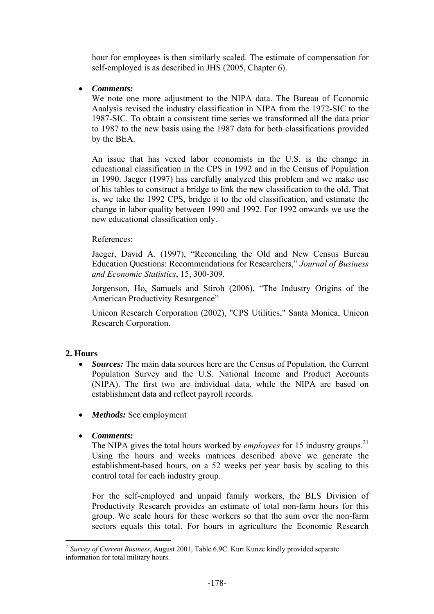hour for employees is then similarly scaled. The estimate of compensation for self-employed is as described in JHS (2005, Chapter 6).

• *Comments:*

We note one more adjustment to the NIPA data. The Bureau of Economic Analysis revised the industry classification in NIPA from the 1972-SIC to the 1987-SIC. To obtain a consistent time series we transformed all the data prior to 1987 to the new basis using the 1987 data for both classifications provided by the BEA.

An issue that has vexed labor economists in the U.S. is the change in educational classification in the CPS in 1992 and in the Census of Population in 1990. Jaeger (1997) has carefully analyzed this problem and we make use of his tables to construct a bridge to link the new classification to the old. That is, we take the 1992 CPS, bridge it to the old classification, and estimate the change in labor quality between 1990 and 1992. For 1992 onwards we use the new educational classification only.

### References:

Jaeger, David A. (1997), "Reconciling the Old and New Census Bureau Education Questions: Recommendations for Researchers," *Journal of Business and Economic Statistics*, 15, 300-309.

Jorgenson, Ho, Samuels and Stiroh (2006), "The Industry Origins of the American Productivity Resurgence"

Unicon Research Corporation (2002), "CPS Utilities," Santa Monica, Unicon Research Corporation.

## **2. Hours**

 $\overline{a}$ 

- *Sources:* The main data sources here are the Census of Population, the Current Population Survey and the U.S. National Income and Product Accounts (NIPA). The first two are individual data, while the NIPA are based on establishment data and reflect payroll records.
- *Methods:* See employment
- *Comments:*

The NIPA gives the total hours worked by *employees* for 15 industry groups.<sup>21</sup> Using the hours and weeks matrices described above we generate the establishment-based hours, on a 52 weeks per year basis by scaling to this control total for each industry group.

For the self-employed and unpaid family workers, the BLS Division of Productivity Research provides an estimate of total non-farm hours for this group. We scale hours for these workers so that the sum over the non-farm sectors equals this total. For hours in agriculture the Economic Research

<sup>21</sup>*Survey of Current Business*, August 2001, Table 6.9C. Kurt Kunze kindly provided separate information for total military hours.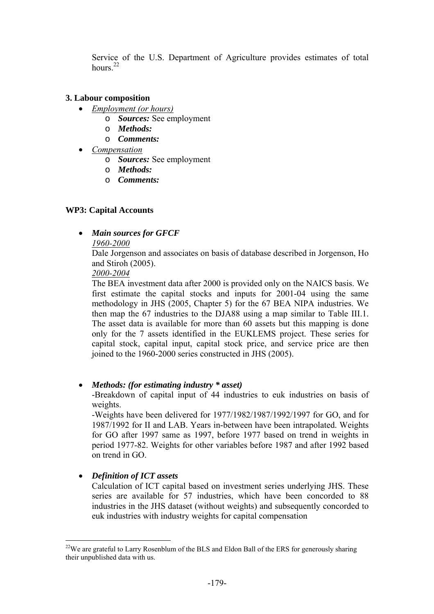Service of the U.S. Department of Agriculture provides estimates of total hours $22$ 

### **3. Labour composition**

- *Employment (or hours)*
	- o *Sources:* See employment
	- o *Methods:*
	- o *Comments:*
- *Compensation*
	- o *Sources:* See employment
	- o *Methods:*
	- o *Comments:*

### **WP3: Capital Accounts**

• *Main sources for GFCF* 

### *1960-2000*

Dale Jorgenson and associates on basis of database described in Jorgenson, Ho and Stiroh (2005).

*2000-2004*

The BEA investment data after 2000 is provided only on the NAICS basis. We first estimate the capital stocks and inputs for 2001-04 using the same methodology in JHS (2005, Chapter 5) for the 67 BEA NIPA industries. We then map the 67 industries to the DJA88 using a map similar to Table III.1. The asset data is available for more than 60 assets but this mapping is done only for the 7 assets identified in the EUKLEMS project. These series for capital stock, capital input, capital stock price, and service price are then joined to the 1960-2000 series constructed in JHS (2005).

• *Methods: (for estimating industry \* asset)* 

-Breakdown of capital input of 44 industries to euk industries on basis of weights.

-Weights have been delivered for 1977/1982/1987/1992/1997 for GO, and for 1987/1992 for II and LAB. Years in-between have been intrapolated. Weights for GO after 1997 same as 1997, before 1977 based on trend in weights in period 1977-82. Weights for other variables before 1987 and after 1992 based on trend in GO.

## • *Definition of ICT assets*

 $\overline{a}$ 

Calculation of ICT capital based on investment series underlying JHS. These series are available for 57 industries, which have been concorded to 88 industries in the JHS dataset (without weights) and subsequently concorded to euk industries with industry weights for capital compensation

<sup>&</sup>lt;sup>22</sup>We are grateful to Larry Rosenblum of the BLS and Eldon Ball of the ERS for generously sharing their unpublished data with us.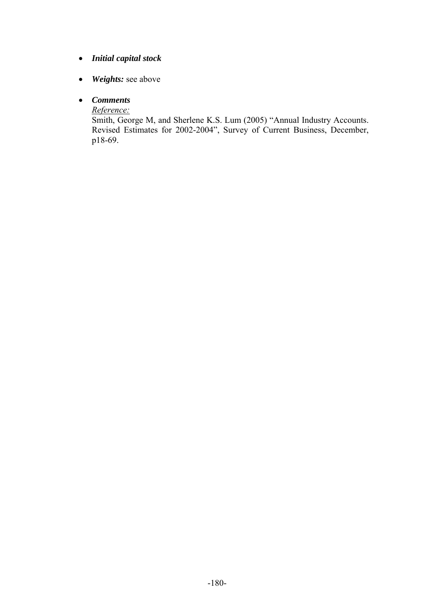## • *Initial capital stock*

- *Weights:* see above
- *Comments*

*Reference:*

Smith, George M, and Sherlene K.S. Lum (2005) "Annual Industry Accounts. Revised Estimates for 2002-2004", Survey of Current Business, December, p18-69.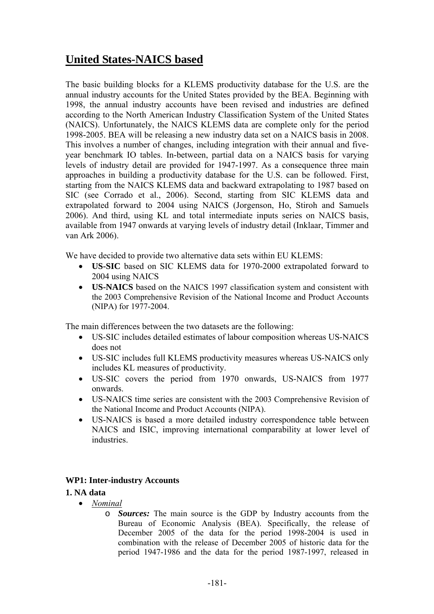## **United States-NAICS based**

The basic building blocks for a KLEMS productivity database for the U.S. are the annual industry accounts for the United States provided by the BEA. Beginning with 1998, the annual industry accounts have been revised and industries are defined according to the North American Industry Classification System of the United States (NAICS). Unfortunately, the NAICS KLEMS data are complete only for the period 1998-2005. BEA will be releasing a new industry data set on a NAICS basis in 2008. This involves a number of changes, including integration with their annual and fiveyear benchmark IO tables. In-between, partial data on a NAICS basis for varying levels of industry detail are provided for 1947-1997. As a consequence three main approaches in building a productivity database for the U.S. can be followed. First, starting from the NAICS KLEMS data and backward extrapolating to 1987 based on SIC (see Corrado et al., 2006). Second, starting from SIC KLEMS data and extrapolated forward to 2004 using NAICS (Jorgenson, Ho, Stiroh and Samuels 2006). And third, using KL and total intermediate inputs series on NAICS basis, available from 1947 onwards at varying levels of industry detail (Inklaar, Timmer and van Ark 2006).

We have decided to provide two alternative data sets within EU KLEMS:

- **US-SIC** based on SIC KLEMS data for 1970-2000 extrapolated forward to 2004 using NAICS
- **US-NAICS** based on the NAICS 1997 classification system and consistent with the 2003 Comprehensive Revision of the National Income and Product Accounts (NIPA) for 1977-2004.

The main differences between the two datasets are the following:

- US-SIC includes detailed estimates of labour composition whereas US-NAICS does not
- US-SIC includes full KLEMS productivity measures whereas US-NAICS only includes KL measures of productivity.
- US-SIC covers the period from 1970 onwards, US-NAICS from 1977 onwards.
- US-NAICS time series are consistent with the 2003 Comprehensive Revision of the National Income and Product Accounts (NIPA).
- US-NAICS is based a more detailed industry correspondence table between NAICS and ISIC, improving international comparability at lower level of industries.

## **WP1: Inter-industry Accounts**

#### **1. NA data**

- *Nominal* 
	- o *Sources:* The main source is the GDP by Industry accounts from the Bureau of Economic Analysis (BEA). Specifically, the release of December 2005 of the data for the period 1998-2004 is used in combination with the release of December 2005 of historic data for the period 1947-1986 and the data for the period 1987-1997, released in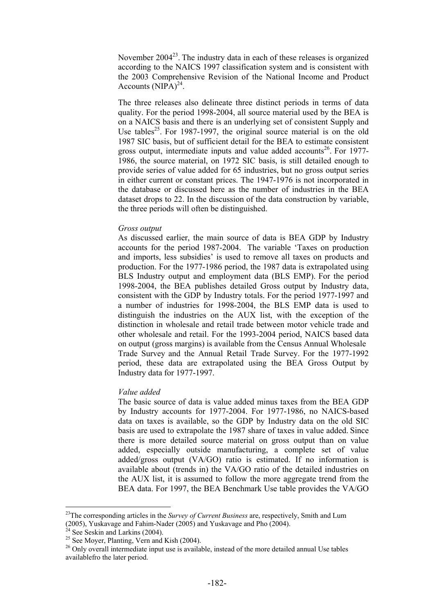November  $2004^{23}$ . The industry data in each of these releases is organized according to the NAICS 1997 classification system and is consistent with the 2003 Comprehensive Revision of the National Income and Product Accounts  $(NIPA)^{24}$ .

The three releases also delineate three distinct periods in terms of data quality. For the period 1998-2004, all source material used by the BEA is on a NAICS basis and there is an underlying set of consistent Supply and Use tables<sup>25</sup>. For 1987-1997, the original source material is on the old 1987 SIC basis, but of sufficient detail for the BEA to estimate consistent gross output, intermediate inputs and value added accounts<sup>26</sup>. For 1977-1986, the source material, on 1972 SIC basis, is still detailed enough to provide series of value added for 65 industries, but no gross output series in either current or constant prices. The 1947-1976 is not incorporated in the database or discussed here as the number of industries in the BEA dataset drops to 22. In the discussion of the data construction by variable, the three periods will often be distinguished.

#### *Gross output*

As discussed earlier, the main source of data is BEA GDP by Industry accounts for the period 1987-2004. The variable 'Taxes on production and imports, less subsidies' is used to remove all taxes on products and production. For the 1977-1986 period, the 1987 data is extrapolated using BLS Industry output and employment data (BLS EMP). For the period 1998-2004, the BEA publishes detailed Gross output by Industry data, consistent with the GDP by Industry totals. For the period 1977-1997 and a number of industries for 1998-2004, the BLS EMP data is used to distinguish the industries on the AUX list, with the exception of the distinction in wholesale and retail trade between motor vehicle trade and other wholesale and retail. For the 1993-2004 period, NAICS based data on output (gross margins) is available from the Census Annual Wholesale Trade Survey and the Annual Retail Trade Survey. For the 1977-1992 period, these data are extrapolated using the BEA Gross Output by Industry data for 1977-1997.

#### *Value added*

The basic source of data is value added minus taxes from the BEA GDP by Industry accounts for 1977-2004. For 1977-1986, no NAICS-based data on taxes is available, so the GDP by Industry data on the old SIC basis are used to extrapolate the 1987 share of taxes in value added. Since there is more detailed source material on gross output than on value added, especially outside manufacturing, a complete set of value added/gross output (VA/GO) ratio is estimated. If no information is available about (trends in) the VA/GO ratio of the detailed industries on the AUX list, it is assumed to follow the more aggregate trend from the BEA data. For 1997, the BEA Benchmark Use table provides the VA/GO

 $\overline{a}$ 

<sup>23</sup>The corresponding articles in the *Survey of Current Business* are, respectively, Smith and Lum  $(2005)$ , Yuskavage and Fahim-Nader (2005) and Yuskavage and Pho (2004).

See Seskin and Larkins (2004).

 $25$  See Moyer, Planting, Vern and Kish (2004).

<sup>&</sup>lt;sup>26</sup> Only overall intermediate input use is available, instead of the more detailed annual Use tables availablefro the later period.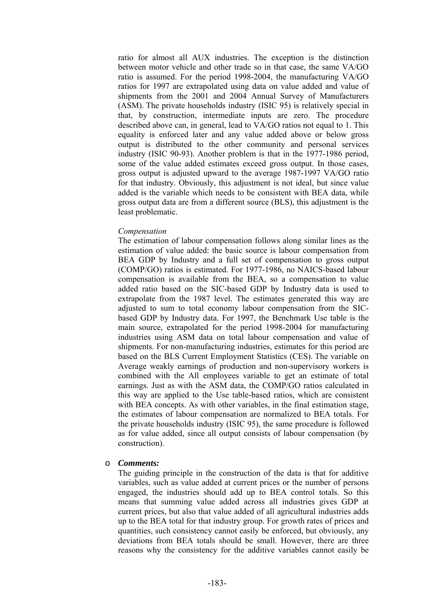ratio for almost all AUX industries. The exception is the distinction between motor vehicle and other trade so in that case, the same VA/GO ratio is assumed. For the period 1998-2004, the manufacturing VA/GO ratios for 1997 are extrapolated using data on value added and value of shipments from the 2001 and 2004 Annual Survey of Manufacturers (ASM). The private households industry (ISIC 95) is relatively special in that, by construction, intermediate inputs are zero. The procedure described above can, in general, lead to VA/GO ratios not equal to 1. This equality is enforced later and any value added above or below gross output is distributed to the other community and personal services industry (ISIC 90-93). Another problem is that in the 1977-1986 period, some of the value added estimates exceed gross output. In those cases, gross output is adjusted upward to the average 1987-1997 VA/GO ratio for that industry. Obviously, this adjustment is not ideal, but since value added is the variable which needs to be consistent with BEA data, while gross output data are from a different source (BLS), this adjustment is the least problematic.

#### *Compensation*

The estimation of labour compensation follows along similar lines as the estimation of value added: the basic source is labour compensation from BEA GDP by Industry and a full set of compensation to gross output (COMP/GO) ratios is estimated. For 1977-1986, no NAICS-based labour compensation is available from the BEA, so a compensation to value added ratio based on the SIC-based GDP by Industry data is used to extrapolate from the 1987 level. The estimates generated this way are adjusted to sum to total economy labour compensation from the SICbased GDP by Industry data. For 1997, the Benchmark Use table is the main source, extrapolated for the period 1998-2004 for manufacturing industries using ASM data on total labour compensation and value of shipments. For non-manufacturing industries, estimates for this period are based on the BLS Current Employment Statistics (CES). The variable on Average weakly earnings of production and non-supervisory workers is combined with the All employees variable to get an estimate of total earnings. Just as with the ASM data, the COMP/GO ratios calculated in this way are applied to the Use table-based ratios, which are consistent with BEA concepts. As with other variables, in the final estimation stage, the estimates of labour compensation are normalized to BEA totals. For the private households industry (ISIC 95), the same procedure is followed as for value added, since all output consists of labour compensation (by construction).

#### o *Comments:*

The guiding principle in the construction of the data is that for additive variables, such as value added at current prices or the number of persons engaged, the industries should add up to BEA control totals. So this means that summing value added across all industries gives GDP at current prices, but also that value added of all agricultural industries adds up to the BEA total for that industry group. For growth rates of prices and quantities, such consistency cannot easily be enforced, but obviously, any deviations from BEA totals should be small. However, there are three reasons why the consistency for the additive variables cannot easily be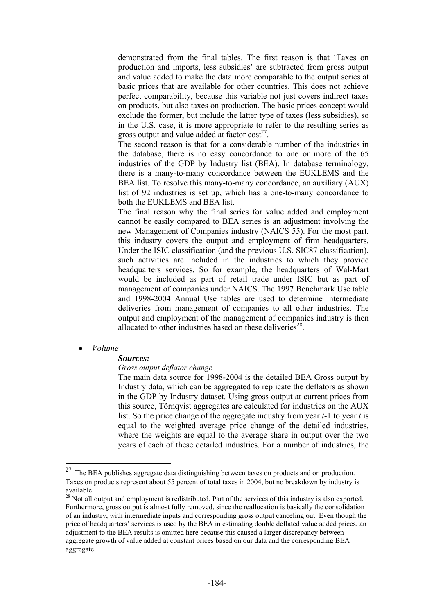demonstrated from the final tables. The first reason is that 'Taxes on production and imports, less subsidies' are subtracted from gross output and value added to make the data more comparable to the output series at basic prices that are available for other countries. This does not achieve perfect comparability, because this variable not just covers indirect taxes on products, but also taxes on production. The basic prices concept would exclude the former, but include the latter type of taxes (less subsidies), so in the U.S. case, it is more appropriate to refer to the resulting series as gross output and value added at factor  $cost^{27}$ .

The second reason is that for a considerable number of the industries in the database, there is no easy concordance to one or more of the 65 industries of the GDP by Industry list (BEA). In database terminology, there is a many-to-many concordance between the EUKLEMS and the BEA list. To resolve this many-to-many concordance, an auxiliary (AUX) list of 92 industries is set up, which has a one-to-many concordance to both the EUKLEMS and BEA list.

The final reason why the final series for value added and employment cannot be easily compared to BEA series is an adjustment involving the new Management of Companies industry (NAICS 55). For the most part, this industry covers the output and employment of firm headquarters. Under the ISIC classification (and the previous U.S. SIC87 classification), such activities are included in the industries to which they provide headquarters services. So for example, the headquarters of Wal-Mart would be included as part of retail trade under ISIC but as part of management of companies under NAICS. The 1997 Benchmark Use table and 1998-2004 Annual Use tables are used to determine intermediate deliveries from management of companies to all other industries. The output and employment of the management of companies industry is then allocated to other industries based on these deliveries<sup>28</sup>.

#### • *Volume*

 $\overline{a}$ 

#### *Sources:*

#### *Gross output deflator change*

The main data source for 1998-2004 is the detailed BEA Gross output by Industry data, which can be aggregated to replicate the deflators as shown in the GDP by Industry dataset. Using gross output at current prices from this source, Törnqvist aggregates are calculated for industries on the AUX list. So the price change of the aggregate industry from year *t*-1 to year *t* is equal to the weighted average price change of the detailed industries, where the weights are equal to the average share in output over the two years of each of these detailed industries. For a number of industries, the

 $27$  The BEA publishes aggregate data distinguishing between taxes on products and on production. Taxes on products represent about 55 percent of total taxes in 2004, but no breakdown by industry is available.

<sup>&</sup>lt;sup>28</sup> Not all output and employment is redistributed. Part of the services of this industry is also exported. Furthermore, gross output is almost fully removed, since the reallocation is basically the consolidation of an industry, with intermediate inputs and corresponding gross output canceling out. Even though the price of headquarters' services is used by the BEA in estimating double deflated value added prices, an adjustment to the BEA results is omitted here because this caused a larger discrepancy between aggregate growth of value added at constant prices based on our data and the corresponding BEA aggregate.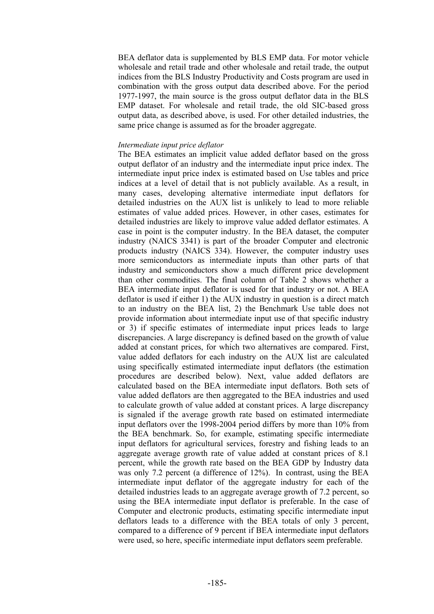BEA deflator data is supplemented by BLS EMP data. For motor vehicle wholesale and retail trade and other wholesale and retail trade, the output indices from the BLS Industry Productivity and Costs program are used in combination with the gross output data described above. For the period 1977-1997, the main source is the gross output deflator data in the BLS EMP dataset. For wholesale and retail trade, the old SIC-based gross output data, as described above, is used. For other detailed industries, the same price change is assumed as for the broader aggregate.

#### *Intermediate input price deflator*

The BEA estimates an implicit value added deflator based on the gross output deflator of an industry and the intermediate input price index. The intermediate input price index is estimated based on Use tables and price indices at a level of detail that is not publicly available. As a result, in many cases, developing alternative intermediate input deflators for detailed industries on the AUX list is unlikely to lead to more reliable estimates of value added prices. However, in other cases, estimates for detailed industries are likely to improve value added deflator estimates. A case in point is the computer industry. In the BEA dataset, the computer industry (NAICS 3341) is part of the broader Computer and electronic products industry (NAICS 334). However, the computer industry uses more semiconductors as intermediate inputs than other parts of that industry and semiconductors show a much different price development than other commodities. The final column of Table 2 shows whether a BEA intermediate input deflator is used for that industry or not. A BEA deflator is used if either 1) the AUX industry in question is a direct match to an industry on the BEA list, 2) the Benchmark Use table does not provide information about intermediate input use of that specific industry or 3) if specific estimates of intermediate input prices leads to large discrepancies. A large discrepancy is defined based on the growth of value added at constant prices, for which two alternatives are compared. First, value added deflators for each industry on the AUX list are calculated using specifically estimated intermediate input deflators (the estimation procedures are described below). Next, value added deflators are calculated based on the BEA intermediate input deflators. Both sets of value added deflators are then aggregated to the BEA industries and used to calculate growth of value added at constant prices. A large discrepancy is signaled if the average growth rate based on estimated intermediate input deflators over the 1998-2004 period differs by more than 10% from the BEA benchmark. So, for example, estimating specific intermediate input deflators for agricultural services, forestry and fishing leads to an aggregate average growth rate of value added at constant prices of 8.1 percent, while the growth rate based on the BEA GDP by Industry data was only 7.2 percent (a difference of 12%). In contrast, using the BEA intermediate input deflator of the aggregate industry for each of the detailed industries leads to an aggregate average growth of 7.2 percent, so using the BEA intermediate input deflator is preferable. In the case of Computer and electronic products, estimating specific intermediate input deflators leads to a difference with the BEA totals of only 3 percent, compared to a difference of 9 percent if BEA intermediate input deflators were used, so here, specific intermediate input deflators seem preferable.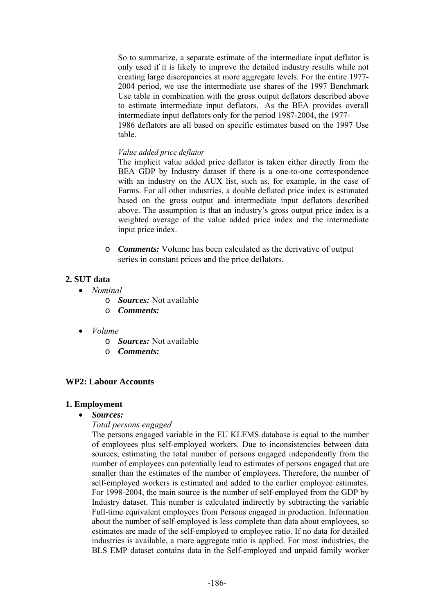So to summarize, a separate estimate of the intermediate input deflator is only used if it is likely to improve the detailed industry results while not creating large discrepancies at more aggregate levels. For the entire 1977- 2004 period, we use the intermediate use shares of the 1997 Benchmark Use table in combination with the gross output deflators described above to estimate intermediate input deflators. As the BEA provides overall intermediate input deflators only for the period 1987-2004, the 1977- 1986 deflators are all based on specific estimates based on the 1997 Use table.

#### *Value added price deflator*

The implicit value added price deflator is taken either directly from the BEA GDP by Industry dataset if there is a one-to-one correspondence with an industry on the AUX list, such as, for example, in the case of Farms. For all other industries, a double deflated price index is estimated based on the gross output and intermediate input deflators described above. The assumption is that an industry's gross output price index is a weighted average of the value added price index and the intermediate input price index.

o *Comments:* Volume has been calculated as the derivative of output series in constant prices and the price deflators.

## **2. SUT data**

- *Nominal*
	- o *Sources:* Not available
	- o *Comments:*
- *Volume*
	- o *Sources:* Not available
	- o *Comments:*

## **WP2: Labour Accounts**

#### **1. Employment**

• *Sources:*

## *Total persons engaged*

The persons engaged variable in the EU KLEMS database is equal to the number of employees plus self-employed workers. Due to inconsistencies between data sources, estimating the total number of persons engaged independently from the number of employees can potentially lead to estimates of persons engaged that are smaller than the estimates of the number of employees. Therefore, the number of self-employed workers is estimated and added to the earlier employee estimates. For 1998-2004, the main source is the number of self-employed from the GDP by Industry dataset. This number is calculated indirectly by subtracting the variable Full-time equivalent employees from Persons engaged in production. Information about the number of self-employed is less complete than data about employees, so estimates are made of the self-employed to employee ratio. If no data for detailed industries is available, a more aggregate ratio is applied. For most industries, the BLS EMP dataset contains data in the Self-employed and unpaid family worker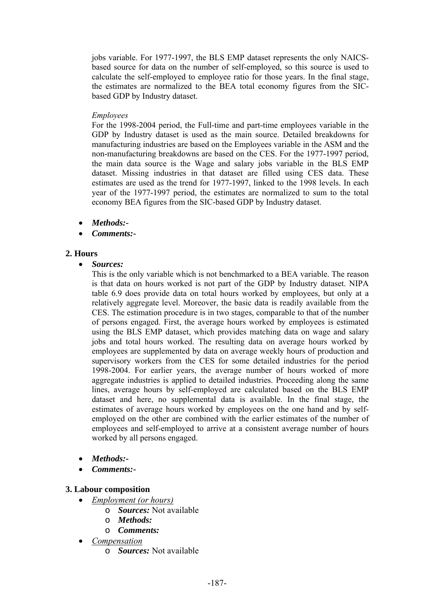jobs variable. For 1977-1997, the BLS EMP dataset represents the only NAICSbased source for data on the number of self-employed, so this source is used to calculate the self-employed to employee ratio for those years. In the final stage, the estimates are normalized to the BEA total economy figures from the SICbased GDP by Industry dataset.

#### *Employees*

For the 1998-2004 period, the Full-time and part-time employees variable in the GDP by Industry dataset is used as the main source. Detailed breakdowns for manufacturing industries are based on the Employees variable in the ASM and the non-manufacturing breakdowns are based on the CES. For the 1977-1997 period, the main data source is the Wage and salary jobs variable in the BLS EMP dataset. Missing industries in that dataset are filled using CES data. These estimates are used as the trend for 1977-1997, linked to the 1998 levels. In each year of the 1977-1997 period, the estimates are normalized to sum to the total economy BEA figures from the SIC-based GDP by Industry dataset.

- *Methods:-*
- *Comments:-*

## **2. Hours**

• *Sources:* 

This is the only variable which is not benchmarked to a BEA variable. The reason is that data on hours worked is not part of the GDP by Industry dataset. NIPA table 6.9 does provide data on total hours worked by employees, but only at a relatively aggregate level. Moreover, the basic data is readily available from the CES. The estimation procedure is in two stages, comparable to that of the number of persons engaged. First, the average hours worked by employees is estimated using the BLS EMP dataset, which provides matching data on wage and salary jobs and total hours worked. The resulting data on average hours worked by employees are supplemented by data on average weekly hours of production and supervisory workers from the CES for some detailed industries for the period 1998-2004. For earlier years, the average number of hours worked of more aggregate industries is applied to detailed industries. Proceeding along the same lines, average hours by self-employed are calculated based on the BLS EMP dataset and here, no supplemental data is available. In the final stage, the estimates of average hours worked by employees on the one hand and by selfemployed on the other are combined with the earlier estimates of the number of employees and self-employed to arrive at a consistent average number of hours worked by all persons engaged.

- *Methods:-*
- *Comments:-*

## **3. Labour composition**

- *Employment (or hours)*
	- o *Sources:* Not available
	- o *Methods:*
	- o *Comments:*
- *Compensation*
	- o *Sources:* Not available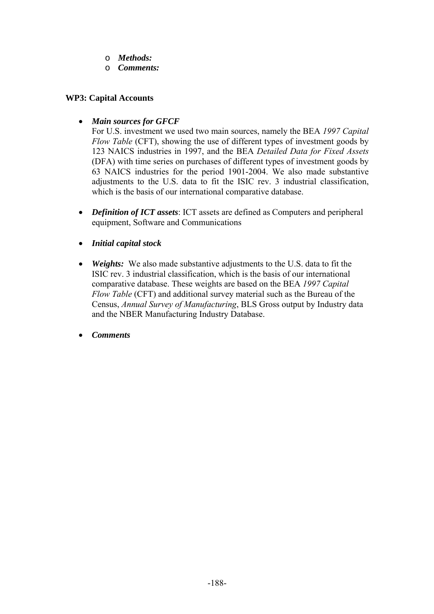- o *Methods:*
- o *Comments:*

#### **WP3: Capital Accounts**

• *Main sources for GFCF* 

For U.S. investment we used two main sources, namely the BEA *1997 Capital Flow Table* (CFT), showing the use of different types of investment goods by 123 NAICS industries in 1997, and the BEA *Detailed Data for Fixed Assets* (DFA) with time series on purchases of different types of investment goods by 63 NAICS industries for the period 1901-2004. We also made substantive adjustments to the U.S. data to fit the ISIC rev. 3 industrial classification, which is the basis of our international comparative database.

- *Definition of ICT assets*: ICT assets are defined as Computers and peripheral equipment, Software and Communications
- *Initial capital stock*
- *Weights:* We also made substantive adjustments to the U.S. data to fit the ISIC rev. 3 industrial classification, which is the basis of our international comparative database. These weights are based on the BEA *1997 Capital Flow Table* (CFT) and additional survey material such as the Bureau of the Census, *Annual Survey of Manufacturing*, BLS Gross output by Industry data and the NBER Manufacturing Industry Database.
- *Comments*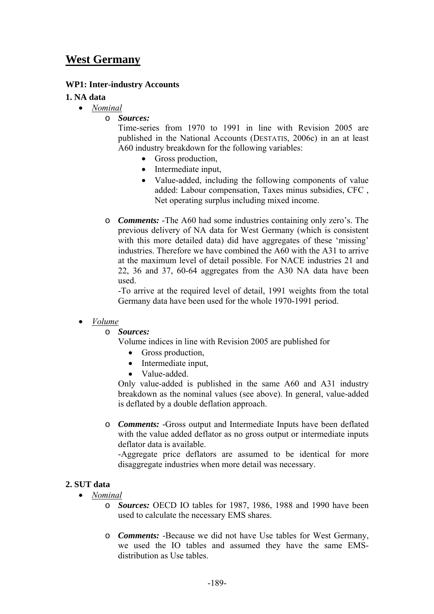## **West Germany**

## **WP1: Inter-industry Accounts**

#### **1. NA data**

- *Nominal*
	- o *Sources:*

Time-series from 1970 to 1991 in line with Revision 2005 are published in the National Accounts (DESTATIS, 2006c) in an at least A60 industry breakdown for the following variables:

- Gross production,
- Intermediate input,
- Value-added, including the following components of value added: Labour compensation, Taxes minus subsidies, CFC , Net operating surplus including mixed income.
- o *Comments:* -The A60 had some industries containing only zero's. The previous delivery of NA data for West Germany (which is consistent with this more detailed data) did have aggregates of these 'missing' industries. Therefore we have combined the A60 with the A31 to arrive at the maximum level of detail possible. For NACE industries 21 and 22, 36 and 37, 60-64 aggregates from the A30 NA data have been used.

-To arrive at the required level of detail, 1991 weights from the total Germany data have been used for the whole 1970-1991 period.

## • *Volume*

- o *Sources:*
	- Volume indices in line with Revision 2005 are published for
		- Gross production,
		- Intermediate input,
		- Value-added.

Only value-added is published in the same A60 and A31 industry breakdown as the nominal values (see above). In general, value-added is deflated by a double deflation approach.

o *Comments:* -Gross output and Intermediate Inputs have been deflated with the value added deflator as no gross output or intermediate inputs deflator data is available.

-Aggregate price deflators are assumed to be identical for more disaggregate industries when more detail was necessary.

#### **2. SUT data**

- *Nominal*
	- o *Sources:* OECD IO tables for 1987, 1986, 1988 and 1990 have been used to calculate the necessary EMS shares.
	- o *Comments:* -Because we did not have Use tables for West Germany, we used the IO tables and assumed they have the same EMSdistribution as Use tables.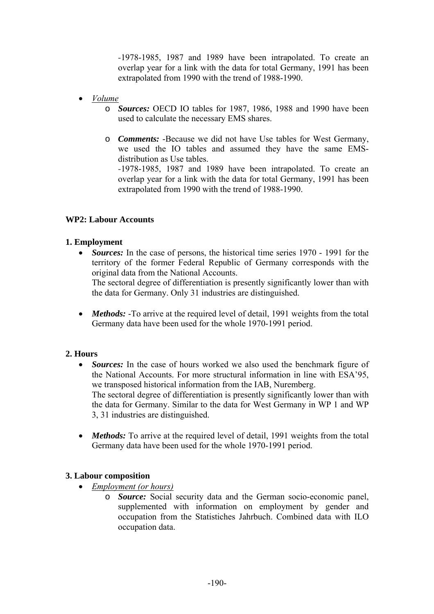*-*1978-1985, 1987 and 1989 have been intrapolated. To create an overlap year for a link with the data for total Germany, 1991 has been extrapolated from 1990 with the trend of 1988-1990.

- *Volume*
	- o *Sources:* OECD IO tables for 1987, 1986, 1988 and 1990 have been used to calculate the necessary EMS shares.
	- o *Comments:* -Because we did not have Use tables for West Germany, we used the IO tables and assumed they have the same EMSdistribution as Use tables.

*-*1978-1985, 1987 and 1989 have been intrapolated. To create an overlap year for a link with the data for total Germany, 1991 has been extrapolated from 1990 with the trend of 1988-1990.

## **WP2: Labour Accounts**

## **1. Employment**

• *Sources:* In the case of persons, the historical time series 1970 - 1991 for the territory of the former Federal Republic of Germany corresponds with the original data from the National Accounts.

The sectoral degree of differentiation is presently significantly lower than with the data for Germany. Only 31 industries are distinguished.

• *Methods:* -To arrive at the required level of detail, 1991 weights from the total Germany data have been used for the whole 1970-1991 period.

## **2. Hours**

• *Sources:* In the case of hours worked we also used the benchmark figure of the National Accounts. For more structural information in line with ESA'95, we transposed historical information from the IAB, Nuremberg. The sectoral degree of differentiation is presently significantly lower than with

the data for Germany. Similar to the data for West Germany in WP 1 and WP 3, 31 industries are distinguished.

• *Methods:* To arrive at the required level of detail, 1991 weights from the total Germany data have been used for the whole 1970-1991 period.

## **3. Labour composition**

- *Employment (or hours)*
	- o *Source:* Social security data and the German socio-economic panel, supplemented with information on employment by gender and occupation from the Statistiches Jahrbuch. Combined data with ILO occupation data.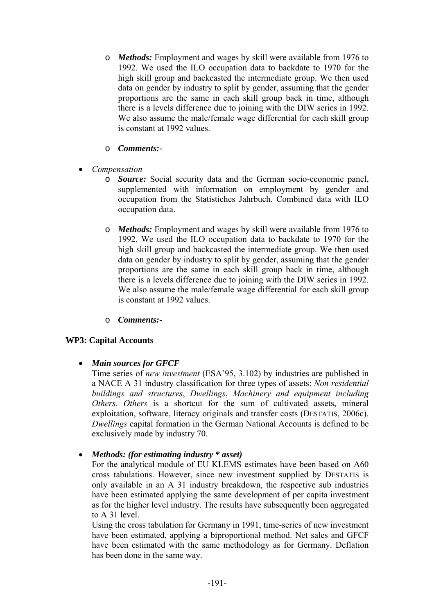- o *Methods:* Employment and wages by skill were available from 1976 to 1992. We used the ILO occupation data to backdate to 1970 for the high skill group and backcasted the intermediate group. We then used data on gender by industry to split by gender, assuming that the gender proportions are the same in each skill group back in time, although there is a levels difference due to joining with the DIW series in 1992. We also assume the male/female wage differential for each skill group is constant at 1992 values.
- o *Comments:-*
- *Compensation*
	- o *Source:* Social security data and the German socio-economic panel, supplemented with information on employment by gender and occupation from the Statistiches Jahrbuch. Combined data with ILO occupation data.
	- o *Methods:* Employment and wages by skill were available from 1976 to 1992. We used the ILO occupation data to backdate to 1970 for the high skill group and backcasted the intermediate group. We then used data on gender by industry to split by gender, assuming that the gender proportions are the same in each skill group back in time, although there is a levels difference due to joining with the DIW series in 1992. We also assume the male/female wage differential for each skill group is constant at 1992 values.
	- o *Comments:-*

## **WP3: Capital Accounts**

## • *Main sources for GFCF*

Time series of *new investment* (ESA'95, 3.102) by industries are published in a NACE A 31 industry classification for three types of assets: *Non residential buildings and structures*, *Dwellings*, *Machinery and equipment including Others*. *Others* is a shortcut for the sum of cultivated assets, mineral exploitation, software, literacy originals and transfer costs (DESTATIS, 2006c). *Dwellings* capital formation in the German National Accounts is defined to be exclusively made by industry 70.

• *Methods: (for estimating industry \* asset)* 

For the analytical module of EU KLEMS estimates have been based on A60 cross tabulations. However, since new investment supplied by DESTATIS is only available in an A 31 industry breakdown, the respective sub industries have been estimated applying the same development of per capita investment as for the higher level industry. The results have subsequently been aggregated to A 31 level.

Using the cross tabulation for Germany in 1991, time-series of new investment have been estimated, applying a biproportional method. Net sales and GFCF have been estimated with the same methodology as for Germany. Deflation has been done in the same way.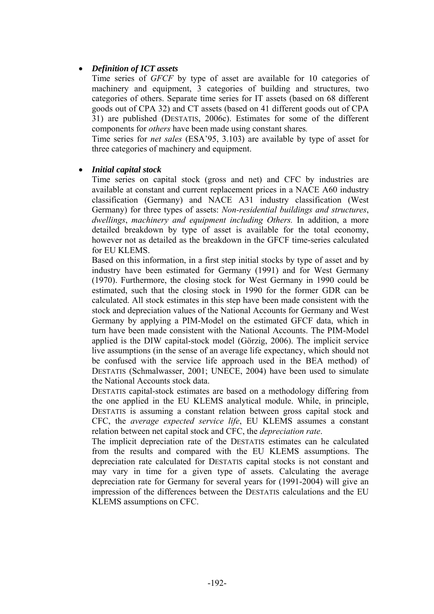## • *Definition of ICT assets*

Time series of *GFCF* by type of asset are available for 10 categories of machinery and equipment, 3 categories of building and structures, two categories of others. Separate time series for IT assets (based on 68 different goods out of CPA 32) and CT assets (based on 41 different goods out of CPA 31) are published (DESTATIS, 2006c). Estimates for some of the different components for *others* have been made using constant shares*.* 

Time series for *net sales* (ESA'95, 3.103) are available by type of asset for three categories of machinery and equipment.

#### • *Initial capital stock*

Time series on capital stock (gross and net) and CFC by industries are available at constant and current replacement prices in a NACE A60 industry classification (Germany) and NACE A31 industry classification (West Germany) for three types of assets: *Non-residential buildings and structures*, *dwellings*, *machinery and equipment including Others.* In addition, a more detailed breakdown by type of asset is available for the total economy, however not as detailed as the breakdown in the GFCF time-series calculated for EU KLEMS.

Based on this information, in a first step initial stocks by type of asset and by industry have been estimated for Germany (1991) and for West Germany (1970). Furthermore, the closing stock for West Germany in 1990 could be estimated, such that the closing stock in 1990 for the former GDR can be calculated. All stock estimates in this step have been made consistent with the stock and depreciation values of the National Accounts for Germany and West Germany by applying a PIM-Model on the estimated GFCF data, which in turn have been made consistent with the National Accounts. The PIM-Model applied is the DIW capital-stock model (Görzig, 2006). The implicit service live assumptions (in the sense of an average life expectancy, which should not be confused with the service life approach used in the BEA method) of DESTATIS (Schmalwasser, 2001; UNECE, 2004) have been used to simulate the National Accounts stock data.

DESTATIS capital-stock estimates are based on a methodology differing from the one applied in the EU KLEMS analytical module. While, in principle, DESTATIS is assuming a constant relation between gross capital stock and CFC, the *average expected service life*, EU KLEMS assumes a constant relation between net capital stock and CFC, the *depreciation rate*.

The implicit depreciation rate of the DESTATIS estimates can he calculated from the results and compared with the EU KLEMS assumptions. The depreciation rate calculated for DESTATIS capital stocks is not constant and may vary in time for a given type of assets. Calculating the average depreciation rate for Germany for several years for (1991-2004) will give an impression of the differences between the DESTATIS calculations and the EU KLEMS assumptions on CFC.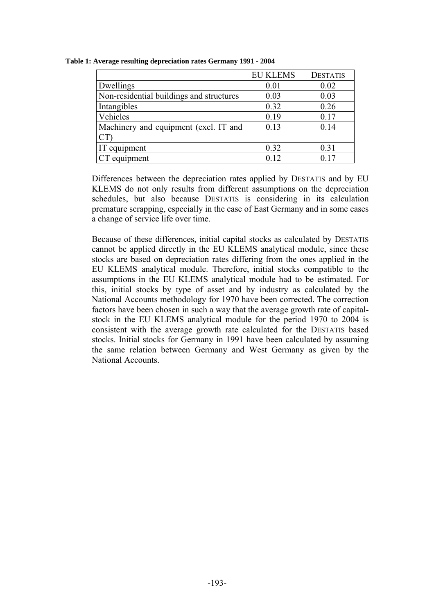|                                          | <b>EU KLEMS</b> | <b>DESTATIS</b> |
|------------------------------------------|-----------------|-----------------|
| Dwellings                                | 0.01            | 0.02            |
| Non-residential buildings and structures | 0.03            | 0.03            |
| Intangibles                              | 0.32            | 0.26            |
| Vehicles                                 | 0.19            | 0.17            |
| Machinery and equipment (excl. IT and    | 0.13            | 0.14            |
|                                          |                 |                 |
| IT equipment                             | 0.32            | 0.31            |
| CT equipment                             | 0.12            | 0.17            |

**Table 1: Average resulting depreciation rates Germany 1991 - 2004** 

Differences between the depreciation rates applied by DESTATIS and by EU KLEMS do not only results from different assumptions on the depreciation schedules, but also because DESTATIS is considering in its calculation premature scrapping, especially in the case of East Germany and in some cases a change of service life over time.

Because of these differences, initial capital stocks as calculated by DESTATIS cannot be applied directly in the EU KLEMS analytical module, since these stocks are based on depreciation rates differing from the ones applied in the EU KLEMS analytical module. Therefore, initial stocks compatible to the assumptions in the EU KLEMS analytical module had to be estimated. For this, initial stocks by type of asset and by industry as calculated by the National Accounts methodology for 1970 have been corrected. The correction factors have been chosen in such a way that the average growth rate of capitalstock in the EU KLEMS analytical module for the period 1970 to 2004 is consistent with the average growth rate calculated for the DESTATIS based stocks. Initial stocks for Germany in 1991 have been calculated by assuming the same relation between Germany and West Germany as given by the National Accounts.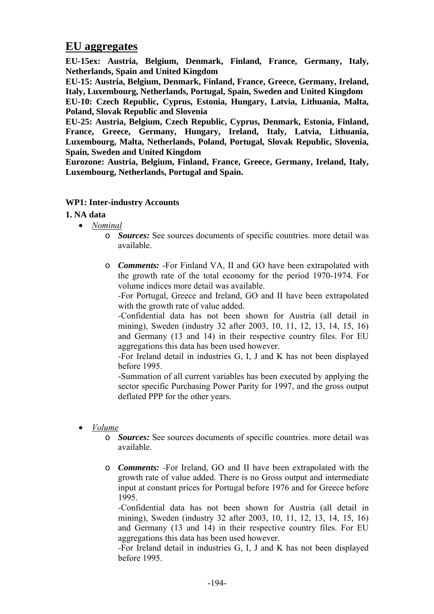## **EU aggregates**

**EU-15ex: Austria, Belgium, Denmark, Finland, France, Germany, Italy, Netherlands, Spain and United Kingdom** 

**EU-15: Austria, Belgium, Denmark, Finland, France, Greece, Germany, Ireland, Italy, Luxembourg, Netherlands, Portugal, Spain, Sweden and United Kingdom** 

**EU-10: Czech Republic, Cyprus, Estonia, Hungary, Latvia, Lithuania, Malta, Poland, Slovak Republic and Slovenia** 

**EU-25: Austria, Belgium, Czech Republic, Cyprus, Denmark, Estonia, Finland, France, Greece, Germany, Hungary, Ireland, Italy, Latvia, Lithuania, Luxembourg, Malta, Netherlands, Poland, Portugal, Slovak Republic, Slovenia, Spain, Sweden and United Kingdom** 

**Eurozone: Austria, Belgium, Finland, France, Greece, Germany, Ireland, Italy, Luxembourg, Netherlands, Portugal and Spain.** 

## **WP1: Inter-industry Accounts**

## **1. NA data**

- *Nominal*
	- o *Sources:* See sources documents of specific countries. more detail was available.
	- o *Comments:* -For Finland VA, II and GO have been extrapolated with the growth rate of the total economy for the period 1970-1974. For volume indices more detail was available.

*-*For Portugal, Greece and Ireland, GO and II have been extrapolated with the growth rate of value added.

*-*Confidential data has not been shown for Austria (all detail in mining), Sweden (industry 32 after 2003, 10, 11, 12, 13, 14, 15, 16) and Germany (13 and 14) in their respective country files. For EU aggregations this data has been used however.

*-*For Ireland detail in industries G, I, J and K has not been displayed before 1995.

-Summation of all current variables has been executed by applying the sector specific Purchasing Power Parity for 1997, and the gross output deflated PPP for the other years.

- *Volume*
	- o *Sources:* See sources documents of specific countries. more detail was available.
	- o *Comments: -*For Ireland, GO and II have been extrapolated with the growth rate of value added. There is no Gross output and intermediate input at constant prices for Portugal before 1976 and for Greece before 1995.

*-*Confidential data has not been shown for Austria (all detail in mining), Sweden (industry 32 after 2003, 10, 11, 12, 13, 14, 15, 16) and Germany (13 and 14) in their respective country files. For EU aggregations this data has been used however.

*-*For Ireland detail in industries G, I, J and K has not been displayed before 1995.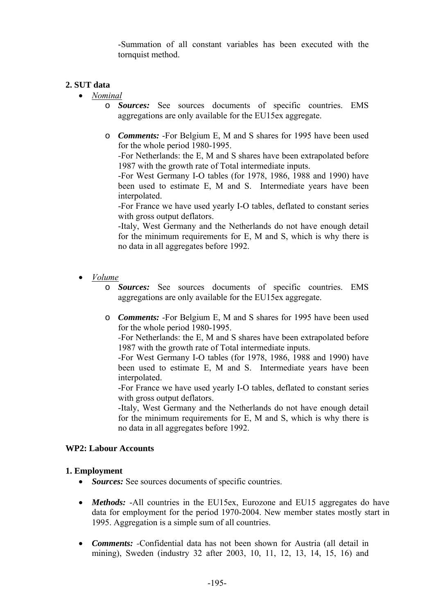-Summation of all constant variables has been executed with the tornquist method.

## **2. SUT data**

- *Nominal*
	- o *Sources:* See sources documents of specific countries. EMS aggregations are only available for the EU15ex aggregate.
	- o *Comments:* -For Belgium E, M and S shares for 1995 have been used for the whole period 1980-1995.

*-*For Netherlands: the E, M and S shares have been extrapolated before 1987 with the growth rate of Total intermediate inputs.

-For West Germany I-O tables (for 1978, 1986, 1988 and 1990) have been used to estimate E, M and S. Intermediate years have been interpolated.

-For France we have used yearly I-O tables, deflated to constant series with gross output deflators.

-Italy, West Germany and the Netherlands do not have enough detail for the minimum requirements for E, M and S, which is why there is no data in all aggregates before 1992.

- *Volume*
	- o *Sources:* See sources documents of specific countries. EMS aggregations are only available for the EU15ex aggregate.
	- o *Comments:* -For Belgium E, M and S shares for 1995 have been used for the whole period 1980-1995.

*-*For Netherlands: the E, M and S shares have been extrapolated before 1987 with the growth rate of Total intermediate inputs.

-For West Germany I-O tables (for 1978, 1986, 1988 and 1990) have been used to estimate E, M and S. Intermediate years have been interpolated.

-For France we have used yearly I-O tables, deflated to constant series with gross output deflators.

-Italy, West Germany and the Netherlands do not have enough detail for the minimum requirements for E, M and S, which is why there is no data in all aggregates before 1992.

## **WP2: Labour Accounts**

## **1. Employment**

- *Sources:* See sources documents of specific countries.
- *Methods:* -All countries in the EU15ex, Eurozone and EU15 aggregates do have data for employment for the period 1970-2004. New member states mostly start in 1995. Aggregation is a simple sum of all countries.
- *Comments: -*Confidential data has not been shown for Austria (all detail in mining), Sweden (industry 32 after 2003, 10, 11, 12, 13, 14, 15, 16) and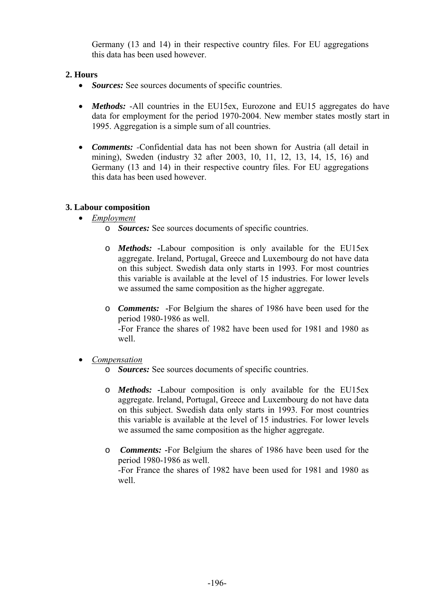Germany (13 and 14) in their respective country files. For EU aggregations this data has been used however.

## **2. Hours**

- *Sources:* See sources documents of specific countries.
- *Methods:* -All countries in the EU15ex, Eurozone and EU15 aggregates do have data for employment for the period 1970-2004. New member states mostly start in 1995. Aggregation is a simple sum of all countries.
- *Comments: -*Confidential data has not been shown for Austria (all detail in mining), Sweden (industry 32 after 2003, 10, 11, 12, 13, 14, 15, 16) and Germany (13 and 14) in their respective country files. For EU aggregations this data has been used however.

## **3. Labour composition**

- *Employment*
	- o *Sources:* See sources documents of specific countries.
	- o *Methods:* **-**Labour composition is only available for the EU15ex aggregate. Ireland, Portugal, Greece and Luxembourg do not have data on this subject. Swedish data only starts in 1993. For most countries this variable is available at the level of 15 industries. For lower levels we assumed the same composition as the higher aggregate.
	- o *Comments:* **-**For Belgium the shares of 1986 have been used for the period 1980-1986 as well. -For France the shares of 1982 have been used for 1981 and 1980 as well.
- *Compensation*
	- o *Sources:* See sources documents of specific countries.
	- o *Methods:* **-**Labour composition is only available for the EU15ex aggregate. Ireland, Portugal, Greece and Luxembourg do not have data on this subject. Swedish data only starts in 1993. For most countries this variable is available at the level of 15 industries. For lower levels we assumed the same composition as the higher aggregate.
	- o *Comments:* **-**For Belgium the shares of 1986 have been used for the period 1980-1986 as well. -For France the shares of 1982 have been used for 1981 and 1980 as well.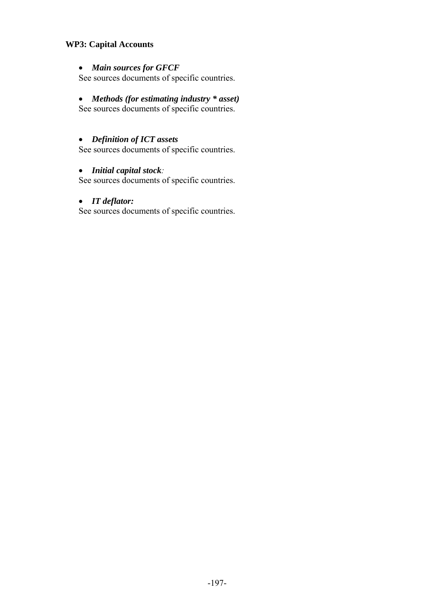## **WP3: Capital Accounts**

#### • *Main sources for GFCF*

See sources documents of specific countries.

#### • *Methods (for estimating industry \* asset)*

See sources documents of specific countries.

## • *Definition of ICT assets*

See sources documents of specific countries.

#### • *Initial capital stock:*

See sources documents of specific countries.

#### • *IT deflator:*

See sources documents of specific countries.